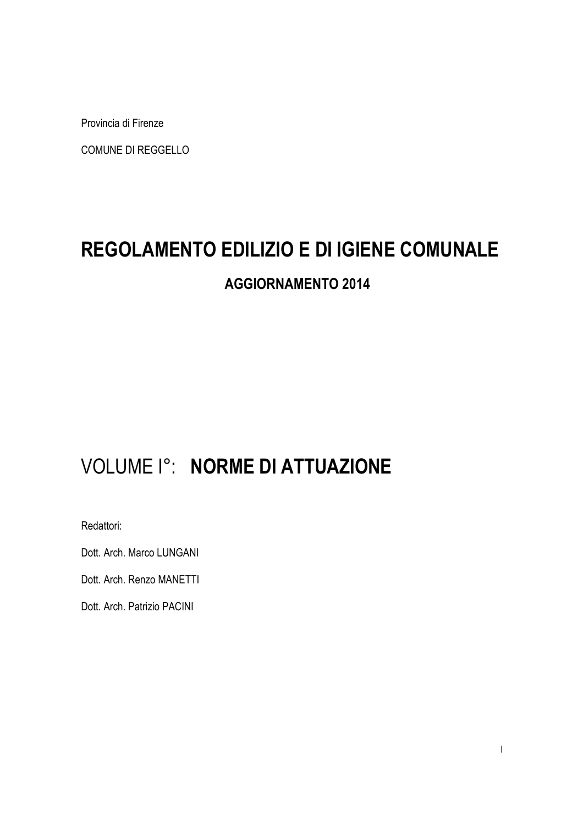Provincia di Firenze

COMUNE DI REGGELLO

# **REGOLAMENTO EDILIZIO E DI IGIENE COMUNALE**

# **AGGIORNAMENTO 2014**

# VOLUME I°: **NORME DI ATTUAZIONE**

Redattori:

Dott. Arch. Marco LUNGANI

Dott. Arch. Renzo MANETTI

Dott. Arch. Patrizio PACINI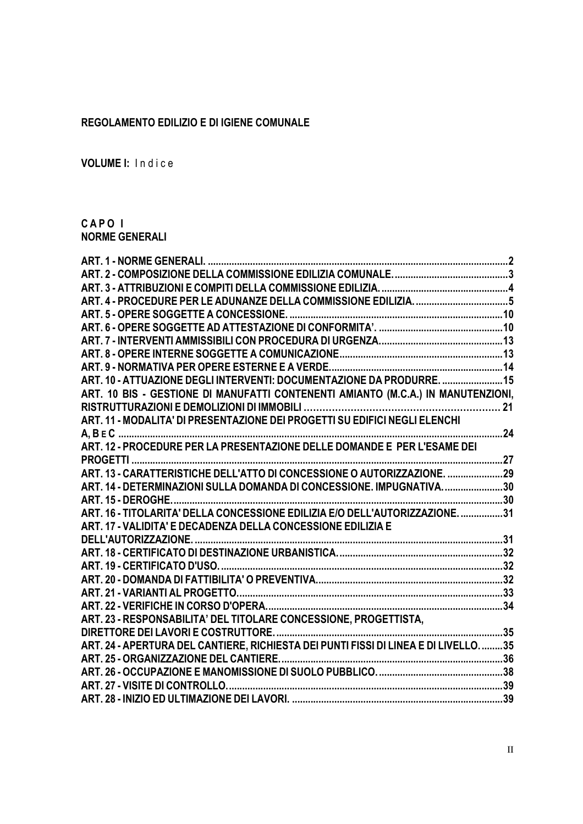#### **REGOLAMENTO EDILIZIO E DI IGIENE COMUNALE**

**VOLUME I:** Indice

#### **C A P O I NORME GENERALI**

| <b>ART. 1 - NORME GENERALI.</b>                                                    |  |
|------------------------------------------------------------------------------------|--|
|                                                                                    |  |
|                                                                                    |  |
| ART. 4 - PROCEDURE PER LE ADUNANZE DELLA COMMISSIONE EDILIZIA. 5                   |  |
|                                                                                    |  |
|                                                                                    |  |
|                                                                                    |  |
|                                                                                    |  |
|                                                                                    |  |
| ART. 10 - ATTUAZIONE DEGLI INTERVENTI: DOCUMENTAZIONE DA PRODURRE.  15             |  |
| ART. 10 BIS - GESTIONE DI MANUFATTI CONTENENTI AMIANTO (M.C.A.) IN MANUTENZIONI,   |  |
|                                                                                    |  |
| ART. 11 - MODALITA' DI PRESENTAZIONE DEI PROGETTI SU EDIFICI NEGLI ELENCHI         |  |
|                                                                                    |  |
|                                                                                    |  |
|                                                                                    |  |
| ART. 13 - CARATTERISTICHE DELL'ATTO DI CONCESSIONE O AUTORIZZAZIONE. 29            |  |
| ART. 14 - DETERMINAZIONI SULLA DOMANDA DI CONCESSIONE. IMPUGNATIVA. 30             |  |
|                                                                                    |  |
| ART. 16 - TITOLARITA' DELLA CONCESSIONE EDILIZIA E/O DELL'AUTORIZZAZIONE. 31       |  |
| ART. 17 - VALIDITA' E DECADENZA DELLA CONCESSIONE EDILIZIA E                       |  |
|                                                                                    |  |
|                                                                                    |  |
|                                                                                    |  |
|                                                                                    |  |
|                                                                                    |  |
|                                                                                    |  |
| ART. 23 - RESPONSABILITA' DEL TITOLARE CONCESSIONE, PROGETTISTA,                   |  |
|                                                                                    |  |
| ART. 24 - APERTURA DEL CANTIERE, RICHIESTA DEI PUNTI FISSI DI LINEA E DI LIVELLO35 |  |
|                                                                                    |  |
|                                                                                    |  |
|                                                                                    |  |
|                                                                                    |  |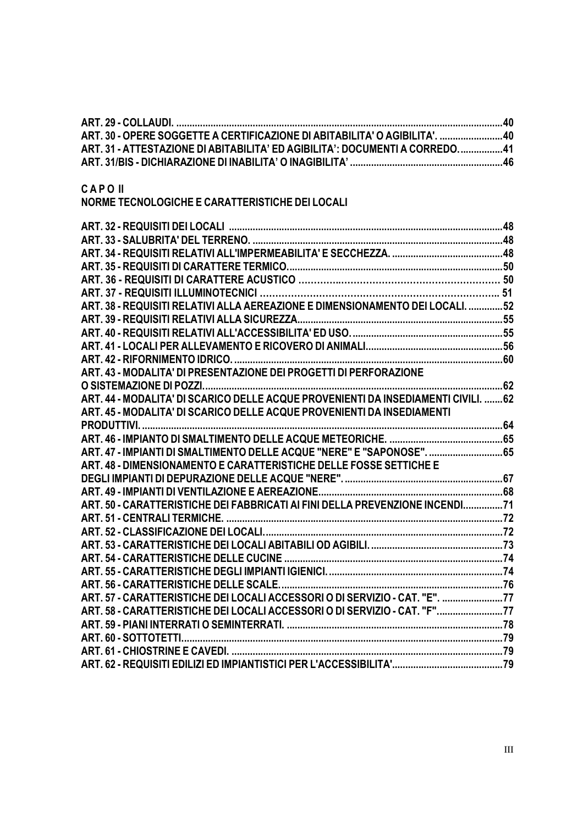| ART. 30 - OPERE SOGGETTE A CERTIFICAZIONE DI ABITABILITA' O AGIBILITA'. 40        |  |
|-----------------------------------------------------------------------------------|--|
| ART. 31 - ATTESTAZIONE DI ABITABILITA' ED AGIBILITA': DOCUMENTI A CORREDO41       |  |
|                                                                                   |  |
|                                                                                   |  |
| <b>CAPOII</b>                                                                     |  |
| NORME TECNOLOGICHE E CARATTERISTICHE DEI LOCALI                                   |  |
|                                                                                   |  |
|                                                                                   |  |
|                                                                                   |  |
|                                                                                   |  |
|                                                                                   |  |
|                                                                                   |  |
|                                                                                   |  |
| ART. 38 - REQUISITI RELATIVI ALLA AEREAZIONE E DIMENSIONAMENTO DEI LOCALI. 52     |  |
|                                                                                   |  |
|                                                                                   |  |
|                                                                                   |  |
|                                                                                   |  |
| ART. 43 - MODALITA' DI PRESENTAZIONE DEI PROGETTI DI PERFORAZIONE                 |  |
|                                                                                   |  |
| ART. 44 - MODALITA' DI SCARICO DELLE ACQUE PROVENIENTI DA INSEDIAMENTI CIVILI. 62 |  |
| ART. 45 - MODALITA' DI SCARICO DELLE ACQUE PROVENIENTI DA INSEDIAMENTI            |  |
|                                                                                   |  |
|                                                                                   |  |
| ART. 47 - IMPIANTI DI SMALTIMENTO DELLE ACQUE "NERE" E "SAPONOSE". 65             |  |
| ART. 48 - DIMENSIONAMENTO E CARATTERISTICHE DELLE FOSSE SETTICHE E                |  |
| 67<br>DEGLUMPLANTUDLDEPURAZIONE DELLE ACQUE "NERE"                                |  |

| ART. 48 - DIMENSIONAMENTO E CARATTERISTICHE DELLE FOSSE SETTICHE E           |  |
|------------------------------------------------------------------------------|--|
|                                                                              |  |
|                                                                              |  |
| ART. 50 - CARATTERISTICHE DEI FABBRICATI AI FINI DELLA PREVENZIONE INCENDI?1 |  |
|                                                                              |  |
|                                                                              |  |
|                                                                              |  |
|                                                                              |  |
|                                                                              |  |
|                                                                              |  |
| ART. 57 - CARATTERISTICHE DEI LOCALI ACCESSORI O DI SERVIZIO - CAT. "E". 77  |  |
| ART. 58 - CARATTERISTICHE DEI LOCALI ACCESSORI O DI SERVIZIO - CAT. "F"77    |  |
|                                                                              |  |
|                                                                              |  |
|                                                                              |  |
|                                                                              |  |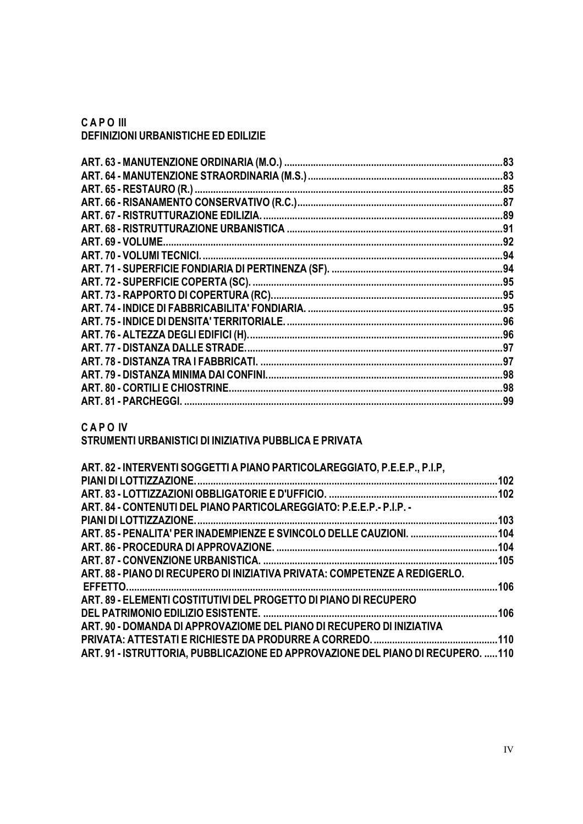**C A P O III DEFINIZIONI URBANISTICHE ED EDILIZIE** 

| ART. 77 - DISTANZA DALLE STRADE. | .97 |
|----------------------------------|-----|
|                                  | .97 |
|                                  | .98 |
| ART. 80 - CORTILI E CHIOSTRINE.  | .98 |
| ART. 81 - PARCHEGGI.             | .99 |
|                                  |     |

**C A P O IV** 

# **STRUMENTI URBANISTICI DI INIZIATIVA PUBBLICA E PRIVATA**

| ART. 84 - CONTENUTI DEL PIANO PARTICOLAREGGIATO: P.E.E.P. - P.I.P. -<br>ART. 88 - PIANO DI RECUPERO DI INIZIATIVA PRIVATA: COMPETENZE A REDIGERLO.<br>ART. 89 - ELEMENTI COSTITUTIVI DEL PROGETTO DI PIANO DI RECUPERO<br>ART, 90 - DOMANDA DI APPROVAZIOME DEL PIANO DI RECUPERO DI INIZIATIVA<br>ART. 91 - ISTRUTTORIA, PUBBLICAZIONE ED APPROVAZIONE DEL PIANO DI RECUPERO. 110 | ART. 82 - INTERVENTI SOGGETTI A PIANO PARTICOLAREGGIATO, P.E.E.P., P.I.P, |  |
|------------------------------------------------------------------------------------------------------------------------------------------------------------------------------------------------------------------------------------------------------------------------------------------------------------------------------------------------------------------------------------|---------------------------------------------------------------------------|--|
|                                                                                                                                                                                                                                                                                                                                                                                    |                                                                           |  |
|                                                                                                                                                                                                                                                                                                                                                                                    |                                                                           |  |
|                                                                                                                                                                                                                                                                                                                                                                                    |                                                                           |  |
|                                                                                                                                                                                                                                                                                                                                                                                    |                                                                           |  |
|                                                                                                                                                                                                                                                                                                                                                                                    |                                                                           |  |
|                                                                                                                                                                                                                                                                                                                                                                                    |                                                                           |  |
|                                                                                                                                                                                                                                                                                                                                                                                    |                                                                           |  |
|                                                                                                                                                                                                                                                                                                                                                                                    |                                                                           |  |
|                                                                                                                                                                                                                                                                                                                                                                                    |                                                                           |  |
|                                                                                                                                                                                                                                                                                                                                                                                    |                                                                           |  |
|                                                                                                                                                                                                                                                                                                                                                                                    |                                                                           |  |
|                                                                                                                                                                                                                                                                                                                                                                                    |                                                                           |  |
|                                                                                                                                                                                                                                                                                                                                                                                    |                                                                           |  |
|                                                                                                                                                                                                                                                                                                                                                                                    |                                                                           |  |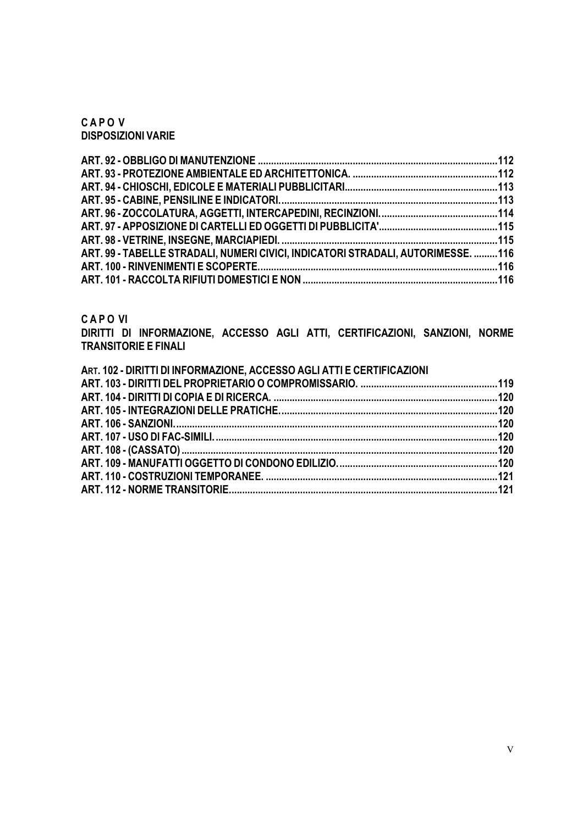**C A P O V DISPOSIZIONI VARIE** 

| ART. 99 - TABELLE STRADALI, NUMERI CIVICI, INDICATORI STRADALI, AUTORIMESSE. 116 |  |
|----------------------------------------------------------------------------------|--|
|                                                                                  |  |
|                                                                                  |  |

**C A P O VI** 

**DIRITTI DI INFORMAZIONE, ACCESSO AGLI ATTI, CERTIFICAZIONI, SANZIONI, NORME TRANSITORIE E FINALI** 

| ART. 102 - DIRITTI DI INFORMAZIONE, ACCESSO AGLI ATTI E CERTIFICAZIONI |  |
|------------------------------------------------------------------------|--|
|                                                                        |  |
|                                                                        |  |
|                                                                        |  |
|                                                                        |  |
|                                                                        |  |
|                                                                        |  |
|                                                                        |  |
|                                                                        |  |
|                                                                        |  |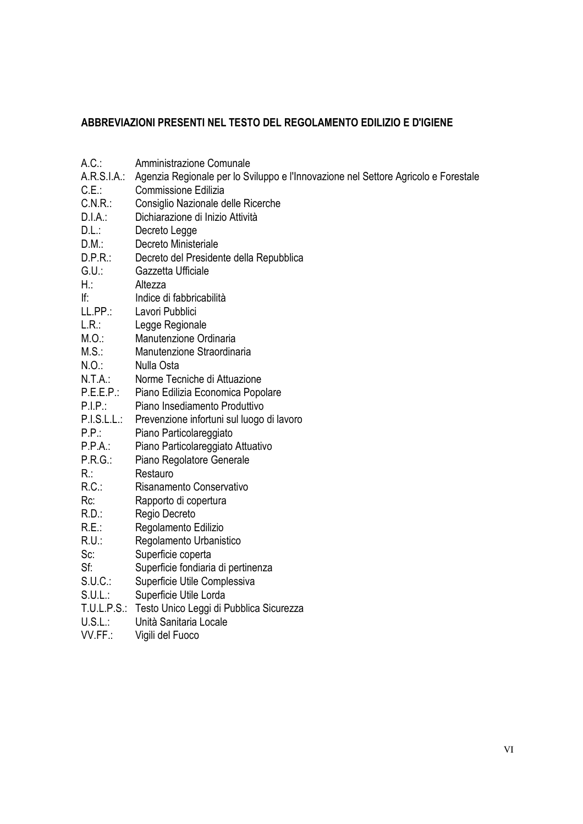#### **ABBREVIAZIONI PRESENTI NEL TESTO DEL REGOLAMENTO EDILIZIO E D'IGIENE**

A.C.: Amministrazione Comunale A.R.S.I.A.: Agenzia Regionale per lo Sviluppo e l'Innovazione nel Settore Agricolo e Forestale C.E.: Commissione Edilizia C.N.R.: Consiglio Nazionale delle Ricerche D.I.A.: Dichiarazione di Inizio Attività D.L.: Decreto Legge D.M.: Decreto Ministeriale D.P.R.: Decreto del Presidente della Repubblica G.U.: Gazzetta Ufficiale H.: Altezza If: Indice di fabbricabilità LL.PP.: Lavori Pubblici L.R.: Legge Regionale M.O.: Manutenzione Ordinaria M.S.: Manutenzione Straordinaria N.O.: Nulla Osta N.T.A.: Norme Tecniche di Attuazione P.E.E.P.: Piano Edilizia Economica Popolare P.I.P.: Piano Insediamento Produttivo P.I.S.L.L.: Prevenzione infortuni sul luogo di lavoro P.P.: Piano Particolareggiato P.P.A.: Piano Particolareggiato Attuativo P.R.G.: Piano Regolatore Generale R.: Restauro R.C.: Risanamento Conservativo Rc: Rapporto di copertura R.D.: Regio Decreto R.E.: Regolamento Edilizio R.U.: Regolamento Urbanistico Sc: Superficie coperta Sf: Superficie fondiaria di pertinenza S.U.C.: Superficie Utile Complessiva S.U.L.: Superficie Utile Lorda T.U.L.P.S.: Testo Unico Leggi di Pubblica Sicurezza U.S.L.: Unità Sanitaria Locale VV.FF.: Vigili del Fuoco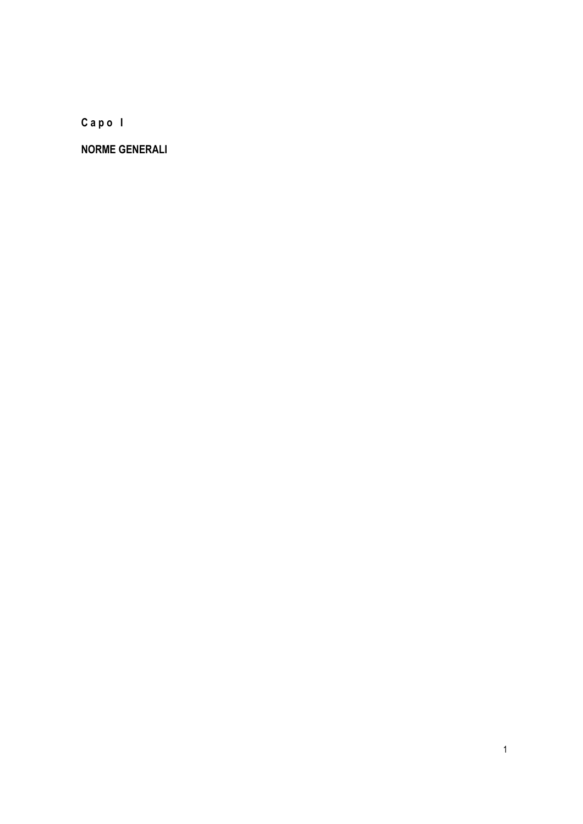**C a p o I** 

**NORME GENERALI**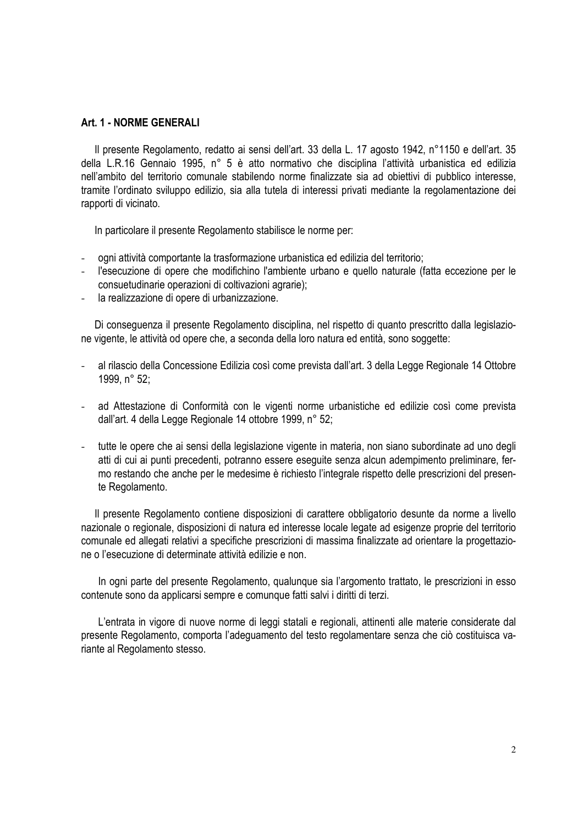#### **Art. 1 - NORME GENERALI**

Il presente Regolamento, redatto ai sensi dell'art. 33 della L. 17 agosto 1942, n°1150 e dell'art. 35 della L.R.16 Gennaio 1995, n° 5 è atto normativo che disciplina l'attività urbanistica ed edilizia nell'ambito del territorio comunale stabilendo norme finalizzate sia ad obiettivi di pubblico interesse, tramite l'ordinato sviluppo edilizio, sia alla tutela di interessi privati mediante la regolamentazione dei rapporti di vicinato.

In particolare il presente Regolamento stabilisce le norme per:

- ogni attività comportante la trasformazione urbanistica ed edilizia del territorio;
- l'esecuzione di opere che modifichino l'ambiente urbano e quello naturale (fatta eccezione per le consuetudinarie operazioni di coltivazioni agrarie);
- la realizzazione di opere di urbanizzazione.

Di conseguenza il presente Regolamento disciplina, nel rispetto di quanto prescritto dalla legislazione vigente, le attività od opere che, a seconda della loro natura ed entità, sono soggette:

- al rilascio della Concessione Edilizia così come prevista dall'art. 3 della Legge Regionale 14 Ottobre 1999, n° 52;
- ad Attestazione di Conformità con le vigenti norme urbanistiche ed edilizie così come prevista dall'art. 4 della Legge Regionale 14 ottobre 1999, n° 52;
- tutte le opere che ai sensi della legislazione vigente in materia, non siano subordinate ad uno degli atti di cui ai punti precedenti, potranno essere eseguite senza alcun adempimento preliminare, fermo restando che anche per le medesime è richiesto l'integrale rispetto delle prescrizioni del presente Regolamento.

Il presente Regolamento contiene disposizioni di carattere obbligatorio desunte da norme a livello nazionale o regionale, disposizioni di natura ed interesse locale legate ad esigenze proprie del territorio comunale ed allegati relativi a specifiche prescrizioni di massima finalizzate ad orientare la progettazione o l'esecuzione di determinate attività edilizie e non.

In ogni parte del presente Regolamento, qualunque sia l'argomento trattato, le prescrizioni in esso contenute sono da applicarsi sempre e comunque fatti salvi i diritti di terzi.

L'entrata in vigore di nuove norme di leggi statali e regionali, attinenti alle materie considerate dal presente Regolamento, comporta l'adeguamento del testo regolamentare senza che ciò costituisca variante al Regolamento stesso.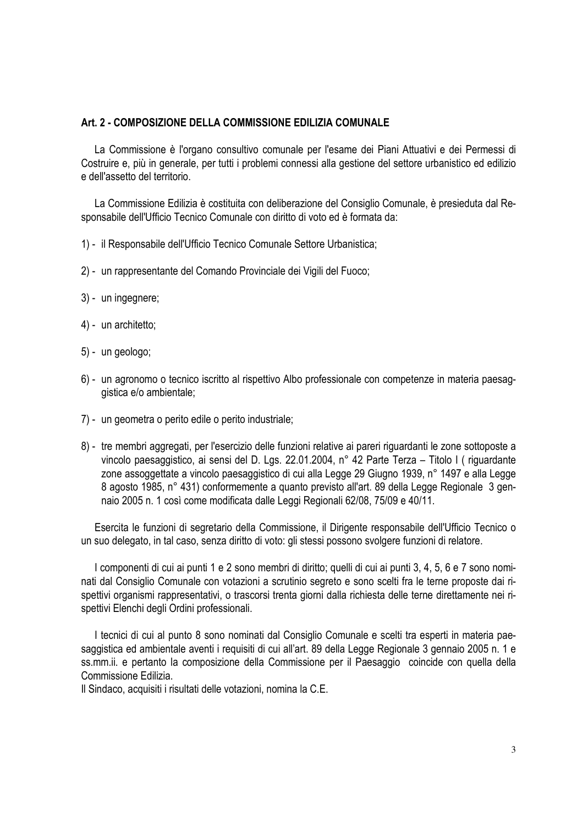#### **Art. 2 - COMPOSIZIONE DELLA COMMISSIONE EDILIZIA COMUNALE**

La Commissione è l'organo consultivo comunale per l'esame dei Piani Attuativi e dei Permessi di Costruire e, più in generale, per tutti i problemi connessi alla gestione del settore urbanistico ed edilizio e dell'assetto del territorio.

La Commissione Edilizia è costituita con deliberazione del Consiglio Comunale, è presieduta dal Responsabile dell'Ufficio Tecnico Comunale con diritto di voto ed è formata da:

- 1) il Responsabile dell'Ufficio Tecnico Comunale Settore Urbanistica;
- 2) un rappresentante del Comando Provinciale dei Vigili del Fuoco;
- 3) un ingegnere;
- 4) un architetto;
- 5) un geologo;
- 6) un agronomo o tecnico iscritto al rispettivo Albo professionale con competenze in materia paesaggistica e/o ambientale;
- 7) un geometra o perito edile o perito industriale;
- 8) tre membri aggregati, per l'esercizio delle funzioni relative ai pareri riguardanti le zone sottoposte a vincolo paesaggistico, ai sensi del D. Lgs. 22.01.2004, n° 42 Parte Terza – Titolo I ( riguardante zone assoggettate a vincolo paesaggistico di cui alla Legge 29 Giugno 1939, n° 1497 e alla Legge 8 agosto 1985, n° 431) conformemente a quanto previsto all'art. 89 della Legge Regionale 3 gennaio 2005 n. 1 così come modificata dalle Leggi Regionali 62/08, 75/09 e 40/11.

Esercita le funzioni di segretario della Commissione, il Dirigente responsabile dell'Ufficio Tecnico o un suo delegato, in tal caso, senza diritto di voto: gli stessi possono svolgere funzioni di relatore.

I componenti di cui ai punti 1 e 2 sono membri di diritto; quelli di cui ai punti 3, 4, 5, 6 e 7 sono nominati dal Consiglio Comunale con votazioni a scrutinio segreto e sono scelti fra le terne proposte dai rispettivi organismi rappresentativi, o trascorsi trenta giorni dalla richiesta delle terne direttamente nei rispettivi Elenchi degli Ordini professionali.

I tecnici di cui al punto 8 sono nominati dal Consiglio Comunale e scelti tra esperti in materia paesaggistica ed ambientale aventi i requisiti di cui all'art. 89 della Legge Regionale 3 gennaio 2005 n. 1 e ss.mm.ii. e pertanto la composizione della Commissione per il Paesaggio coincide con quella della Commissione Edilizia.

Il Sindaco, acquisiti i risultati delle votazioni, nomina la C.E.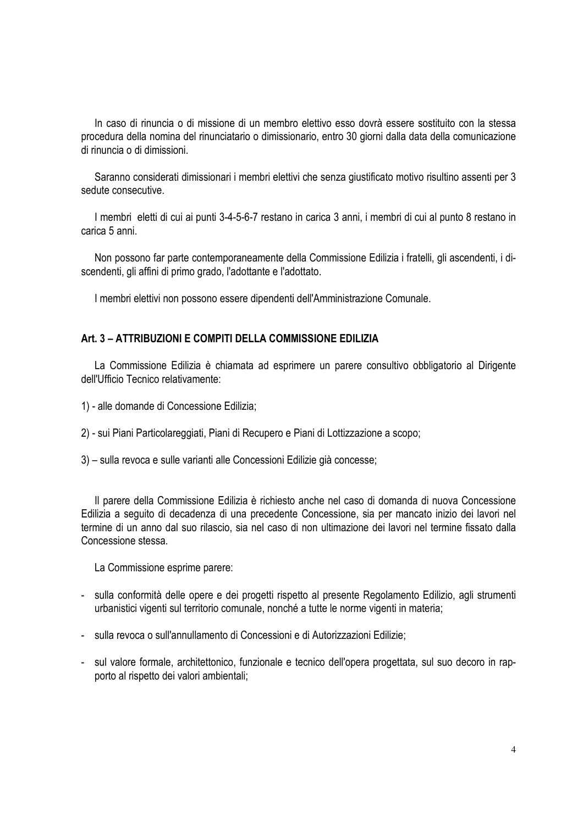In caso di rinuncia o di missione di un membro elettivo esso dovrà essere sostituito con la stessa procedura della nomina del rinunciatario o dimissionario, entro 30 giorni dalla data della comunicazione di rinuncia o di dimissioni.

Saranno considerati dimissionari i membri elettivi che senza giustificato motivo risultino assenti per 3 sedute consecutive.

I membri eletti di cui ai punti 3-4-5-6-7 restano in carica 3 anni, i membri di cui al punto 8 restano in carica 5 anni.

Non possono far parte contemporaneamente della Commissione Edilizia i fratelli, gli ascendenti, i discendenti, gli affini di primo grado, l'adottante e l'adottato.

I membri elettivi non possono essere dipendenti dell'Amministrazione Comunale.

#### **Art. 3 – ATTRIBUZIONI E COMPITI DELLA COMMISSIONE EDILIZIA**

La Commissione Edilizia è chiamata ad esprimere un parere consultivo obbligatorio al Dirigente dell'Ufficio Tecnico relativamente:

1) - alle domande di Concessione Edilizia;

2) - sui Piani Particolareggiati, Piani di Recupero e Piani di Lottizzazione a scopo;

3) – sulla revoca e sulle varianti alle Concessioni Edilizie già concesse;

Il parere della Commissione Edilizia è richiesto anche nel caso di domanda di nuova Concessione Edilizia a seguito di decadenza di una precedente Concessione, sia per mancato inizio dei lavori nel termine di un anno dal suo rilascio, sia nel caso di non ultimazione dei lavori nel termine fissato dalla Concessione stessa.

La Commissione esprime parere:

- sulla conformità delle opere e dei progetti rispetto al presente Regolamento Edilizio, agli strumenti urbanistici vigenti sul territorio comunale, nonché a tutte le norme vigenti in materia;
- sulla revoca o sull'annullamento di Concessioni e di Autorizzazioni Edilizie;
- sul valore formale, architettonico, funzionale e tecnico dell'opera progettata, sul suo decoro in rapporto al rispetto dei valori ambientali;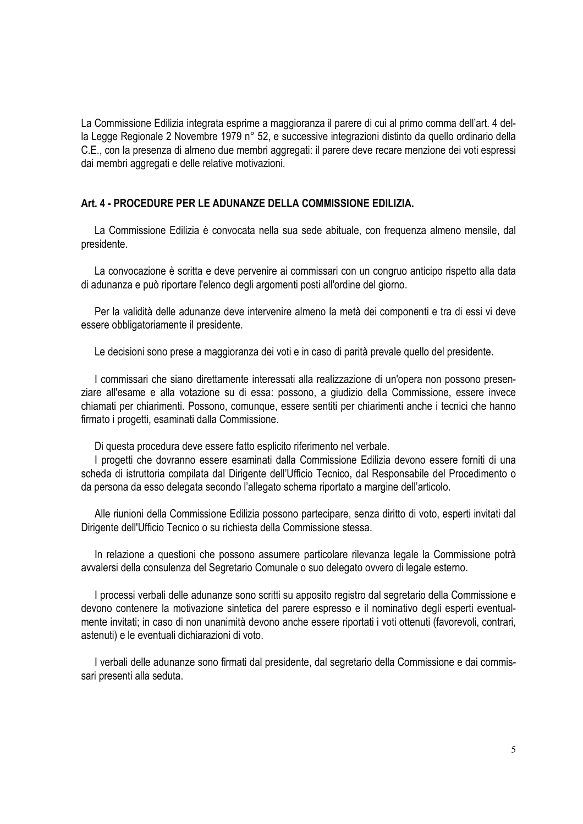La Commissione Edilizia integrata esprime a maggioranza il parere di cui al primo comma dell'art. 4 della Legge Regionale 2 Novembre 1979 n° 52, e successive integrazioni distinto da quello ordinario della C.E., con la presenza di almeno due membri aggregati: il parere deve recare menzione dei voti espressi dai membri aggregati e delle relative motivazioni.

#### **Art. 4 - PROCEDURE PER LE ADUNANZE DELLA COMMISSIONE EDILIZIA.**

La Commissione Edilizia è convocata nella sua sede abituale, con frequenza almeno mensile, dal presidente.

La convocazione è scritta e deve pervenire ai commissari con un congruo anticipo rispetto alla data di adunanza e può riportare l'elenco degli argomenti posti all'ordine del giorno.

Per la validità delle adunanze deve intervenire almeno la metà dei componenti e tra di essi vi deve essere obbligatoriamente il presidente.

Le decisioni sono prese a maggioranza dei voti e in caso di parità prevale quello del presidente.

I commissari che siano direttamente interessati alla realizzazione di un'opera non possono presenziare all'esame e alla votazione su di essa: possono, a giudizio della Commissione, essere invece chiamati per chiarimenti. Possono, comunque, essere sentiti per chiarimenti anche i tecnici che hanno firmato i progetti, esaminati dalla Commissione.

Di questa procedura deve essere fatto esplicito riferimento nel verbale.

I progetti che dovranno essere esaminati dalla Commissione Edilizia devono essere forniti di una scheda di istruttoria compilata dal Dirigente dell'Ufficio Tecnico, dal Responsabile del Procedimento o da persona da esso delegata secondo l'allegato schema riportato a margine dell'articolo.

Alle riunioni della Commissione Edilizia possono partecipare, senza diritto di voto, esperti invitati dal Dirigente dell'Ufficio Tecnico o su richiesta della Commissione stessa.

In relazione a questioni che possono assumere particolare rilevanza legale la Commissione potrà avvalersi della consulenza del Segretario Comunale o suo delegato ovvero di legale esterno.

I processi verbali delle adunanze sono scritti su apposito registro dal segretario della Commissione e devono contenere la motivazione sintetica del parere espresso e il nominativo degli esperti eventualmente invitati; in caso di non unanimità devono anche essere riportati i voti ottenuti (favorevoli, contrari, astenuti) e le eventuali dichiarazioni di voto.

I verbali delle adunanze sono firmati dal presidente, dal segretario della Commissione e dai commissari presenti alla seduta.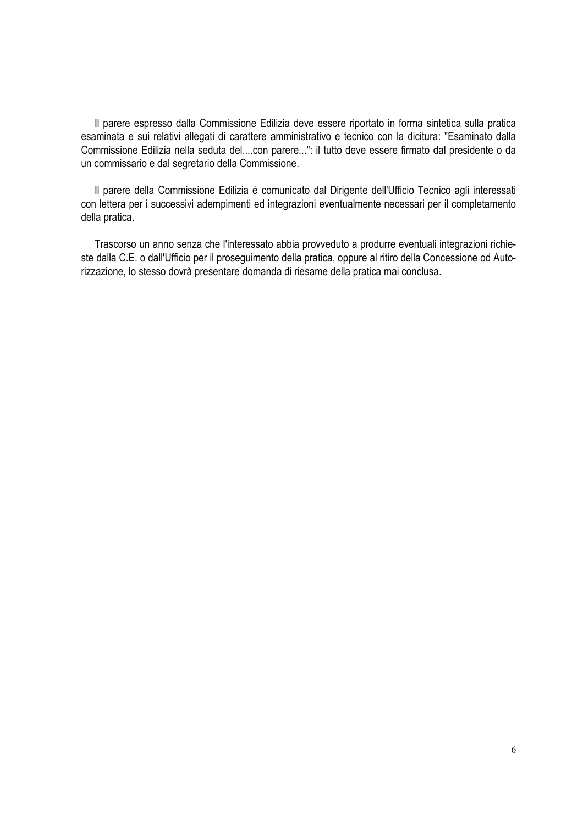Il parere espresso dalla Commissione Edilizia deve essere riportato in forma sintetica sulla pratica esaminata e sui relativi allegati di carattere amministrativo e tecnico con la dicitura: "Esaminato dalla Commissione Edilizia nella seduta del....con parere...": il tutto deve essere firmato dal presidente o da un commissario e dal segretario della Commissione.

Il parere della Commissione Edilizia è comunicato dal Dirigente dell'Ufficio Tecnico agli interessati con lettera per i successivi adempimenti ed integrazioni eventualmente necessari per il completamento della pratica.

Trascorso un anno senza che l'interessato abbia provveduto a produrre eventuali integrazioni richieste dalla C.E. o dall'Ufficio per il proseguimento della pratica, oppure al ritiro della Concessione od Autorizzazione, lo stesso dovrà presentare domanda di riesame della pratica mai conclusa.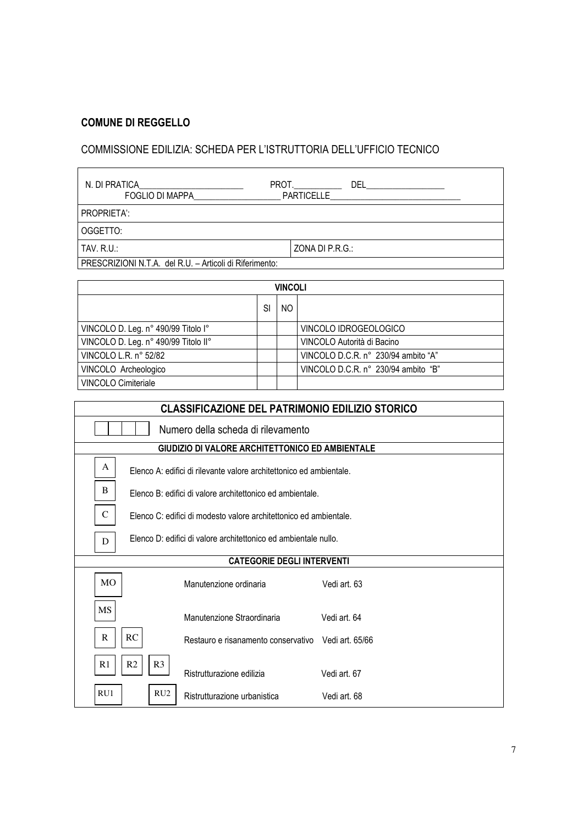#### **COMUNE DI REGGELLO**

# COMMISSIONE EDILIZIA: SCHEDA PER L'ISTRUTTORIA DELL'UFFICIO TECNICO

| N. DI PRATICA<br>PROT.<br><b>FOGLIO DI MAPPA</b>        | DEL<br><b>PARTICELLE</b> |
|---------------------------------------------------------|--------------------------|
| PROPRIETA':                                             |                          |
| OGGETTO:                                                |                          |
| <b>TAV. R.U.:</b>                                       | ZONA DI P.R.G.:          |
| PRESCRIZIONI N.T.A. del R.U. – Articoli di Riferimento: |                          |

| <b>VINCOLI</b>                       |    |     |                                     |  |  |  |
|--------------------------------------|----|-----|-------------------------------------|--|--|--|
|                                      | SI | NO. |                                     |  |  |  |
| VINCOLO D. Leg. n° 490/99 Titolo I°  |    |     | VINCOLO IDROGEOLOGICO               |  |  |  |
| VINCOLO D. Leg. n° 490/99 Titolo II° |    |     | VINCOLO Autorità di Bacino          |  |  |  |
| VINCOLO L.R. n° 52/82                |    |     | VINCOLO D.C.R. n° 230/94 ambito "A" |  |  |  |
| VINCOLO Archeologico                 |    |     | VINCOLO D.C.R. n° 230/94 ambito "B" |  |  |  |
| <b>VINCOLO Cimiteriale</b>           |    |     |                                     |  |  |  |

| <b>CLASSIFICAZIONE DEL PATRIMONIO EDILIZIO STORICO</b>                   |                                                                   |              |  |  |  |
|--------------------------------------------------------------------------|-------------------------------------------------------------------|--------------|--|--|--|
| Numero della scheda di rilevamento                                       |                                                                   |              |  |  |  |
|                                                                          | GIUDIZIO DI VALORE ARCHITETTONICO ED AMBIENTALE                   |              |  |  |  |
| A<br>Elenco A: edifici di rilevante valore architettonico ed ambientale. |                                                                   |              |  |  |  |
| B                                                                        | Flenco B: edifici di valore architettonico ed ambientale.         |              |  |  |  |
| $\mathsf{C}$                                                             | Flenco C: edifici di modesto valore architettonico ed ambientale. |              |  |  |  |
| D                                                                        | Elenco D: edifici di valore architettonico ed ambientale nullo.   |              |  |  |  |
|                                                                          | <b>CATEGORIE DEGLI INTERVENTI</b>                                 |              |  |  |  |
| <b>MO</b>                                                                | Manutenzione ordinaria                                            | Vedi art. 63 |  |  |  |
| MS<br>Manutenzione Straordinaria<br>Vedi art. 64                         |                                                                   |              |  |  |  |
| RC<br>R<br>Restauro e risanamento conservativo Vedi art. 65/66           |                                                                   |              |  |  |  |
| R <sub>2</sub><br>R <sub>3</sub><br>R1                                   | Ristrutturazione edilizia                                         | Vedi art. 67 |  |  |  |
| RU1<br>RU2                                                               | Ristrutturazione urbanistica                                      | Vedi art. 68 |  |  |  |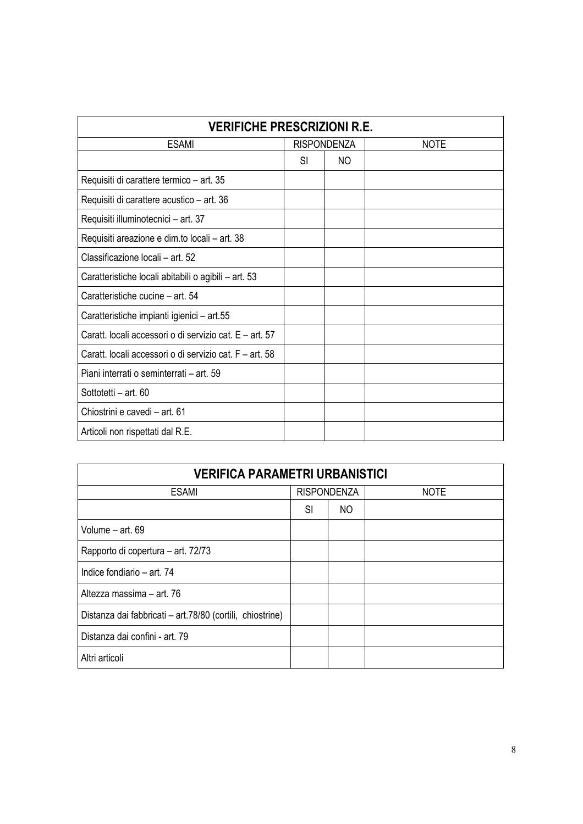| <b>VERIFICHE PRESCRIZIONI R.E.</b>                      |                    |    |             |  |
|---------------------------------------------------------|--------------------|----|-------------|--|
| <b>ESAMI</b>                                            | <b>RISPONDENZA</b> |    | <b>NOTE</b> |  |
|                                                         | SI                 | NO |             |  |
| Requisiti di carattere termico – art. 35                |                    |    |             |  |
| Requisiti di carattere acustico – art. 36               |                    |    |             |  |
| Requisiti illuminotecnici - art. 37                     |                    |    |             |  |
| Requisiti areazione e dim.to locali - art. 38           |                    |    |             |  |
| Classificazione locali - art. 52                        |                    |    |             |  |
| Caratteristiche locali abitabili o agibili - art. 53    |                    |    |             |  |
| Caratteristiche cucine - art. 54                        |                    |    |             |  |
| Caratteristiche impianti igienici - art.55              |                    |    |             |  |
| Caratt. locali accessori o di servizio cat. E – art. 57 |                    |    |             |  |
| Caratt. locali accessori o di servizio cat. F - art. 58 |                    |    |             |  |
| Piani interrati o seminterrati - art. 59                |                    |    |             |  |
| Sottotetti - art. 60                                    |                    |    |             |  |
| Chiostrini e cavedi - art. 61                           |                    |    |             |  |
| Articoli non rispettati dal R.E.                        |                    |    |             |  |

| <b>VERIFICA PARAMETRI URBANISTICI</b>                     |    |                                   |  |  |
|-----------------------------------------------------------|----|-----------------------------------|--|--|
| <b>ESAMI</b>                                              |    | <b>RISPONDENZA</b><br><b>NOTE</b> |  |  |
|                                                           | SI | NO.                               |  |  |
| Volume - art. 69                                          |    |                                   |  |  |
| Rapporto di copertura – art. 72/73                        |    |                                   |  |  |
| Indice fondiario - art. 74                                |    |                                   |  |  |
| Altezza massima - art. 76                                 |    |                                   |  |  |
| Distanza dai fabbricati - art.78/80 (cortili, chiostrine) |    |                                   |  |  |
| Distanza dai confini - art. 79                            |    |                                   |  |  |
| Altri articoli                                            |    |                                   |  |  |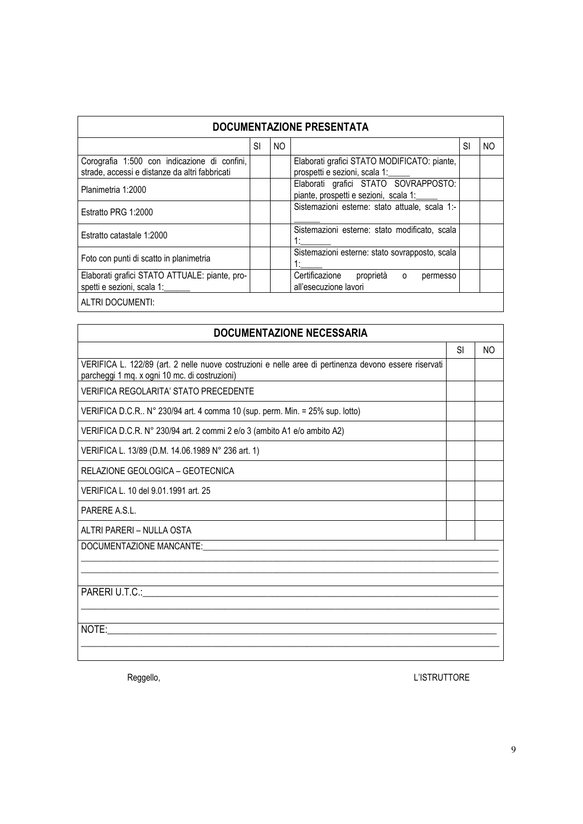| <b>DOCUMENTAZIONE PRESENTATA</b>                                                               |    |                |                                                                               |    |     |  |
|------------------------------------------------------------------------------------------------|----|----------------|-------------------------------------------------------------------------------|----|-----|--|
|                                                                                                | SI | N <sub>O</sub> |                                                                               | SI | NO. |  |
| Corografia 1:500 con indicazione di confini,<br>strade, accessi e distanze da altri fabbricati |    |                | Elaborati grafici STATO MODIFICATO: piante,<br>prospetti e sezioni, scala 1:  |    |     |  |
| Planimetria 1:2000                                                                             |    |                | Elaborati grafici STATO SOVRAPPOSTO:<br>piante, prospetti e sezioni, scala 1: |    |     |  |
| Estratto PRG 1:2000                                                                            |    |                | Sistemazioni esterne: stato attuale, scala 1:-                                |    |     |  |
| Estratto catastale 1:2000                                                                      |    |                | Sistemazioni esterne: stato modificato, scala                                 |    |     |  |
| Foto con punti di scatto in planimetria                                                        |    |                | Sistemazioni esterne: stato sovrapposto, scala                                |    |     |  |
| Elaborati grafici STATO ATTUALE: piante, pro-<br>spetti e sezioni, scala 1:                    |    |                | Certificazione<br>proprietà o<br>permesso<br>all'esecuzione lavori            |    |     |  |
| ALTRI DOCUMENTI:                                                                               |    |                |                                                                               |    |     |  |

| <b>DOCUMENTAZIONE NECESSARIA</b>                                                                                                                       |           |     |  |  |  |  |
|--------------------------------------------------------------------------------------------------------------------------------------------------------|-----------|-----|--|--|--|--|
|                                                                                                                                                        | <b>SI</b> | NO. |  |  |  |  |
| VERIFICA L. 122/89 (art. 2 nelle nuove costruzioni e nelle aree di pertinenza devono essere riservati<br>parcheggi 1 mq. x ogni 10 mc. di costruzioni) |           |     |  |  |  |  |
| <b>VERIFICA REGOLARITA' STATO PRECEDENTE</b>                                                                                                           |           |     |  |  |  |  |
| VERIFICA D.C.R N° 230/94 art. 4 comma 10 (sup. perm. Min. = 25% sup. lotto)                                                                            |           |     |  |  |  |  |
| VERIFICA D.C.R. N° 230/94 art. 2 commi 2 e/o 3 (ambito A1 e/o ambito A2)                                                                               |           |     |  |  |  |  |
| VERIFICA L. 13/89 (D.M. 14.06.1989 N° 236 art. 1)                                                                                                      |           |     |  |  |  |  |
| RELAZIONE GEOLOGICA - GEOTECNICA                                                                                                                       |           |     |  |  |  |  |
| VERIFICA L. 10 del 9.01.1991 art. 25                                                                                                                   |           |     |  |  |  |  |
| PARERE A.S.L.                                                                                                                                          |           |     |  |  |  |  |
| ALTRI PARERI – NULLA OSTA                                                                                                                              |           |     |  |  |  |  |
| DOCUMENTAZIONE MANCANTE:                                                                                                                               |           |     |  |  |  |  |
|                                                                                                                                                        |           |     |  |  |  |  |
| PARERI U.T.C.:<br><u> 1989 - Johann Stein, fransk politiker (d. 1989)</u>                                                                              |           |     |  |  |  |  |
|                                                                                                                                                        |           |     |  |  |  |  |
| NOTE:                                                                                                                                                  |           |     |  |  |  |  |
|                                                                                                                                                        |           |     |  |  |  |  |
|                                                                                                                                                        |           |     |  |  |  |  |

Reggello, and the contract of the contract of the contract of the contract of the contract of the contract of the contract of the contract of the contract of the contract of the contract of the contract of the contract of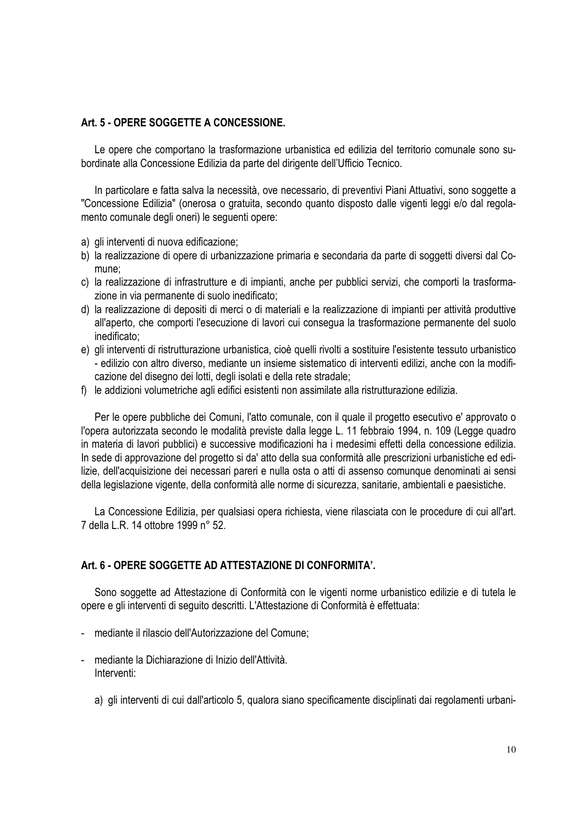#### **Art. 5 - OPERE SOGGETTE A CONCESSIONE.**

Le opere che comportano la trasformazione urbanistica ed edilizia del territorio comunale sono subordinate alla Concessione Edilizia da parte del dirigente dell'Ufficio Tecnico.

In particolare e fatta salva la necessità, ove necessario, di preventivi Piani Attuativi, sono soggette a "Concessione Edilizia" (onerosa o gratuita, secondo quanto disposto dalle vigenti leggi e/o dal regolamento comunale degli oneri) le seguenti opere:

- a) gli interventi di nuova edificazione;
- b) la realizzazione di opere di urbanizzazione primaria e secondaria da parte di soggetti diversi dal Comune;
- c) la realizzazione di infrastrutture e di impianti, anche per pubblici servizi, che comporti la trasformazione in via permanente di suolo inedificato;
- d) la realizzazione di depositi di merci o di materiali e la realizzazione di impianti per attività produttive all'aperto, che comporti l'esecuzione di lavori cui consegua la trasformazione permanente del suolo inedificato;
- e) gli interventi di ristrutturazione urbanistica, cioè quelli rivolti a sostituire l'esistente tessuto urbanistico - edilizio con altro diverso, mediante un insieme sistematico di interventi edilizi, anche con la modificazione del disegno dei lotti, degli isolati e della rete stradale;
- f) le addizioni volumetriche agli edifici esistenti non assimilate alla ristrutturazione edilizia.

Per le opere pubbliche dei Comuni, l'atto comunale, con il quale il progetto esecutivo e' approvato o l'opera autorizzata secondo le modalità previste dalla legge L. 11 febbraio 1994, n. 109 (Legge quadro in materia di lavori pubblici) e successive modificazioni ha i medesimi effetti della concessione edilizia. In sede di approvazione del progetto si da' atto della sua conformità alle prescrizioni urbanistiche ed edilizie, dell'acquisizione dei necessari pareri e nulla osta o atti di assenso comunque denominati ai sensi della legislazione vigente, della conformità alle norme di sicurezza, sanitarie, ambientali e paesistiche.

La Concessione Edilizia, per qualsiasi opera richiesta, viene rilasciata con le procedure di cui all'art. 7 della L.R. 14 ottobre 1999 n° 52.

#### **Art. 6 - OPERE SOGGETTE AD ATTESTAZIONE DI CONFORMITA'.**

Sono soggette ad Attestazione di Conformità con le vigenti norme urbanistico edilizie e di tutela le opere e gli interventi di seguito descritti. L'Attestazione di Conformità è effettuata:

- mediante il rilascio dell'Autorizzazione del Comune;
- mediante la Dichiarazione di Inizio dell'Attività. Interventi:
	- a) gli interventi di cui dall'articolo 5, qualora siano specificamente disciplinati dai regolamenti urbani-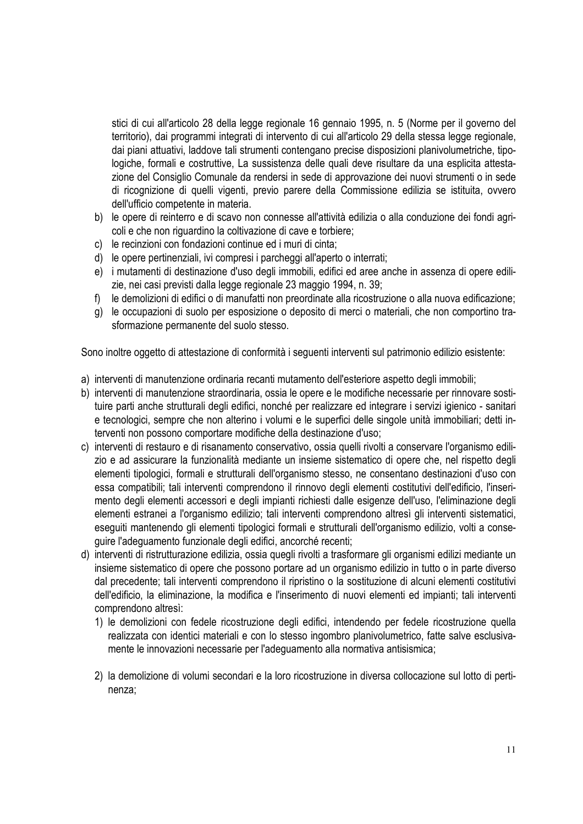stici di cui all'articolo 28 della legge regionale 16 gennaio 1995, n. 5 (Norme per il governo del territorio), dai programmi integrati di intervento di cui all'articolo 29 della stessa legge regionale, dai piani attuativi, laddove tali strumenti contengano precise disposizioni planivolumetriche, tipologiche, formali e costruttive, La sussistenza delle quali deve risultare da una esplicita attestazione del Consiglio Comunale da rendersi in sede di approvazione dei nuovi strumenti o in sede di ricognizione di quelli vigenti, previo parere della Commissione edilizia se istituita, ovvero dell'ufficio competente in materia.

- b) le opere di reinterro e di scavo non connesse all'attività edilizia o alla conduzione dei fondi agricoli e che non riguardino la coltivazione di cave e torbiere;
- c) le recinzioni con fondazioni continue ed i muri di cinta;
- d) le opere pertinenziali, ivi compresi i parcheggi all'aperto o interrati;
- e) i mutamenti di destinazione d'uso degli immobili, edifici ed aree anche in assenza di opere edilizie, nei casi previsti dalla legge regionale 23 maggio 1994, n. 39;
- f) le demolizioni di edifici o di manufatti non preordinate alla ricostruzione o alla nuova edificazione;
- g) le occupazioni di suolo per esposizione o deposito di merci o materiali, che non comportino trasformazione permanente del suolo stesso.

Sono inoltre oggetto di attestazione di conformità i seguenti interventi sul patrimonio edilizio esistente:

- a) interventi di manutenzione ordinaria recanti mutamento dell'esteriore aspetto degli immobili;
- b) interventi di manutenzione straordinaria, ossia le opere e le modifiche necessarie per rinnovare sostituire parti anche strutturali degli edifici, nonché per realizzare ed integrare i servizi igienico - sanitari e tecnologici, sempre che non alterino i volumi e le superfici delle singole unità immobiliari; detti interventi non possono comportare modifiche della destinazione d'uso;
- c) interventi di restauro e di risanamento conservativo, ossia quelli rivolti a conservare l'organismo edilizio e ad assicurare la funzionalità mediante un insieme sistematico di opere che, nel rispetto degli elementi tipologici, formali e strutturali dell'organismo stesso, ne consentano destinazioni d'uso con essa compatibili; tali interventi comprendono il rinnovo degli elementi costitutivi dell'edificio, l'inserimento degli elementi accessori e degli impianti richiesti dalle esigenze dell'uso, l'eliminazione degli elementi estranei a l'organismo edilizio; tali interventi comprendono altresì gli interventi sistematici, eseguiti mantenendo gli elementi tipologici formali e strutturali dell'organismo edilizio, volti a conseguire l'adeguamento funzionale degli edifici, ancorché recenti;
- d) interventi di ristrutturazione edilizia, ossia quegli rivolti a trasformare gli organismi edilizi mediante un insieme sistematico di opere che possono portare ad un organismo edilizio in tutto o in parte diverso dal precedente; tali interventi comprendono il ripristino o la sostituzione di alcuni elementi costitutivi dell'edificio, la eliminazione, la modifica e l'inserimento di nuovi elementi ed impianti; tali interventi comprendono altresì:
	- 1) le demolizioni con fedele ricostruzione degli edifici, intendendo per fedele ricostruzione quella realizzata con identici materiali e con lo stesso ingombro planivolumetrico, fatte salve esclusivamente le innovazioni necessarie per l'adeguamento alla normativa antisismica;
	- 2) la demolizione di volumi secondari e la loro ricostruzione in diversa collocazione sul lotto di pertinenza;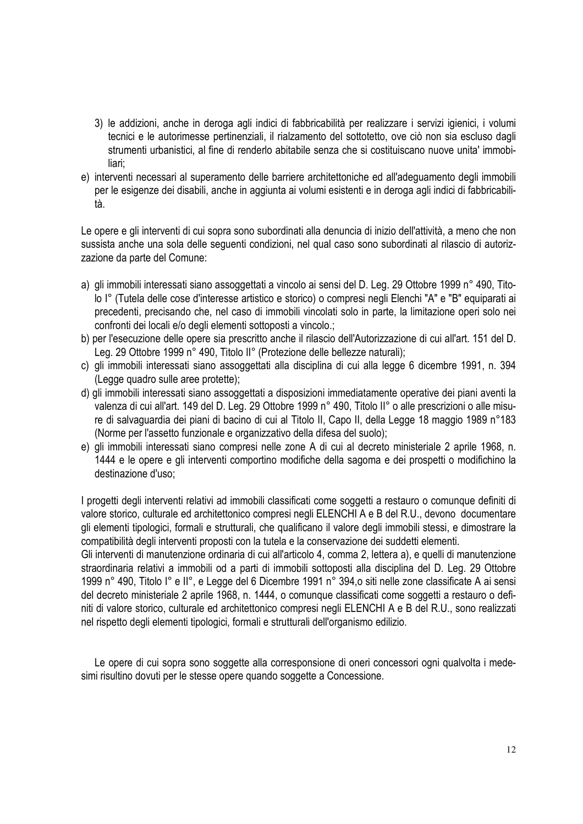- 3) le addizioni, anche in deroga agli indici di fabbricabilità per realizzare i servizi igienici, i volumi tecnici e le autorimesse pertinenziali, il rialzamento del sottotetto, ove ciò non sia escluso dagli strumenti urbanistici, al fine di renderlo abitabile senza che si costituiscano nuove unita' immobiliari;
- e) interventi necessari al superamento delle barriere architettoniche ed all'adeguamento degli immobili per le esigenze dei disabili, anche in aggiunta ai volumi esistenti e in deroga agli indici di fabbricabilità.

Le opere e gli interventi di cui sopra sono subordinati alla denuncia di inizio dell'attività, a meno che non sussista anche una sola delle seguenti condizioni, nel qual caso sono subordinati al rilascio di autorizzazione da parte del Comune:

- a) gli immobili interessati siano assoggettati a vincolo ai sensi del D. Leg. 29 Ottobre 1999 n° 490, Titolo I° (Tutela delle cose d'interesse artistico e storico) o compresi negli Elenchi "A" e "B" equiparati ai precedenti, precisando che, nel caso di immobili vincolati solo in parte, la limitazione operi solo nei confronti dei locali e/o degli elementi sottoposti a vincolo.;
- b) per l'esecuzione delle opere sia prescritto anche il rilascio dell'Autorizzazione di cui all'art. 151 del D. Leg. 29 Ottobre 1999 n° 490, Titolo II° (Protezione delle bellezze naturali);
- c) gli immobili interessati siano assoggettati alla disciplina di cui alla legge 6 dicembre 1991, n. 394 (Legge quadro sulle aree protette);
- d) gli immobili interessati siano assoggettati a disposizioni immediatamente operative dei piani aventi la valenza di cui all'art. 149 del D. Leg. 29 Ottobre 1999 n° 490, Titolo II° o alle prescrizioni o alle misure di salvaguardia dei piani di bacino di cui al Titolo II, Capo II, della Legge 18 maggio 1989 n°183 (Norme per l'assetto funzionale e organizzativo della difesa del suolo);
- e) gli immobili interessati siano compresi nelle zone A di cui al decreto ministeriale 2 aprile 1968, n. 1444 e le opere e gli interventi comportino modifiche della sagoma e dei prospetti o modifichino la destinazione d'uso;

I progetti degli interventi relativi ad immobili classificati come soggetti a restauro o comunque definiti di valore storico, culturale ed architettonico compresi negli ELENCHI A e B del R.U., devono documentare gli elementi tipologici, formali e strutturali, che qualificano il valore degli immobili stessi, e dimostrare la compatibilità degli interventi proposti con la tutela e la conservazione dei suddetti elementi.

Gli interventi di manutenzione ordinaria di cui all'articolo 4, comma 2, lettera a), e quelli di manutenzione straordinaria relativi a immobili od a parti di immobili sottoposti alla disciplina del D. Leg. 29 Ottobre 1999 n° 490, Titolo I° e II°, e Legge del 6 Dicembre 1991 n° 394,o siti nelle zone classificate A ai sensi del decreto ministeriale 2 aprile 1968, n. 1444, o comunque classificati come soggetti a restauro o definiti di valore storico, culturale ed architettonico compresi negli ELENCHI A e B del R.U., sono realizzati nel rispetto degli elementi tipologici, formali e strutturali dell'organismo edilizio.

Le opere di cui sopra sono soggette alla corresponsione di oneri concessori ogni qualvolta i medesimi risultino dovuti per le stesse opere quando soggette a Concessione.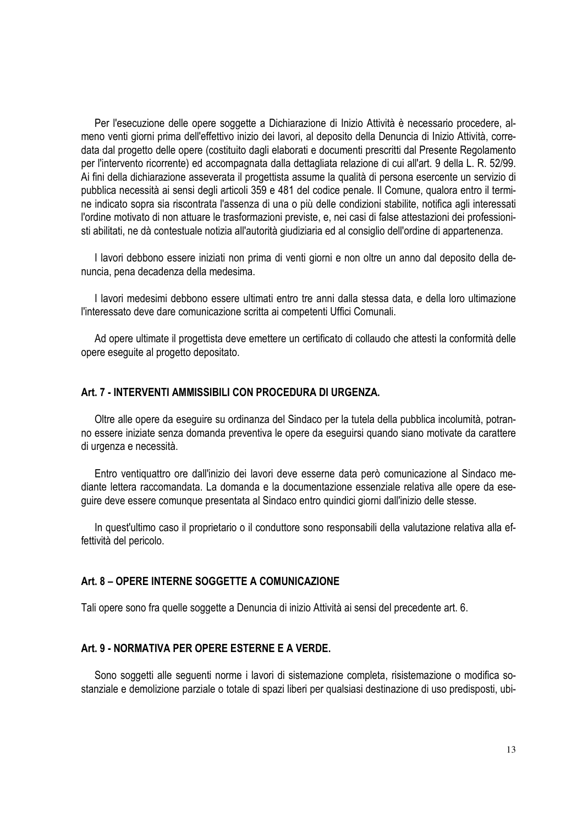Per l'esecuzione delle opere soggette a Dichiarazione di Inizio Attività è necessario procedere, almeno venti giorni prima dell'effettivo inizio dei lavori, al deposito della Denuncia di Inizio Attività, corredata dal progetto delle opere (costituito dagli elaborati e documenti prescritti dal Presente Regolamento per l'intervento ricorrente) ed accompagnata dalla dettagliata relazione di cui all'art. 9 della L. R. 52/99. Ai fini della dichiarazione asseverata il progettista assume la qualità di persona esercente un servizio di pubblica necessità ai sensi degli articoli 359 e 481 del codice penale. Il Comune, qualora entro il termine indicato sopra sia riscontrata l'assenza di una o più delle condizioni stabilite, notifica agli interessati l'ordine motivato di non attuare le trasformazioni previste, e, nei casi di false attestazioni dei professionisti abilitati, ne dà contestuale notizia all'autorità giudiziaria ed al consiglio dell'ordine di appartenenza.

I lavori debbono essere iniziati non prima di venti giorni e non oltre un anno dal deposito della denuncia, pena decadenza della medesima.

I lavori medesimi debbono essere ultimati entro tre anni dalla stessa data, e della loro ultimazione l'interessato deve dare comunicazione scritta ai competenti Uffici Comunali.

Ad opere ultimate il progettista deve emettere un certificato di collaudo che attesti la conformità delle opere eseguite al progetto depositato.

#### **Art. 7 - INTERVENTI AMMISSIBILI CON PROCEDURA DI URGENZA.**

Oltre alle opere da eseguire su ordinanza del Sindaco per la tutela della pubblica incolumità, potranno essere iniziate senza domanda preventiva le opere da eseguirsi quando siano motivate da carattere di urgenza e necessità.

Entro ventiquattro ore dall'inizio dei lavori deve esserne data però comunicazione al Sindaco mediante lettera raccomandata. La domanda e la documentazione essenziale relativa alle opere da eseguire deve essere comunque presentata al Sindaco entro quindici giorni dall'inizio delle stesse.

In quest'ultimo caso il proprietario o il conduttore sono responsabili della valutazione relativa alla effettività del pericolo.

#### **Art. 8 – OPERE INTERNE SOGGETTE A COMUNICAZIONE**

Tali opere sono fra quelle soggette a Denuncia di inizio Attività ai sensi del precedente art. 6.

#### **Art. 9 - NORMATIVA PER OPERE ESTERNE E A VERDE.**

Sono soggetti alle seguenti norme i lavori di sistemazione completa, risistemazione o modifica sostanziale e demolizione parziale o totale di spazi liberi per qualsiasi destinazione di uso predisposti, ubi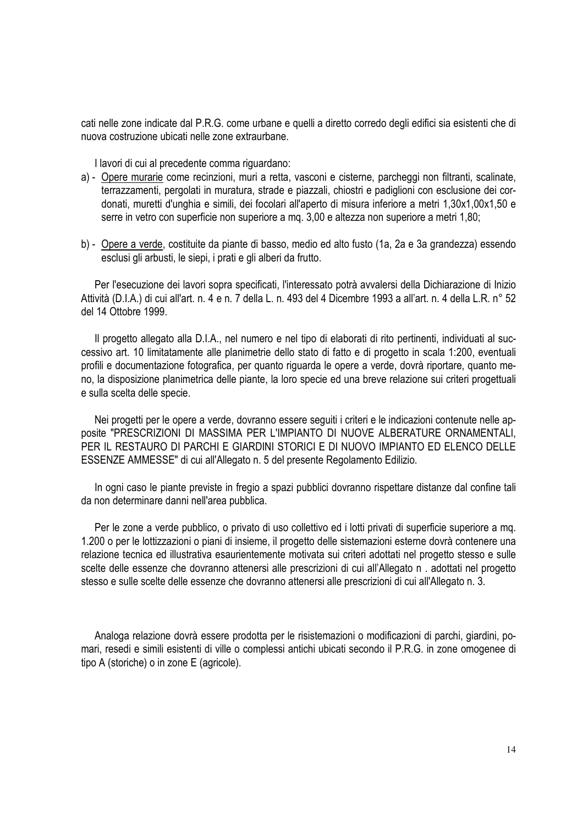cati nelle zone indicate dal P.R.G. come urbane e quelli a diretto corredo degli edifici sia esistenti che di nuova costruzione ubicati nelle zone extraurbane.

I lavori di cui al precedente comma riguardano:

- a) Opere murarie come recinzioni, muri a retta, vasconi e cisterne, parcheggi non filtranti, scalinate, terrazzamenti, pergolati in muratura, strade e piazzali, chiostri e padiglioni con esclusione dei cordonati, muretti d'unghia e simili, dei focolari all'aperto di misura inferiore a metri 1,30x1,00x1,50 e serre in vetro con superficie non superiore a mq. 3,00 e altezza non superiore a metri 1,80;
- b) Opere a verde, costituite da piante di basso, medio ed alto fusto (1a, 2a e 3a grandezza) essendo esclusi gli arbusti, le siepi, i prati e gli alberi da frutto.

Per l'esecuzione dei lavori sopra specificati, l'interessato potrà avvalersi della Dichiarazione di Inizio Attività (D.I.A.) di cui all'art. n. 4 e n. 7 della L. n. 493 del 4 Dicembre 1993 a all'art. n. 4 della L.R. n° 52 del 14 Ottobre 1999.

Il progetto allegato alla D.I.A., nel numero e nel tipo di elaborati di rito pertinenti, individuati al successivo art. 10 limitatamente alle planimetrie dello stato di fatto e di progetto in scala 1:200, eventuali profili e documentazione fotografica, per quanto riguarda le opere a verde, dovrà riportare, quanto meno, la disposizione planimetrica delle piante, la loro specie ed una breve relazione sui criteri progettuali e sulla scelta delle specie.

Nei progetti per le opere a verde, dovranno essere seguiti i criteri e le indicazioni contenute nelle apposite "PRESCRIZIONI DI MASSIMA PER L'IMPIANTO DI NUOVE ALBERATURE ORNAMENTALI, PER IL RESTAURO DI PARCHI E GIARDINI STORICI E DI NUOVO IMPIANTO ED ELENCO DELLE ESSENZE AMMESSE" di cui all'Allegato n. 5 del presente Regolamento Edilizio.

In ogni caso le piante previste in fregio a spazi pubblici dovranno rispettare distanze dal confine tali da non determinare danni nell'area pubblica.

Per le zone a verde pubblico, o privato di uso collettivo ed i lotti privati di superficie superiore a mq. 1.200 o per le lottizzazioni o piani di insieme, il progetto delle sistemazioni esterne dovrà contenere una relazione tecnica ed illustrativa esaurientemente motivata sui criteri adottati nel progetto stesso e sulle scelte delle essenze che dovranno attenersi alle prescrizioni di cui all'Allegato n . adottati nel progetto stesso e sulle scelte delle essenze che dovranno attenersi alle prescrizioni di cui all'Allegato n. 3.

Analoga relazione dovrà essere prodotta per le risistemazioni o modificazioni di parchi, giardini, pomari, resedi e simili esistenti di ville o complessi antichi ubicati secondo il P.R.G. in zone omogenee di tipo A (storiche) o in zone E (agricole).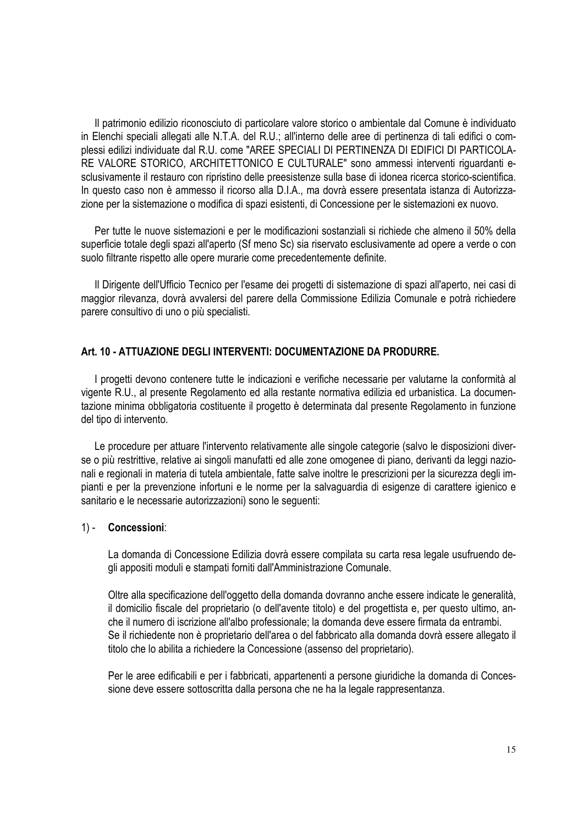Il patrimonio edilizio riconosciuto di particolare valore storico o ambientale dal Comune è individuato in Elenchi speciali allegati alle N.T.A. del R.U.; all'interno delle aree di pertinenza di tali edifici o complessi edilizi individuate dal R.U. come "AREE SPECIALI DI PERTINENZA DI EDIFICI DI PARTICOLA-RE VALORE STORICO, ARCHITETTONICO E CULTURALE" sono ammessi interventi riguardanti esclusivamente il restauro con ripristino delle preesistenze sulla base di idonea ricerca storico-scientifica. In questo caso non è ammesso il ricorso alla D.I.A., ma dovrà essere presentata istanza di Autorizzazione per la sistemazione o modifica di spazi esistenti, di Concessione per le sistemazioni ex nuovo.

Per tutte le nuove sistemazioni e per le modificazioni sostanziali si richiede che almeno il 50% della superficie totale degli spazi all'aperto (Sf meno Sc) sia riservato esclusivamente ad opere a verde o con suolo filtrante rispetto alle opere murarie come precedentemente definite.

Il Dirigente dell'Ufficio Tecnico per l'esame dei progetti di sistemazione di spazi all'aperto, nei casi di maggior rilevanza, dovrà avvalersi del parere della Commissione Edilizia Comunale e potrà richiedere parere consultivo di uno o più specialisti.

#### **Art. 10 - ATTUAZIONE DEGLI INTERVENTI: DOCUMENTAZIONE DA PRODURRE.**

I progetti devono contenere tutte le indicazioni e verifiche necessarie per valutarne la conformità al vigente R.U., al presente Regolamento ed alla restante normativa edilizia ed urbanistica. La documentazione minima obbligatoria costituente il progetto è determinata dal presente Regolamento in funzione del tipo di intervento.

Le procedure per attuare l'intervento relativamente alle singole categorie (salvo le disposizioni diverse o più restrittive, relative ai singoli manufatti ed alle zone omogenee di piano, derivanti da leggi nazionali e regionali in materia di tutela ambientale, fatte salve inoltre le prescrizioni per la sicurezza degli impianti e per la prevenzione infortuni e le norme per la salvaguardia di esigenze di carattere igienico e sanitario e le necessarie autorizzazioni) sono le seguenti:

#### 1) - **Concessioni**:

La domanda di Concessione Edilizia dovrà essere compilata su carta resa legale usufruendo degli appositi moduli e stampati forniti dall'Amministrazione Comunale.

Oltre alla specificazione dell'oggetto della domanda dovranno anche essere indicate le generalità, il domicilio fiscale del proprietario (o dell'avente titolo) e del progettista e, per questo ultimo, anche il numero di iscrizione all'albo professionale; la domanda deve essere firmata da entrambi. Se il richiedente non è proprietario dell'area o del fabbricato alla domanda dovrà essere allegato il titolo che lo abilita a richiedere la Concessione (assenso del proprietario).

Per le aree edificabili e per i fabbricati, appartenenti a persone giuridiche la domanda di Concessione deve essere sottoscritta dalla persona che ne ha la legale rappresentanza.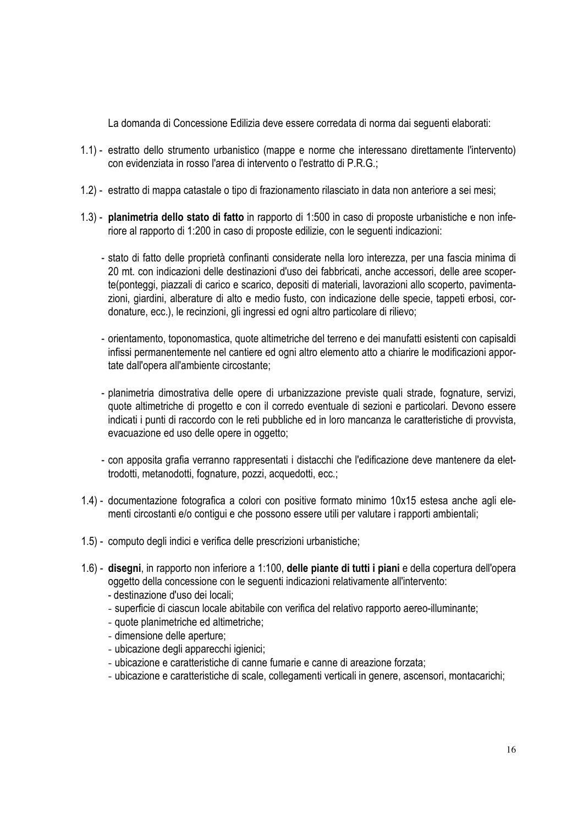La domanda di Concessione Edilizia deve essere corredata di norma dai seguenti elaborati:

- 1.1) estratto dello strumento urbanistico (mappe e norme che interessano direttamente l'intervento) con evidenziata in rosso l'area di intervento o l'estratto di P.R.G.;
- 1.2) estratto di mappa catastale o tipo di frazionamento rilasciato in data non anteriore a sei mesi;
- 1.3) **planimetria dello stato di fatto** in rapporto di 1:500 in caso di proposte urbanistiche e non inferiore al rapporto di 1:200 in caso di proposte edilizie, con le seguenti indicazioni:
	- stato di fatto delle proprietà confinanti considerate nella loro interezza, per una fascia minima di 20 mt. con indicazioni delle destinazioni d'uso dei fabbricati, anche accessori, delle aree scoperte(ponteggi, piazzali di carico e scarico, depositi di materiali, lavorazioni allo scoperto, pavimentazioni, giardini, alberature di alto e medio fusto, con indicazione delle specie, tappeti erbosi, cordonature, ecc.), le recinzioni, gli ingressi ed ogni altro particolare di rilievo;
	- orientamento, toponomastica, quote altimetriche del terreno e dei manufatti esistenti con capisaldi infissi permanentemente nel cantiere ed ogni altro elemento atto a chiarire le modificazioni apportate dall'opera all'ambiente circostante;
	- planimetria dimostrativa delle opere di urbanizzazione previste quali strade, fognature, servizi, quote altimetriche di progetto e con il corredo eventuale di sezioni e particolari. Devono essere indicati i punti di raccordo con le reti pubbliche ed in loro mancanza le caratteristiche di provvista, evacuazione ed uso delle opere in oggetto;
	- con apposita grafia verranno rappresentati i distacchi che l'edificazione deve mantenere da elettrodotti, metanodotti, fognature, pozzi, acquedotti, ecc.;
- 1.4) documentazione fotografica a colori con positive formato minimo 10x15 estesa anche agli elementi circostanti e/o contigui e che possono essere utili per valutare i rapporti ambientali;
- 1.5) computo degli indici e verifica delle prescrizioni urbanistiche;
- 1.6) **disegni**, in rapporto non inferiore a 1:100, **delle piante di tutti i piani** e della copertura dell'opera oggetto della concessione con le seguenti indicazioni relativamente all'intervento:
	- destinazione d'uso dei locali;
	- superficie di ciascun locale abitabile con verifica del relativo rapporto aereo-illuminante;
	- quote planimetriche ed altimetriche;
	- dimensione delle aperture;
	- ubicazione degli apparecchi igienici;
	- ubicazione e caratteristiche di canne fumarie e canne di areazione forzata;
	- ubicazione e caratteristiche di scale, collegamenti verticali in genere, ascensori, montacarichi;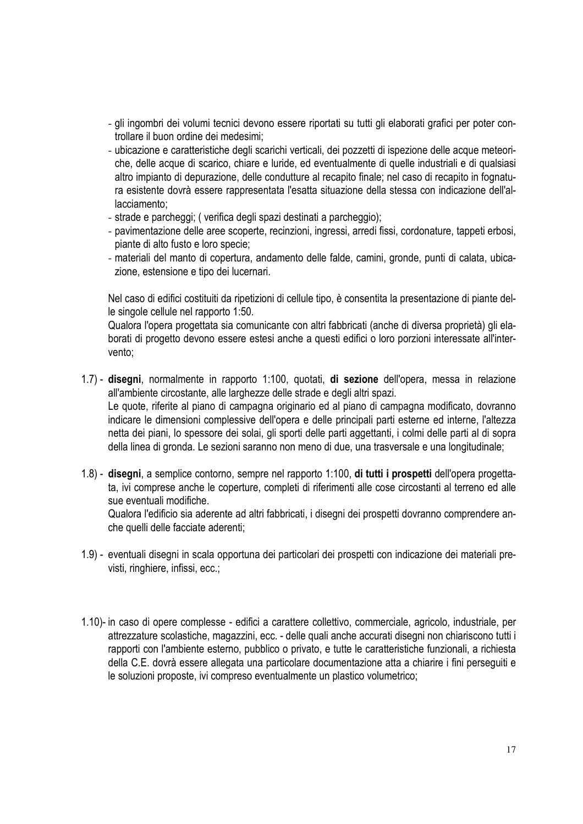- gli ingombri dei volumi tecnici devono essere riportati su tutti gli elaborati grafici per poter controllare il buon ordine dei medesimi;
- ubicazione e caratteristiche degli scarichi verticali, dei pozzetti di ispezione delle acque meteoriche, delle acque di scarico, chiare e luride, ed eventualmente di quelle industriali e di qualsiasi altro impianto di depurazione, delle condutture al recapito finale; nel caso di recapito in fognatura esistente dovrà essere rappresentata l'esatta situazione della stessa con indicazione dell'allacciamento;
- strade e parcheggi; ( verifica degli spazi destinati a parcheggio);
- pavimentazione delle aree scoperte, recinzioni, ingressi, arredi fissi, cordonature, tappeti erbosi, piante di alto fusto e loro specie;
- materiali del manto di copertura, andamento delle falde, camini, gronde, punti di calata, ubicazione, estensione e tipo dei lucernari.

Nel caso di edifici costituiti da ripetizioni di cellule tipo, è consentita la presentazione di piante delle singole cellule nel rapporto 1:50.

Qualora l'opera progettata sia comunicante con altri fabbricati (anche di diversa proprietà) gli elaborati di progetto devono essere estesi anche a questi edifici o loro porzioni interessate all'intervento;

- 1.7) **disegni**, normalmente in rapporto 1:100, quotati, **di sezione** dell'opera, messa in relazione all'ambiente circostante, alle larghezze delle strade e degli altri spazi. Le quote, riferite al piano di campagna originario ed al piano di campagna modificato, dovranno indicare le dimensioni complessive dell'opera e delle principali parti esterne ed interne, l'altezza netta dei piani, lo spessore dei solai, gli sporti delle parti aggettanti, i colmi delle parti al di sopra della linea di gronda. Le sezioni saranno non meno di due, una trasversale e una longitudinale;
- 1.8) **disegni**, a semplice contorno, sempre nel rapporto 1:100, **di tutti i prospetti** dell'opera progettata, ivi comprese anche le coperture, completi di riferimenti alle cose circostanti al terreno ed alle sue eventuali modifiche.

Qualora l'edificio sia aderente ad altri fabbricati, i disegni dei prospetti dovranno comprendere anche quelli delle facciate aderenti;

- 1.9) eventuali disegni in scala opportuna dei particolari dei prospetti con indicazione dei materiali previsti, ringhiere, infissi, ecc.;
- 1.10)- in caso di opere complesse edifici a carattere collettivo, commerciale, agricolo, industriale, per attrezzature scolastiche, magazzini, ecc. - delle quali anche accurati disegni non chiariscono tutti i rapporti con l'ambiente esterno, pubblico o privato, e tutte le caratteristiche funzionali, a richiesta della C.E. dovrà essere allegata una particolare documentazione atta a chiarire i fini perseguiti e le soluzioni proposte, ivi compreso eventualmente un plastico volumetrico;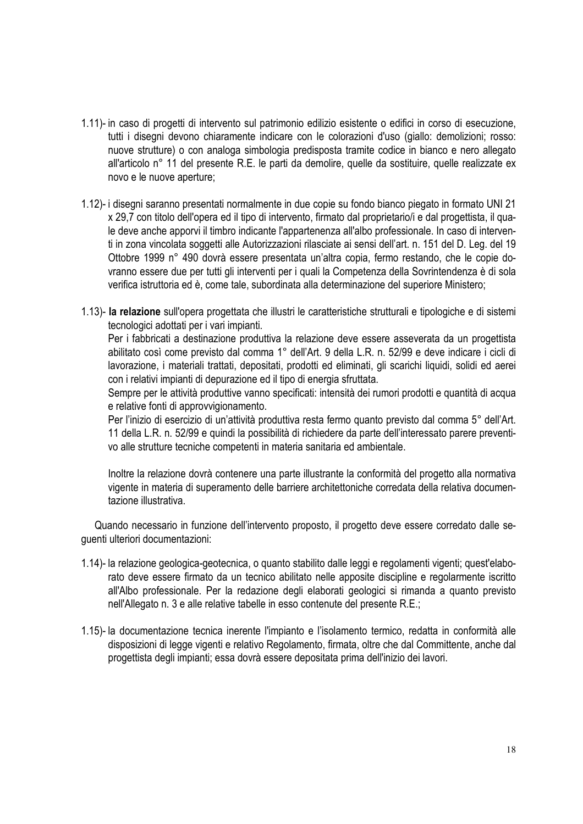- 1.11)- in caso di progetti di intervento sul patrimonio edilizio esistente o edifici in corso di esecuzione, tutti i disegni devono chiaramente indicare con le colorazioni d'uso (giallo: demolizioni; rosso: nuove strutture) o con analoga simbologia predisposta tramite codice in bianco e nero allegato all'articolo n° 11 del presente R.E. le parti da demolire, quelle da sostituire, quelle realizzate ex novo e le nuove aperture;
- 1.12)- i disegni saranno presentati normalmente in due copie su fondo bianco piegato in formato UNI 21 x 29,7 con titolo dell'opera ed il tipo di intervento, firmato dal proprietario/i e dal progettista, il quale deve anche apporvi il timbro indicante l'appartenenza all'albo professionale. In caso di interventi in zona vincolata soggetti alle Autorizzazioni rilasciate ai sensi dell'art. n. 151 del D. Leg. del 19 Ottobre 1999 n° 490 dovrà essere presentata un'altra copia, fermo restando, che le copie dovranno essere due per tutti gli interventi per i quali la Competenza della Sovrintendenza è di sola verifica istruttoria ed è, come tale, subordinata alla determinazione del superiore Ministero;
- 1.13)- **la relazione** sull'opera progettata che illustri le caratteristiche strutturali e tipologiche e di sistemi tecnologici adottati per i vari impianti.

Per i fabbricati a destinazione produttiva la relazione deve essere asseverata da un progettista abilitato così come previsto dal comma 1° dell'Art. 9 della L.R. n. 52/99 e deve indicare i cicli di lavorazione, i materiali trattati, depositati, prodotti ed eliminati, gli scarichi liquidi, solidi ed aerei con i relativi impianti di depurazione ed il tipo di energia sfruttata.

Sempre per le attività produttive vanno specificati: intensità dei rumori prodotti e quantità di acqua e relative fonti di approvvigionamento.

Per l'inizio di esercizio di un'attività produttiva resta fermo quanto previsto dal comma 5° dell'Art. 11 della L.R. n. 52/99 e quindi la possibilità di richiedere da parte dell'interessato parere preventivo alle strutture tecniche competenti in materia sanitaria ed ambientale.

Inoltre la relazione dovrà contenere una parte illustrante la conformità del progetto alla normativa vigente in materia di superamento delle barriere architettoniche corredata della relativa documentazione illustrativa.

Quando necessario in funzione dell'intervento proposto, il progetto deve essere corredato dalle seguenti ulteriori documentazioni:

- 1.14)- la relazione geologica-geotecnica, o quanto stabilito dalle leggi e regolamenti vigenti; quest'elaborato deve essere firmato da un tecnico abilitato nelle apposite discipline e regolarmente iscritto all'Albo professionale. Per la redazione degli elaborati geologici si rimanda a quanto previsto nell'Allegato n. 3 e alle relative tabelle in esso contenute del presente R.E.;
- 1.15)- la documentazione tecnica inerente l'impianto e l'isolamento termico, redatta in conformità alle disposizioni di legge vigenti e relativo Regolamento, firmata, oltre che dal Committente, anche dal progettista degli impianti; essa dovrà essere depositata prima dell'inizio dei lavori.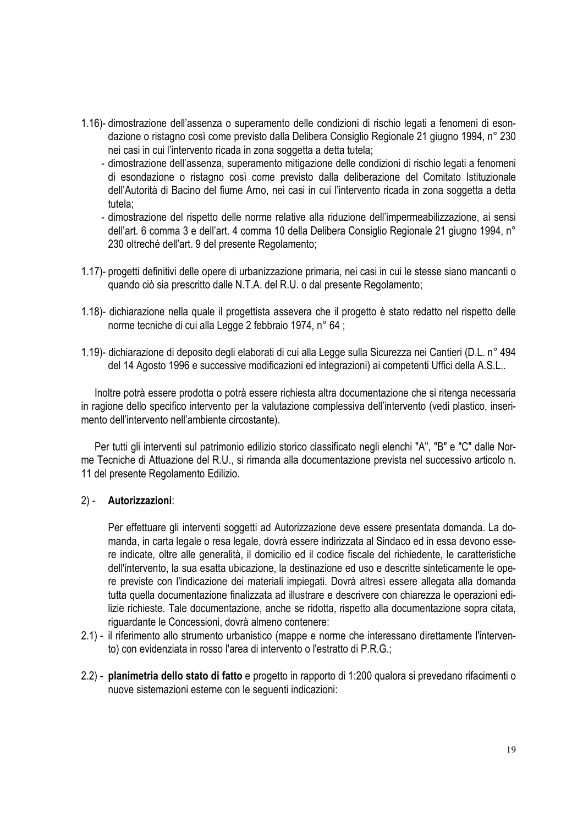- 1.16)- dimostrazione dell'assenza o superamento delle condizioni di rischio legati a fenomeni di esondazione o ristagno così come previsto dalla Delibera Consiglio Regionale 21 giugno 1994, n° 230 nei casi in cui l'intervento ricada in zona soggetta a detta tutela;
	- dimostrazione dell'assenza, superamento mitigazione delle condizioni di rischio legati a fenomeni di esondazione o ristagno così come previsto dalla deliberazione del Comitato Istituzionale dell'Autorità di Bacino del fiume Arno, nei casi in cui l'intervento ricada in zona soggetta a detta tutela;
	- dimostrazione del rispetto delle norme relative alla riduzione dell'impermeabilizzazione, ai sensi dell'art. 6 comma 3 e dell'art. 4 comma 10 della Delibera Consiglio Regionale 21 giugno 1994, n° 230 oltreché dell'art. 9 del presente Regolamento;
- 1.17)- progetti definitivi delle opere di urbanizzazione primaria, nei casi in cui le stesse siano mancanti o quando ciò sia prescritto dalle N.T.A. del R.U. o dal presente Regolamento;
- 1.18)- dichiarazione nella quale il progettista assevera che il progetto è stato redatto nel rispetto delle norme tecniche di cui alla Legge 2 febbraio 1974, n° 64 ;
- 1.19)- dichiarazione di deposito degli elaborati di cui alla Legge sulla Sicurezza nei Cantieri (D.L. n° 494 del 14 Agosto 1996 e successive modificazioni ed integrazioni) ai competenti Uffici della A.S.L..

Inoltre potrà essere prodotta o potrà essere richiesta altra documentazione che si ritenga necessaria in ragione dello specifico intervento per la valutazione complessiva dell'intervento (vedi plastico, inserimento dell'intervento nell'ambiente circostante).

Per tutti gli interventi sul patrimonio edilizio storico classificato negli elenchi "A", "B" e "C" dalle Norme Tecniche di Attuazione del R.U., si rimanda alla documentazione prevista nel successivo articolo n. 11 del presente Regolamento Edilizio.

#### 2) - **Autorizzazioni**:

Per effettuare gli interventi soggetti ad Autorizzazione deve essere presentata domanda. La domanda, in carta legale o resa legale, dovrà essere indirizzata al Sindaco ed in essa devono essere indicate, oltre alle generalità, il domicilio ed il codice fiscale del richiedente, le caratteristiche dell'intervento, la sua esatta ubicazione, la destinazione ed uso e descritte sinteticamente le opere previste con l'indicazione dei materiali impiegati. Dovrà altresì essere allegata alla domanda tutta quella documentazione finalizzata ad illustrare e descrivere con chiarezza le operazioni edilizie richieste. Tale documentazione, anche se ridotta, rispetto alla documentazione sopra citata, riguardante le Concessioni, dovrà almeno contenere:

- 2.1) il riferimento allo strumento urbanistico (mappe e norme che interessano direttamente l'intervento) con evidenziata in rosso l'area di intervento o l'estratto di P.R.G.;
- 2.2) **planimetria dello stato di fatto** e progetto in rapporto di 1:200 qualora si prevedano rifacimenti o nuove sistemazioni esterne con le seguenti indicazioni: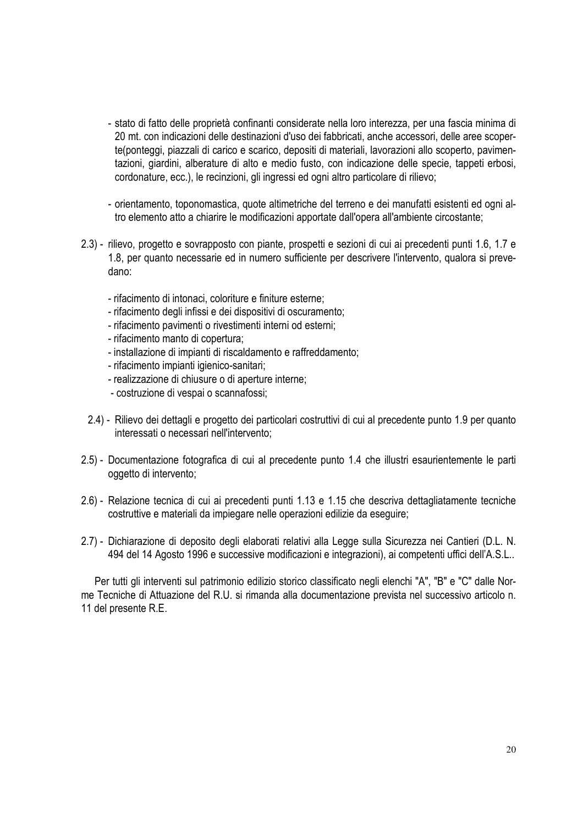- stato di fatto delle proprietà confinanti considerate nella loro interezza, per una fascia minima di 20 mt. con indicazioni delle destinazioni d'uso dei fabbricati, anche accessori, delle aree scoperte(ponteggi, piazzali di carico e scarico, depositi di materiali, lavorazioni allo scoperto, pavimentazioni, giardini, alberature di alto e medio fusto, con indicazione delle specie, tappeti erbosi, cordonature, ecc.), le recinzioni, gli ingressi ed ogni altro particolare di rilievo;
- orientamento, toponomastica, quote altimetriche del terreno e dei manufatti esistenti ed ogni altro elemento atto a chiarire le modificazioni apportate dall'opera all'ambiente circostante;
- 2.3) rilievo, progetto e sovrapposto con piante, prospetti e sezioni di cui ai precedenti punti 1.6, 1.7 e 1.8, per quanto necessarie ed in numero sufficiente per descrivere l'intervento, qualora si prevedano:
	- rifacimento di intonaci, coloriture e finiture esterne;
	- rifacimento degli infissi e dei dispositivi di oscuramento;
	- rifacimento pavimenti o rivestimenti interni od esterni;
	- rifacimento manto di copertura;
	- installazione di impianti di riscaldamento e raffreddamento;
	- rifacimento impianti igienico-sanitari;
	- realizzazione di chiusure o di aperture interne;
	- costruzione di vespai o scannafossi;
	- 2.4) Rilievo dei dettagli e progetto dei particolari costruttivi di cui al precedente punto 1.9 per quanto interessati o necessari nell'intervento;
- 2.5) Documentazione fotografica di cui al precedente punto 1.4 che illustri esaurientemente le parti oggetto di intervento;
- 2.6) Relazione tecnica di cui ai precedenti punti 1.13 e 1.15 che descriva dettagliatamente tecniche costruttive e materiali da impiegare nelle operazioni edilizie da eseguire;
- 2.7) Dichiarazione di deposito degli elaborati relativi alla Legge sulla Sicurezza nei Cantieri (D.L. N. 494 del 14 Agosto 1996 e successive modificazioni e integrazioni), ai competenti uffici dell'A.S.L..

Per tutti gli interventi sul patrimonio edilizio storico classificato negli elenchi "A", "B" e "C" dalle Norme Tecniche di Attuazione del R.U. si rimanda alla documentazione prevista nel successivo articolo n. 11 del presente R.E.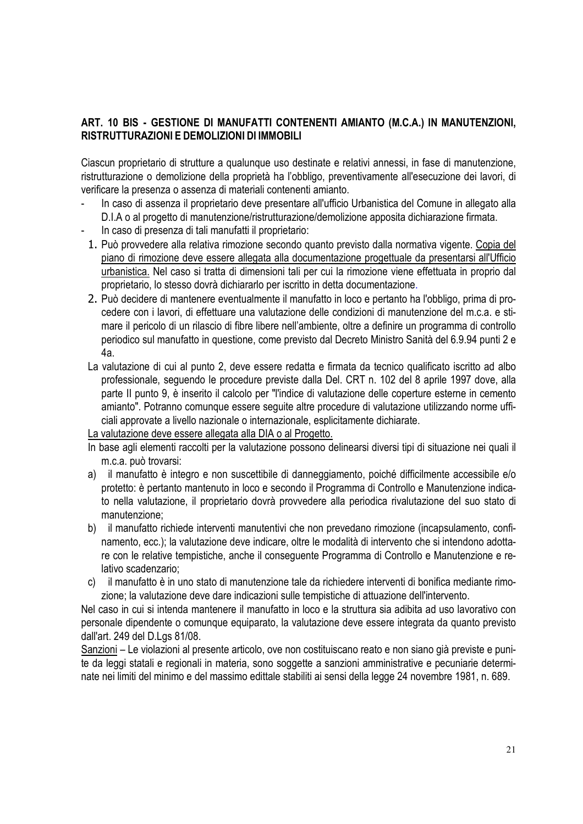#### **ART. 10 BIS - GESTIONE DI MANUFATTI CONTENENTI AMIANTO (M.C.A.) IN MANUTENZIONI, RISTRUTTURAZIONI E DEMOLIZIONI DI IMMOBILI**

Ciascun proprietario di strutture a qualunque uso destinate e relativi annessi, in fase di manutenzione, ristrutturazione o demolizione della proprietà ha l'obbligo, preventivamente all'esecuzione dei lavori, di verificare la presenza o assenza di materiali contenenti amianto.

- In caso di assenza il proprietario deve presentare all'ufficio Urbanistica del Comune in allegato alla D.I.A o al progetto di manutenzione/ristrutturazione/demolizione apposita dichiarazione firmata.
- In caso di presenza di tali manufatti il proprietario:
- 1. Può provvedere alla relativa rimozione secondo quanto previsto dalla normativa vigente. Copia del piano di rimozione deve essere allegata alla documentazione progettuale da presentarsi all'Ufficio urbanistica. Nel caso si tratta di dimensioni tali per cui la rimozione viene effettuata in proprio dal proprietario, lo stesso dovrà dichiararlo per iscritto in detta documentazione.
- 2. Può decidere di mantenere eventualmente il manufatto in loco e pertanto ha l'obbligo, prima di procedere con i lavori, di effettuare una valutazione delle condizioni di manutenzione del m.c.a. e stimare il pericolo di un rilascio di fibre libere nell'ambiente, oltre a definire un programma di controllo periodico sul manufatto in questione, come previsto dal Decreto Ministro Sanità del 6.9.94 punti 2 e 4a.
- La valutazione di cui al punto 2, deve essere redatta e firmata da tecnico qualificato iscritto ad albo professionale, seguendo le procedure previste dalla Del. CRT n. 102 del 8 aprile 1997 dove, alla parte II punto 9, è inserito il calcolo per "l'indice di valutazione delle coperture esterne in cemento amianto". Potranno comunque essere seguite altre procedure di valutazione utilizzando norme ufficiali approvate a livello nazionale o internazionale, esplicitamente dichiarate.

La valutazione deve essere allegata alla DIA o al Progetto.

- In base agli elementi raccolti per la valutazione possono delinearsi diversi tipi di situazione nei quali il m.c.a. può trovarsi:
- a) il manufatto è integro e non suscettibile di danneggiamento, poiché difficilmente accessibile e/o protetto: è pertanto mantenuto in loco e secondo il Programma di Controllo e Manutenzione indicato nella valutazione, il proprietario dovrà provvedere alla periodica rivalutazione del suo stato di manutenzione;
- b) il manufatto richiede interventi manutentivi che non prevedano rimozione (incapsulamento, confinamento, ecc.); la valutazione deve indicare, oltre le modalità di intervento che si intendono adottare con le relative tempistiche, anche il conseguente Programma di Controllo e Manutenzione e relativo scadenzario;
- c) il manufatto è in uno stato di manutenzione tale da richiedere interventi di bonifica mediante rimozione; la valutazione deve dare indicazioni sulle tempistiche di attuazione dell'intervento.

Nel caso in cui si intenda mantenere il manufatto in loco e la struttura sia adibita ad uso lavorativo con personale dipendente o comunque equiparato, la valutazione deve essere integrata da quanto previsto dall'art. 249 del D.Lgs 81/08.

Sanzioni – Le violazioni al presente articolo, ove non costituiscano reato e non siano già previste e punite da leggi statali e regionali in materia, sono soggette a sanzioni amministrative e pecuniarie determinate nei limiti del minimo e del massimo edittale stabiliti ai sensi della legge 24 novembre 1981, n. 689.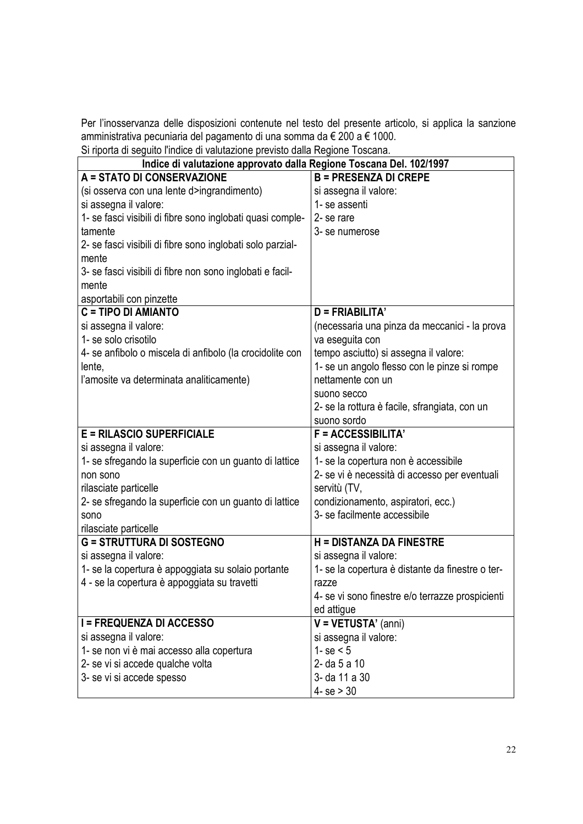Per l'inosservanza delle disposizioni contenute nel testo del presente articolo, si applica la sanzione amministrativa pecuniaria del pagamento di una somma da € 200 a € 1000.

Si riporta di seguito l'indice di valutazione previsto dalla Regione Toscana.

| Indice di valutazione approvato dalla Regione Toscana Del. 102/1997 |                                                  |  |  |  |  |
|---------------------------------------------------------------------|--------------------------------------------------|--|--|--|--|
| A = STATO DI CONSERVAZIONE                                          | <b>B = PRESENZA DI CREPE</b>                     |  |  |  |  |
| (si osserva con una lente d>ingrandimento)                          | si assegna il valore:                            |  |  |  |  |
| si assegna il valore:                                               | 1- se assenti                                    |  |  |  |  |
| 1- se fasci visibili di fibre sono inglobati quasi comple-          | 2-se rare                                        |  |  |  |  |
| tamente                                                             | 3-se numerose                                    |  |  |  |  |
| 2- se fasci visibili di fibre sono inglobati solo parzial-          |                                                  |  |  |  |  |
| mente                                                               |                                                  |  |  |  |  |
| 3- se fasci visibili di fibre non sono inglobati e facil-           |                                                  |  |  |  |  |
| mente                                                               |                                                  |  |  |  |  |
| asportabili con pinzette                                            |                                                  |  |  |  |  |
| C = TIPO DI AMIANTO                                                 | $D = FRIABILITA'$                                |  |  |  |  |
| si assegna il valore:                                               | (necessaria una pinza da meccanici - la prova    |  |  |  |  |
| 1- se solo crisotilo                                                | va eseguita con                                  |  |  |  |  |
| 4- se anfibolo o miscela di anfibolo (la crocidolite con            | tempo asciutto) si assegna il valore:            |  |  |  |  |
| lente,                                                              | 1- se un angolo flesso con le pinze si rompe     |  |  |  |  |
| l'amosite va determinata analiticamente)                            | nettamente con un                                |  |  |  |  |
|                                                                     | suono secco                                      |  |  |  |  |
|                                                                     | 2- se la rottura è facile, sfrangiata, con un    |  |  |  |  |
|                                                                     | suono sordo                                      |  |  |  |  |
| <b>E = RILASCIO SUPERFICIALE</b>                                    | <b>F = ACCESSIBILITA'</b>                        |  |  |  |  |
| si assegna il valore:                                               | si assegna il valore:                            |  |  |  |  |
| 1- se sfregando la superficie con un guanto di lattice              | 1- se la copertura non è accessibile             |  |  |  |  |
| non sono                                                            | 2- se vi è necessità di accesso per eventuali    |  |  |  |  |
| rilasciate particelle                                               | servitù (TV,                                     |  |  |  |  |
| 2- se sfregando la superficie con un guanto di lattice              | condizionamento, aspiratori, ecc.)               |  |  |  |  |
| sono                                                                | 3- se facilmente accessibile                     |  |  |  |  |
| rilasciate particelle                                               |                                                  |  |  |  |  |
| <b>G = STRUTTURA DI SOSTEGNO</b>                                    | <b>H = DISTANZA DA FINESTRE</b>                  |  |  |  |  |
| si assegna il valore:                                               | si assegna il valore:                            |  |  |  |  |
| 1- se la copertura è appoggiata su solaio portante                  | 1- se la copertura è distante da finestre o ter- |  |  |  |  |
| 4 - se la copertura è appoggiata su travetti                        | razze                                            |  |  |  |  |
|                                                                     | 4- se vi sono finestre e/o terrazze prospicienti |  |  |  |  |
|                                                                     | ed attigue                                       |  |  |  |  |
| <b>I = FREQUENZA DI ACCESSO</b>                                     | $V = VETUSTA' (anni)$                            |  |  |  |  |
| si assegna il valore:                                               | si assegna il valore:                            |  |  |  |  |
| 1- se non vi è mai accesso alla copertura                           | 1- se $< 5$                                      |  |  |  |  |
| 2- se vi si accede qualche volta                                    | 2-da 5 a 10                                      |  |  |  |  |
| 3- se vi si accede spesso                                           | 3- da 11 a 30                                    |  |  |  |  |
|                                                                     | $4 - se > 30$                                    |  |  |  |  |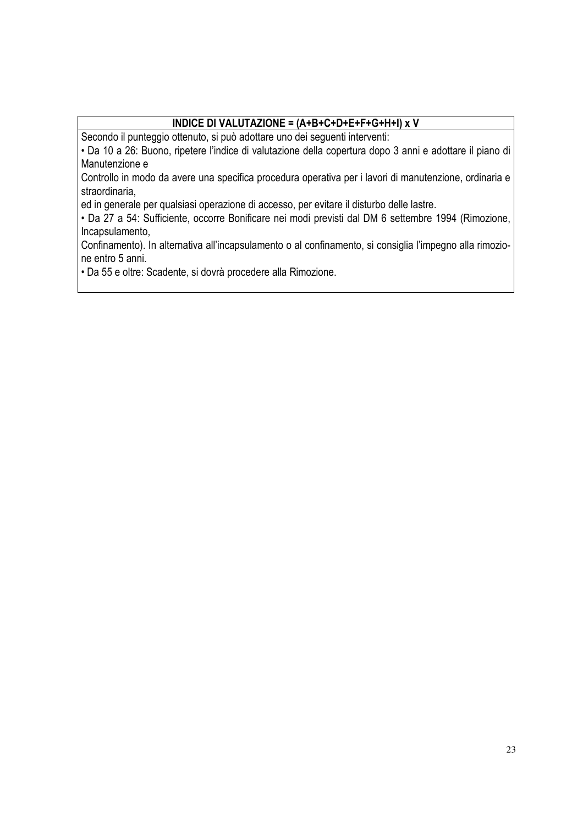### **INDICE DI VALUTAZIONE = (A+B+C+D+E+F+G+H+I) x V**

Secondo il punteggio ottenuto, si può adottare uno dei seguenti interventi:

• Da 10 a 26: Buono, ripetere l'indice di valutazione della copertura dopo 3 anni e adottare il piano di Manutenzione e

Controllo in modo da avere una specifica procedura operativa per i lavori di manutenzione, ordinaria e straordinaria,

ed in generale per qualsiasi operazione di accesso, per evitare il disturbo delle lastre.

• Da 27 a 54: Sufficiente, occorre Bonificare nei modi previsti dal DM 6 settembre 1994 (Rimozione, Incapsulamento,

Confinamento). In alternativa all'incapsulamento o al confinamento, si consiglia l'impegno alla rimozione entro 5 anni.

• Da 55 e oltre: Scadente, si dovrà procedere alla Rimozione.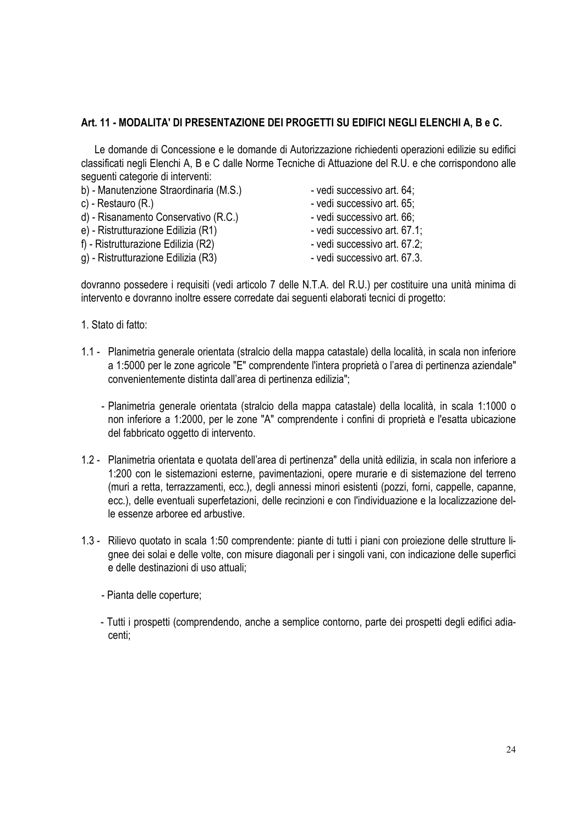#### **Art. 11 - MODALITA' DI PRESENTAZIONE DEI PROGETTI SU EDIFICI NEGLI ELENCHI A, B e C.**

Le domande di Concessione e le domande di Autorizzazione richiedenti operazioni edilizie su edifici classificati negli Elenchi A, B e C dalle Norme Tecniche di Attuazione del R.U. e che corrispondono alle seguenti categorie di interventi:

- b) Manutenzione Straordinaria (M.S.) vedi successivo art. 64;
- 
- d) Risanamento Conservativo (R.C.) vedi successivo art. 66;
- e) Ristrutturazione Edilizia (R1) vedi successivo art. 67.1;
- f) Ristrutturazione Edilizia (R2) vedi successivo art. 67.2;
- g) Ristrutturazione Edilizia (R3) vedi successivo art. 67.3.
- 
- c) Restauro (R.)  $-$  vedi successivo art. 65;
	-
	-
	-
	-

dovranno possedere i requisiti (vedi articolo 7 delle N.T.A. del R.U.) per costituire una unità minima di intervento e dovranno inoltre essere corredate dai seguenti elaborati tecnici di progetto:

- 1. Stato di fatto:
- 1.1 Planimetria generale orientata (stralcio della mappa catastale) della località, in scala non inferiore a 1:5000 per le zone agricole "E" comprendente l'intera proprietà o l'area di pertinenza aziendale" convenientemente distinta dall'area di pertinenza edilizia";
	- Planimetria generale orientata (stralcio della mappa catastale) della località, in scala 1:1000 o non inferiore a 1:2000, per le zone "A" comprendente i confini di proprietà e l'esatta ubicazione del fabbricato oggetto di intervento.
- 1.2 Planimetria orientata e quotata dell'area di pertinenza" della unità edilizia, in scala non inferiore a 1:200 con le sistemazioni esterne, pavimentazioni, opere murarie e di sistemazione del terreno (muri a retta, terrazzamenti, ecc.), degli annessi minori esistenti (pozzi, forni, cappelle, capanne, ecc.), delle eventuali superfetazioni, delle recinzioni e con l'individuazione e la localizzazione delle essenze arboree ed arbustive.
- 1.3 Rilievo quotato in scala 1:50 comprendente: piante di tutti i piani con proiezione delle strutture lignee dei solai e delle volte, con misure diagonali per i singoli vani, con indicazione delle superfici e delle destinazioni di uso attuali;
	- Pianta delle coperture;
	- Tutti i prospetti (comprendendo, anche a semplice contorno, parte dei prospetti degli edifici adiacenti;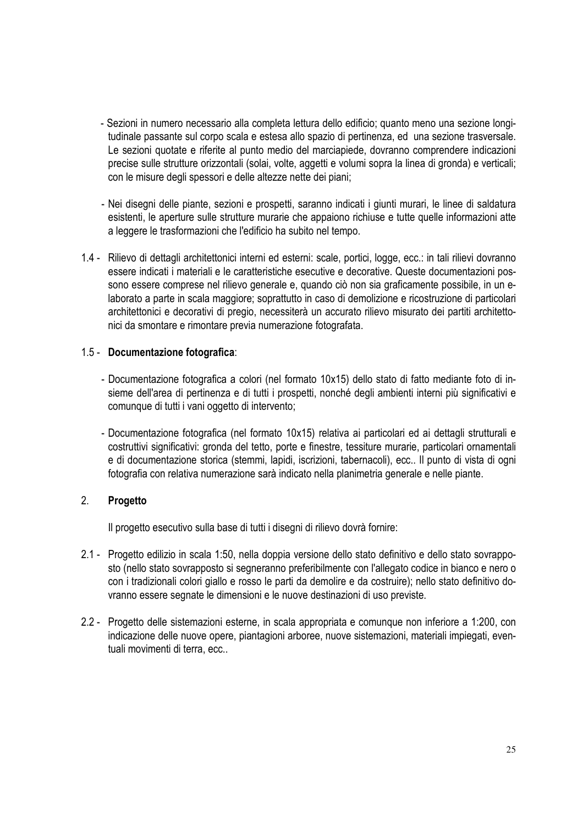- Sezioni in numero necessario alla completa lettura dello edificio; quanto meno una sezione longitudinale passante sul corpo scala e estesa allo spazio di pertinenza, ed una sezione trasversale. Le sezioni quotate e riferite al punto medio del marciapiede, dovranno comprendere indicazioni precise sulle strutture orizzontali (solai, volte, aggetti e volumi sopra la linea di gronda) e verticali; con le misure degli spessori e delle altezze nette dei piani;
- Nei disegni delle piante, sezioni e prospetti, saranno indicati i giunti murari, le linee di saldatura esistenti, le aperture sulle strutture murarie che appaiono richiuse e tutte quelle informazioni atte a leggere le trasformazioni che l'edificio ha subito nel tempo.
- 1.4 Rilievo di dettagli architettonici interni ed esterni: scale, portici, logge, ecc.: in tali rilievi dovranno essere indicati i materiali e le caratteristiche esecutive e decorative. Queste documentazioni possono essere comprese nel rilievo generale e, quando ciò non sia graficamente possibile, in un elaborato a parte in scala maggiore; soprattutto in caso di demolizione e ricostruzione di particolari architettonici e decorativi di pregio, necessiterà un accurato rilievo misurato dei partiti architettonici da smontare e rimontare previa numerazione fotografata.

#### 1.5 - **Documentazione fotografica**:

- Documentazione fotografica a colori (nel formato 10x15) dello stato di fatto mediante foto di insieme dell'area di pertinenza e di tutti i prospetti, nonché degli ambienti interni più significativi e comunque di tutti i vani oggetto di intervento;
- Documentazione fotografica (nel formato 10x15) relativa ai particolari ed ai dettagli strutturali e costruttivi significativi: gronda del tetto, porte e finestre, tessiture murarie, particolari ornamentali e di documentazione storica (stemmi, lapidi, iscrizioni, tabernacoli), ecc.. Il punto di vista di ogni fotografia con relativa numerazione sarà indicato nella planimetria generale e nelle piante.

#### 2. **Progetto**

Il progetto esecutivo sulla base di tutti i disegni di rilievo dovrà fornire:

- 2.1 Progetto edilizio in scala 1:50, nella doppia versione dello stato definitivo e dello stato sovrapposto (nello stato sovrapposto si segneranno preferibilmente con l'allegato codice in bianco e nero o con i tradizionali colori giallo e rosso le parti da demolire e da costruire); nello stato definitivo dovranno essere segnate le dimensioni e le nuove destinazioni di uso previste.
- 2.2 Progetto delle sistemazioni esterne, in scala appropriata e comunque non inferiore a 1:200, con indicazione delle nuove opere, piantagioni arboree, nuove sistemazioni, materiali impiegati, eventuali movimenti di terra, ecc..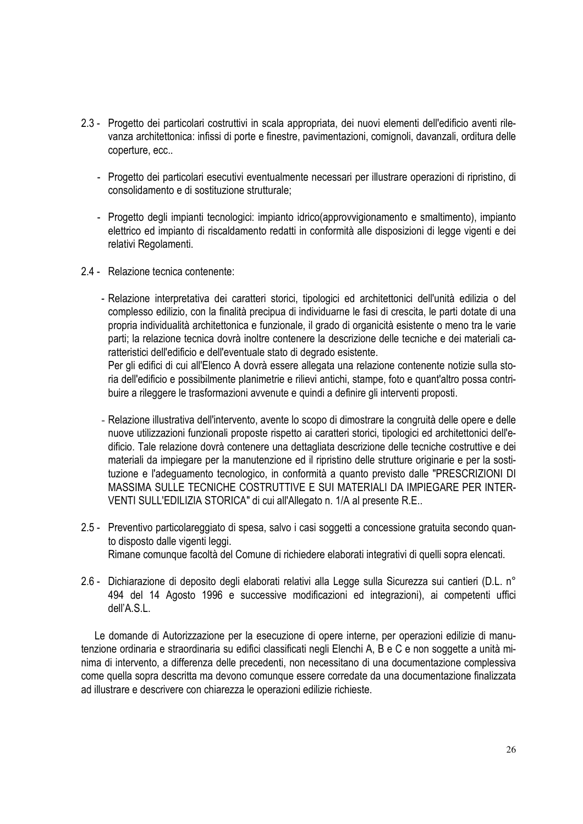- 2.3 Progetto dei particolari costruttivi in scala appropriata, dei nuovi elementi dell'edificio aventi rilevanza architettonica: infissi di porte e finestre, pavimentazioni, comignoli, davanzali, orditura delle coperture, ecc..
	- Progetto dei particolari esecutivi eventualmente necessari per illustrare operazioni di ripristino, di consolidamento e di sostituzione strutturale;
	- Progetto degli impianti tecnologici: impianto idrico(approvvigionamento e smaltimento), impianto elettrico ed impianto di riscaldamento redatti in conformità alle disposizioni di legge vigenti e dei relativi Regolamenti.
- 2.4 Relazione tecnica contenente:
	- Relazione interpretativa dei caratteri storici, tipologici ed architettonici dell'unità edilizia o del complesso edilizio, con la finalità precipua di individuarne le fasi di crescita, le parti dotate di una propria individualità architettonica e funzionale, il grado di organicità esistente o meno tra le varie parti; la relazione tecnica dovrà inoltre contenere la descrizione delle tecniche e dei materiali caratteristici dell'edificio e dell'eventuale stato di degrado esistente.

Per gli edifici di cui all'Elenco A dovrà essere allegata una relazione contenente notizie sulla storia dell'edificio e possibilmente planimetrie e rilievi antichi, stampe, foto e quant'altro possa contribuire a rileggere le trasformazioni avvenute e quindi a definire gli interventi proposti.

- Relazione illustrativa dell'intervento, avente lo scopo di dimostrare la congruità delle opere e delle nuove utilizzazioni funzionali proposte rispetto ai caratteri storici, tipologici ed architettonici dell'edificio. Tale relazione dovrà contenere una dettagliata descrizione delle tecniche costruttive e dei materiali da impiegare per la manutenzione ed il ripristino delle strutture originarie e per la sostituzione e l'adeguamento tecnologico, in conformità a quanto previsto dalle "PRESCRIZIONI DI MASSIMA SULLE TECNICHE COSTRUTTIVE E SUI MATERIALI DA IMPIEGARE PER INTER-VENTI SULL'EDILIZIA STORICA" di cui all'Allegato n. 1/A al presente R.E..
- 2.5 Preventivo particolareggiato di spesa, salvo i casi soggetti a concessione gratuita secondo quanto disposto dalle vigenti leggi. Rimane comunque facoltà del Comune di richiedere elaborati integrativi di quelli sopra elencati.
- 2.6 Dichiarazione di deposito degli elaborati relativi alla Legge sulla Sicurezza sui cantieri (D.L. n° 494 del 14 Agosto 1996 e successive modificazioni ed integrazioni), ai competenti uffici dell'A.S.L.

Le domande di Autorizzazione per la esecuzione di opere interne, per operazioni edilizie di manutenzione ordinaria e straordinaria su edifici classificati negli Elenchi A, B e C e non soggette a unità minima di intervento, a differenza delle precedenti, non necessitano di una documentazione complessiva come quella sopra descritta ma devono comunque essere corredate da una documentazione finalizzata ad illustrare e descrivere con chiarezza le operazioni edilizie richieste.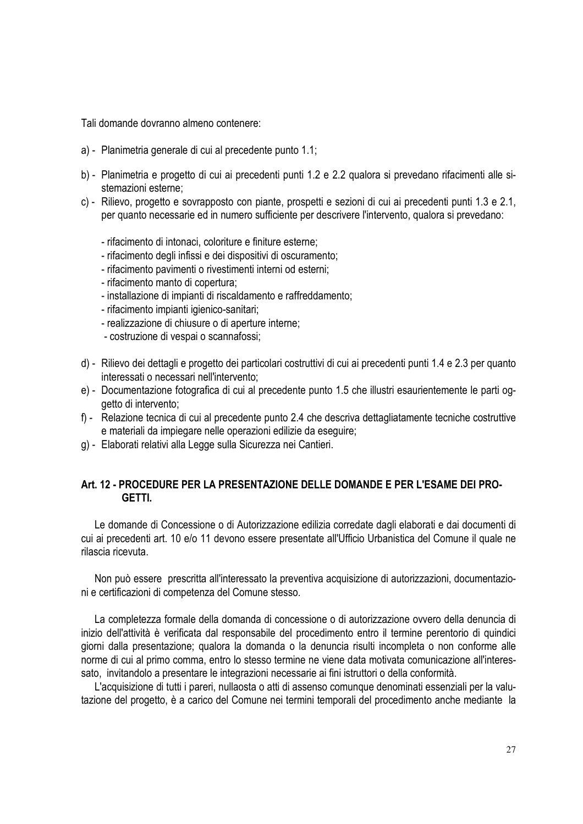Tali domande dovranno almeno contenere:

- a) Planimetria generale di cui al precedente punto 1.1;
- b) Planimetria e progetto di cui ai precedenti punti 1.2 e 2.2 qualora si prevedano rifacimenti alle sistemazioni esterne;
- c) Rilievo, progetto e sovrapposto con piante, prospetti e sezioni di cui ai precedenti punti 1.3 e 2.1, per quanto necessarie ed in numero sufficiente per descrivere l'intervento, qualora si prevedano:
	- rifacimento di intonaci, coloriture e finiture esterne;
	- rifacimento degli infissi e dei dispositivi di oscuramento;
	- rifacimento pavimenti o rivestimenti interni od esterni;
	- rifacimento manto di copertura;
	- installazione di impianti di riscaldamento e raffreddamento;
	- rifacimento impianti igienico-sanitari;
	- realizzazione di chiusure o di aperture interne;
	- costruzione di vespai o scannafossi;
- d) Rilievo dei dettagli e progetto dei particolari costruttivi di cui ai precedenti punti 1.4 e 2.3 per quanto interessati o necessari nell'intervento;
- e) Documentazione fotografica di cui al precedente punto 1.5 che illustri esaurientemente le parti oggetto di intervento;
- f) Relazione tecnica di cui al precedente punto 2.4 che descriva dettagliatamente tecniche costruttive e materiali da impiegare nelle operazioni edilizie da eseguire;
- g) Elaborati relativi alla Legge sulla Sicurezza nei Cantieri.

#### **Art. 12 - PROCEDURE PER LA PRESENTAZIONE DELLE DOMANDE E PER L'ESAME DEI PRO-GETTI.**

Le domande di Concessione o di Autorizzazione edilizia corredate dagli elaborati e dai documenti di cui ai precedenti art. 10 e/o 11 devono essere presentate all'Ufficio Urbanistica del Comune il quale ne rilascia ricevuta.

Non può essere prescritta all'interessato la preventiva acquisizione di autorizzazioni, documentazioni e certificazioni di competenza del Comune stesso.

La completezza formale della domanda di concessione o di autorizzazione ovvero della denuncia di inizio dell'attività è verificata dal responsabile del procedimento entro il termine perentorio di quindici giorni dalla presentazione; qualora la domanda o la denuncia risulti incompleta o non conforme alle norme di cui al primo comma, entro lo stesso termine ne viene data motivata comunicazione all'interessato, invitandolo a presentare le integrazioni necessarie ai fini istruttori o della conformità.

L'acquisizione di tutti i pareri, nullaosta o atti di assenso comunque denominati essenziali per la valutazione del progetto, è a carico del Comune nei termini temporali del procedimento anche mediante la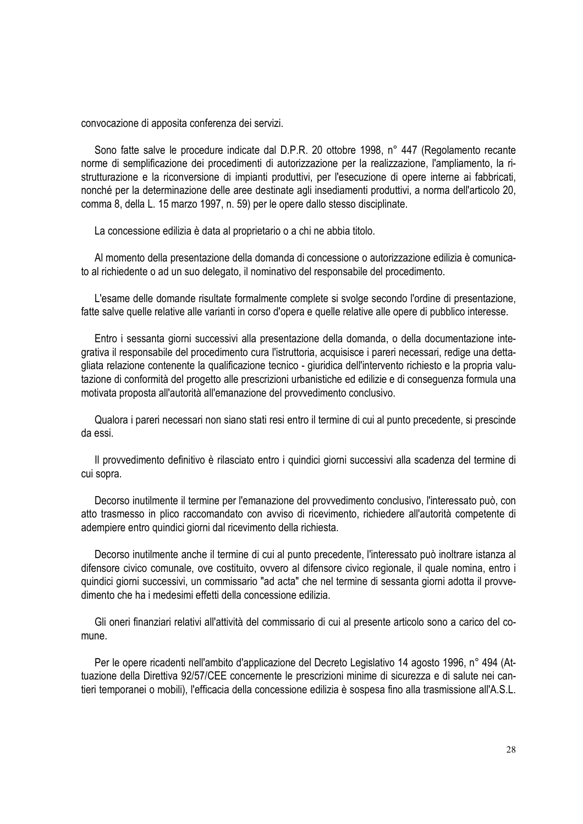convocazione di apposita conferenza dei servizi.

Sono fatte salve le procedure indicate dal D.P.R. 20 ottobre 1998, n° 447 (Regolamento recante norme di semplificazione dei procedimenti di autorizzazione per la realizzazione, l'ampliamento, la ristrutturazione e la riconversione di impianti produttivi, per l'esecuzione di opere interne ai fabbricati, nonché per la determinazione delle aree destinate agli insediamenti produttivi, a norma dell'articolo 20, comma 8, della L. 15 marzo 1997, n. 59) per le opere dallo stesso disciplinate.

La concessione edilizia è data al proprietario o a chi ne abbia titolo.

Al momento della presentazione della domanda di concessione o autorizzazione edilizia è comunicato al richiedente o ad un suo delegato, il nominativo del responsabile del procedimento.

L'esame delle domande risultate formalmente complete si svolge secondo l'ordine di presentazione, fatte salve quelle relative alle varianti in corso d'opera e quelle relative alle opere di pubblico interesse.

Entro i sessanta giorni successivi alla presentazione della domanda, o della documentazione integrativa il responsabile del procedimento cura l'istruttoria, acquisisce i pareri necessari, redige una dettagliata relazione contenente la qualificazione tecnico - giuridica dell'intervento richiesto e la propria valutazione di conformità del progetto alle prescrizioni urbanistiche ed edilizie e di conseguenza formula una motivata proposta all'autorità all'emanazione del provvedimento conclusivo.

Qualora i pareri necessari non siano stati resi entro il termine di cui al punto precedente, si prescinde da essi.

Il provvedimento definitivo è rilasciato entro i quindici giorni successivi alla scadenza del termine di cui sopra.

Decorso inutilmente il termine per l'emanazione del provvedimento conclusivo, l'interessato può, con atto trasmesso in plico raccomandato con avviso di ricevimento, richiedere all'autorità competente di adempiere entro quindici giorni dal ricevimento della richiesta.

Decorso inutilmente anche il termine di cui al punto precedente, l'interessato può inoltrare istanza al difensore civico comunale, ove costituito, ovvero al difensore civico regionale, il quale nomina, entro i quindici giorni successivi, un commissario "ad acta" che nel termine di sessanta giorni adotta il provvedimento che ha i medesimi effetti della concessione edilizia.

Gli oneri finanziari relativi all'attività del commissario di cui al presente articolo sono a carico del comune.

Per le opere ricadenti nell'ambito d'applicazione del Decreto Legislativo 14 agosto 1996, n° 494 (Attuazione della Direttiva 92/57/CEE concernente le prescrizioni minime di sicurezza e di salute nei cantieri temporanei o mobili), l'efficacia della concessione edilizia è sospesa fino alla trasmissione all'A.S.L.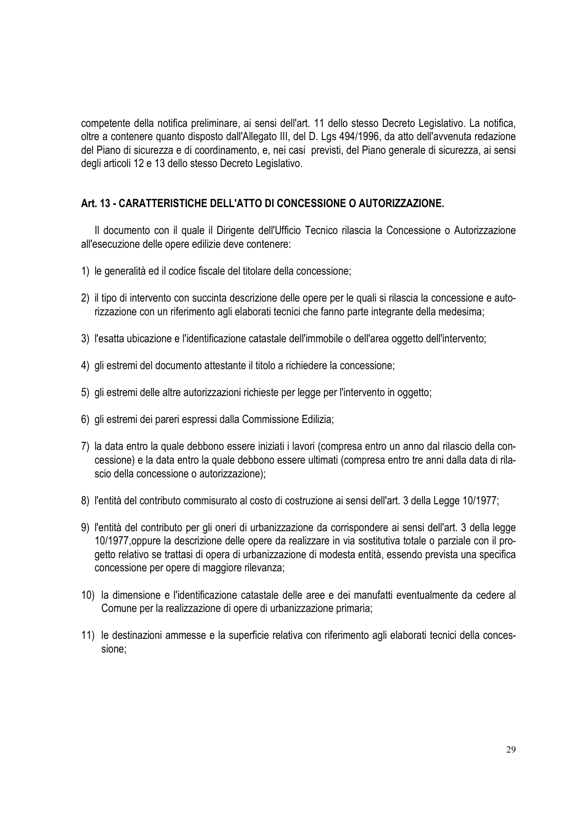competente della notifica preliminare, ai sensi dell'art. 11 dello stesso Decreto Legislativo. La notifica, oltre a contenere quanto disposto dall'Allegato III, del D. Lgs 494/1996, da atto dell'avvenuta redazione del Piano di sicurezza e di coordinamento, e, nei casi previsti, del Piano generale di sicurezza, ai sensi degli articoli 12 e 13 dello stesso Decreto Legislativo.

#### **Art. 13 - CARATTERISTICHE DELL'ATTO DI CONCESSIONE O AUTORIZZAZIONE.**

Il documento con il quale il Dirigente dell'Ufficio Tecnico rilascia la Concessione o Autorizzazione all'esecuzione delle opere edilizie deve contenere:

- 1) le generalità ed il codice fiscale del titolare della concessione;
- 2) il tipo di intervento con succinta descrizione delle opere per le quali si rilascia la concessione e autorizzazione con un riferimento agli elaborati tecnici che fanno parte integrante della medesima;
- 3) l'esatta ubicazione e l'identificazione catastale dell'immobile o dell'area oggetto dell'intervento;
- 4) gli estremi del documento attestante il titolo a richiedere la concessione;
- 5) gli estremi delle altre autorizzazioni richieste per legge per l'intervento in oggetto;
- 6) gli estremi dei pareri espressi dalla Commissione Edilizia;
- 7) la data entro la quale debbono essere iniziati i lavori (compresa entro un anno dal rilascio della concessione) e la data entro la quale debbono essere ultimati (compresa entro tre anni dalla data di rilascio della concessione o autorizzazione);
- 8) l'entità del contributo commisurato al costo di costruzione ai sensi dell'art. 3 della Legge 10/1977;
- 9) l'entità del contributo per gli oneri di urbanizzazione da corrispondere ai sensi dell'art. 3 della legge 10/1977,oppure la descrizione delle opere da realizzare in via sostitutiva totale o parziale con il progetto relativo se trattasi di opera di urbanizzazione di modesta entità, essendo prevista una specifica concessione per opere di maggiore rilevanza;
- 10) la dimensione e l'identificazione catastale delle aree e dei manufatti eventualmente da cedere al Comune per la realizzazione di opere di urbanizzazione primaria;
- 11) le destinazioni ammesse e la superficie relativa con riferimento agli elaborati tecnici della concessione;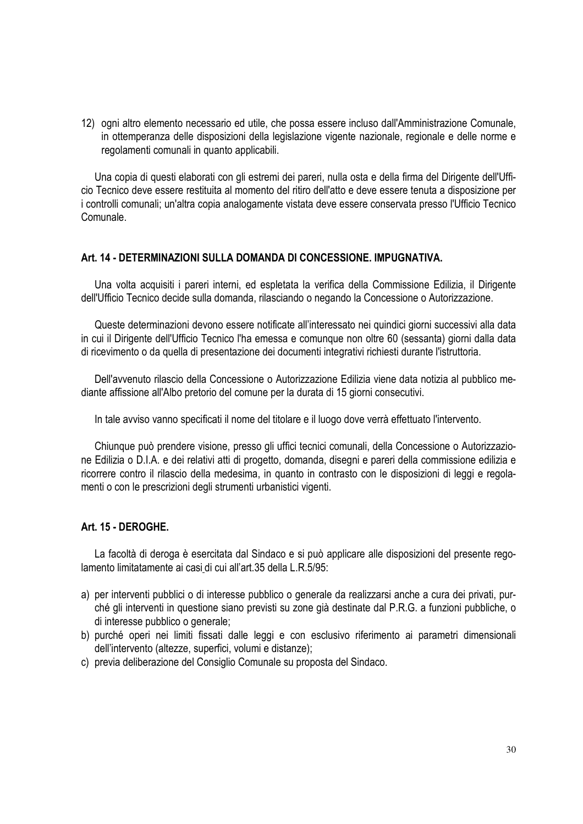12) ogni altro elemento necessario ed utile, che possa essere incluso dall'Amministrazione Comunale, in ottemperanza delle disposizioni della legislazione vigente nazionale, regionale e delle norme e regolamenti comunali in quanto applicabili.

Una copia di questi elaborati con gli estremi dei pareri, nulla osta e della firma del Dirigente dell'Ufficio Tecnico deve essere restituita al momento del ritiro dell'atto e deve essere tenuta a disposizione per i controlli comunali; un'altra copia analogamente vistata deve essere conservata presso l'Ufficio Tecnico Comunale.

#### **Art. 14 - DETERMINAZIONI SULLA DOMANDA DI CONCESSIONE. IMPUGNATIVA.**

Una volta acquisiti i pareri interni, ed espletata la verifica della Commissione Edilizia, il Dirigente dell'Ufficio Tecnico decide sulla domanda, rilasciando o negando la Concessione o Autorizzazione.

Queste determinazioni devono essere notificate all'interessato nei quindici giorni successivi alla data in cui il Dirigente dell'Ufficio Tecnico l'ha emessa e comunque non oltre 60 (sessanta) giorni dalla data di ricevimento o da quella di presentazione dei documenti integrativi richiesti durante l'istruttoria.

Dell'avvenuto rilascio della Concessione o Autorizzazione Edilizia viene data notizia al pubblico mediante affissione all'Albo pretorio del comune per la durata di 15 giorni consecutivi.

In tale avviso vanno specificati il nome del titolare e il luogo dove verrà effettuato l'intervento.

Chiunque può prendere visione, presso gli uffici tecnici comunali, della Concessione o Autorizzazione Edilizia o D.I.A. e dei relativi atti di progetto, domanda, disegni e pareri della commissione edilizia e ricorrere contro il rilascio della medesima, in quanto in contrasto con le disposizioni di leggi e regolamenti o con le prescrizioni degli strumenti urbanistici vigenti.

#### **Art. 15 - DEROGHE.**

La facoltà di deroga è esercitata dal Sindaco e si può applicare alle disposizioni del presente regolamento limitatamente ai casi di cui all'art.35 della L.R.5/95:

- a) per interventi pubblici o di interesse pubblico o generale da realizzarsi anche a cura dei privati, purché gli interventi in questione siano previsti su zone già destinate dal P.R.G. a funzioni pubbliche, o di interesse pubblico o generale;
- b) purché operi nei limiti fissati dalle leggi e con esclusivo riferimento ai parametri dimensionali dell'intervento (altezze, superfici, volumi e distanze);
- c) previa deliberazione del Consiglio Comunale su proposta del Sindaco.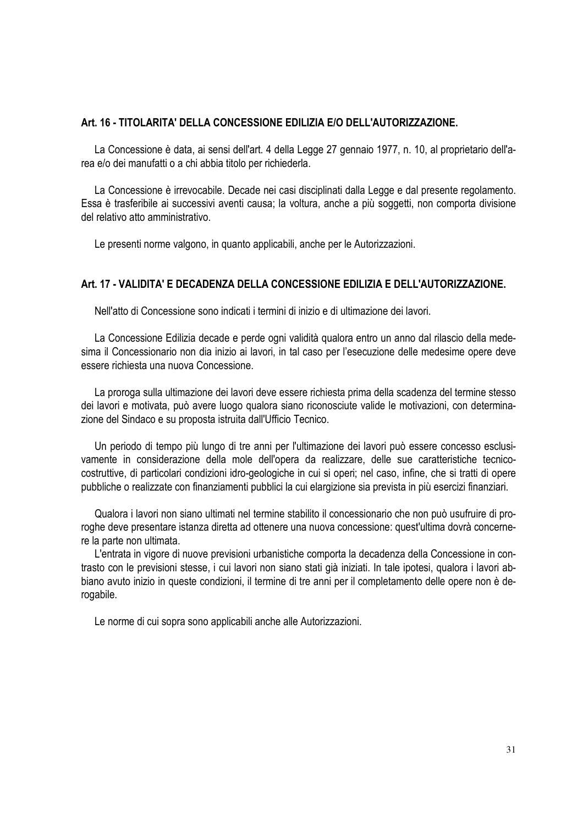### **Art. 16 - TITOLARITA' DELLA CONCESSIONE EDILIZIA E/O DELL'AUTORIZZAZIONE.**

La Concessione è data, ai sensi dell'art. 4 della Legge 27 gennaio 1977, n. 10, al proprietario dell'area e/o dei manufatti o a chi abbia titolo per richiederla.

La Concessione è irrevocabile. Decade nei casi disciplinati dalla Legge e dal presente regolamento. Essa è trasferibile ai successivi aventi causa; la voltura, anche a più soggetti, non comporta divisione del relativo atto amministrativo.

Le presenti norme valgono, in quanto applicabili, anche per le Autorizzazioni.

# **Art. 17 - VALIDITA' E DECADENZA DELLA CONCESSIONE EDILIZIA E DELL'AUTORIZZAZIONE.**

Nell'atto di Concessione sono indicati i termini di inizio e di ultimazione dei lavori.

La Concessione Edilizia decade e perde ogni validità qualora entro un anno dal rilascio della medesima il Concessionario non dia inizio ai lavori, in tal caso per l'esecuzione delle medesime opere deve essere richiesta una nuova Concessione.

La proroga sulla ultimazione dei lavori deve essere richiesta prima della scadenza del termine stesso dei lavori e motivata, può avere luogo qualora siano riconosciute valide le motivazioni, con determinazione del Sindaco e su proposta istruita dall'Ufficio Tecnico.

Un periodo di tempo più lungo di tre anni per l'ultimazione dei lavori può essere concesso esclusivamente in considerazione della mole dell'opera da realizzare, delle sue caratteristiche tecnicocostruttive, di particolari condizioni idro-geologiche in cui si operi; nel caso, infine, che si tratti di opere pubbliche o realizzate con finanziamenti pubblici la cui elargizione sia prevista in più esercizi finanziari.

Qualora i lavori non siano ultimati nel termine stabilito il concessionario che non può usufruire di proroghe deve presentare istanza diretta ad ottenere una nuova concessione: quest'ultima dovrà concernere la parte non ultimata.

L'entrata in vigore di nuove previsioni urbanistiche comporta la decadenza della Concessione in contrasto con le previsioni stesse, i cui lavori non siano stati già iniziati. In tale ipotesi, qualora i lavori abbiano avuto inizio in queste condizioni, il termine di tre anni per il completamento delle opere non è derogabile.

Le norme di cui sopra sono applicabili anche alle Autorizzazioni.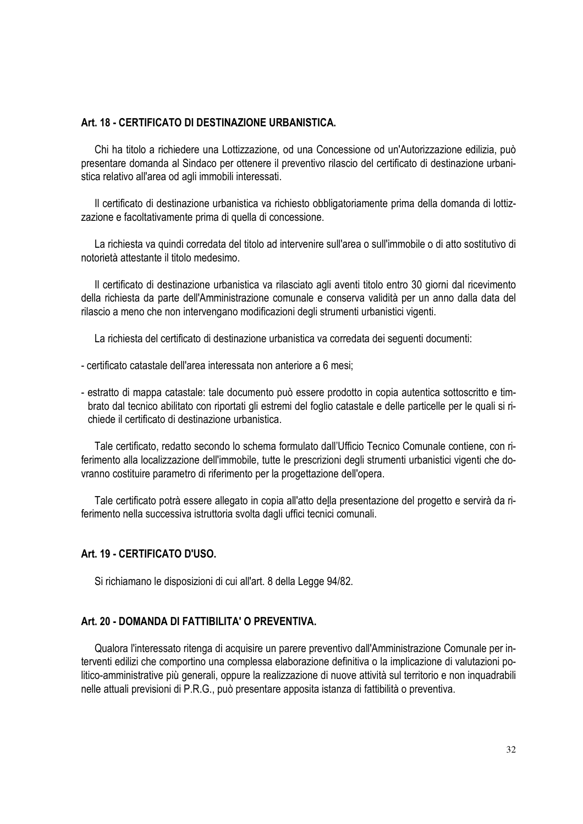## **Art. 18 - CERTIFICATO DI DESTINAZIONE URBANISTICA.**

Chi ha titolo a richiedere una Lottizzazione, od una Concessione od un'Autorizzazione edilizia, può presentare domanda al Sindaco per ottenere il preventivo rilascio del certificato di destinazione urbanistica relativo all'area od agli immobili interessati.

Il certificato di destinazione urbanistica va richiesto obbligatoriamente prima della domanda di lottizzazione e facoltativamente prima di quella di concessione.

La richiesta va quindi corredata del titolo ad intervenire sull'area o sull'immobile o di atto sostitutivo di notorietà attestante il titolo medesimo.

Il certificato di destinazione urbanistica va rilasciato agli aventi titolo entro 30 giorni dal ricevimento della richiesta da parte dell'Amministrazione comunale e conserva validità per un anno dalla data del rilascio a meno che non intervengano modificazioni degli strumenti urbanistici vigenti.

La richiesta del certificato di destinazione urbanistica va corredata dei seguenti documenti:

- certificato catastale dell'area interessata non anteriore a 6 mesi;
- estratto di mappa catastale: tale documento può essere prodotto in copia autentica sottoscritto e timbrato dal tecnico abilitato con riportati gli estremi del foglio catastale e delle particelle per le quali si richiede il certificato di destinazione urbanistica.

Tale certificato, redatto secondo lo schema formulato dall'Ufficio Tecnico Comunale contiene, con riferimento alla localizzazione dell'immobile, tutte le prescrizioni degli strumenti urbanistici vigenti che dovranno costituire parametro di riferimento per la progettazione dell'opera.

Tale certificato potrà essere allegato in copia all'atto della presentazione del progetto e servirà da riferimento nella successiva istruttoria svolta dagli uffici tecnici comunali.

# **Art. 19 - CERTIFICATO D'USO.**

Si richiamano le disposizioni di cui all'art. 8 della Legge 94/82.

#### **Art. 20 - DOMANDA DI FATTIBILITA' O PREVENTIVA.**

Qualora l'interessato ritenga di acquisire un parere preventivo dall'Amministrazione Comunale per interventi edilizi che comportino una complessa elaborazione definitiva o la implicazione di valutazioni politico-amministrative più generali, oppure la realizzazione di nuove attività sul territorio e non inquadrabili nelle attuali previsioni di P.R.G., può presentare apposita istanza di fattibilità o preventiva.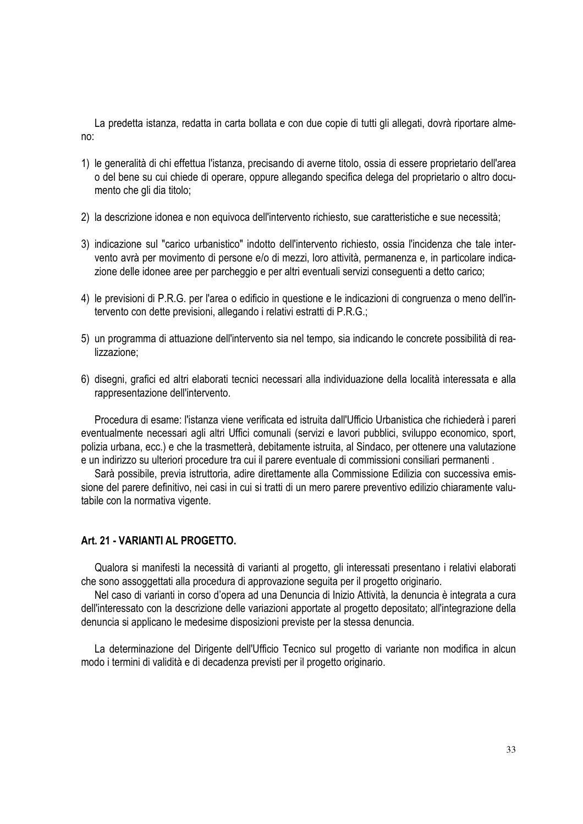La predetta istanza, redatta in carta bollata e con due copie di tutti gli allegati, dovrà riportare almeno:

- 1) le generalità di chi effettua l'istanza, precisando di averne titolo, ossia di essere proprietario dell'area o del bene su cui chiede di operare, oppure allegando specifica delega del proprietario o altro documento che gli dia titolo;
- 2) la descrizione idonea e non equivoca dell'intervento richiesto, sue caratteristiche e sue necessità;
- 3) indicazione sul "carico urbanistico" indotto dell'intervento richiesto, ossia l'incidenza che tale intervento avrà per movimento di persone e/o di mezzi, loro attività, permanenza e, in particolare indicazione delle idonee aree per parcheggio e per altri eventuali servizi conseguenti a detto carico;
- 4) le previsioni di P.R.G. per l'area o edificio in questione e le indicazioni di congruenza o meno dell'intervento con dette previsioni, allegando i relativi estratti di P.R.G.;
- 5) un programma di attuazione dell'intervento sia nel tempo, sia indicando le concrete possibilità di realizzazione;
- 6) disegni, grafici ed altri elaborati tecnici necessari alla individuazione della località interessata e alla rappresentazione dell'intervento.

Procedura di esame: l'istanza viene verificata ed istruita dall'Ufficio Urbanistica che richiederà i pareri eventualmente necessari agli altri Uffici comunali (servizi e lavori pubblici, sviluppo economico, sport, polizia urbana, ecc.) e che la trasmetterà, debitamente istruita, al Sindaco, per ottenere una valutazione e un indirizzo su ulteriori procedure tra cui il parere eventuale di commissioni consiliari permanenti .

Sarà possibile, previa istruttoria, adire direttamente alla Commissione Edilizia con successiva emissione del parere definitivo, nei casi in cui si tratti di un mero parere preventivo edilizio chiaramente valutabile con la normativa vigente.

# **Art. 21 - VARIANTI AL PROGETTO.**

Qualora si manifesti la necessità di varianti al progetto, gli interessati presentano i relativi elaborati che sono assoggettati alla procedura di approvazione seguita per il progetto originario.

Nel caso di varianti in corso d'opera ad una Denuncia di Inizio Attività, la denuncia è integrata a cura dell'interessato con la descrizione delle variazioni apportate al progetto depositato; all'integrazione della denuncia si applicano le medesime disposizioni previste per la stessa denuncia.

La determinazione del Dirigente dell'Ufficio Tecnico sul progetto di variante non modifica in alcun modo i termini di validità e di decadenza previsti per il progetto originario.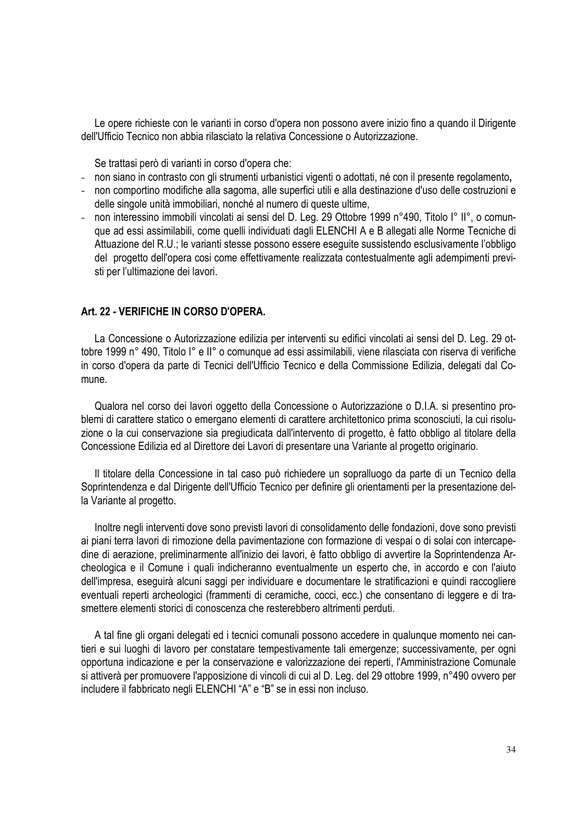Le opere richieste con le varianti in corso d'opera non possono avere inizio fino a quando il Dirigente dell'Ufficio Tecnico non abbia rilasciato la relativa Concessione o Autorizzazione.

Se trattasi però di varianti in corso d'opera che:

- non siano in contrasto con gli strumenti urbanistici vigenti o adottati, né con il presente regolamento**,**
- non comportino modifiche alla sagoma, alle superfici utili e alla destinazione d'uso delle costruzioni e delle singole unità immobiliari, nonché al numero di queste ultime,
- non interessino immobili vincolati ai sensi del D. Leg. 29 Ottobre 1999 n°490, Titolo I° II°, o comunque ad essi assimilabili, come quelli individuati dagli ELENCHI A e B allegati alle Norme Tecniche di Attuazione del R.U.; le varianti stesse possono essere eseguite sussistendo esclusivamente l'obbligo del progetto dell'opera cosi come effettivamente realizzata contestualmente agli adempimenti previsti per l'ultimazione dei lavori.

# **Art. 22 - VERIFICHE IN CORSO D'OPERA.**

La Concessione o Autorizzazione edilizia per interventi su edifici vincolati ai sensi del D. Leg. 29 ottobre 1999 n° 490, Titolo I° e II° o comunque ad essi assimilabili, viene rilasciata con riserva di verifiche in corso d'opera da parte di Tecnici dell'Ufficio Tecnico e della Commissione Edilizia, delegati dal Comune.

Qualora nel corso dei lavori oggetto della Concessione o Autorizzazione o D.I.A. si presentino problemi di carattere statico o emergano elementi di carattere architettonico prima sconosciuti, la cui risoluzione o la cui conservazione sia pregiudicata dall'intervento di progetto, è fatto obbligo al titolare della Concessione Edilizia ed al Direttore dei Lavori di presentare una Variante al progetto originario.

Il titolare della Concessione in tal caso può richiedere un sopralluogo da parte di un Tecnico della Soprintendenza e dal Dirigente dell'Ufficio Tecnico per definire gli orientamenti per la presentazione della Variante al progetto.

Inoltre negli interventi dove sono previsti lavori di consolidamento delle fondazioni, dove sono previsti ai piani terra lavori di rimozione della pavimentazione con formazione di vespai o di solai con intercapedine di aerazione, preliminarmente all'inizio dei lavori, è fatto obbligo di avvertire la Soprintendenza Archeologica e il Comune i quali indicheranno eventualmente un esperto che, in accordo e con l'aiuto dell'impresa, eseguirà alcuni saggi per individuare e documentare le stratificazioni e quindi raccogliere eventuali reperti archeologici (frammenti di ceramiche, cocci, ecc.) che consentano di leggere e di trasmettere elementi storici di conoscenza che resterebbero altrimenti perduti.

A tal fine gli organi delegati ed i tecnici comunali possono accedere in qualunque momento nei cantieri e sui luoghi di lavoro per constatare tempestivamente tali emergenze; successivamente, per ogni opportuna indicazione e per la conservazione e valorizzazione dei reperti, l'Amministrazione Comunale si attiverà per promuovere l'apposizione di vincoli di cui al D. Leg. del 29 ottobre 1999, n°490 ovvero per includere il fabbricato negli ELENCHI "A" e "B" se in essi non incluso.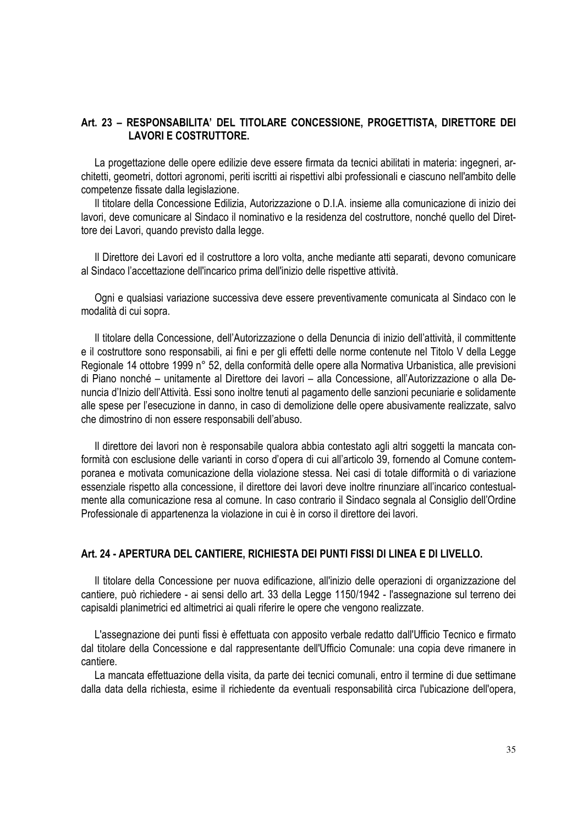# **Art. 23 – RESPONSABILITA' DEL TITOLARE CONCESSIONE, PROGETTISTA, DIRETTORE DEI LAVORI E COSTRUTTORE.**

La progettazione delle opere edilizie deve essere firmata da tecnici abilitati in materia: ingegneri, architetti, geometri, dottori agronomi, periti iscritti ai rispettivi albi professionali e ciascuno nell'ambito delle competenze fissate dalla legislazione.

Il titolare della Concessione Edilizia, Autorizzazione o D.I.A. insieme alla comunicazione di inizio dei lavori, deve comunicare al Sindaco il nominativo e la residenza del costruttore, nonché quello del Direttore dei Lavori, quando previsto dalla legge.

Il Direttore dei Lavori ed il costruttore a loro volta, anche mediante atti separati, devono comunicare al Sindaco l'accettazione dell'incarico prima dell'inizio delle rispettive attività.

Ogni e qualsiasi variazione successiva deve essere preventivamente comunicata al Sindaco con le modalità di cui sopra.

Il titolare della Concessione, dell'Autorizzazione o della Denuncia di inizio dell'attività, il committente e il costruttore sono responsabili, ai fini e per gli effetti delle norme contenute nel Titolo V della Legge Regionale 14 ottobre 1999 n° 52, della conformità delle opere alla Normativa Urbanistica, alle previsioni di Piano nonché – unitamente al Direttore dei lavori – alla Concessione, all'Autorizzazione o alla Denuncia d'Inizio dell'Attività. Essi sono inoltre tenuti al pagamento delle sanzioni pecuniarie e solidamente alle spese per l'esecuzione in danno, in caso di demolizione delle opere abusivamente realizzate, salvo che dimostrino di non essere responsabili dell'abuso.

Il direttore dei lavori non è responsabile qualora abbia contestato agli altri soggetti la mancata conformità con esclusione delle varianti in corso d'opera di cui all'articolo 39, fornendo al Comune contemporanea e motivata comunicazione della violazione stessa. Nei casi di totale difformità o di variazione essenziale rispetto alla concessione, il direttore dei lavori deve inoltre rinunziare all'incarico contestualmente alla comunicazione resa al comune. In caso contrario il Sindaco segnala al Consiglio dell'Ordine Professionale di appartenenza la violazione in cui è in corso il direttore dei lavori.

#### **Art. 24 - APERTURA DEL CANTIERE, RICHIESTA DEI PUNTI FISSI DI LINEA E DI LIVELLO.**

Il titolare della Concessione per nuova edificazione, all'inizio delle operazioni di organizzazione del cantiere, può richiedere - ai sensi dello art. 33 della Legge 1150/1942 - l'assegnazione sul terreno dei capisaldi planimetrici ed altimetrici ai quali riferire le opere che vengono realizzate.

L'assegnazione dei punti fissi è effettuata con apposito verbale redatto dall'Ufficio Tecnico e firmato dal titolare della Concessione e dal rappresentante dell'Ufficio Comunale: una copia deve rimanere in cantiere.

La mancata effettuazione della visita, da parte dei tecnici comunali, entro il termine di due settimane dalla data della richiesta, esime il richiedente da eventuali responsabilità circa l'ubicazione dell'opera,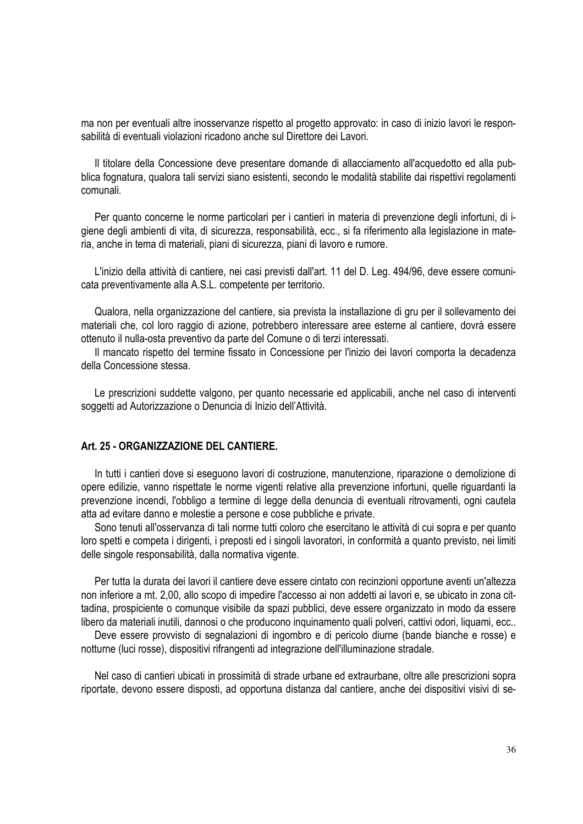ma non per eventuali altre inosservanze rispetto al progetto approvato: in caso di inizio lavori le responsabilità di eventuali violazioni ricadono anche sul Direttore dei Lavori.

Il titolare della Concessione deve presentare domande di allacciamento all'acquedotto ed alla pubblica fognatura, qualora tali servizi siano esistenti, secondo le modalità stabilite dai rispettivi regolamenti comunali.

Per quanto concerne le norme particolari per i cantieri in materia di prevenzione degli infortuni, di igiene degli ambienti di vita, di sicurezza, responsabilità, ecc., si fa riferimento alla legislazione in materia, anche in tema di materiali, piani di sicurezza, piani di lavoro e rumore.

L'inizio della attività di cantiere, nei casi previsti dall'art. 11 del D. Leg. 494/96, deve essere comunicata preventivamente alla A.S.L. competente per territorio.

Qualora, nella organizzazione del cantiere, sia prevista la installazione di gru per il sollevamento dei materiali che, col loro raggio di azione, potrebbero interessare aree esterne al cantiere, dovrà essere ottenuto il nulla-osta preventivo da parte del Comune o di terzi interessati.

Il mancato rispetto del termine fissato in Concessione per l'inizio dei lavori comporta la decadenza della Concessione stessa.

Le prescrizioni suddette valgono, per quanto necessarie ed applicabili, anche nel caso di interventi soggetti ad Autorizzazione o Denuncia di Inizio dell'Attività.

# **Art. 25 - ORGANIZZAZIONE DEL CANTIERE.**

In tutti i cantieri dove si eseguono lavori di costruzione, manutenzione, riparazione o demolizione di opere edilizie, vanno rispettate le norme vigenti relative alla prevenzione infortuni, quelle riguardanti la prevenzione incendi, l'obbligo a termine di legge della denuncia di eventuali ritrovamenti, ogni cautela atta ad evitare danno e molestie a persone e cose pubbliche e private.

Sono tenuti all'osservanza di tali norme tutti coloro che esercitano le attività di cui sopra e per quanto loro spetti e competa i dirigenti, i preposti ed i singoli lavoratori, in conformità a quanto previsto, nei limiti delle singole responsabilità, dalla normativa vigente.

Per tutta la durata dei lavori il cantiere deve essere cintato con recinzioni opportune aventi un'altezza non inferiore a mt. 2,00, allo scopo di impedire l'accesso ai non addetti ai lavori e, se ubicato in zona cittadina, prospiciente o comunque visibile da spazi pubblici, deve essere organizzato in modo da essere libero da materiali inutili, dannosi o che producono inquinamento quali polveri, cattivi odori, liquami, ecc..

Deve essere provvisto di segnalazioni di ingombro e di pericolo diurne (bande bianche e rosse) e notturne (luci rosse), dispositivi rifrangenti ad integrazione dell'illuminazione stradale.

Nel caso di cantieri ubicati in prossimità di strade urbane ed extraurbane, oltre alle prescrizioni sopra riportate, devono essere disposti, ad opportuna distanza dal cantiere, anche dei dispositivi visivi di se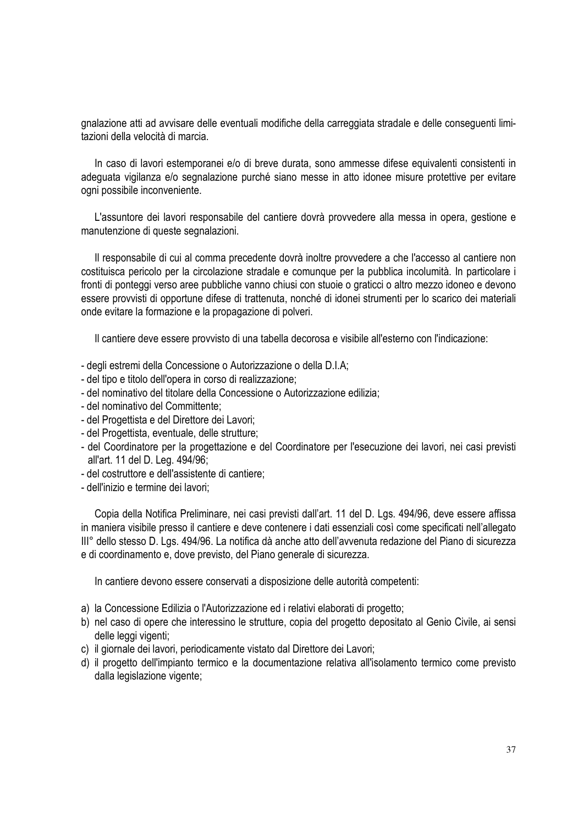gnalazione atti ad avvisare delle eventuali modifiche della carreggiata stradale e delle conseguenti limitazioni della velocità di marcia.

In caso di lavori estemporanei e/o di breve durata, sono ammesse difese equivalenti consistenti in adeguata vigilanza e/o segnalazione purché siano messe in atto idonee misure protettive per evitare ogni possibile inconveniente.

L'assuntore dei lavori responsabile del cantiere dovrà provvedere alla messa in opera, gestione e manutenzione di queste segnalazioni.

Il responsabile di cui al comma precedente dovrà inoltre provvedere a che l'accesso al cantiere non costituisca pericolo per la circolazione stradale e comunque per la pubblica incolumità. In particolare i fronti di ponteggi verso aree pubbliche vanno chiusi con stuoie o graticci o altro mezzo idoneo e devono essere provvisti di opportune difese di trattenuta, nonché di idonei strumenti per lo scarico dei materiali onde evitare la formazione e la propagazione di polveri.

Il cantiere deve essere provvisto di una tabella decorosa e visibile all'esterno con l'indicazione:

- degli estremi della Concessione o Autorizzazione o della D.I.A;
- del tipo e titolo dell'opera in corso di realizzazione;
- del nominativo del titolare della Concessione o Autorizzazione edilizia;
- del nominativo del Committente;
- del Progettista e del Direttore dei Lavori;
- del Progettista, eventuale, delle strutture;
- del Coordinatore per la progettazione e del Coordinatore per l'esecuzione dei lavori, nei casi previsti all'art. 11 del D. Leg. 494/96;
- del costruttore e dell'assistente di cantiere;
- dell'inizio e termine dei lavori;

Copia della Notifica Preliminare, nei casi previsti dall'art. 11 del D. Lgs. 494/96, deve essere affissa in maniera visibile presso il cantiere e deve contenere i dati essenziali così come specificati nell'allegato III° dello stesso D. Lgs. 494/96. La notifica dà anche atto dell'avvenuta redazione del Piano di sicurezza e di coordinamento e, dove previsto, del Piano generale di sicurezza.

In cantiere devono essere conservati a disposizione delle autorità competenti:

- a) la Concessione Edilizia o l'Autorizzazione ed i relativi elaborati di progetto;
- b) nel caso di opere che interessino le strutture, copia del progetto depositato al Genio Civile, ai sensi delle leggi vigenti;
- c) il giornale dei lavori, periodicamente vistato dal Direttore dei Lavori;
- d) il progetto dell'impianto termico e la documentazione relativa all'isolamento termico come previsto dalla legislazione vigente;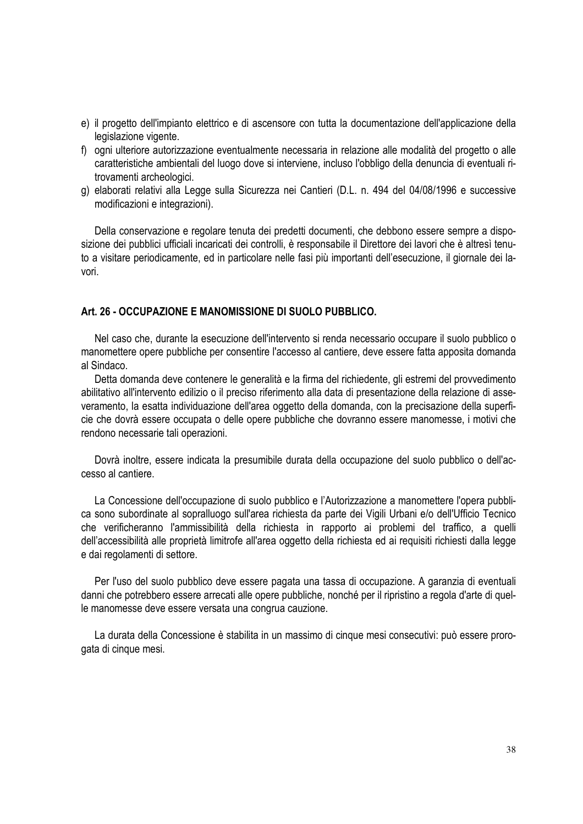- e) il progetto dell'impianto elettrico e di ascensore con tutta la documentazione dell'applicazione della legislazione vigente.
- f) ogni ulteriore autorizzazione eventualmente necessaria in relazione alle modalità del progetto o alle caratteristiche ambientali del luogo dove si interviene, incluso l'obbligo della denuncia di eventuali ritrovamenti archeologici.
- g) elaborati relativi alla Legge sulla Sicurezza nei Cantieri (D.L. n. 494 del 04/08/1996 e successive modificazioni e integrazioni).

Della conservazione e regolare tenuta dei predetti documenti, che debbono essere sempre a disposizione dei pubblici ufficiali incaricati dei controlli, è responsabile il Direttore dei lavori che è altresì tenuto a visitare periodicamente, ed in particolare nelle fasi più importanti dell'esecuzione, il giornale dei lavori.

# **Art. 26 - OCCUPAZIONE E MANOMISSIONE DI SUOLO PUBBLICO.**

Nel caso che, durante la esecuzione dell'intervento si renda necessario occupare il suolo pubblico o manomettere opere pubbliche per consentire l'accesso al cantiere, deve essere fatta apposita domanda al Sindaco.

Detta domanda deve contenere le generalità e la firma del richiedente, gli estremi del provvedimento abilitativo all'intervento edilizio o il preciso riferimento alla data di presentazione della relazione di asseveramento, la esatta individuazione dell'area oggetto della domanda, con la precisazione della superficie che dovrà essere occupata o delle opere pubbliche che dovranno essere manomesse, i motivi che rendono necessarie tali operazioni.

Dovrà inoltre, essere indicata la presumibile durata della occupazione del suolo pubblico o dell'accesso al cantiere.

La Concessione dell'occupazione di suolo pubblico e l'Autorizzazione a manomettere l'opera pubblica sono subordinate al sopralluogo sull'area richiesta da parte dei Vigili Urbani e/o dell'Ufficio Tecnico che verificheranno l'ammissibilità della richiesta in rapporto ai problemi del traffico, a quelli dell'accessibilità alle proprietà limitrofe all'area oggetto della richiesta ed ai requisiti richiesti dalla legge e dai regolamenti di settore.

Per l'uso del suolo pubblico deve essere pagata una tassa di occupazione. A garanzia di eventuali danni che potrebbero essere arrecati alle opere pubbliche, nonché per il ripristino a regola d'arte di quelle manomesse deve essere versata una congrua cauzione.

La durata della Concessione è stabilita in un massimo di cinque mesi consecutivi: può essere prorogata di cinque mesi.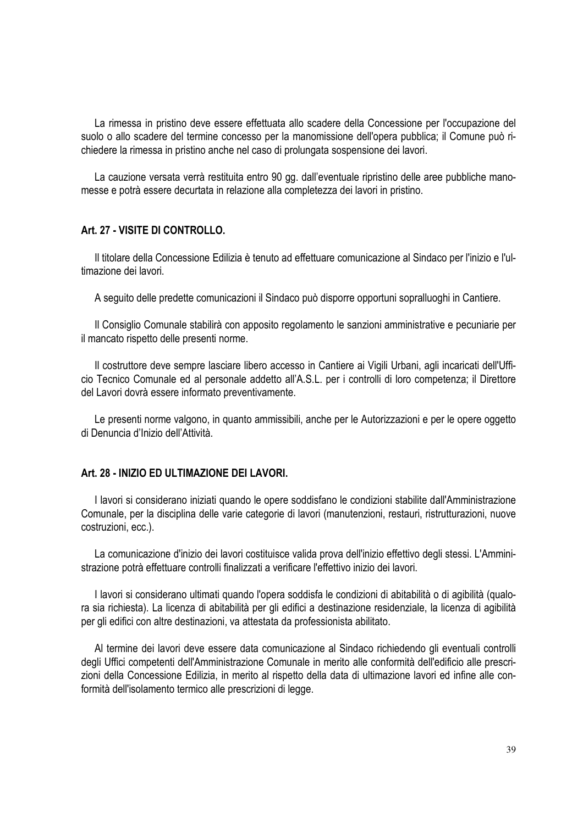La rimessa in pristino deve essere effettuata allo scadere della Concessione per l'occupazione del suolo o allo scadere del termine concesso per la manomissione dell'opera pubblica; il Comune può richiedere la rimessa in pristino anche nel caso di prolungata sospensione dei lavori.

La cauzione versata verrà restituita entro 90 gg. dall'eventuale ripristino delle aree pubbliche manomesse e potrà essere decurtata in relazione alla completezza dei lavori in pristino.

#### **Art. 27 - VISITE DI CONTROLLO.**

Il titolare della Concessione Edilizia è tenuto ad effettuare comunicazione al Sindaco per l'inizio e l'ultimazione dei lavori.

A seguito delle predette comunicazioni il Sindaco può disporre opportuni sopralluoghi in Cantiere.

Il Consiglio Comunale stabilirà con apposito regolamento le sanzioni amministrative e pecuniarie per il mancato rispetto delle presenti norme.

Il costruttore deve sempre lasciare libero accesso in Cantiere ai Vigili Urbani, agli incaricati dell'Ufficio Tecnico Comunale ed al personale addetto all'A.S.L. per i controlli di loro competenza; il Direttore del Lavori dovrà essere informato preventivamente.

Le presenti norme valgono, in quanto ammissibili, anche per le Autorizzazioni e per le opere oggetto di Denuncia d'Inizio dell'Attività.

#### **Art. 28 - INIZIO ED ULTIMAZIONE DEI LAVORI.**

I lavori si considerano iniziati quando le opere soddisfano le condizioni stabilite dall'Amministrazione Comunale, per la disciplina delle varie categorie di lavori (manutenzioni, restauri, ristrutturazioni, nuove costruzioni, ecc.).

La comunicazione d'inizio dei lavori costituisce valida prova dell'inizio effettivo degli stessi. L'Amministrazione potrà effettuare controlli finalizzati a verificare l'effettivo inizio dei lavori.

I lavori si considerano ultimati quando l'opera soddisfa le condizioni di abitabilità o di agibilità (qualora sia richiesta). La licenza di abitabilità per gli edifici a destinazione residenziale, la licenza di agibilità per gli edifici con altre destinazioni, va attestata da professionista abilitato.

Al termine dei lavori deve essere data comunicazione al Sindaco richiedendo gli eventuali controlli degli Uffici competenti dell'Amministrazione Comunale in merito alle conformità dell'edificio alle prescrizioni della Concessione Edilizia, in merito al rispetto della data di ultimazione lavori ed infine alle conformità dell'isolamento termico alle prescrizioni di legge.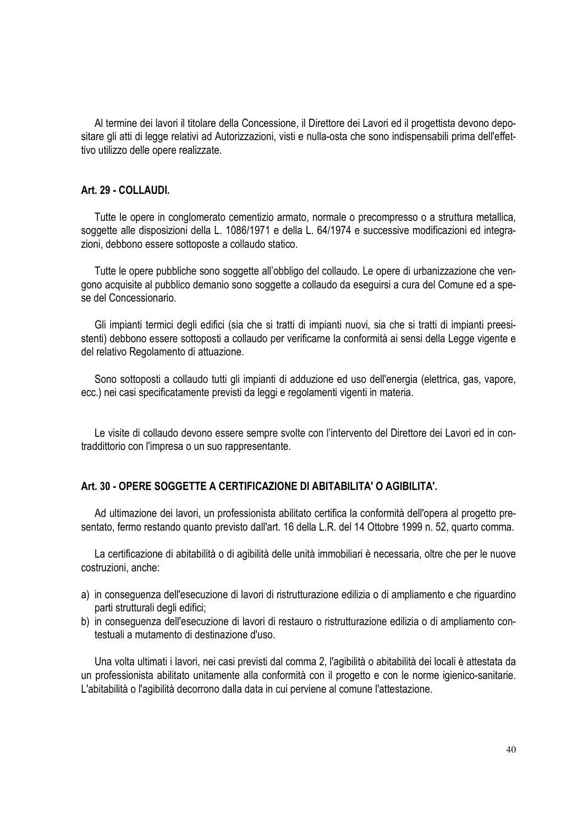Al termine dei lavori il titolare della Concessione, il Direttore dei Lavori ed il progettista devono depositare gli atti di legge relativi ad Autorizzazioni, visti e nulla-osta che sono indispensabili prima dell'effettivo utilizzo delle opere realizzate.

# **Art. 29 - COLLAUDI.**

Tutte le opere in conglomerato cementizio armato, normale o precompresso o a struttura metallica, soggette alle disposizioni della L. 1086/1971 e della L. 64/1974 e successive modificazioni ed integrazioni, debbono essere sottoposte a collaudo statico.

Tutte le opere pubbliche sono soggette all'obbligo del collaudo. Le opere di urbanizzazione che vengono acquisite al pubblico demanio sono soggette a collaudo da eseguirsi a cura del Comune ed a spese del Concessionario.

Gli impianti termici degli edifici (sia che si tratti di impianti nuovi, sia che si tratti di impianti preesistenti) debbono essere sottoposti a collaudo per verificarne la conformità ai sensi della Legge vigente e del relativo Regolamento di attuazione.

Sono sottoposti a collaudo tutti gli impianti di adduzione ed uso dell'energia (elettrica, gas, vapore, ecc.) nei casi specificatamente previsti da leggi e regolamenti vigenti in materia.

Le visite di collaudo devono essere sempre svolte con l'intervento del Direttore dei Lavori ed in contraddittorio con l'impresa o un suo rappresentante.

# **Art. 30 - OPERE SOGGETTE A CERTIFICAZIONE DI ABITABILITA' O AGIBILITA'.**

Ad ultimazione dei lavori, un professionista abilitato certifica la conformità dell'opera al progetto presentato, fermo restando quanto previsto dall'art. 16 della L.R. del 14 Ottobre 1999 n. 52, quarto comma.

La certificazione di abitabilità o di agibilità delle unità immobiliari è necessaria, oltre che per le nuove costruzioni, anche:

- a) in conseguenza dell'esecuzione di lavori di ristrutturazione edilizia o di ampliamento e che riguardino parti strutturali degli edifici;
- b) in conseguenza dell'esecuzione di lavori di restauro o ristrutturazione edilizia o di ampliamento contestuali a mutamento di destinazione d'uso.

Una volta ultimati i lavori, nei casi previsti dal comma 2, l'agibilità o abitabilità dei locali è attestata da un professionista abilitato unitamente alla conformità con il progetto e con le norme igienico-sanitarie. L'abitabilità o l'agibilità decorrono dalla data in cui perviene al comune l'attestazione.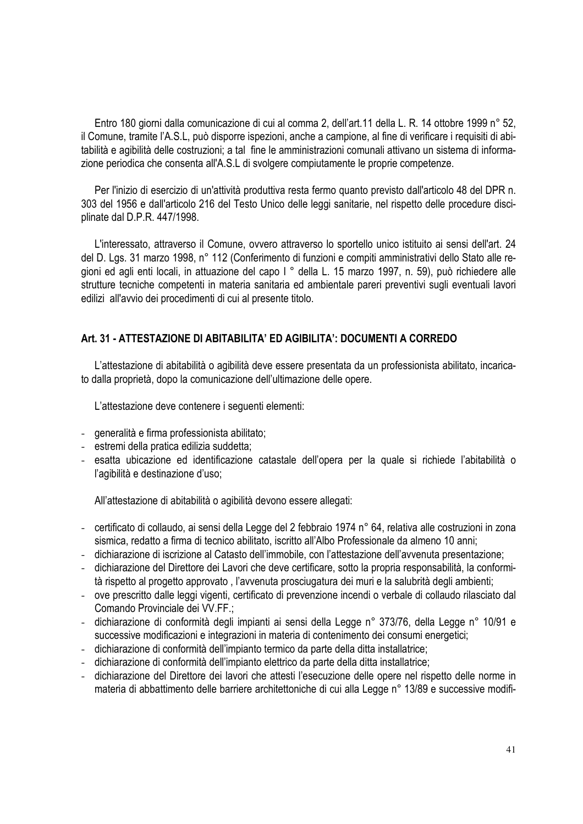Entro 180 giorni dalla comunicazione di cui al comma 2, dell'art.11 della L. R. 14 ottobre 1999 n° 52, il Comune, tramite l'A.S.L, può disporre ispezioni, anche a campione, al fine di verificare i requisiti di abitabilità e agibilità delle costruzioni; a tal fine le amministrazioni comunali attivano un sistema di informazione periodica che consenta all'A.S.L di svolgere compiutamente le proprie competenze.

Per l'inizio di esercizio di un'attività produttiva resta fermo quanto previsto dall'articolo 48 del DPR n. 303 del 1956 e dall'articolo 216 del Testo Unico delle leggi sanitarie, nel rispetto delle procedure disciplinate dal D.P.R. 447/1998.

L'interessato, attraverso il Comune, ovvero attraverso lo sportello unico istituito ai sensi dell'art. 24 del D. Lgs. 31 marzo 1998, n° 112 (Conferimento di funzioni e compiti amministrativi dello Stato alle regioni ed agli enti locali, in attuazione del capo I ° della L. 15 marzo 1997, n. 59), può richiedere alle strutture tecniche competenti in materia sanitaria ed ambientale pareri preventivi sugli eventuali lavori edilizi all'avvio dei procedimenti di cui al presente titolo.

# **Art. 31 - ATTESTAZIONE DI ABITABILITA' ED AGIBILITA': DOCUMENTI A CORREDO**

L'attestazione di abitabilità o agibilità deve essere presentata da un professionista abilitato, incaricato dalla proprietà, dopo la comunicazione dell'ultimazione delle opere.

L'attestazione deve contenere i seguenti elementi:

- generalità e firma professionista abilitato;
- estremi della pratica edilizia suddetta;
- esatta ubicazione ed identificazione catastale dell'opera per la quale si richiede l'abitabilità o l'agibilità e destinazione d'uso;

All'attestazione di abitabilità o agibilità devono essere allegati:

- certificato di collaudo, ai sensi della Legge del 2 febbraio 1974 n° 64, relativa alle costruzioni in zona sismica, redatto a firma di tecnico abilitato, iscritto all'Albo Professionale da almeno 10 anni;
- dichiarazione di iscrizione al Catasto dell'immobile, con l'attestazione dell'avvenuta presentazione;
- dichiarazione del Direttore dei Lavori che deve certificare, sotto la propria responsabilità, la conformità rispetto al progetto approvato , l'avvenuta prosciugatura dei muri e la salubrità degli ambienti;
- ove prescritto dalle leggi vigenti, certificato di prevenzione incendi o verbale di collaudo rilasciato dal Comando Provinciale dei VV.FF.;
- dichiarazione di conformità degli impianti ai sensi della Legge n° 373/76, della Legge n° 10/91 e successive modificazioni e integrazioni in materia di contenimento dei consumi energetici;
- dichiarazione di conformità dell'impianto termico da parte della ditta installatrice;
- dichiarazione di conformità dell'impianto elettrico da parte della ditta installatrice;
- dichiarazione del Direttore dei lavori che attesti l'esecuzione delle opere nel rispetto delle norme in materia di abbattimento delle barriere architettoniche di cui alla Legge n° 13/89 e successive modifi-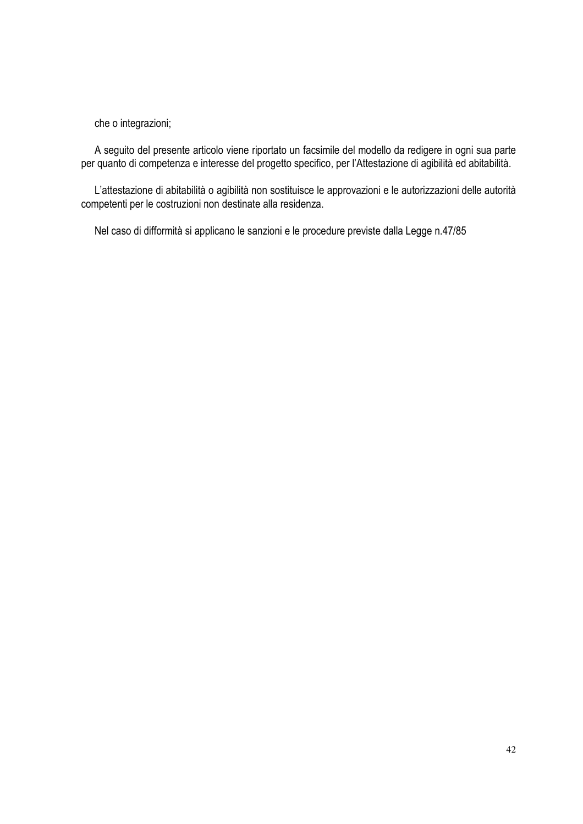che o integrazioni;

A seguito del presente articolo viene riportato un facsimile del modello da redigere in ogni sua parte per quanto di competenza e interesse del progetto specifico, per l'Attestazione di agibilità ed abitabilità.

L'attestazione di abitabilità o agibilità non sostituisce le approvazioni e le autorizzazioni delle autorità competenti per le costruzioni non destinate alla residenza.

Nel caso di difformità si applicano le sanzioni e le procedure previste dalla Legge n.47/85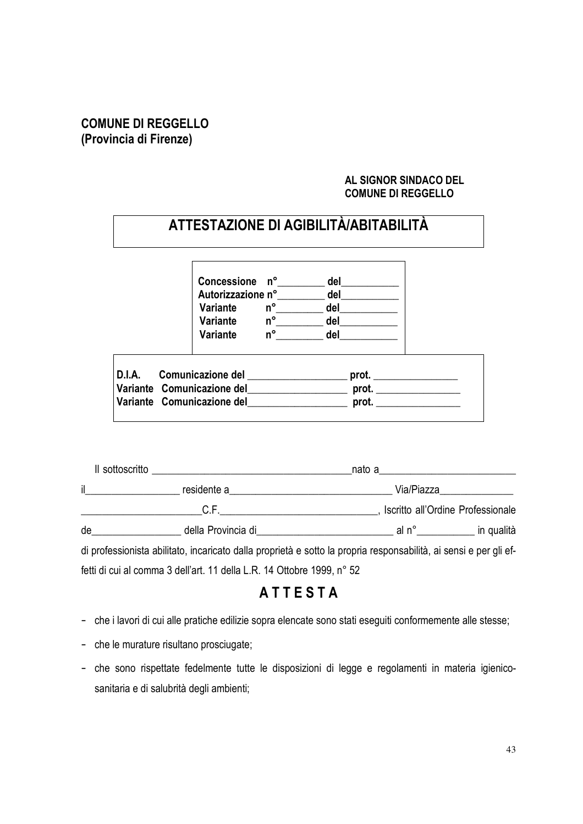# **COMUNE DI REGGELLO (Provincia di Firenze)**

# **AL SIGNOR SINDACO DEL COMUNE DI REGGELLO**

|                            |             | ATTESTAZIONE DI AGIBILITÀ/ABITABILITÀ |  |
|----------------------------|-------------|---------------------------------------|--|
| Concessione n°             |             | del                                   |  |
| Autorizzazione n°          |             | del                                   |  |
| Variante                   | $n^{\circ}$ | del                                   |  |
| Variante                   | $n^{\circ}$ | del                                   |  |
| Variante                   | $n^{\circ}$ | del                                   |  |
| D.I.A. Comunicazione del   |             | prot.                                 |  |
| Variante Comunicazione del |             | prot.                                 |  |
| Variante Comunicazione del |             | prot.                                 |  |

| Il sottoscritto | nato a contracto de la contracto de la contracto de la contracto de la contracto de la contracto de la contracto de la contracto de la contracto de la contracto de la contracto de la contracto de la contracto de la contrac<br><u> 1980 - Jan Samuel Barbara, margaret e populazion del control del control del control de la provincia del con</u> |  |            |                                   |  |
|-----------------|--------------------------------------------------------------------------------------------------------------------------------------------------------------------------------------------------------------------------------------------------------------------------------------------------------------------------------------------------------|--|------------|-----------------------------------|--|
| $\mathbf{I}$    | residente a                                                                                                                                                                                                                                                                                                                                            |  | Via/Piazza |                                   |  |
|                 | C.F                                                                                                                                                                                                                                                                                                                                                    |  |            | Iscritto all'Ordine Professionale |  |
| de              | della Provincia di<br><u>Legando di Espanyologicale di Contra di Contra di Contra di Contra di Contra di Contra di Contra di Contra di Contra di Contra di Contra di Contra di Contra di Contra di Contra di Contra di Contra di C</u>                                                                                                                 |  |            | al n° in qualità                  |  |
|                 | di professionista abilitato, incaricato dalla proprietà e sotto la propria responsabilità, ai sensi e per gli ef-                                                                                                                                                                                                                                      |  |            |                                   |  |

fetti di cui al comma 3 dell'art. 11 della L.R. 14 Ottobre 1999, n° 52

# **A T T E S T A**

- che i lavori di cui alle pratiche edilizie sopra elencate sono stati eseguiti conformemente alle stesse;
- che le murature risultano prosciugate;
- che sono rispettate fedelmente tutte le disposizioni di legge e regolamenti in materia igienicosanitaria e di salubrità degli ambienti;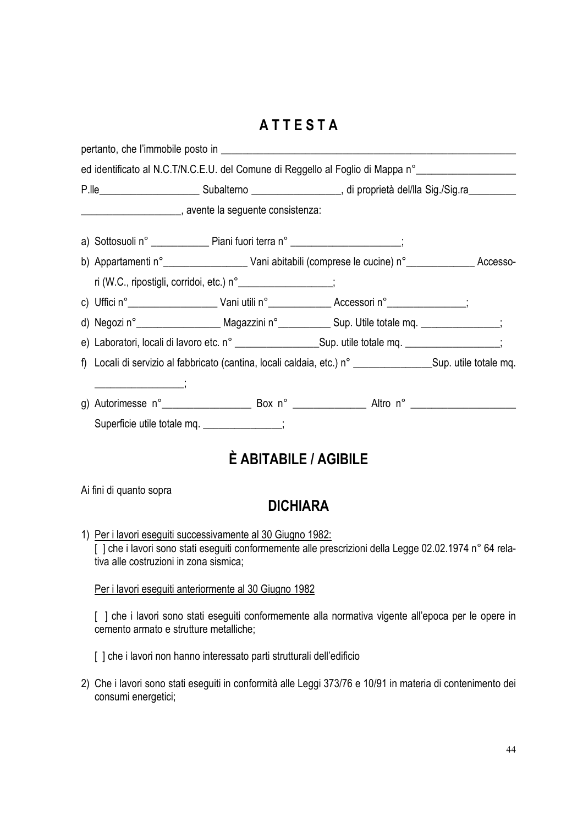# **A T T E S T A**

|  |                                                                                                           |                                                                                                                                                                                                                  | ed identificato al N.C.T/N.C.E.U. del Comune di Reggello al Foglio di Mappa n° ____________________                  |  |  |  |  |
|--|-----------------------------------------------------------------------------------------------------------|------------------------------------------------------------------------------------------------------------------------------------------------------------------------------------------------------------------|----------------------------------------------------------------------------------------------------------------------|--|--|--|--|
|  |                                                                                                           |                                                                                                                                                                                                                  | P.lle_______________________________Subalterno ________________________, di proprietà del/lla Sig./Sig.ra___________ |  |  |  |  |
|  |                                                                                                           | ___________________________, avente la seguente consistenza:                                                                                                                                                     |                                                                                                                      |  |  |  |  |
|  |                                                                                                           | a) Sottosuoli n° _______________ Piani fuori terra n° _____________________;                                                                                                                                     |                                                                                                                      |  |  |  |  |
|  |                                                                                                           |                                                                                                                                                                                                                  | b) Appartamenti n° ______________________ Vani abitabili (comprese le cucine) n° _______________ Accesso-            |  |  |  |  |
|  |                                                                                                           | ri (W.C., ripostigli, corridoi, etc.) n° __________________;                                                                                                                                                     |                                                                                                                      |  |  |  |  |
|  |                                                                                                           |                                                                                                                                                                                                                  |                                                                                                                      |  |  |  |  |
|  |                                                                                                           |                                                                                                                                                                                                                  | d) Negozi n°  ______________________ Magazzini n° _________________ Sup. Utile totale mq. ______________;            |  |  |  |  |
|  | e) Laboratori, locali di lavoro etc. n° ________________________Sup. utile totale mq. __________________; |                                                                                                                                                                                                                  |                                                                                                                      |  |  |  |  |
|  |                                                                                                           |                                                                                                                                                                                                                  | f) Locali di servizio al fabbricato (cantina, locali caldaia, etc.) n° ________________Sup. utile totale mq.         |  |  |  |  |
|  |                                                                                                           |                                                                                                                                                                                                                  | g) Autorimesse n° _______________________ Box n° ____________________ Altro n° _______________________________       |  |  |  |  |
|  |                                                                                                           | Superficie utile totale mq. _____________;                                                                                                                                                                       |                                                                                                                      |  |  |  |  |
|  |                                                                                                           | <b>É ABITABILE / AGIBILE</b>                                                                                                                                                                                     |                                                                                                                      |  |  |  |  |
|  | Ai fini di quanto sopra                                                                                   | <b>DICHIARA</b>                                                                                                                                                                                                  |                                                                                                                      |  |  |  |  |
|  |                                                                                                           | 1) Per i lavori eseguiti successivamente al 30 Giugno 1982:<br>[ ] che i lavori sono stati eseguiti conformemente alle prescrizioni della Legge 02.02.1974 n° 64 rela-<br>tiva alle costruzioni in zona sismica; |                                                                                                                      |  |  |  |  |
|  |                                                                                                           | Per i lavori eseguiti anteriormente al 30 Giugno 1982                                                                                                                                                            |                                                                                                                      |  |  |  |  |

[ ] che i lavori sono stati eseguiti conformemente alla normativa vigente all'epoca per le opere in cemento armato e strutture metalliche;

[ ] che i lavori non hanno interessato parti strutturali dell'edificio

2) Che i lavori sono stati eseguiti in conformità alle Leggi 373/76 e 10/91 in materia di contenimento dei consumi energetici;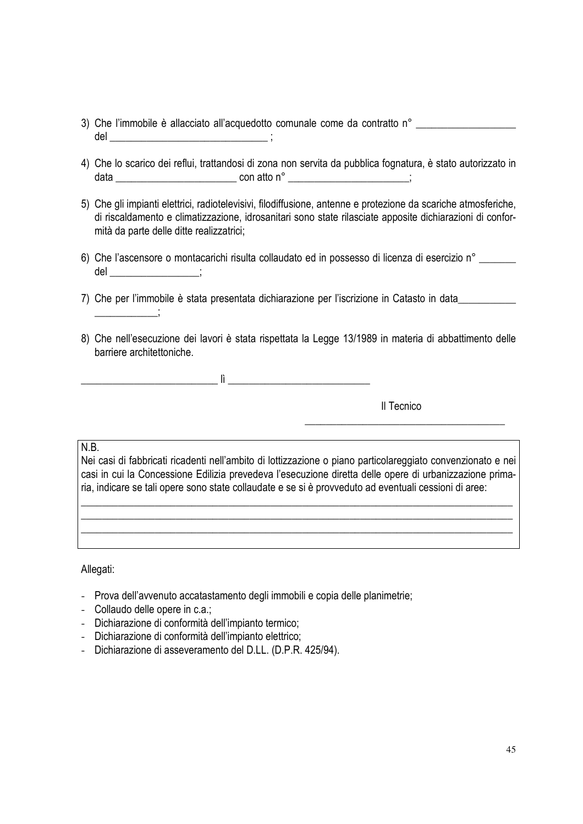- 3) Che l'immobile è allacciato all'acquedotto comunale come da contratto n° \_\_\_\_\_\_\_\_\_\_\_\_\_\_\_\_\_\_\_\_\_\_\_\_\_\_\_\_\_\_\_\_\_\_  $del$   $\qquad \qquad$  ;
- 4) Che lo scarico dei reflui, trattandosi di zona non servita da pubblica fognatura, è stato autorizzato in data \_\_\_\_\_\_\_\_\_\_\_\_\_\_\_\_\_\_\_\_\_\_\_ con atto n° \_\_\_\_\_\_\_\_\_\_\_\_\_\_\_\_\_\_\_\_\_\_\_;
- 5) Che gli impianti elettrici, radiotelevisivi, filodiffusione, antenne e protezione da scariche atmosferiche, di riscaldamento e climatizzazione, idrosanitari sono state rilasciate apposite dichiarazioni di conformità da parte delle ditte realizzatrici;
- 6) Che l'ascensore o montacarichi risulta collaudato ed in possesso di licenza di esercizio n° \_\_\_\_\_\_\_  $del$   $\qquad \qquad ;$
- 7) Che per l'immobile è stata presentata dichiarazione per l'iscrizione in Catasto in data
- 8) Che nell'esecuzione dei lavori è stata rispettata la Legge 13/1989 in materia di abbattimento delle barriere architettoniche.

 $\mathbf{h}$  , and the set of the set of the set of the set of the set of the set of the set of the set of the set of the set of the set of the set of the set of the set of the set of the set of the set of the set of the set

Il Tecnico

#### N.B.

 $\frac{1}{2}$ 

Nei casi di fabbricati ricadenti nell'ambito di lottizzazione o piano particolareggiato convenzionato e nei casi in cui la Concessione Edilizia prevedeva l'esecuzione diretta delle opere di urbanizzazione primaria, indicare se tali opere sono state collaudate e se si è provveduto ad eventuali cessioni di aree:

\_\_\_\_\_\_\_\_\_\_\_\_\_\_\_\_\_\_\_\_\_\_\_\_\_\_\_\_\_\_\_\_\_\_\_\_\_\_\_\_\_\_\_\_\_\_\_\_\_\_\_\_\_\_\_\_\_\_\_\_\_\_\_\_\_\_\_\_\_\_\_\_\_\_\_\_\_\_\_\_\_\_ \_\_\_\_\_\_\_\_\_\_\_\_\_\_\_\_\_\_\_\_\_\_\_\_\_\_\_\_\_\_\_\_\_\_\_\_\_\_\_\_\_\_\_\_\_\_\_\_\_\_\_\_\_\_\_\_\_\_\_\_\_\_\_\_\_\_\_\_\_\_\_\_\_\_\_\_\_\_\_\_\_\_ \_\_\_\_\_\_\_\_\_\_\_\_\_\_\_\_\_\_\_\_\_\_\_\_\_\_\_\_\_\_\_\_\_\_\_\_\_\_\_\_\_\_\_\_\_\_\_\_\_\_\_\_\_\_\_\_\_\_\_\_\_\_\_\_\_\_\_\_\_\_\_\_\_\_\_\_\_\_\_\_\_\_

 $\overline{\phantom{a}}$  , which is a set of the set of the set of the set of the set of the set of the set of the set of the set of the set of the set of the set of the set of the set of the set of the set of the set of the set of th

#### Allegati:

- Prova dell'avvenuto accatastamento degli immobili e copia delle planimetrie;
- Collaudo delle opere in c.a.;
- Dichiarazione di conformità dell'impianto termico;
- Dichiarazione di conformità dell'impianto elettrico;
- Dichiarazione di asseveramento del D.LL. (D.P.R. 425/94).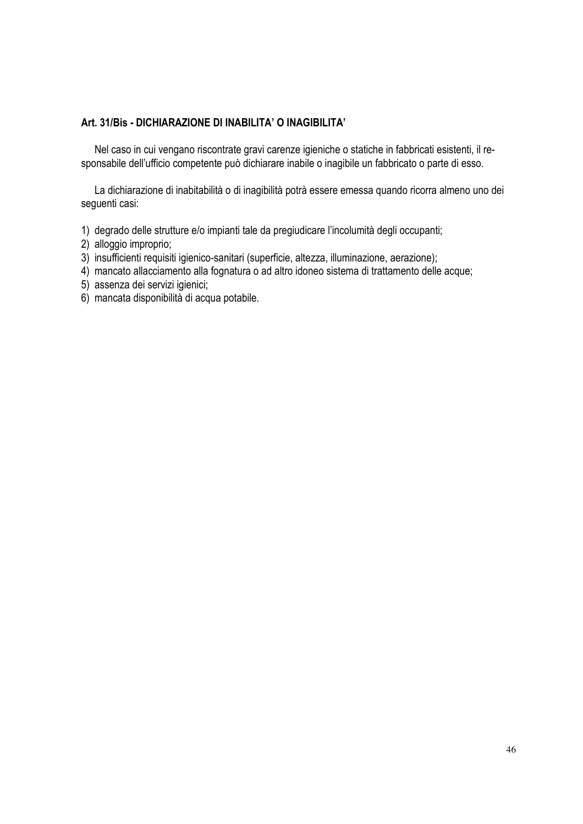# **Art. 31/Bis - DICHIARAZIONE DI INABILITA' O INAGIBILITA'**

Nel caso in cui vengano riscontrate gravi carenze igieniche o statiche in fabbricati esistenti, il responsabile dell'ufficio competente può dichiarare inabile o inagibile un fabbricato o parte di esso.

La dichiarazione di inabitabilità o di inagibilità potrà essere emessa quando ricorra almeno uno dei seguenti casi:

- 1) degrado delle strutture e/o impianti tale da pregiudicare l'incolumità degli occupanti;
- 2) alloggio improprio;
- 3) insufficienti requisiti igienico-sanitari (superficie, altezza, illuminazione, aerazione);
- 4) mancato allacciamento alla fognatura o ad altro idoneo sistema di trattamento delle acque;
- 5) assenza dei servizi igienici;
- 6) mancata disponibilità di acqua potabile.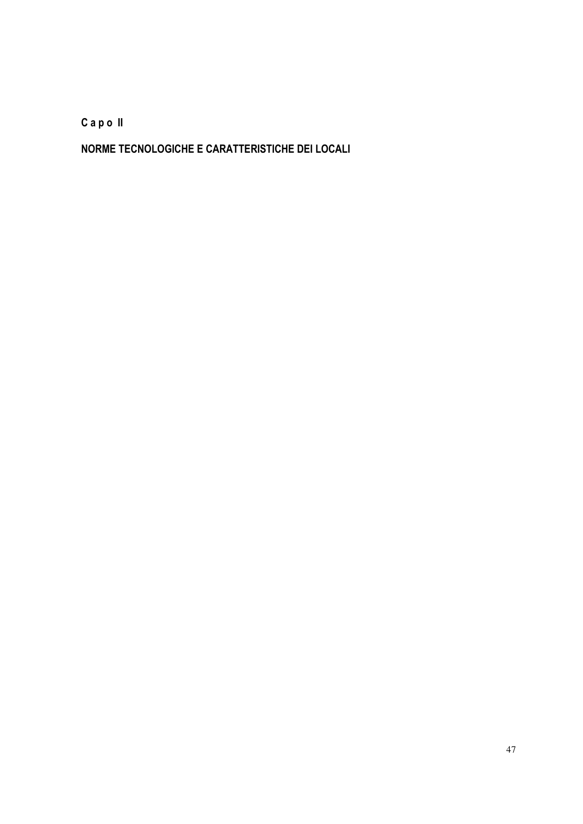**C a p o II** 

**NORME TECNOLOGICHE E CARATTERISTICHE DEI LOCALI**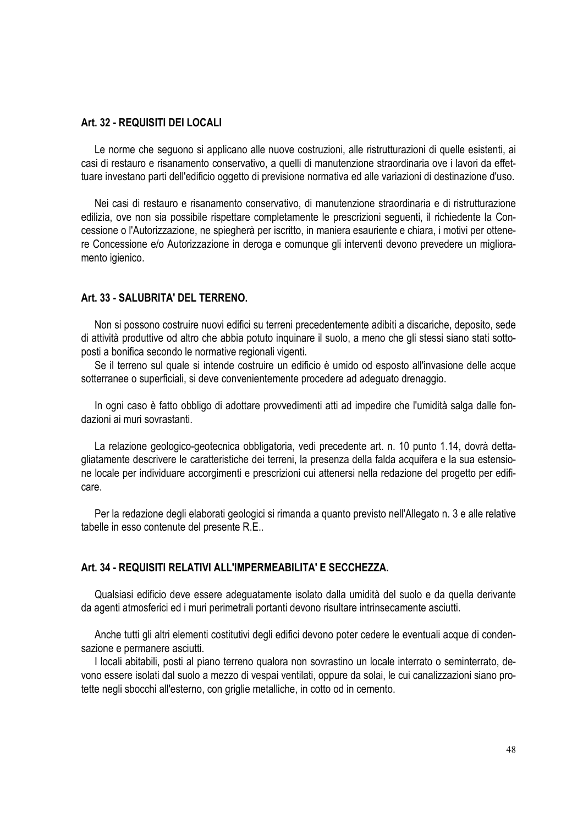# **Art. 32 - REQUISITI DEI LOCALI**

Le norme che seguono si applicano alle nuove costruzioni, alle ristrutturazioni di quelle esistenti, ai casi di restauro e risanamento conservativo, a quelli di manutenzione straordinaria ove i lavori da effettuare investano parti dell'edificio oggetto di previsione normativa ed alle variazioni di destinazione d'uso.

Nei casi di restauro e risanamento conservativo, di manutenzione straordinaria e di ristrutturazione edilizia, ove non sia possibile rispettare completamente le prescrizioni seguenti, il richiedente la Concessione o l'Autorizzazione, ne spiegherà per iscritto, in maniera esauriente e chiara, i motivi per ottenere Concessione e/o Autorizzazione in deroga e comunque gli interventi devono prevedere un miglioramento igienico.

# **Art. 33 - SALUBRITA' DEL TERRENO.**

Non si possono costruire nuovi edifici su terreni precedentemente adibiti a discariche, deposito, sede di attività produttive od altro che abbia potuto inquinare il suolo, a meno che gli stessi siano stati sottoposti a bonifica secondo le normative regionali vigenti.

Se il terreno sul quale si intende costruire un edificio è umido od esposto all'invasione delle acque sotterranee o superficiali, si deve convenientemente procedere ad adeguato drenaggio.

In ogni caso è fatto obbligo di adottare provvedimenti atti ad impedire che l'umidità salga dalle fondazioni ai muri sovrastanti.

La relazione geologico-geotecnica obbligatoria, vedi precedente art. n. 10 punto 1.14, dovrà dettagliatamente descrivere le caratteristiche dei terreni, la presenza della falda acquifera e la sua estensione locale per individuare accorgimenti e prescrizioni cui attenersi nella redazione del progetto per edificare.

Per la redazione degli elaborati geologici si rimanda a quanto previsto nell'Allegato n. 3 e alle relative tabelle in esso contenute del presente R.E..

#### **Art. 34 - REQUISITI RELATIVI ALL'IMPERMEABILITA' E SECCHEZZA.**

Qualsiasi edificio deve essere adeguatamente isolato dalla umidità del suolo e da quella derivante da agenti atmosferici ed i muri perimetrali portanti devono risultare intrinsecamente asciutti.

Anche tutti gli altri elementi costitutivi degli edifici devono poter cedere le eventuali acque di condensazione e permanere asciutti.

I locali abitabili, posti al piano terreno qualora non sovrastino un locale interrato o seminterrato, devono essere isolati dal suolo a mezzo di vespai ventilati, oppure da solai, le cui canalizzazioni siano protette negli sbocchi all'esterno, con griglie metalliche, in cotto od in cemento.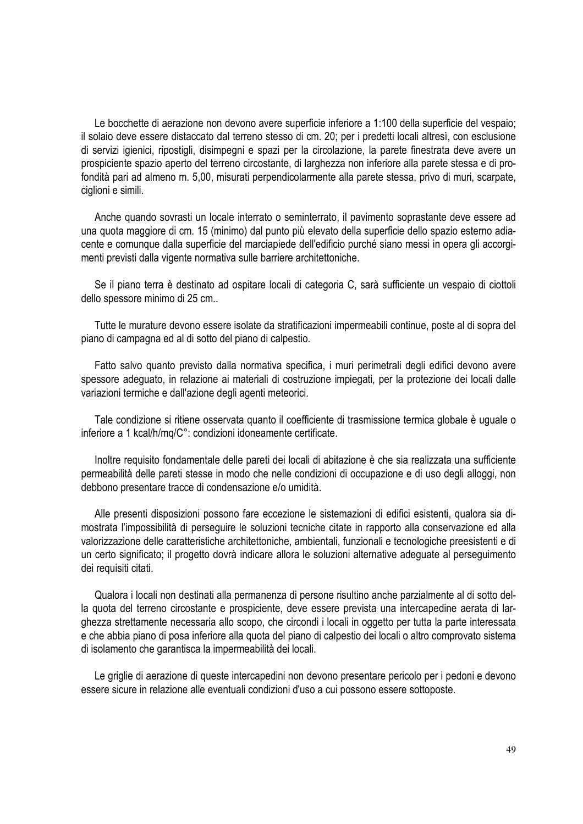Le bocchette di aerazione non devono avere superficie inferiore a 1:100 della superficie del vespaio; il solaio deve essere distaccato dal terreno stesso di cm. 20; per i predetti locali altresì, con esclusione di servizi igienici, ripostigli, disimpegni e spazi per la circolazione, la parete finestrata deve avere un prospiciente spazio aperto del terreno circostante, di larghezza non inferiore alla parete stessa e di profondità pari ad almeno m. 5,00, misurati perpendicolarmente alla parete stessa, privo di muri, scarpate, ciglioni e simili.

Anche quando sovrasti un locale interrato o seminterrato, il pavimento soprastante deve essere ad una quota maggiore di cm. 15 (minimo) dal punto più elevato della superficie dello spazio esterno adiacente e comunque dalla superficie del marciapiede dell'edificio purché siano messi in opera gli accorgimenti previsti dalla vigente normativa sulle barriere architettoniche.

Se il piano terra è destinato ad ospitare locali di categoria C, sarà sufficiente un vespaio di ciottoli dello spessore minimo di 25 cm..

Tutte le murature devono essere isolate da stratificazioni impermeabili continue, poste al di sopra del piano di campagna ed al di sotto del piano di calpestio.

Fatto salvo quanto previsto dalla normativa specifica, i muri perimetrali degli edifici devono avere spessore adeguato, in relazione ai materiali di costruzione impiegati, per la protezione dei locali dalle variazioni termiche e dall'azione degli agenti meteorici.

Tale condizione si ritiene osservata quanto il coefficiente di trasmissione termica globale è uguale o inferiore a 1 kcal/h/mq/C°: condizioni idoneamente certificate.

Inoltre requisito fondamentale delle pareti dei locali di abitazione è che sia realizzata una sufficiente permeabilità delle pareti stesse in modo che nelle condizioni di occupazione e di uso degli alloggi, non debbono presentare tracce di condensazione e/o umidità.

Alle presenti disposizioni possono fare eccezione le sistemazioni di edifici esistenti, qualora sia dimostrata l'impossibilità di perseguire le soluzioni tecniche citate in rapporto alla conservazione ed alla valorizzazione delle caratteristiche architettoniche, ambientali, funzionali e tecnologiche preesistenti e di un certo significato; il progetto dovrà indicare allora le soluzioni alternative adeguate al perseguimento dei requisiti citati.

Qualora i locali non destinati alla permanenza di persone risultino anche parzialmente al di sotto della quota del terreno circostante e prospiciente, deve essere prevista una intercapedine aerata di larghezza strettamente necessaria allo scopo, che circondi i locali in oggetto per tutta la parte interessata e che abbia piano di posa inferiore alla quota del piano di calpestio dei locali o altro comprovato sistema di isolamento che garantisca la impermeabilità dei locali.

Le griglie di aerazione di queste intercapedini non devono presentare pericolo per i pedoni e devono essere sicure in relazione alle eventuali condizioni d'uso a cui possono essere sottoposte.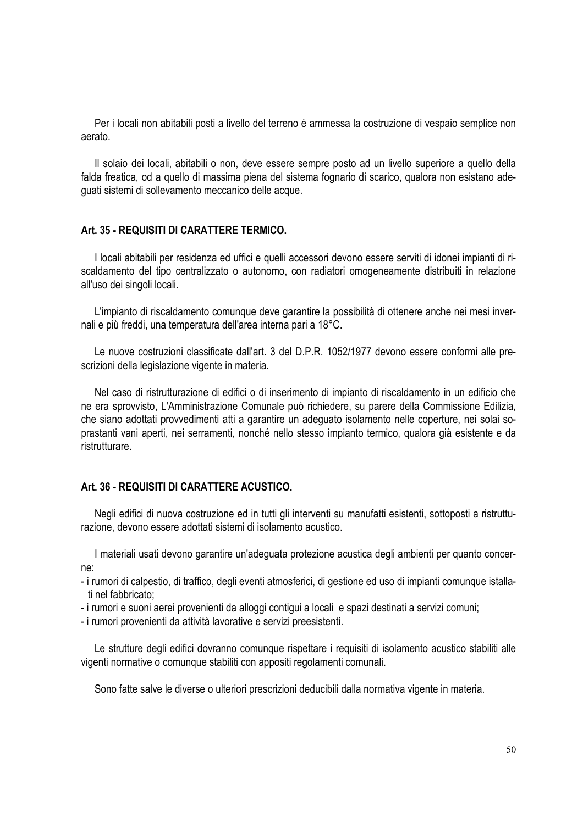Per i locali non abitabili posti a livello del terreno è ammessa la costruzione di vespaio semplice non aerato.

Il solaio dei locali, abitabili o non, deve essere sempre posto ad un livello superiore a quello della falda freatica, od a quello di massima piena del sistema fognario di scarico, qualora non esistano adeguati sistemi di sollevamento meccanico delle acque.

#### **Art. 35 - REQUISITI DI CARATTERE TERMICO.**

I locali abitabili per residenza ed uffici e quelli accessori devono essere serviti di idonei impianti di riscaldamento del tipo centralizzato o autonomo, con radiatori omogeneamente distribuiti in relazione all'uso dei singoli locali.

L'impianto di riscaldamento comunque deve garantire la possibilità di ottenere anche nei mesi invernali e più freddi, una temperatura dell'area interna pari a 18°C.

Le nuove costruzioni classificate dall'art. 3 del D.P.R. 1052/1977 devono essere conformi alle prescrizioni della legislazione vigente in materia.

Nel caso di ristrutturazione di edifici o di inserimento di impianto di riscaldamento in un edificio che ne era sprovvisto, L'Amministrazione Comunale può richiedere, su parere della Commissione Edilizia, che siano adottati provvedimenti atti a garantire un adeguato isolamento nelle coperture, nei solai soprastanti vani aperti, nei serramenti, nonché nello stesso impianto termico, qualora già esistente e da ristrutturare.

# **Art. 36 - REQUISITI DI CARATTERE ACUSTICO.**

Negli edifici di nuova costruzione ed in tutti gli interventi su manufatti esistenti, sottoposti a ristrutturazione, devono essere adottati sistemi di isolamento acustico.

I materiali usati devono garantire un'adeguata protezione acustica degli ambienti per quanto concerne:

- i rumori di calpestio, di traffico, degli eventi atmosferici, di gestione ed uso di impianti comunque istallati nel fabbricato;
- i rumori e suoni aerei provenienti da alloggi contigui a locali e spazi destinati a servizi comuni;
- i rumori provenienti da attività lavorative e servizi preesistenti.

Le strutture degli edifici dovranno comunque rispettare i requisiti di isolamento acustico stabiliti alle vigenti normative o comunque stabiliti con appositi regolamenti comunali.

Sono fatte salve le diverse o ulteriori prescrizioni deducibili dalla normativa vigente in materia.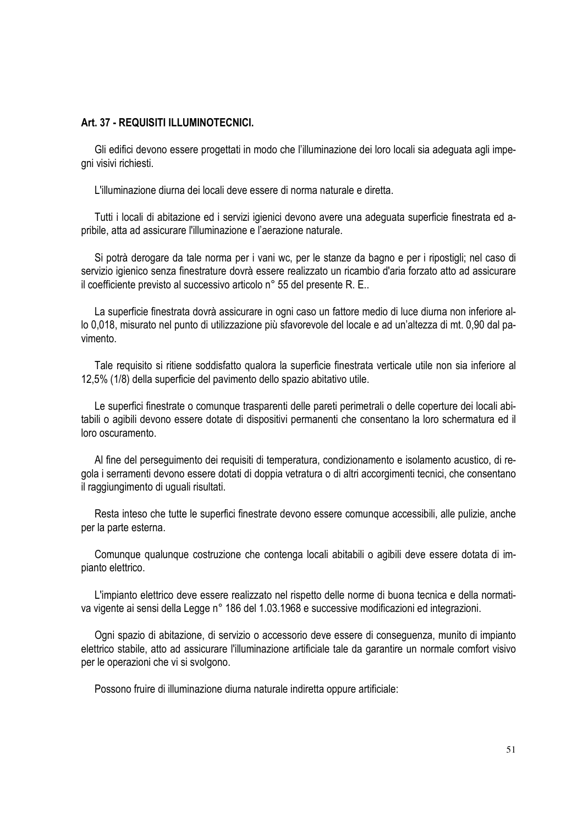#### **Art. 37 - REQUISITI ILLUMINOTECNICI.**

Gli edifici devono essere progettati in modo che l'illuminazione dei loro locali sia adeguata agli impegni visivi richiesti.

L'illuminazione diurna dei locali deve essere di norma naturale e diretta.

Tutti i locali di abitazione ed i servizi igienici devono avere una adeguata superficie finestrata ed apribile, atta ad assicurare l'illuminazione e l'aerazione naturale.

Si potrà derogare da tale norma per i vani wc, per le stanze da bagno e per i ripostigli; nel caso di servizio igienico senza finestrature dovrà essere realizzato un ricambio d'aria forzato atto ad assicurare il coefficiente previsto al successivo articolo n° 55 del presente R. E..

La superficie finestrata dovrà assicurare in ogni caso un fattore medio di luce diurna non inferiore allo 0,018, misurato nel punto di utilizzazione più sfavorevole del locale e ad un'altezza di mt. 0,90 dal pavimento.

Tale requisito si ritiene soddisfatto qualora la superficie finestrata verticale utile non sia inferiore al 12,5% (1/8) della superficie del pavimento dello spazio abitativo utile.

Le superfici finestrate o comunque trasparenti delle pareti perimetrali o delle coperture dei locali abitabili o agibili devono essere dotate di dispositivi permanenti che consentano la loro schermatura ed il loro oscuramento.

Al fine del perseguimento dei requisiti di temperatura, condizionamento e isolamento acustico, di regola i serramenti devono essere dotati di doppia vetratura o di altri accorgimenti tecnici, che consentano il raggiungimento di uguali risultati.

Resta inteso che tutte le superfici finestrate devono essere comunque accessibili, alle pulizie, anche per la parte esterna.

Comunque qualunque costruzione che contenga locali abitabili o agibili deve essere dotata di impianto elettrico.

L'impianto elettrico deve essere realizzato nel rispetto delle norme di buona tecnica e della normativa vigente ai sensi della Legge n° 186 del 1.03.1968 e successive modificazioni ed integrazioni.

Ogni spazio di abitazione, di servizio o accessorio deve essere di conseguenza, munito di impianto elettrico stabile, atto ad assicurare l'illuminazione artificiale tale da garantire un normale comfort visivo per le operazioni che vi si svolgono.

Possono fruire di illuminazione diurna naturale indiretta oppure artificiale: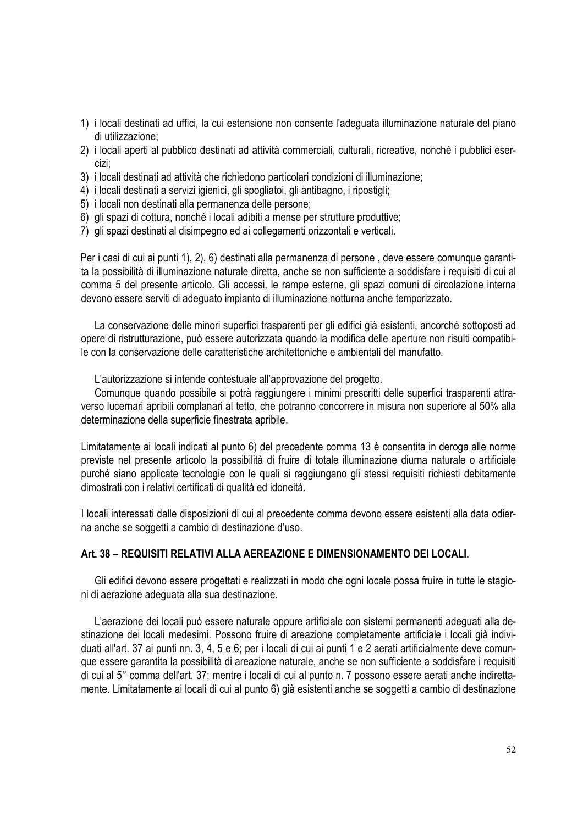- 1) i locali destinati ad uffici, la cui estensione non consente l'adeguata illuminazione naturale del piano di utilizzazione;
- 2) i locali aperti al pubblico destinati ad attività commerciali, culturali, ricreative, nonché i pubblici esercizi;
- 3) i locali destinati ad attività che richiedono particolari condizioni di illuminazione;
- 4) i locali destinati a servizi igienici, gli spogliatoi, gli antibagno, i ripostigli;
- 5) i locali non destinati alla permanenza delle persone;
- 6) gli spazi di cottura, nonché i locali adibiti a mense per strutture produttive;
- 7) gli spazi destinati al disimpegno ed ai collegamenti orizzontali e verticali.

Per i casi di cui ai punti 1), 2), 6) destinati alla permanenza di persone , deve essere comunque garantita la possibilità di illuminazione naturale diretta, anche se non sufficiente a soddisfare i requisiti di cui al comma 5 del presente articolo. Gli accessi, le rampe esterne, gli spazi comuni di circolazione interna devono essere serviti di adeguato impianto di illuminazione notturna anche temporizzato.

La conservazione delle minori superfici trasparenti per gli edifici già esistenti, ancorché sottoposti ad opere di ristrutturazione, può essere autorizzata quando la modifica delle aperture non risulti compatibile con la conservazione delle caratteristiche architettoniche e ambientali del manufatto.

L'autorizzazione si intende contestuale all'approvazione del progetto.

Comunque quando possibile si potrà raggiungere i minimi prescritti delle superfici trasparenti attraverso lucernari apribili complanari al tetto, che potranno concorrere in misura non superiore al 50% alla determinazione della superficie finestrata apribile.

Limitatamente ai locali indicati al punto 6) del precedente comma 13 è consentita in deroga alle norme previste nel presente articolo la possibilità di fruire di totale illuminazione diurna naturale o artificiale purché siano applicate tecnologie con le quali si raggiungano gli stessi requisiti richiesti debitamente dimostrati con i relativi certificati di qualità ed idoneità.

I locali interessati dalle disposizioni di cui al precedente comma devono essere esistenti alla data odierna anche se soggetti a cambio di destinazione d'uso.

# **Art. 38 – REQUISITI RELATIVI ALLA AEREAZIONE E DIMENSIONAMENTO DEI LOCALI.**

Gli edifici devono essere progettati e realizzati in modo che ogni locale possa fruire in tutte le stagioni di aerazione adeguata alla sua destinazione.

L'aerazione dei locali può essere naturale oppure artificiale con sistemi permanenti adeguati alla destinazione dei locali medesimi. Possono fruire di areazione completamente artificiale i locali già individuati all'art. 37 ai punti nn. 3, 4, 5 e 6; per i locali di cui ai punti 1 e 2 aerati artificialmente deve comunque essere garantita la possibilità di areazione naturale, anche se non sufficiente a soddisfare i requisiti di cui al 5° comma dell'art. 37; mentre i locali di cui al punto n. 7 possono essere aerati anche indirettamente. Limitatamente ai locali di cui al punto 6) già esistenti anche se soggetti a cambio di destinazione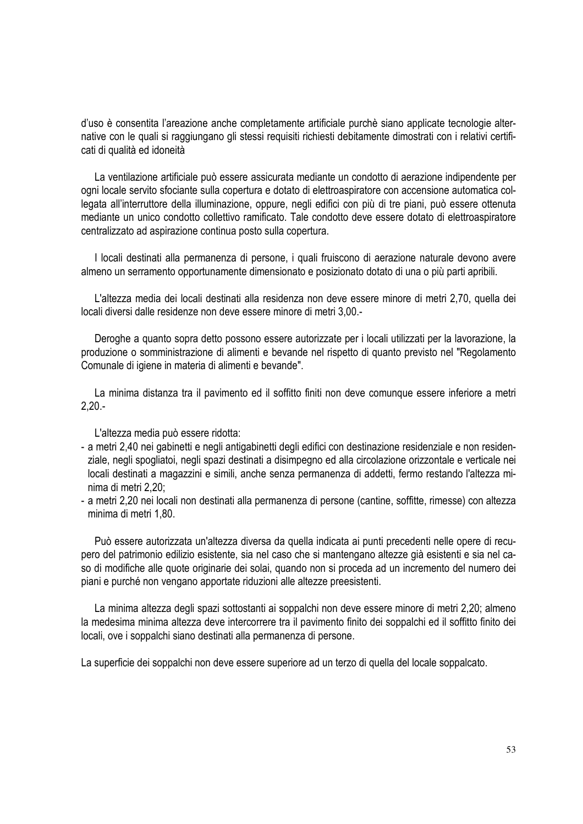d'uso è consentita l'areazione anche completamente artificiale purchè siano applicate tecnologie alternative con le quali si raggiungano gli stessi requisiti richiesti debitamente dimostrati con i relativi certificati di qualità ed idoneità

La ventilazione artificiale può essere assicurata mediante un condotto di aerazione indipendente per ogni locale servito sfociante sulla copertura e dotato di elettroaspiratore con accensione automatica collegata all'interruttore della illuminazione, oppure, negli edifici con più di tre piani, può essere ottenuta mediante un unico condotto collettivo ramificato. Tale condotto deve essere dotato di elettroaspiratore centralizzato ad aspirazione continua posto sulla copertura.

I locali destinati alla permanenza di persone, i quali fruiscono di aerazione naturale devono avere almeno un serramento opportunamente dimensionato e posizionato dotato di una o più parti apribili.

L'altezza media dei locali destinati alla residenza non deve essere minore di metri 2,70, quella dei locali diversi dalle residenze non deve essere minore di metri 3,00.-

Deroghe a quanto sopra detto possono essere autorizzate per i locali utilizzati per la lavorazione, la produzione o somministrazione di alimenti e bevande nel rispetto di quanto previsto nel "Regolamento Comunale di igiene in materia di alimenti e bevande".

La minima distanza tra il pavimento ed il soffitto finiti non deve comunque essere inferiore a metri 2,20.-

L'altezza media può essere ridotta:

- a metri 2,40 nei gabinetti e negli antigabinetti degli edifici con destinazione residenziale e non residenziale, negli spogliatoi, negli spazi destinati a disimpegno ed alla circolazione orizzontale e verticale nei locali destinati a magazzini e simili, anche senza permanenza di addetti, fermo restando l'altezza minima di metri 2,20;
- a metri 2,20 nei locali non destinati alla permanenza di persone (cantine, soffitte, rimesse) con altezza minima di metri 1,80.

Può essere autorizzata un'altezza diversa da quella indicata ai punti precedenti nelle opere di recupero del patrimonio edilizio esistente, sia nel caso che si mantengano altezze già esistenti e sia nel caso di modifiche alle quote originarie dei solai, quando non si proceda ad un incremento del numero dei piani e purché non vengano apportate riduzioni alle altezze preesistenti.

La minima altezza degli spazi sottostanti ai soppalchi non deve essere minore di metri 2,20; almeno la medesima minima altezza deve intercorrere tra il pavimento finito dei soppalchi ed il soffitto finito dei locali, ove i soppalchi siano destinati alla permanenza di persone.

La superficie dei soppalchi non deve essere superiore ad un terzo di quella del locale soppalcato.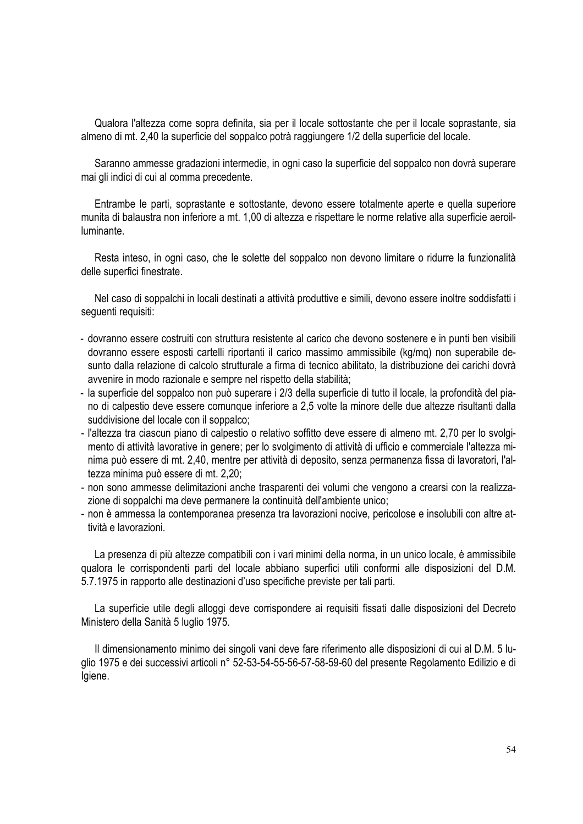Qualora l'altezza come sopra definita, sia per il locale sottostante che per il locale soprastante, sia almeno di mt. 2,40 la superficie del soppalco potrà raggiungere 1/2 della superficie del locale.

Saranno ammesse gradazioni intermedie, in ogni caso la superficie del soppalco non dovrà superare mai gli indici di cui al comma precedente.

Entrambe le parti, soprastante e sottostante, devono essere totalmente aperte e quella superiore munita di balaustra non inferiore a mt. 1,00 di altezza e rispettare le norme relative alla superficie aeroilluminante.

Resta inteso, in ogni caso, che le solette del soppalco non devono limitare o ridurre la funzionalità delle superfici finestrate.

Nel caso di soppalchi in locali destinati a attività produttive e simili, devono essere inoltre soddisfatti i seguenti requisiti:

- dovranno essere costruiti con struttura resistente al carico che devono sostenere e in punti ben visibili dovranno essere esposti cartelli riportanti il carico massimo ammissibile (kg/mq) non superabile desunto dalla relazione di calcolo strutturale a firma di tecnico abilitato, la distribuzione dei carichi dovrà avvenire in modo razionale e sempre nel rispetto della stabilità;
- la superficie del soppalco non può superare i 2/3 della superficie di tutto il locale, la profondità del piano di calpestio deve essere comunque inferiore a 2,5 volte la minore delle due altezze risultanti dalla suddivisione del locale con il soppalco;
- l'altezza tra ciascun piano di calpestio o relativo soffitto deve essere di almeno mt. 2,70 per lo svolgimento di attività lavorative in genere; per lo svolgimento di attività di ufficio e commerciale l'altezza minima può essere di mt. 2,40, mentre per attività di deposito, senza permanenza fissa di lavoratori, l'altezza minima può essere di mt. 2,20;
- non sono ammesse delimitazioni anche trasparenti dei volumi che vengono a crearsi con la realizzazione di soppalchi ma deve permanere la continuità dell'ambiente unico;
- non è ammessa la contemporanea presenza tra lavorazioni nocive, pericolose e insolubili con altre attività e lavorazioni.

La presenza di più altezze compatibili con i vari minimi della norma, in un unico locale, è ammissibile qualora le corrispondenti parti del locale abbiano superfici utili conformi alle disposizioni del D.M. 5.7.1975 in rapporto alle destinazioni d'uso specifiche previste per tali parti.

La superficie utile degli alloggi deve corrispondere ai requisiti fissati dalle disposizioni del Decreto Ministero della Sanità 5 luglio 1975.

Il dimensionamento minimo dei singoli vani deve fare riferimento alle disposizioni di cui al D.M. 5 luglio 1975 e dei successivi articoli n° 52-53-54-55-56-57-58-59-60 del presente Regolamento Edilizio e di Igiene.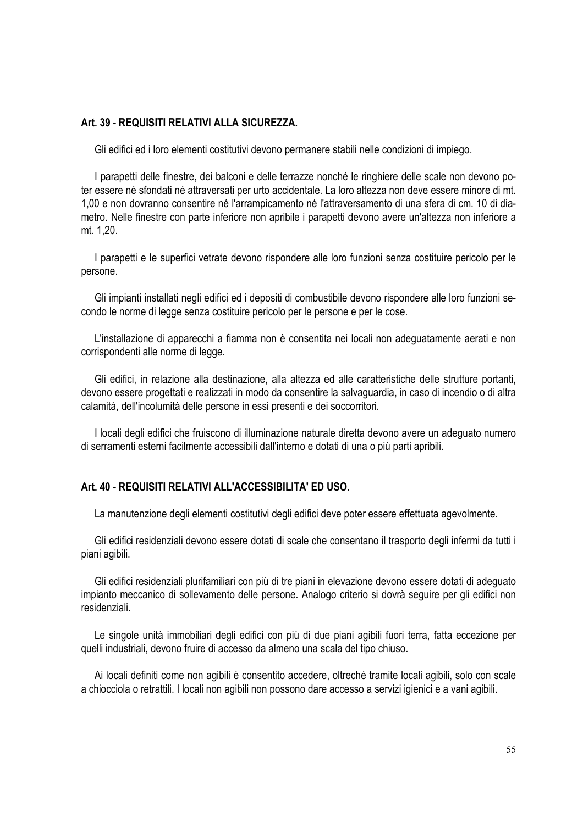# **Art. 39 - REQUISITI RELATIVI ALLA SICUREZZA.**

Gli edifici ed i loro elementi costitutivi devono permanere stabili nelle condizioni di impiego.

I parapetti delle finestre, dei balconi e delle terrazze nonché le ringhiere delle scale non devono poter essere né sfondati né attraversati per urto accidentale. La loro altezza non deve essere minore di mt. 1,00 e non dovranno consentire né l'arrampicamento né l'attraversamento di una sfera di cm. 10 di diametro. Nelle finestre con parte inferiore non apribile i parapetti devono avere un'altezza non inferiore a mt. 1,20.

I parapetti e le superfici vetrate devono rispondere alle loro funzioni senza costituire pericolo per le persone.

Gli impianti installati negli edifici ed i depositi di combustibile devono rispondere alle loro funzioni secondo le norme di legge senza costituire pericolo per le persone e per le cose.

L'installazione di apparecchi a fiamma non è consentita nei locali non adeguatamente aerati e non corrispondenti alle norme di legge.

Gli edifici, in relazione alla destinazione, alla altezza ed alle caratteristiche delle strutture portanti, devono essere progettati e realizzati in modo da consentire la salvaguardia, in caso di incendio o di altra calamità, dell'incolumità delle persone in essi presenti e dei soccorritori.

I locali degli edifici che fruiscono di illuminazione naturale diretta devono avere un adeguato numero di serramenti esterni facilmente accessibili dall'interno e dotati di una o più parti apribili.

# **Art. 40 - REQUISITI RELATIVI ALL'ACCESSIBILITA' ED USO.**

La manutenzione degli elementi costitutivi degli edifici deve poter essere effettuata agevolmente.

Gli edifici residenziali devono essere dotati di scale che consentano il trasporto degli infermi da tutti i piani agibili.

Gli edifici residenziali plurifamiliari con più di tre piani in elevazione devono essere dotati di adeguato impianto meccanico di sollevamento delle persone. Analogo criterio si dovrà seguire per gli edifici non residenziali.

Le singole unità immobiliari degli edifici con più di due piani agibili fuori terra, fatta eccezione per quelli industriali, devono fruire di accesso da almeno una scala del tipo chiuso.

Ai locali definiti come non agibili è consentito accedere, oltreché tramite locali agibili, solo con scale a chiocciola o retrattili. I locali non agibili non possono dare accesso a servizi igienici e a vani agibili.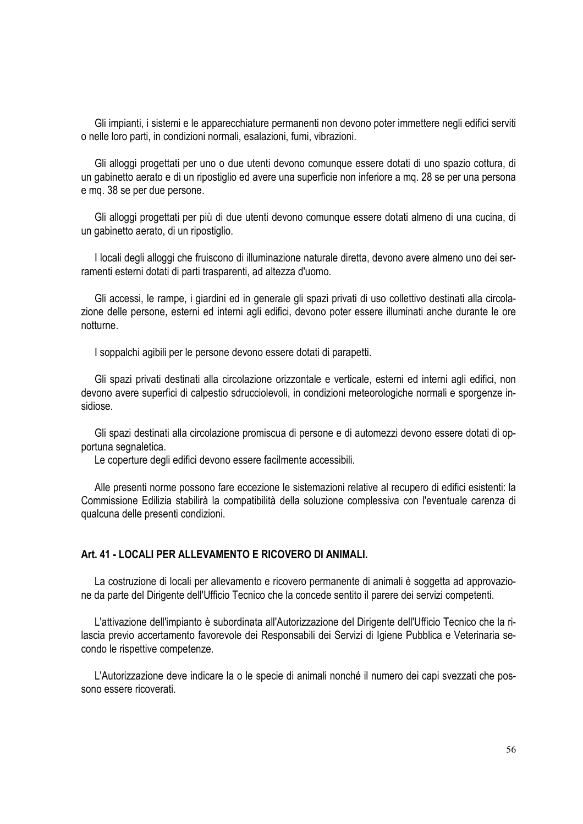Gli impianti, i sistemi e le apparecchiature permanenti non devono poter immettere negli edifici serviti o nelle loro parti, in condizioni normali, esalazioni, fumi, vibrazioni.

Gli alloggi progettati per uno o due utenti devono comunque essere dotati di uno spazio cottura, di un gabinetto aerato e di un ripostiglio ed avere una superficie non inferiore a mq. 28 se per una persona e mq. 38 se per due persone.

Gli alloggi progettati per più di due utenti devono comunque essere dotati almeno di una cucina, di un gabinetto aerato, di un ripostiglio.

I locali degli alloggi che fruiscono di illuminazione naturale diretta, devono avere almeno uno dei serramenti esterni dotati di parti trasparenti, ad altezza d'uomo.

Gli accessi, le rampe, i giardini ed in generale gli spazi privati di uso collettivo destinati alla circolazione delle persone, esterni ed interni agli edifici, devono poter essere illuminati anche durante le ore notturne.

I soppalchi agibili per le persone devono essere dotati di parapetti.

Gli spazi privati destinati alla circolazione orizzontale e verticale, esterni ed interni agli edifici, non devono avere superfici di calpestio sdrucciolevoli, in condizioni meteorologiche normali e sporgenze insidiose.

Gli spazi destinati alla circolazione promiscua di persone e di automezzi devono essere dotati di opportuna segnaletica.

Le coperture degli edifici devono essere facilmente accessibili.

Alle presenti norme possono fare eccezione le sistemazioni relative al recupero di edifici esistenti: la Commissione Edilizia stabilirà la compatibilità della soluzione complessiva con l'eventuale carenza di qualcuna delle presenti condizioni.

# **Art. 41 - LOCALI PER ALLEVAMENTO E RICOVERO DI ANIMALI.**

La costruzione di locali per allevamento e ricovero permanente di animali è soggetta ad approvazione da parte del Dirigente dell'Ufficio Tecnico che la concede sentito il parere dei servizi competenti.

L'attivazione dell'impianto è subordinata all'Autorizzazione del Dirigente dell'Ufficio Tecnico che la rilascia previo accertamento favorevole dei Responsabili dei Servizi di Igiene Pubblica e Veterinaria secondo le rispettive competenze.

L'Autorizzazione deve indicare la o le specie di animali nonché il numero dei capi svezzati che possono essere ricoverati.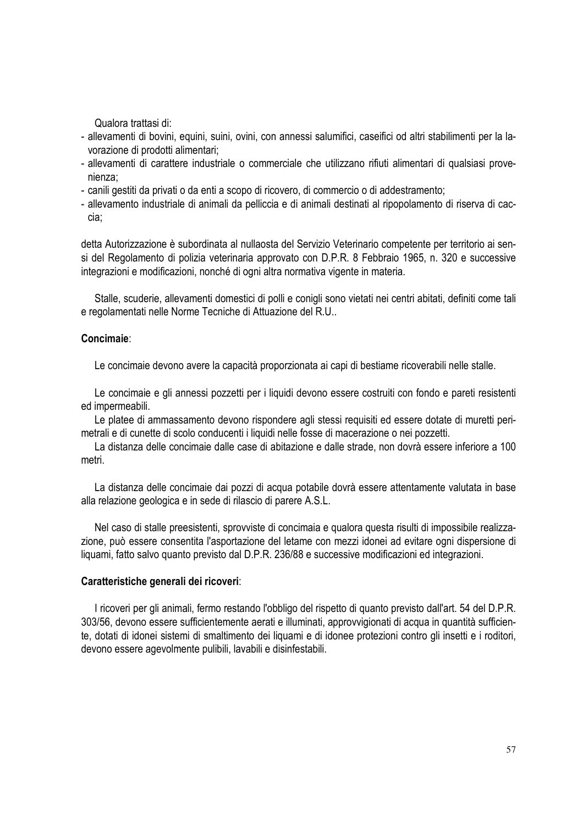Qualora trattasi di:

- allevamenti di bovini, equini, suini, ovini, con annessi salumifici, caseifici od altri stabilimenti per la lavorazione di prodotti alimentari;
- allevamenti di carattere industriale o commerciale che utilizzano rifiuti alimentari di qualsiasi provenienza;
- canili gestiti da privati o da enti a scopo di ricovero, di commercio o di addestramento;
- allevamento industriale di animali da pelliccia e di animali destinati al ripopolamento di riserva di caccia;

detta Autorizzazione è subordinata al nullaosta del Servizio Veterinario competente per territorio ai sensi del Regolamento di polizia veterinaria approvato con D.P.R. 8 Febbraio 1965, n. 320 e successive integrazioni e modificazioni, nonché di ogni altra normativa vigente in materia.

Stalle, scuderie, allevamenti domestici di polli e conigli sono vietati nei centri abitati, definiti come tali e regolamentati nelle Norme Tecniche di Attuazione del R.U..

# **Concimaie**:

Le concimaie devono avere la capacità proporzionata ai capi di bestiame ricoverabili nelle stalle.

Le concimaie e gli annessi pozzetti per i liquidi devono essere costruiti con fondo e pareti resistenti ed impermeabili.

Le platee di ammassamento devono rispondere agli stessi requisiti ed essere dotate di muretti perimetrali e di cunette di scolo conducenti i liquidi nelle fosse di macerazione o nei pozzetti.

La distanza delle concimaie dalle case di abitazione e dalle strade, non dovrà essere inferiore a 100 metri.

La distanza delle concimaie dai pozzi di acqua potabile dovrà essere attentamente valutata in base alla relazione geologica e in sede di rilascio di parere A.S.L.

Nel caso di stalle preesistenti, sprovviste di concimaia e qualora questa risulti di impossibile realizzazione, può essere consentita l'asportazione del letame con mezzi idonei ad evitare ogni dispersione di liquami, fatto salvo quanto previsto dal D.P.R. 236/88 e successive modificazioni ed integrazioni.

#### **Caratteristiche generali dei ricoveri**:

I ricoveri per gli animali, fermo restando l'obbligo del rispetto di quanto previsto dall'art. 54 del D.P.R. 303/56, devono essere sufficientemente aerati e illuminati, approvvigionati di acqua in quantità sufficiente, dotati di idonei sistemi di smaltimento dei liquami e di idonee protezioni contro gli insetti e i roditori, devono essere agevolmente pulibili, lavabili e disinfestabili.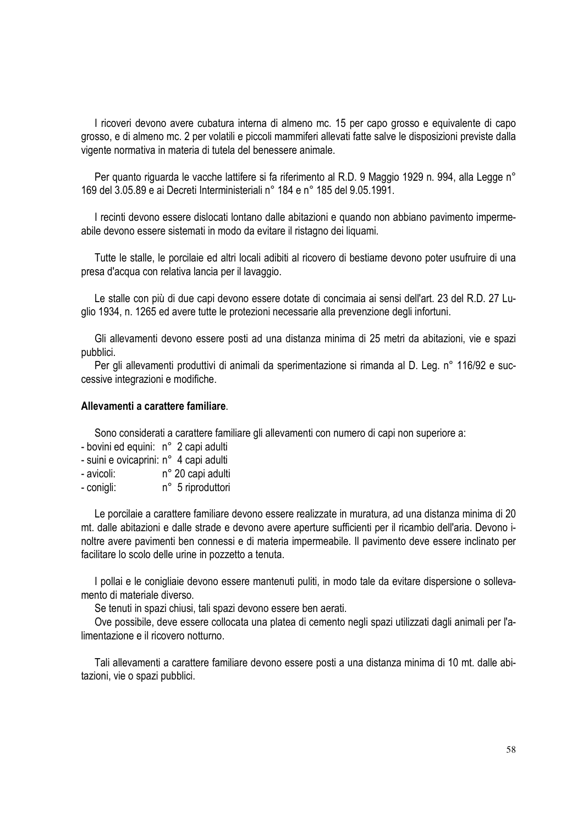I ricoveri devono avere cubatura interna di almeno mc. 15 per capo grosso e equivalente di capo grosso, e di almeno mc. 2 per volatili e piccoli mammiferi allevati fatte salve le disposizioni previste dalla vigente normativa in materia di tutela del benessere animale.

Per quanto riguarda le vacche lattifere si fa riferimento al R.D. 9 Maggio 1929 n. 994, alla Legge n° 169 del 3.05.89 e ai Decreti Interministeriali n° 184 e n° 185 del 9.05.1991.

I recinti devono essere dislocati lontano dalle abitazioni e quando non abbiano pavimento impermeabile devono essere sistemati in modo da evitare il ristagno dei liquami.

Tutte le stalle, le porcilaie ed altri locali adibiti al ricovero di bestiame devono poter usufruire di una presa d'acqua con relativa lancia per il lavaggio.

Le stalle con più di due capi devono essere dotate di concimaia ai sensi dell'art. 23 del R.D. 27 Luglio 1934, n. 1265 ed avere tutte le protezioni necessarie alla prevenzione degli infortuni.

Gli allevamenti devono essere posti ad una distanza minima di 25 metri da abitazioni, vie e spazi pubblici.

Per gli allevamenti produttivi di animali da sperimentazione si rimanda al D. Leg. n° 116/92 e successive integrazioni e modifiche.

#### **Allevamenti a carattere familiare**.

Sono considerati a carattere familiare gli allevamenti con numero di capi non superiore a:

- bovini ed equini: n° 2 capi adulti
- suini e ovicaprini: n° 4 capi adulti
- avicoli: n° 20 capi adulti
- conigli: n° 5 riproduttori

Le porcilaie a carattere familiare devono essere realizzate in muratura, ad una distanza minima di 20 mt. dalle abitazioni e dalle strade e devono avere aperture sufficienti per il ricambio dell'aria. Devono inoltre avere pavimenti ben connessi e di materia impermeabile. Il pavimento deve essere inclinato per facilitare lo scolo delle urine in pozzetto a tenuta.

I pollai e le conigliaie devono essere mantenuti puliti, in modo tale da evitare dispersione o sollevamento di materiale diverso.

Se tenuti in spazi chiusi, tali spazi devono essere ben aerati.

Ove possibile, deve essere collocata una platea di cemento negli spazi utilizzati dagli animali per l'alimentazione e il ricovero notturno.

Tali allevamenti a carattere familiare devono essere posti a una distanza minima di 10 mt. dalle abitazioni, vie o spazi pubblici.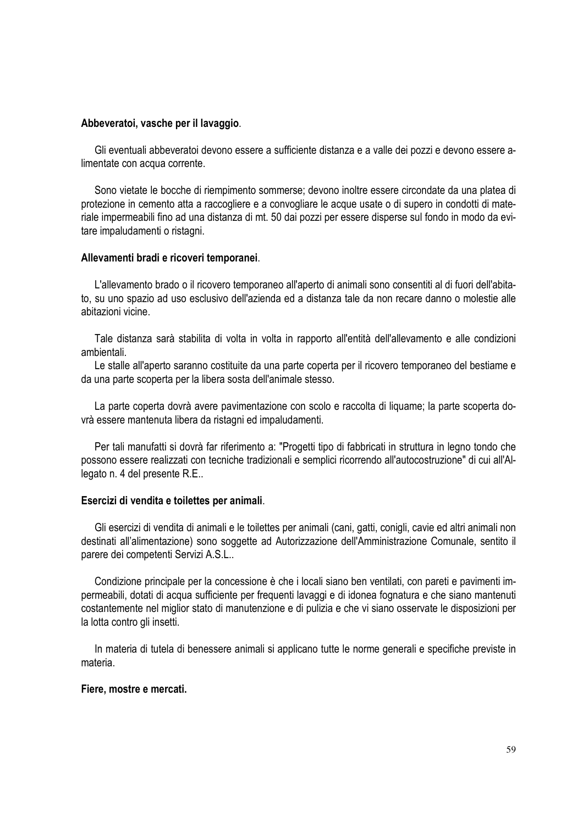#### **Abbeveratoi, vasche per il lavaggio**.

Gli eventuali abbeveratoi devono essere a sufficiente distanza e a valle dei pozzi e devono essere alimentate con acqua corrente.

Sono vietate le bocche di riempimento sommerse; devono inoltre essere circondate da una platea di protezione in cemento atta a raccogliere e a convogliare le acque usate o di supero in condotti di materiale impermeabili fino ad una distanza di mt. 50 dai pozzi per essere disperse sul fondo in modo da evitare impaludamenti o ristagni.

#### **Allevamenti bradi e ricoveri temporanei**.

L'allevamento brado o il ricovero temporaneo all'aperto di animali sono consentiti al di fuori dell'abitato, su uno spazio ad uso esclusivo dell'azienda ed a distanza tale da non recare danno o molestie alle abitazioni vicine.

Tale distanza sarà stabilita di volta in volta in rapporto all'entità dell'allevamento e alle condizioni ambientali.

Le stalle all'aperto saranno costituite da una parte coperta per il ricovero temporaneo del bestiame e da una parte scoperta per la libera sosta dell'animale stesso.

La parte coperta dovrà avere pavimentazione con scolo e raccolta di liquame; la parte scoperta dovrà essere mantenuta libera da ristagni ed impaludamenti.

Per tali manufatti si dovrà far riferimento a: "Progetti tipo di fabbricati in struttura in legno tondo che possono essere realizzati con tecniche tradizionali e semplici ricorrendo all'autocostruzione" di cui all'Allegato n. 4 del presente R.E..

#### **Esercizi di vendita e toilettes per animali**.

Gli esercizi di vendita di animali e le toilettes per animali (cani, gatti, conigli, cavie ed altri animali non destinati all'alimentazione) sono soggette ad Autorizzazione dell'Amministrazione Comunale, sentito il parere dei competenti Servizi A.S.L..

Condizione principale per la concessione è che i locali siano ben ventilati, con pareti e pavimenti impermeabili, dotati di acqua sufficiente per frequenti lavaggi e di idonea fognatura e che siano mantenuti costantemente nel miglior stato di manutenzione e di pulizia e che vi siano osservate le disposizioni per la lotta contro gli insetti.

In materia di tutela di benessere animali si applicano tutte le norme generali e specifiche previste in materia.

#### **Fiere, mostre e mercati.**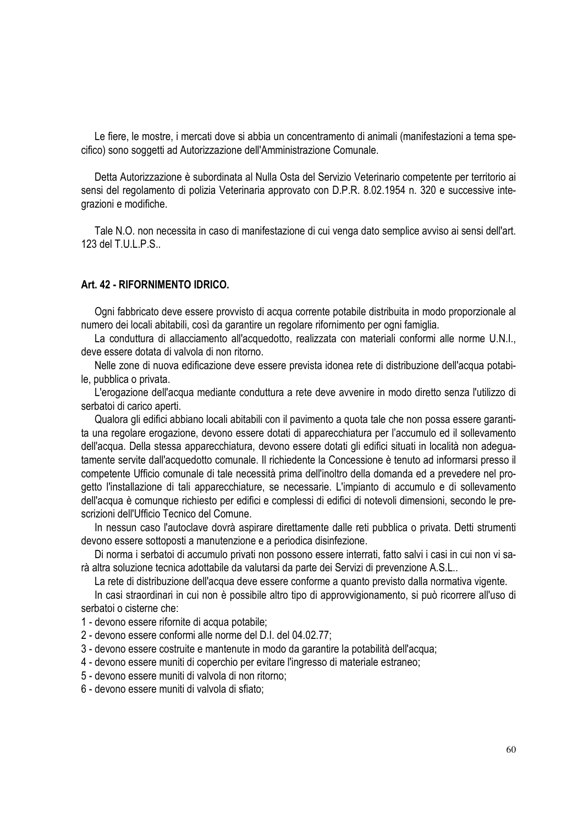Le fiere, le mostre, i mercati dove si abbia un concentramento di animali (manifestazioni a tema specifico) sono soggetti ad Autorizzazione dell'Amministrazione Comunale.

Detta Autorizzazione è subordinata al Nulla Osta del Servizio Veterinario competente per territorio ai sensi del regolamento di polizia Veterinaria approvato con D.P.R. 8.02.1954 n. 320 e successive integrazioni e modifiche.

Tale N.O. non necessita in caso di manifestazione di cui venga dato semplice avviso ai sensi dell'art. 123 del T.U.L.P.S..

# **Art. 42 - RIFORNIMENTO IDRICO.**

Ogni fabbricato deve essere provvisto di acqua corrente potabile distribuita in modo proporzionale al numero dei locali abitabili, così da garantire un regolare rifornimento per ogni famiglia.

La conduttura di allacciamento all'acquedotto, realizzata con materiali conformi alle norme U.N.I., deve essere dotata di valvola di non ritorno.

Nelle zone di nuova edificazione deve essere prevista idonea rete di distribuzione dell'acqua potabile, pubblica o privata.

L'erogazione dell'acqua mediante conduttura a rete deve avvenire in modo diretto senza l'utilizzo di serbatoi di carico aperti.

Qualora gli edifici abbiano locali abitabili con il pavimento a quota tale che non possa essere garantita una regolare erogazione, devono essere dotati di apparecchiatura per l'accumulo ed il sollevamento dell'acqua. Della stessa apparecchiatura, devono essere dotati gli edifici situati in località non adeguatamente servite dall'acquedotto comunale. Il richiedente la Concessione è tenuto ad informarsi presso il competente Ufficio comunale di tale necessità prima dell'inoltro della domanda ed a prevedere nel progetto l'installazione di tali apparecchiature, se necessarie. L'impianto di accumulo e di sollevamento dell'acqua è comunque richiesto per edifici e complessi di edifici di notevoli dimensioni, secondo le prescrizioni dell'Ufficio Tecnico del Comune.

In nessun caso l'autoclave dovrà aspirare direttamente dalle reti pubblica o privata. Detti strumenti devono essere sottoposti a manutenzione e a periodica disinfezione.

Di norma i serbatoi di accumulo privati non possono essere interrati, fatto salvi i casi in cui non vi sarà altra soluzione tecnica adottabile da valutarsi da parte dei Servizi di prevenzione A.S.L..

La rete di distribuzione dell'acqua deve essere conforme a quanto previsto dalla normativa vigente.

In casi straordinari in cui non è possibile altro tipo di approvvigionamento, si può ricorrere all'uso di serbatoi o cisterne che:

- 1 devono essere rifornite di acqua potabile;
- 2 devono essere conformi alle norme del D.I. del 04.02.77;
- 3 devono essere costruite e mantenute in modo da garantire la potabilità dell'acqua;
- 4 devono essere muniti di coperchio per evitare l'ingresso di materiale estraneo;
- 5 devono essere muniti di valvola di non ritorno;
- 6 devono essere muniti di valvola di sfiato;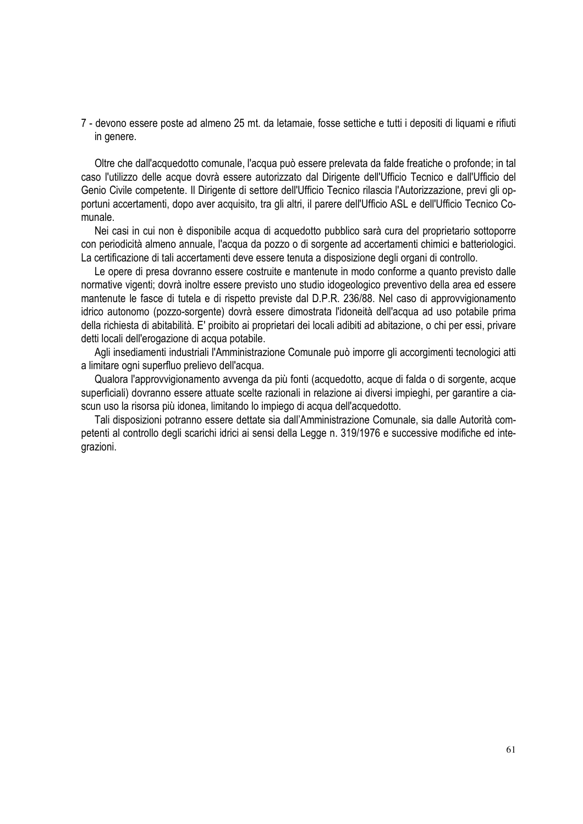7 - devono essere poste ad almeno 25 mt. da letamaie, fosse settiche e tutti i depositi di liquami e rifiuti in genere.

Oltre che dall'acquedotto comunale, l'acqua può essere prelevata da falde freatiche o profonde; in tal caso l'utilizzo delle acque dovrà essere autorizzato dal Dirigente dell'Ufficio Tecnico e dall'Ufficio del Genio Civile competente. Il Dirigente di settore dell'Ufficio Tecnico rilascia l'Autorizzazione, previ gli opportuni accertamenti, dopo aver acquisito, tra gli altri, il parere dell'Ufficio ASL e dell'Ufficio Tecnico Comunale.

Nei casi in cui non è disponibile acqua di acquedotto pubblico sarà cura del proprietario sottoporre con periodicità almeno annuale, l'acqua da pozzo o di sorgente ad accertamenti chimici e batteriologici. La certificazione di tali accertamenti deve essere tenuta a disposizione degli organi di controllo.

Le opere di presa dovranno essere costruite e mantenute in modo conforme a quanto previsto dalle normative vigenti; dovrà inoltre essere previsto uno studio idogeologico preventivo della area ed essere mantenute le fasce di tutela e di rispetto previste dal D.P.R. 236/88. Nel caso di approvvigionamento idrico autonomo (pozzo-sorgente) dovrà essere dimostrata l'idoneità dell'acqua ad uso potabile prima della richiesta di abitabilità. E' proibito ai proprietari dei locali adibiti ad abitazione, o chi per essi, privare detti locali dell'erogazione di acqua potabile.

Agli insediamenti industriali l'Amministrazione Comunale può imporre gli accorgimenti tecnologici atti a limitare ogni superfluo prelievo dell'acqua.

Qualora l'approvvigionamento avvenga da più fonti (acquedotto, acque di falda o di sorgente, acque superficiali) dovranno essere attuate scelte razionali in relazione ai diversi impieghi, per garantire a ciascun uso la risorsa più idonea, limitando lo impiego di acqua dell'acquedotto.

Tali disposizioni potranno essere dettate sia dall'Amministrazione Comunale, sia dalle Autorità competenti al controllo degli scarichi idrici ai sensi della Legge n. 319/1976 e successive modifiche ed integrazioni.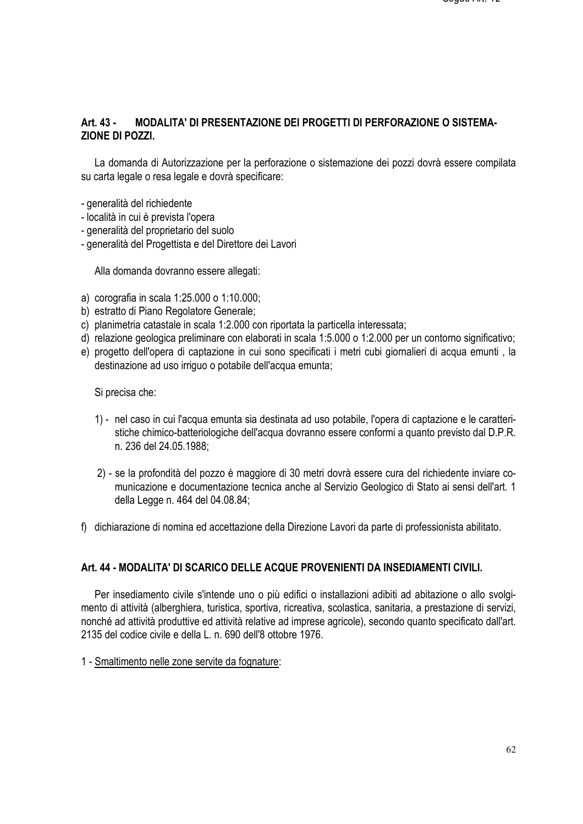# **Art. 43 - MODALITA' DI PRESENTAZIONE DEI PROGETTI DI PERFORAZIONE O SISTEMA-ZIONE DI POZZI.**

La domanda di Autorizzazione per la perforazione o sistemazione dei pozzi dovrà essere compilata su carta legale o resa legale e dovrà specificare:

- generalità del richiedente
- località in cui è prevista l'opera
- generalità del proprietario del suolo
- generalità del Progettista e del Direttore dei Lavori

Alla domanda dovranno essere allegati:

- a) corografia in scala 1:25.000 o 1:10.000;
- b) estratto di Piano Regolatore Generale;
- c) planimetria catastale in scala 1:2.000 con riportata la particella interessata;
- d) relazione geologica preliminare con elaborati in scala 1:5.000 o 1:2.000 per un contorno significativo;
- e) progetto dell'opera di captazione in cui sono specificati i metri cubi giornalieri di acqua emunti , la destinazione ad uso irriguo o potabile dell'acqua emunta;

Si precisa che:

- 1) nel caso in cui l'acqua emunta sia destinata ad uso potabile, l'opera di captazione e le caratteristiche chimico-batteriologiche dell'acqua dovranno essere conformi a quanto previsto dal D.P.R. n. 236 del 24.05.1988;
- 2) se la profondità del pozzo è maggiore di 30 metri dovrà essere cura del richiedente inviare comunicazione e documentazione tecnica anche al Servizio Geologico di Stato ai sensi dell'art. 1 della Legge n. 464 del 04.08.84;
- f) dichiarazione di nomina ed accettazione della Direzione Lavori da parte di professionista abilitato.

# **Art. 44 - MODALITA' DI SCARICO DELLE ACQUE PROVENIENTI DA INSEDIAMENTI CIVILI.**

Per insediamento civile s'intende uno o più edifici o installazioni adibiti ad abitazione o allo svolgimento di attività (alberghiera, turistica, sportiva, ricreativa, scolastica, sanitaria, a prestazione di servizi, nonché ad attività produttive ed attività relative ad imprese agricole), secondo quanto specificato dall'art. 2135 del codice civile e della L. n. 690 dell'8 ottobre 1976.

1 - Smaltimento nelle zone servite da fognature: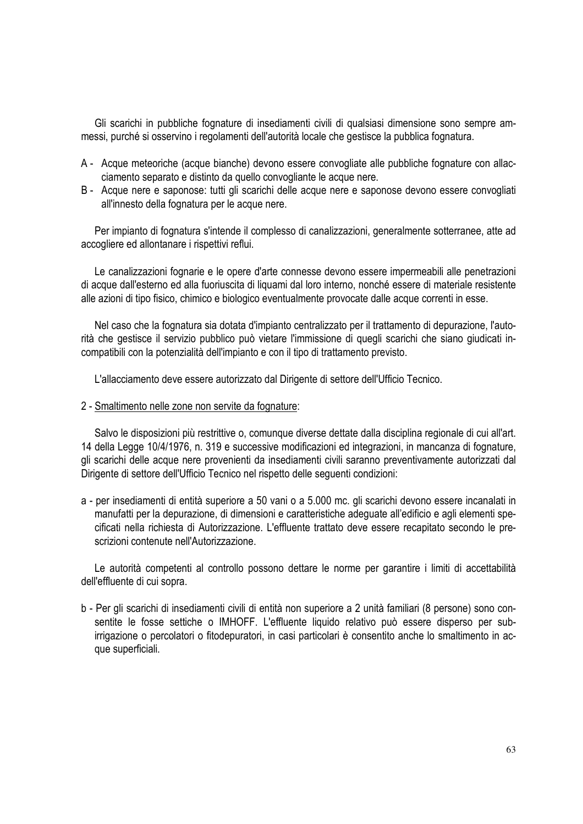Gli scarichi in pubbliche fognature di insediamenti civili di qualsiasi dimensione sono sempre ammessi, purché si osservino i regolamenti dell'autorità locale che gestisce la pubblica fognatura.

- A Acque meteoriche (acque bianche) devono essere convogliate alle pubbliche fognature con allacciamento separato e distinto da quello convogliante le acque nere.
- B Acque nere e saponose: tutti gli scarichi delle acque nere e saponose devono essere convogliati all'innesto della fognatura per le acque nere.

Per impianto di fognatura s'intende il complesso di canalizzazioni, generalmente sotterranee, atte ad accogliere ed allontanare i rispettivi reflui.

Le canalizzazioni fognarie e le opere d'arte connesse devono essere impermeabili alle penetrazioni di acque dall'esterno ed alla fuoriuscita di liquami dal loro interno, nonché essere di materiale resistente alle azioni di tipo fisico, chimico e biologico eventualmente provocate dalle acque correnti in esse.

Nel caso che la fognatura sia dotata d'impianto centralizzato per il trattamento di depurazione, l'autorità che gestisce il servizio pubblico può vietare l'immissione di quegli scarichi che siano giudicati incompatibili con la potenzialità dell'impianto e con il tipo di trattamento previsto.

L'allacciamento deve essere autorizzato dal Dirigente di settore dell'Ufficio Tecnico.

2 - Smaltimento nelle zone non servite da fognature:

Salvo le disposizioni più restrittive o, comunque diverse dettate dalla disciplina regionale di cui all'art. 14 della Legge 10/4/1976, n. 319 e successive modificazioni ed integrazioni, in mancanza di fognature, gli scarichi delle acque nere provenienti da insediamenti civili saranno preventivamente autorizzati dal Dirigente di settore dell'Ufficio Tecnico nel rispetto delle seguenti condizioni:

a - per insediamenti di entità superiore a 50 vani o a 5.000 mc. gli scarichi devono essere incanalati in manufatti per la depurazione, di dimensioni e caratteristiche adeguate all'edificio e agli elementi specificati nella richiesta di Autorizzazione. L'effluente trattato deve essere recapitato secondo le prescrizioni contenute nell'Autorizzazione.

Le autorità competenti al controllo possono dettare le norme per garantire i limiti di accettabilità dell'effluente di cui sopra.

b - Per gli scarichi di insediamenti civili di entità non superiore a 2 unità familiari (8 persone) sono consentite le fosse settiche o IMHOFF. L'effluente liquido relativo può essere disperso per subirrigazione o percolatori o fitodepuratori, in casi particolari è consentito anche lo smaltimento in acque superficiali.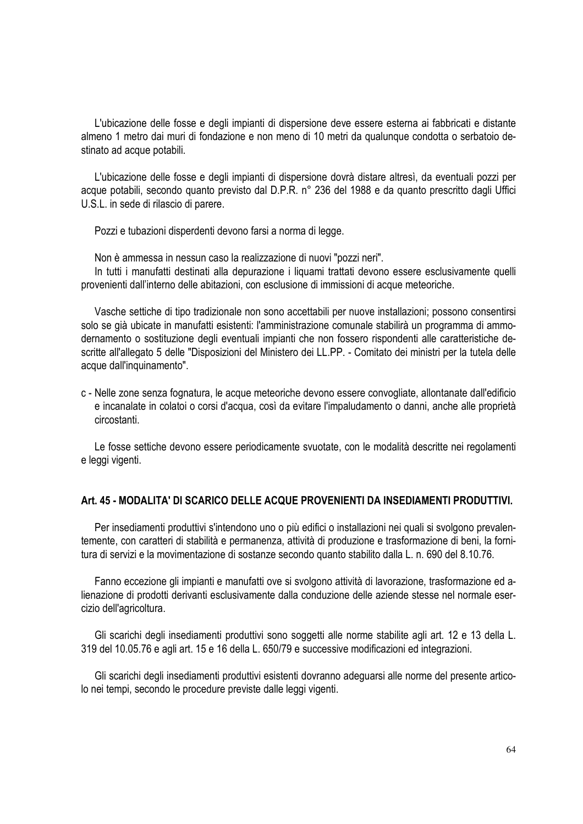L'ubicazione delle fosse e degli impianti di dispersione deve essere esterna ai fabbricati e distante almeno 1 metro dai muri di fondazione e non meno di 10 metri da qualunque condotta o serbatoio destinato ad acque potabili.

L'ubicazione delle fosse e degli impianti di dispersione dovrà distare altresì, da eventuali pozzi per acque potabili, secondo quanto previsto dal D.P.R. n° 236 del 1988 e da quanto prescritto dagli Uffici U.S.L. in sede di rilascio di parere.

Pozzi e tubazioni disperdenti devono farsi a norma di legge.

Non è ammessa in nessun caso la realizzazione di nuovi "pozzi neri".

In tutti i manufatti destinati alla depurazione i liquami trattati devono essere esclusivamente quelli provenienti dall'interno delle abitazioni, con esclusione di immissioni di acque meteoriche.

Vasche settiche di tipo tradizionale non sono accettabili per nuove installazioni; possono consentirsi solo se già ubicate in manufatti esistenti: l'amministrazione comunale stabilirà un programma di ammodernamento o sostituzione degli eventuali impianti che non fossero rispondenti alle caratteristiche descritte all'allegato 5 delle "Disposizioni del Ministero dei LL.PP. - Comitato dei ministri per la tutela delle acque dall'inquinamento".

c - Nelle zone senza fognatura, le acque meteoriche devono essere convogliate, allontanate dall'edificio e incanalate in colatoi o corsi d'acqua, così da evitare l'impaludamento o danni, anche alle proprietà circostanti.

Le fosse settiche devono essere periodicamente svuotate, con le modalità descritte nei regolamenti e leggi vigenti.

#### **Art. 45 - MODALITA' DI SCARICO DELLE ACQUE PROVENIENTI DA INSEDIAMENTI PRODUTTIVI.**

Per insediamenti produttivi s'intendono uno o più edifici o installazioni nei quali si svolgono prevalentemente, con caratteri di stabilità e permanenza, attività di produzione e trasformazione di beni, la fornitura di servizi e la movimentazione di sostanze secondo quanto stabilito dalla L. n. 690 del 8.10.76.

Fanno eccezione gli impianti e manufatti ove si svolgono attività di lavorazione, trasformazione ed alienazione di prodotti derivanti esclusivamente dalla conduzione delle aziende stesse nel normale esercizio dell'agricoltura.

Gli scarichi degli insediamenti produttivi sono soggetti alle norme stabilite agli art. 12 e 13 della L. 319 del 10.05.76 e agli art. 15 e 16 della L. 650/79 e successive modificazioni ed integrazioni.

Gli scarichi degli insediamenti produttivi esistenti dovranno adeguarsi alle norme del presente articolo nei tempi, secondo le procedure previste dalle leggi vigenti.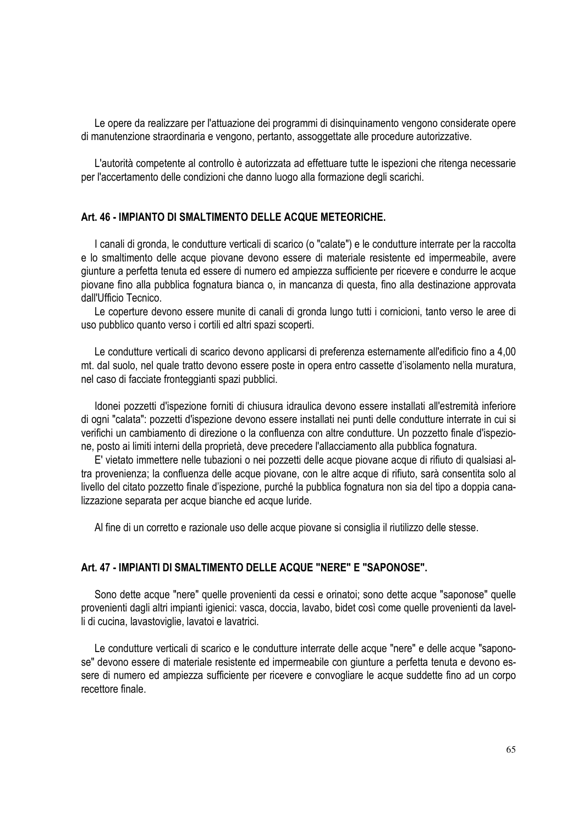Le opere da realizzare per l'attuazione dei programmi di disinquinamento vengono considerate opere di manutenzione straordinaria e vengono, pertanto, assoggettate alle procedure autorizzative.

L'autorità competente al controllo è autorizzata ad effettuare tutte le ispezioni che ritenga necessarie per l'accertamento delle condizioni che danno luogo alla formazione degli scarichi.

#### **Art. 46 - IMPIANTO DI SMALTIMENTO DELLE ACQUE METEORICHE.**

I canali di gronda, le condutture verticali di scarico (o "calate") e le condutture interrate per la raccolta e lo smaltimento delle acque piovane devono essere di materiale resistente ed impermeabile, avere giunture a perfetta tenuta ed essere di numero ed ampiezza sufficiente per ricevere e condurre le acque piovane fino alla pubblica fognatura bianca o, in mancanza di questa, fino alla destinazione approvata dall'Ufficio Tecnico.

Le coperture devono essere munite di canali di gronda lungo tutti i cornicioni, tanto verso le aree di uso pubblico quanto verso i cortili ed altri spazi scoperti.

Le condutture verticali di scarico devono applicarsi di preferenza esternamente all'edificio fino a 4,00 mt. dal suolo, nel quale tratto devono essere poste in opera entro cassette d'isolamento nella muratura, nel caso di facciate fronteggianti spazi pubblici.

Idonei pozzetti d'ispezione forniti di chiusura idraulica devono essere installati all'estremità inferiore di ogni "calata": pozzetti d'ispezione devono essere installati nei punti delle condutture interrate in cui si verifichi un cambiamento di direzione o la confluenza con altre condutture. Un pozzetto finale d'ispezione, posto ai limiti interni della proprietà, deve precedere l'allacciamento alla pubblica fognatura.

E' vietato immettere nelle tubazioni o nei pozzetti delle acque piovane acque di rifiuto di qualsiasi altra provenienza; la confluenza delle acque piovane, con le altre acque di rifiuto, sarà consentita solo al livello del citato pozzetto finale d'ispezione, purché la pubblica fognatura non sia del tipo a doppia canalizzazione separata per acque bianche ed acque luride.

Al fine di un corretto e razionale uso delle acque piovane si consiglia il riutilizzo delle stesse.

# **Art. 47 - IMPIANTI DI SMALTIMENTO DELLE ACQUE "NERE" E "SAPONOSE".**

Sono dette acque "nere" quelle provenienti da cessi e orinatoi; sono dette acque "saponose" quelle provenienti dagli altri impianti igienici: vasca, doccia, lavabo, bidet così come quelle provenienti da lavelli di cucina, lavastoviglie, lavatoi e lavatrici.

Le condutture verticali di scarico e le condutture interrate delle acque "nere" e delle acque "saponose" devono essere di materiale resistente ed impermeabile con giunture a perfetta tenuta e devono essere di numero ed ampiezza sufficiente per ricevere e convogliare le acque suddette fino ad un corpo recettore finale.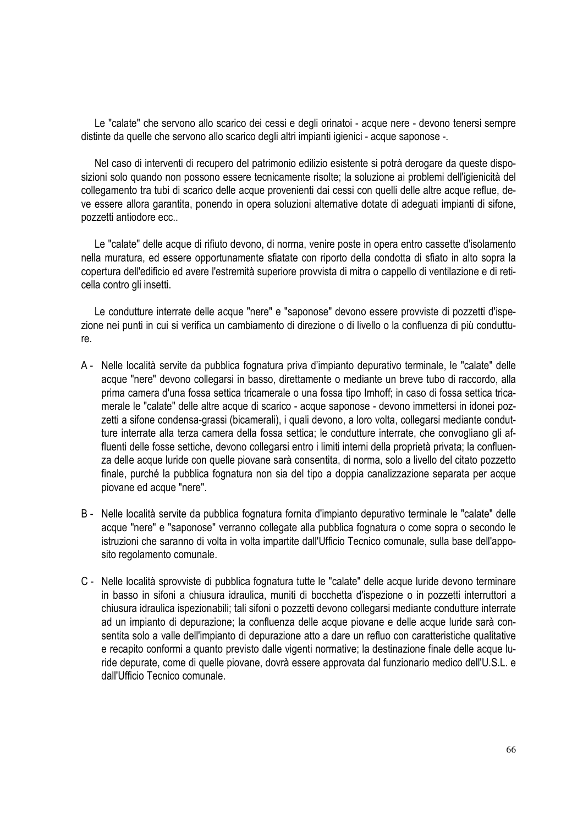Le "calate" che servono allo scarico dei cessi e degli orinatoi - acque nere - devono tenersi sempre distinte da quelle che servono allo scarico degli altri impianti igienici - acque saponose -.

Nel caso di interventi di recupero del patrimonio edilizio esistente si potrà derogare da queste disposizioni solo quando non possono essere tecnicamente risolte; la soluzione ai problemi dell'igienicità del collegamento tra tubi di scarico delle acque provenienti dai cessi con quelli delle altre acque reflue, deve essere allora garantita, ponendo in opera soluzioni alternative dotate di adeguati impianti di sifone, pozzetti antiodore ecc..

Le "calate" delle acque di rifiuto devono, di norma, venire poste in opera entro cassette d'isolamento nella muratura, ed essere opportunamente sfiatate con riporto della condotta di sfiato in alto sopra la copertura dell'edificio ed avere l'estremità superiore provvista di mitra o cappello di ventilazione e di reticella contro gli insetti.

Le condutture interrate delle acque "nere" e "saponose" devono essere provviste di pozzetti d'ispezione nei punti in cui si verifica un cambiamento di direzione o di livello o la confluenza di più condutture.

- A Nelle località servite da pubblica fognatura priva d'impianto depurativo terminale, le "calate" delle acque "nere" devono collegarsi in basso, direttamente o mediante un breve tubo di raccordo, alla prima camera d'una fossa settica tricamerale o una fossa tipo Imhoff; in caso di fossa settica tricamerale le "calate" delle altre acque di scarico - acque saponose - devono immettersi in idonei pozzetti a sifone condensa-grassi (bicamerali), i quali devono, a loro volta, collegarsi mediante condutture interrate alla terza camera della fossa settica; le condutture interrate, che convogliano gli affluenti delle fosse settiche, devono collegarsi entro i limiti interni della proprietà privata; la confluenza delle acque luride con quelle piovane sarà consentita, di norma, solo a livello del citato pozzetto finale, purché la pubblica fognatura non sia del tipo a doppia canalizzazione separata per acque piovane ed acque "nere".
- B Nelle località servite da pubblica fognatura fornita d'impianto depurativo terminale le "calate" delle acque "nere" e "saponose" verranno collegate alla pubblica fognatura o come sopra o secondo le istruzioni che saranno di volta in volta impartite dall'Ufficio Tecnico comunale, sulla base dell'apposito regolamento comunale.
- C Nelle località sprovviste di pubblica fognatura tutte le "calate" delle acque luride devono terminare in basso in sifoni a chiusura idraulica, muniti di bocchetta d'ispezione o in pozzetti interruttori a chiusura idraulica ispezionabili; tali sifoni o pozzetti devono collegarsi mediante condutture interrate ad un impianto di depurazione; la confluenza delle acque piovane e delle acque luride sarà consentita solo a valle dell'impianto di depurazione atto a dare un refluo con caratteristiche qualitative e recapito conformi a quanto previsto dalle vigenti normative; la destinazione finale delle acque luride depurate, come di quelle piovane, dovrà essere approvata dal funzionario medico dell'U.S.L. e dall'Ufficio Tecnico comunale.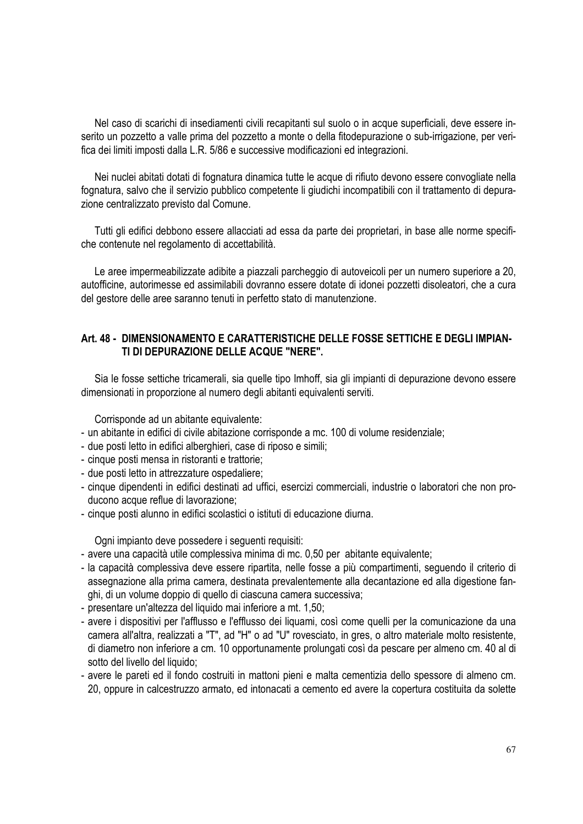Nel caso di scarichi di insediamenti civili recapitanti sul suolo o in acque superficiali, deve essere inserito un pozzetto a valle prima del pozzetto a monte o della fitodepurazione o sub-irrigazione, per verifica dei limiti imposti dalla L.R. 5/86 e successive modificazioni ed integrazioni.

Nei nuclei abitati dotati di fognatura dinamica tutte le acque di rifiuto devono essere convogliate nella fognatura, salvo che il servizio pubblico competente li giudichi incompatibili con il trattamento di depurazione centralizzato previsto dal Comune.

Tutti gli edifici debbono essere allacciati ad essa da parte dei proprietari, in base alle norme specifiche contenute nel regolamento di accettabilità.

Le aree impermeabilizzate adibite a piazzali parcheggio di autoveicoli per un numero superiore a 20, autofficine, autorimesse ed assimilabili dovranno essere dotate di idonei pozzetti disoleatori, che a cura del gestore delle aree saranno tenuti in perfetto stato di manutenzione.

## **Art. 48 - DIMENSIONAMENTO E CARATTERISTICHE DELLE FOSSE SETTICHE E DEGLI IMPIAN-TI DI DEPURAZIONE DELLE ACQUE "NERE".**

Sia le fosse settiche tricamerali, sia quelle tipo Imhoff, sia gli impianti di depurazione devono essere dimensionati in proporzione al numero degli abitanti equivalenti serviti.

Corrisponde ad un abitante equivalente:

- un abitante in edifici di civile abitazione corrisponde a mc. 100 di volume residenziale;
- due posti letto in edifici alberghieri, case di riposo e simili;
- cinque posti mensa in ristoranti e trattorie;
- due posti letto in attrezzature ospedaliere;
- cinque dipendenti in edifici destinati ad uffici, esercizi commerciali, industrie o laboratori che non producono acque reflue di lavorazione;
- cinque posti alunno in edifici scolastici o istituti di educazione diurna.

Ogni impianto deve possedere i seguenti requisiti:

- avere una capacità utile complessiva minima di mc. 0,50 per abitante equivalente;
- la capacità complessiva deve essere ripartita, nelle fosse a più compartimenti, seguendo il criterio di assegnazione alla prima camera, destinata prevalentemente alla decantazione ed alla digestione fanghi, di un volume doppio di quello di ciascuna camera successiva;
- presentare un'altezza del liquido mai inferiore a mt. 1,50;
- avere i dispositivi per l'afflusso e l'efflusso dei liquami, così come quelli per la comunicazione da una camera all'altra, realizzati a "T", ad "H" o ad "U" rovesciato, in gres, o altro materiale molto resistente, di diametro non inferiore a cm. 10 opportunamente prolungati così da pescare per almeno cm. 40 al di sotto del livello del liquido;
- avere le pareti ed il fondo costruiti in mattoni pieni e malta cementizia dello spessore di almeno cm. 20, oppure in calcestruzzo armato, ed intonacati a cemento ed avere la copertura costituita da solette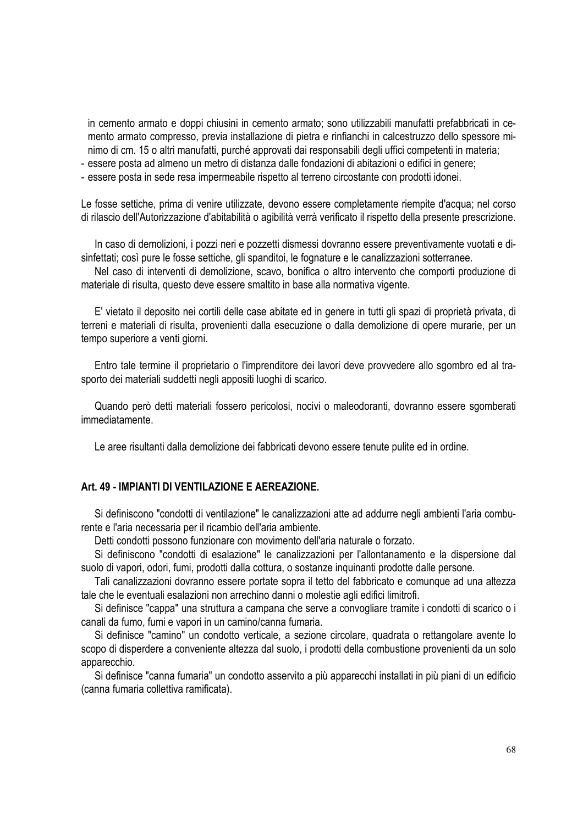in cemento armato e doppi chiusini in cemento armato; sono utilizzabili manufatti prefabbricati in cemento armato compresso, previa installazione di pietra e rinfianchi in calcestruzzo dello spessore minimo di cm. 15 o altri manufatti, purché approvati dai responsabili degli uffici competenti in materia;

- essere posta ad almeno un metro di distanza dalle fondazioni di abitazioni o edifici in genere;

- essere posta in sede resa impermeabile rispetto al terreno circostante con prodotti idonei.

Le fosse settiche, prima di venire utilizzate, devono essere completamente riempite d'acqua; nel corso di rilascio dell'Autorizzazione d'abitabilità o agibilità verrà verificato il rispetto della presente prescrizione.

In caso di demolizioni, i pozzi neri e pozzetti dismessi dovranno essere preventivamente vuotati e disinfettati; così pure le fosse settiche, gli spanditoi, le fognature e le canalizzazioni sotterranee.

Nel caso di interventi di demolizione, scavo, bonifica o altro intervento che comporti produzione di materiale di risulta, questo deve essere smaltito in base alla normativa vigente.

E' vietato il deposito nei cortili delle case abitate ed in genere in tutti gli spazi di proprietà privata, di terreni e materiali di risulta, provenienti dalla esecuzione o dalla demolizione di opere murarie, per un tempo superiore a venti giorni.

Entro tale termine il proprietario o l'imprenditore dei lavori deve provvedere allo sgombro ed al trasporto dei materiali suddetti negli appositi luoghi di scarico.

Quando però detti materiali fossero pericolosi, nocivi o maleodoranti, dovranno essere sgomberati immediatamente.

Le aree risultanti dalla demolizione dei fabbricati devono essere tenute pulite ed in ordine.

## **Art. 49 - IMPIANTI DI VENTILAZIONE E AEREAZIONE.**

Si definiscono "condotti di ventilazione" le canalizzazioni atte ad addurre negli ambienti l'aria comburente e l'aria necessaria per il ricambio dell'aria ambiente.

Detti condotti possono funzionare con movimento dell'aria naturale o forzato.

Si definiscono "condotti di esalazione" le canalizzazioni per l'allontanamento e la dispersione dal suolo di vapori, odori, fumi, prodotti dalla cottura, o sostanze inquinanti prodotte dalle persone.

Tali canalizzazioni dovranno essere portate sopra il tetto del fabbricato e comunque ad una altezza tale che le eventuali esalazioni non arrechino danni o molestie agli edifici limitrofi.

Si definisce "cappa" una struttura a campana che serve a convogliare tramite i condotti di scarico o i canali da fumo, fumi e vapori in un camino/canna fumaria.

Si definisce "camino" un condotto verticale, a sezione circolare, quadrata o rettangolare avente lo scopo di disperdere a conveniente altezza dal suolo, i prodotti della combustione provenienti da un solo apparecchio.

Si definisce "canna fumaria" un condotto asservito a più apparecchi installati in più piani di un edificio (canna fumaria collettiva ramificata).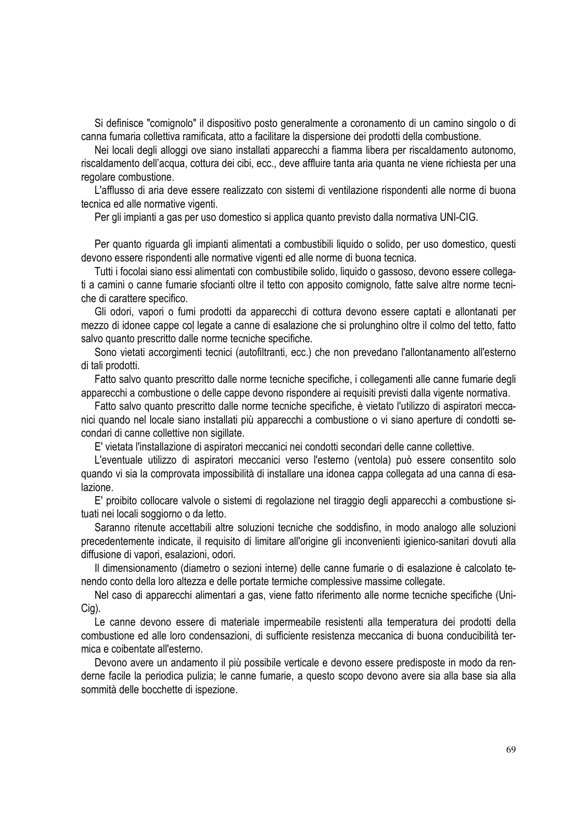Si definisce "comignolo" il dispositivo posto generalmente a coronamento di un camino singolo o di canna fumaria collettiva ramificata, atto a facilitare la dispersione dei prodotti della combustione.

Nei locali degli alloggi ove siano installati apparecchi a fiamma libera per riscaldamento autonomo, riscaldamento dell'acqua, cottura dei cibi, ecc., deve affluire tanta aria quanta ne viene richiesta per una regolare combustione.

L'afflusso di aria deve essere realizzato con sistemi di ventilazione rispondenti alle norme di buona tecnica ed alle normative vigenti.

Per gli impianti a gas per uso domestico si applica quanto previsto dalla normativa UNI-CIG.

Per quanto riguarda gli impianti alimentati a combustibili liquido o solido, per uso domestico, questi devono essere rispondenti alle normative vigenti ed alle norme di buona tecnica.

Tutti i focolai siano essi alimentati con combustibile solido, liquido o gassoso, devono essere collegati a camini o canne fumarie sfocianti oltre il tetto con apposito comignolo, fatte salve altre norme tecniche di carattere specifico.

Gli odori, vapori o fumi prodotti da apparecchi di cottura devono essere captati e allontanati per mezzo di idonee cappe col legate a canne di esalazione che si prolunghino oltre il colmo del tetto, fatto salvo quanto prescritto dalle norme tecniche specifiche.

Sono vietati accorgimenti tecnici (autofiltranti, ecc.) che non prevedano l'allontanamento all'esterno di tali prodotti.

Fatto salvo quanto prescritto dalle norme tecniche specifiche, i collegamenti alle canne fumarie degli apparecchi a combustione o delle cappe devono rispondere ai requisiti previsti dalla vigente normativa.

Fatto salvo quanto prescritto dalle norme tecniche specifiche, è vietato l'utilizzo di aspiratori meccanici quando nel locale siano installati più apparecchi a combustione o vi siano aperture di condotti secondari di canne collettive non sigillate.

E' vietata l'installazione di aspiratori meccanici nei condotti secondari delle canne collettive.

L'eventuale utilizzo di aspiratori meccanici verso l'esterno (ventola) può essere consentito solo quando vi sia la comprovata impossibilità di installare una idonea cappa collegata ad una canna di esalazione.

E' proibito collocare valvole o sistemi di regolazione nel tiraggio degli apparecchi a combustione situati nei locali soggiorno o da letto.

Saranno ritenute accettabili altre soluzioni tecniche che soddisfino, in modo analogo alle soluzioni precedentemente indicate, il requisito di limitare all'origine gli inconvenienti igienico-sanitari dovuti alla diffusione di vapori, esalazioni, odori.

Il dimensionamento (diametro o sezioni interne) delle canne fumarie o di esalazione è calcolato tenendo conto della loro altezza e delle portate termiche complessive massime collegate.

Nel caso di apparecchi alimentari a gas, viene fatto riferimento alle norme tecniche specifiche (Uni-Cig).

Le canne devono essere di materiale impermeabile resistenti alla temperatura dei prodotti della combustione ed alle loro condensazioni, di sufficiente resistenza meccanica di buona conducibilità termica e coibentate all'esterno.

Devono avere un andamento il più possibile verticale e devono essere predisposte in modo da renderne facile la periodica pulizia; le canne fumarie, a questo scopo devono avere sia alla base sia alla sommità delle bocchette di ispezione.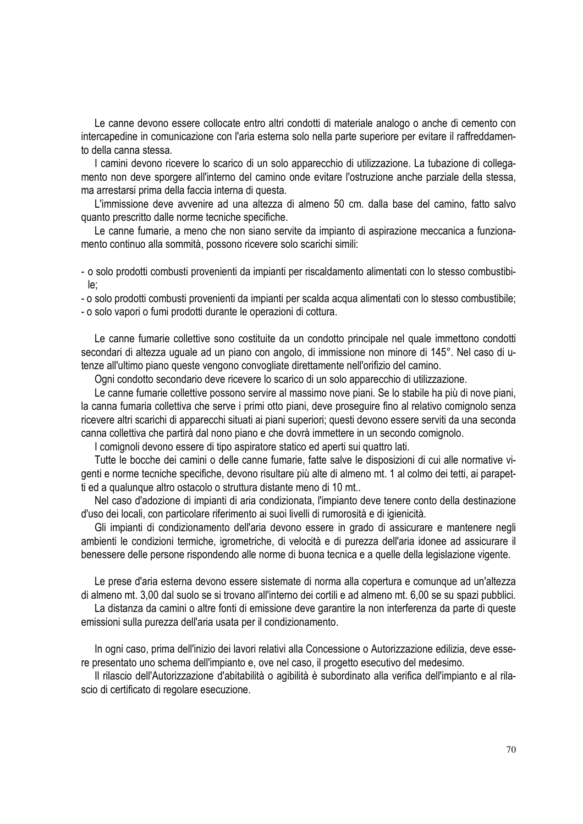Le canne devono essere collocate entro altri condotti di materiale analogo o anche di cemento con intercapedine in comunicazione con l'aria esterna solo nella parte superiore per evitare il raffreddamento della canna stessa.

I camini devono ricevere lo scarico di un solo apparecchio di utilizzazione. La tubazione di collegamento non deve sporgere all'interno del camino onde evitare l'ostruzione anche parziale della stessa, ma arrestarsi prima della faccia interna di questa.

L'immissione deve avvenire ad una altezza di almeno 50 cm. dalla base del camino, fatto salvo quanto prescritto dalle norme tecniche specifiche.

Le canne fumarie, a meno che non siano servite da impianto di aspirazione meccanica a funzionamento continuo alla sommità, possono ricevere solo scarichi simili:

- o solo prodotti combusti provenienti da impianti per riscaldamento alimentati con lo stesso combustibile;

- o solo prodotti combusti provenienti da impianti per scalda acqua alimentati con lo stesso combustibile; - o solo vapori o fumi prodotti durante le operazioni di cottura.

Le canne fumarie collettive sono costituite da un condotto principale nel quale immettono condotti secondari di altezza uguale ad un piano con angolo, di immissione non minore di 145°. Nel caso di utenze all'ultimo piano queste vengono convogliate direttamente nell'orifizio del camino.

Ogni condotto secondario deve ricevere lo scarico di un solo apparecchio di utilizzazione.

Le canne fumarie collettive possono servire al massimo nove piani. Se lo stabile ha più di nove piani, la canna fumaria collettiva che serve i primi otto piani, deve proseguire fino al relativo comignolo senza ricevere altri scarichi di apparecchi situati ai piani superiori; questi devono essere serviti da una seconda canna collettiva che partirà dal nono piano e che dovrà immettere in un secondo comignolo.

I comignoli devono essere di tipo aspiratore statico ed aperti sui quattro lati.

Tutte le bocche dei camini o delle canne fumarie, fatte salve le disposizioni di cui alle normative vigenti e norme tecniche specifiche, devono risultare più alte di almeno mt. 1 al colmo dei tetti, ai parapetti ed a qualunque altro ostacolo o struttura distante meno di 10 mt..

Nel caso d'adozione di impianti di aria condizionata, l'impianto deve tenere conto della destinazione d'uso dei locali, con particolare riferimento ai suoi livelli di rumorosità e di igienicità.

Gli impianti di condizionamento dell'aria devono essere in grado di assicurare e mantenere negli ambienti le condizioni termiche, igrometriche, di velocità e di purezza dell'aria idonee ad assicurare il benessere delle persone rispondendo alle norme di buona tecnica e a quelle della legislazione vigente.

Le prese d'aria esterna devono essere sistemate di norma alla copertura e comunque ad un'altezza di almeno mt. 3,00 dal suolo se si trovano all'interno dei cortili e ad almeno mt. 6,00 se su spazi pubblici. La distanza da camini o altre fonti di emissione deve garantire la non interferenza da parte di queste emissioni sulla purezza dell'aria usata per il condizionamento.

In ogni caso, prima dell'inizio dei lavori relativi alla Concessione o Autorizzazione edilizia, deve essere presentato uno schema dell'impianto e, ove nel caso, il progetto esecutivo del medesimo.

Il rilascio dell'Autorizzazione d'abitabilità o agibilità è subordinato alla verifica dell'impianto e al rilascio di certificato di regolare esecuzione.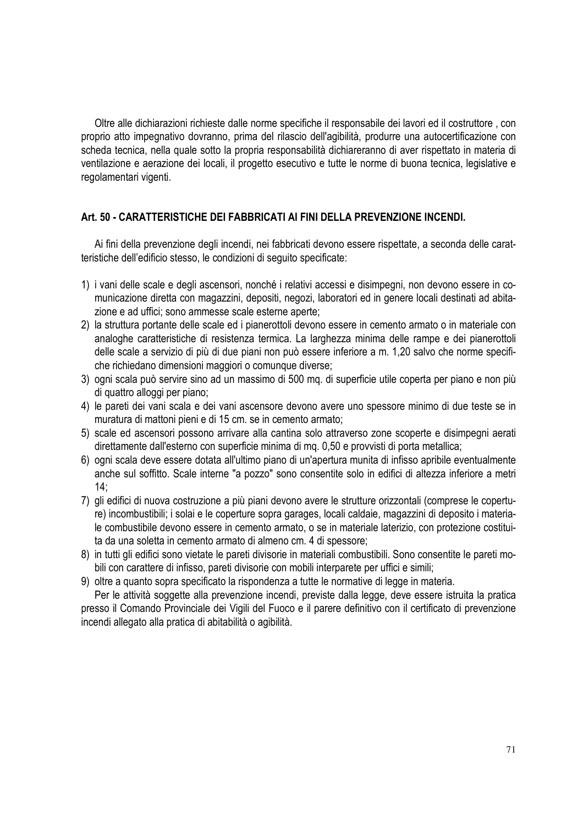Oltre alle dichiarazioni richieste dalle norme specifiche il responsabile dei lavori ed il costruttore , con proprio atto impegnativo dovranno, prima del rilascio dell'agibilità, produrre una autocertificazione con scheda tecnica, nella quale sotto la propria responsabilità dichiareranno di aver rispettato in materia di ventilazione e aerazione dei locali, il progetto esecutivo e tutte le norme di buona tecnica, legislative e regolamentari vigenti.

# **Art. 50 - CARATTERISTICHE DEI FABBRICATI AI FINI DELLA PREVENZIONE INCENDI.**

Ai fini della prevenzione degli incendi, nei fabbricati devono essere rispettate, a seconda delle caratteristiche dell'edificio stesso, le condizioni di seguito specificate:

- 1) i vani delle scale e degli ascensori, nonché i relativi accessi e disimpegni, non devono essere in comunicazione diretta con magazzini, depositi, negozi, laboratori ed in genere locali destinati ad abitazione e ad uffici; sono ammesse scale esterne aperte;
- 2) la struttura portante delle scale ed i pianerottoli devono essere in cemento armato o in materiale con analoghe caratteristiche di resistenza termica. La larghezza minima delle rampe e dei pianerottoli delle scale a servizio di più di due piani non può essere inferiore a m. 1,20 salvo che norme specifiche richiedano dimensioni maggiori o comunque diverse;
- 3) ogni scala può servire sino ad un massimo di 500 mq. di superficie utile coperta per piano e non più di quattro alloggi per piano;
- 4) le pareti dei vani scala e dei vani ascensore devono avere uno spessore minimo di due teste se in muratura di mattoni pieni e di 15 cm. se in cemento armato;
- 5) scale ed ascensori possono arrivare alla cantina solo attraverso zone scoperte e disimpegni aerati direttamente dall'esterno con superficie minima di mq. 0,50 e provvisti di porta metallica;
- 6) ogni scala deve essere dotata all'ultimo piano di un'apertura munita di infisso apribile eventualmente anche sul soffitto. Scale interne "a pozzo" sono consentite solo in edifici di altezza inferiore a metri 14;
- 7) gli edifici di nuova costruzione a più piani devono avere le strutture orizzontali (comprese le coperture) incombustibili; i solai e le coperture sopra garages, locali caldaie, magazzini di deposito i materiale combustibile devono essere in cemento armato, o se in materiale laterizio, con protezione costituita da una soletta in cemento armato di almeno cm. 4 di spessore;
- 8) in tutti gli edifici sono vietate le pareti divisorie in materiali combustibili. Sono consentite le pareti mobili con carattere di infisso, pareti divisorie con mobili interparete per uffici e simili;
- 9) oltre a quanto sopra specificato la rispondenza a tutte le normative di legge in materia.

Per le attività soggette alla prevenzione incendi, previste dalla legge, deve essere istruita la pratica presso il Comando Provinciale dei Vigili del Fuoco e il parere definitivo con il certificato di prevenzione incendi allegato alla pratica di abitabilità o agibilità.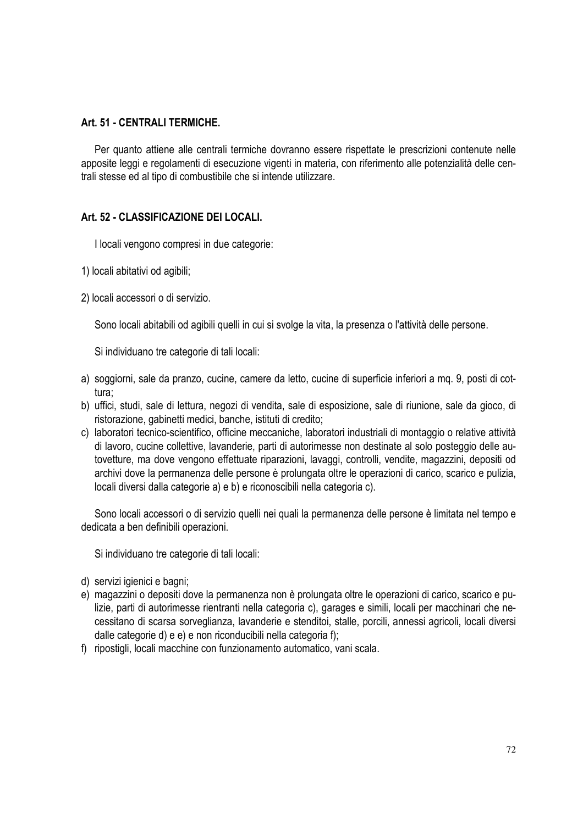## **Art. 51 - CENTRALI TERMICHE.**

Per quanto attiene alle centrali termiche dovranno essere rispettate le prescrizioni contenute nelle apposite leggi e regolamenti di esecuzione vigenti in materia, con riferimento alle potenzialità delle centrali stesse ed al tipo di combustibile che si intende utilizzare.

# **Art. 52 - CLASSIFICAZIONE DEI LOCALI.**

I locali vengono compresi in due categorie:

- 1) locali abitativi od agibili;
- 2) locali accessori o di servizio.

Sono locali abitabili od agibili quelli in cui si svolge la vita, la presenza o l'attività delle persone.

Si individuano tre categorie di tali locali:

- a) soggiorni, sale da pranzo, cucine, camere da letto, cucine di superficie inferiori a mq. 9, posti di cottura;
- b) uffici, studi, sale di lettura, negozi di vendita, sale di esposizione, sale di riunione, sale da gioco, di ristorazione, gabinetti medici, banche, istituti di credito;
- c) laboratori tecnico-scientifico, officine meccaniche, laboratori industriali di montaggio o relative attività di lavoro, cucine collettive, lavanderie, parti di autorimesse non destinate al solo posteggio delle autovetture, ma dove vengono effettuate riparazioni, lavaggi, controlli, vendite, magazzini, depositi od archivi dove la permanenza delle persone è prolungata oltre le operazioni di carico, scarico e pulizia, locali diversi dalla categorie a) e b) e riconoscibili nella categoria c).

Sono locali accessori o di servizio quelli nei quali la permanenza delle persone è limitata nel tempo e dedicata a ben definibili operazioni.

Si individuano tre categorie di tali locali:

- d) servizi igienici e bagni;
- e) magazzini o depositi dove la permanenza non è prolungata oltre le operazioni di carico, scarico e pulizie, parti di autorimesse rientranti nella categoria c), garages e simili, locali per macchinari che necessitano di scarsa sorveglianza, lavanderie e stenditoi, stalle, porcili, annessi agricoli, locali diversi dalle categorie d) e e) e non riconducibili nella categoria f);
- f) ripostigli, locali macchine con funzionamento automatico, vani scala.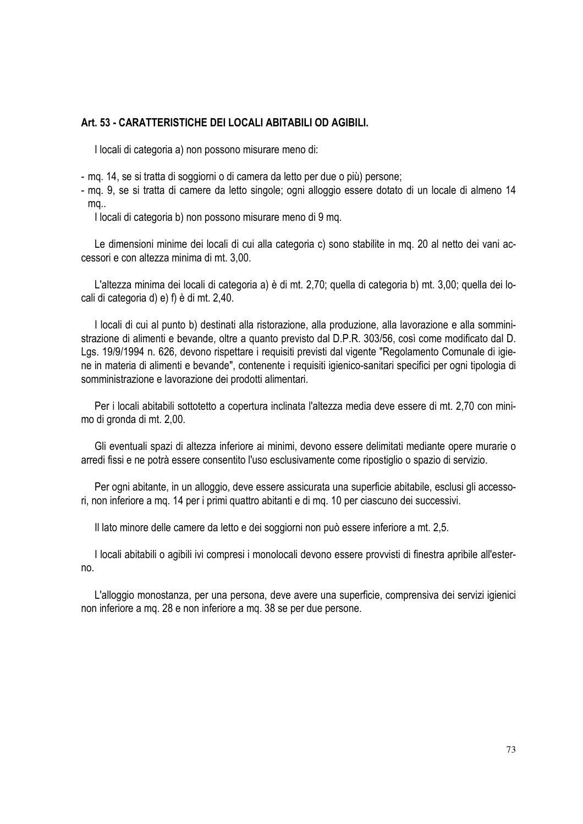## **Art. 53 - CARATTERISTICHE DEI LOCALI ABITABILI OD AGIBILI.**

I locali di categoria a) non possono misurare meno di:

- mq. 14, se si tratta di soggiorni o di camera da letto per due o più) persone;
- mq. 9, se si tratta di camere da letto singole; ogni alloggio essere dotato di un locale di almeno 14 mq..

I locali di categoria b) non possono misurare meno di 9 mq.

Le dimensioni minime dei locali di cui alla categoria c) sono stabilite in mq. 20 al netto dei vani accessori e con altezza minima di mt. 3,00.

L'altezza minima dei locali di categoria a) è di mt. 2,70; quella di categoria b) mt. 3,00; quella dei locali di categoria d) e) f) è di mt. 2,40.

I locali di cui al punto b) destinati alla ristorazione, alla produzione, alla lavorazione e alla somministrazione di alimenti e bevande, oltre a quanto previsto dal D.P.R. 303/56, così come modificato dal D. Lgs. 19/9/1994 n. 626, devono rispettare i requisiti previsti dal vigente "Regolamento Comunale di igiene in materia di alimenti e bevande", contenente i requisiti igienico-sanitari specifici per ogni tipologia di somministrazione e lavorazione dei prodotti alimentari.

Per i locali abitabili sottotetto a copertura inclinata l'altezza media deve essere di mt. 2,70 con minimo di gronda di mt. 2,00.

Gli eventuali spazi di altezza inferiore ai minimi, devono essere delimitati mediante opere murarie o arredi fissi e ne potrà essere consentito l'uso esclusivamente come ripostiglio o spazio di servizio.

Per ogni abitante, in un alloggio, deve essere assicurata una superficie abitabile, esclusi gli accessori, non inferiore a mq. 14 per i primi quattro abitanti e di mq. 10 per ciascuno dei successivi.

Il lato minore delle camere da letto e dei soggiorni non può essere inferiore a mt. 2,5.

I locali abitabili o agibili ivi compresi i monolocali devono essere provvisti di finestra apribile all'esterno.

L'alloggio monostanza, per una persona, deve avere una superficie, comprensiva dei servizi igienici non inferiore a mq. 28 e non inferiore a mq. 38 se per due persone.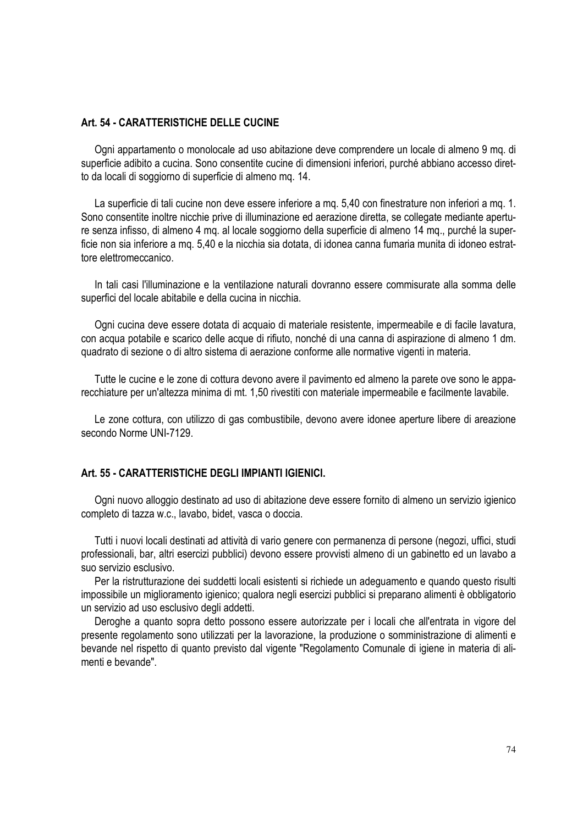## **Art. 54 - CARATTERISTICHE DELLE CUCINE**

Ogni appartamento o monolocale ad uso abitazione deve comprendere un locale di almeno 9 mq. di superficie adibito a cucina. Sono consentite cucine di dimensioni inferiori, purché abbiano accesso diretto da locali di soggiorno di superficie di almeno mq. 14.

La superficie di tali cucine non deve essere inferiore a mq. 5,40 con finestrature non inferiori a mq. 1. Sono consentite inoltre nicchie prive di illuminazione ed aerazione diretta, se collegate mediante aperture senza infisso, di almeno 4 mq. al locale soggiorno della superficie di almeno 14 mq., purché la superficie non sia inferiore a mq. 5,40 e la nicchia sia dotata, di idonea canna fumaria munita di idoneo estrattore elettromeccanico.

In tali casi l'illuminazione e la ventilazione naturali dovranno essere commisurate alla somma delle superfici del locale abitabile e della cucina in nicchia.

Ogni cucina deve essere dotata di acquaio di materiale resistente, impermeabile e di facile lavatura, con acqua potabile e scarico delle acque di rifiuto, nonché di una canna di aspirazione di almeno 1 dm. quadrato di sezione o di altro sistema di aerazione conforme alle normative vigenti in materia.

Tutte le cucine e le zone di cottura devono avere il pavimento ed almeno la parete ove sono le apparecchiature per un'altezza minima di mt. 1,50 rivestiti con materiale impermeabile e facilmente lavabile.

Le zone cottura, con utilizzo di gas combustibile, devono avere idonee aperture libere di areazione secondo Norme UNI-7129.

#### **Art. 55 - CARATTERISTICHE DEGLI IMPIANTI IGIENICI.**

Ogni nuovo alloggio destinato ad uso di abitazione deve essere fornito di almeno un servizio igienico completo di tazza w.c., lavabo, bidet, vasca o doccia.

Tutti i nuovi locali destinati ad attività di vario genere con permanenza di persone (negozi, uffici, studi professionali, bar, altri esercizi pubblici) devono essere provvisti almeno di un gabinetto ed un lavabo a suo servizio esclusivo.

Per la ristrutturazione dei suddetti locali esistenti si richiede un adeguamento e quando questo risulti impossibile un miglioramento igienico; qualora negli esercizi pubblici si preparano alimenti è obbligatorio un servizio ad uso esclusivo degli addetti.

Deroghe a quanto sopra detto possono essere autorizzate per i locali che all'entrata in vigore del presente regolamento sono utilizzati per la lavorazione, la produzione o somministrazione di alimenti e bevande nel rispetto di quanto previsto dal vigente "Regolamento Comunale di igiene in materia di alimenti e bevande".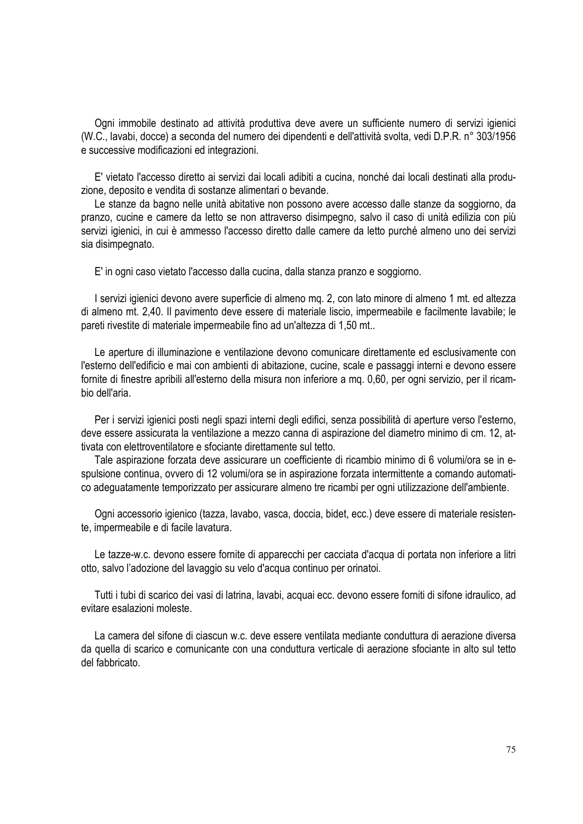Ogni immobile destinato ad attività produttiva deve avere un sufficiente numero di servizi igienici (W.C., lavabi, docce) a seconda del numero dei dipendenti e dell'attività svolta, vedi D.P.R. n° 303/1956 e successive modificazioni ed integrazioni.

E' vietato l'accesso diretto ai servizi dai locali adibiti a cucina, nonché dai locali destinati alla produzione, deposito e vendita di sostanze alimentari o bevande.

Le stanze da bagno nelle unità abitative non possono avere accesso dalle stanze da soggiorno, da pranzo, cucine e camere da letto se non attraverso disimpegno, salvo il caso di unità edilizia con più servizi igienici, in cui è ammesso l'accesso diretto dalle camere da letto purché almeno uno dei servizi sia disimpegnato.

E' in ogni caso vietato l'accesso dalla cucina, dalla stanza pranzo e soggiorno.

I servizi igienici devono avere superficie di almeno mq. 2, con lato minore di almeno 1 mt. ed altezza di almeno mt. 2,40. Il pavimento deve essere di materiale liscio, impermeabile e facilmente lavabile; le pareti rivestite di materiale impermeabile fino ad un'altezza di 1,50 mt..

Le aperture di illuminazione e ventilazione devono comunicare direttamente ed esclusivamente con l'esterno dell'edificio e mai con ambienti di abitazione, cucine, scale e passaggi interni e devono essere fornite di finestre apribili all'esterno della misura non inferiore a mq. 0,60, per ogni servizio, per il ricambio dell'aria.

Per i servizi igienici posti negli spazi interni degli edifici, senza possibilità di aperture verso l'esterno, deve essere assicurata la ventilazione a mezzo canna di aspirazione del diametro minimo di cm. 12, attivata con elettroventilatore e sfociante direttamente sul tetto.

Tale aspirazione forzata deve assicurare un coefficiente di ricambio minimo di 6 volumi/ora se in espulsione continua, ovvero di 12 volumi/ora se in aspirazione forzata intermittente a comando automatico adeguatamente temporizzato per assicurare almeno tre ricambi per ogni utilizzazione dell'ambiente.

Ogni accessorio igienico (tazza, lavabo, vasca, doccia, bidet, ecc.) deve essere di materiale resistente, impermeabile e di facile lavatura.

Le tazze-w.c. devono essere fornite di apparecchi per cacciata d'acqua di portata non inferiore a litri otto, salvo l'adozione del lavaggio su velo d'acqua continuo per orinatoi.

Tutti i tubi di scarico dei vasi di latrina, lavabi, acquai ecc. devono essere forniti di sifone idraulico, ad evitare esalazioni moleste.

La camera del sifone di ciascun w.c. deve essere ventilata mediante conduttura di aerazione diversa da quella di scarico e comunicante con una conduttura verticale di aerazione sfociante in alto sul tetto del fabbricato.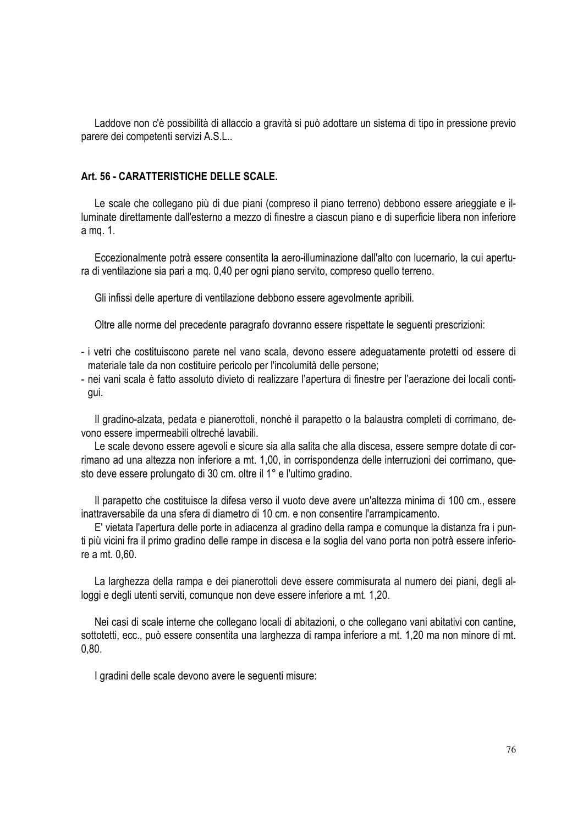Laddove non c'è possibilità di allaccio a gravità si può adottare un sistema di tipo in pressione previo parere dei competenti servizi A.S.L..

## **Art. 56 - CARATTERISTICHE DELLE SCALE.**

Le scale che collegano più di due piani (compreso il piano terreno) debbono essere arieggiate e illuminate direttamente dall'esterno a mezzo di finestre a ciascun piano e di superficie libera non inferiore a mq. 1.

Eccezionalmente potrà essere consentita la aero-illuminazione dall'alto con lucernario, la cui apertura di ventilazione sia pari a mq. 0,40 per ogni piano servito, compreso quello terreno.

Gli infissi delle aperture di ventilazione debbono essere agevolmente apribili.

Oltre alle norme del precedente paragrafo dovranno essere rispettate le seguenti prescrizioni:

- i vetri che costituiscono parete nel vano scala, devono essere adeguatamente protetti od essere di materiale tale da non costituire pericolo per l'incolumità delle persone;
- nei vani scala è fatto assoluto divieto di realizzare l'apertura di finestre per l'aerazione dei locali contigui.

Il gradino-alzata, pedata e pianerottoli, nonché il parapetto o la balaustra completi di corrimano, devono essere impermeabili oltreché lavabili.

Le scale devono essere agevoli e sicure sia alla salita che alla discesa, essere sempre dotate di corrimano ad una altezza non inferiore a mt. 1,00, in corrispondenza delle interruzioni dei corrimano, questo deve essere prolungato di 30 cm. oltre il 1° e l'ultimo gradino.

Il parapetto che costituisce la difesa verso il vuoto deve avere un'altezza minima di 100 cm., essere inattraversabile da una sfera di diametro di 10 cm. e non consentire l'arrampicamento.

E' vietata l'apertura delle porte in adiacenza al gradino della rampa e comunque la distanza fra i punti più vicini fra il primo gradino delle rampe in discesa e la soglia del vano porta non potrà essere inferiore a mt. 0,60.

La larghezza della rampa e dei pianerottoli deve essere commisurata al numero dei piani, degli alloggi e degli utenti serviti, comunque non deve essere inferiore a mt. 1,20.

Nei casi di scale interne che collegano locali di abitazioni, o che collegano vani abitativi con cantine, sottotetti, ecc., può essere consentita una larghezza di rampa inferiore a mt. 1,20 ma non minore di mt. 0,80.

I gradini delle scale devono avere le seguenti misure: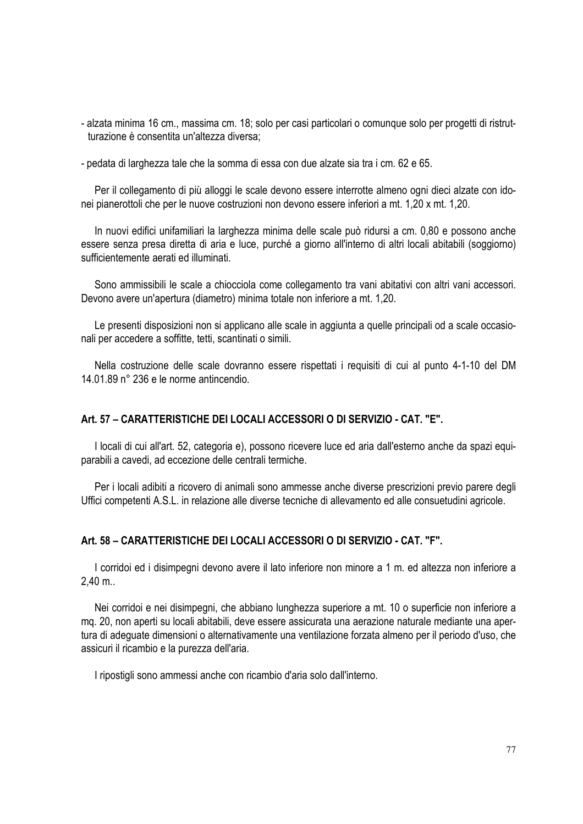- alzata minima 16 cm., massima cm. 18; solo per casi particolari o comunque solo per progetti di ristrutturazione è consentita un'altezza diversa;
- pedata di larghezza tale che la somma di essa con due alzate sia tra i cm. 62 e 65.

Per il collegamento di più alloggi le scale devono essere interrotte almeno ogni dieci alzate con idonei pianerottoli che per le nuove costruzioni non devono essere inferiori a mt. 1,20 x mt. 1,20.

In nuovi edifici unifamiliari la larghezza minima delle scale può ridursi a cm. 0,80 e possono anche essere senza presa diretta di aria e luce, purché a giorno all'interno di altri locali abitabili (soggiorno) sufficientemente aerati ed illuminati.

Sono ammissibili le scale a chiocciola come collegamento tra vani abitativi con altri vani accessori. Devono avere un'apertura (diametro) minima totale non inferiore a mt. 1,20.

Le presenti disposizioni non si applicano alle scale in aggiunta a quelle principali od a scale occasionali per accedere a soffitte, tetti, scantinati o simili.

Nella costruzione delle scale dovranno essere rispettati i requisiti di cui al punto 4-1-10 del DM 14.01.89 n° 236 e le norme antincendio.

## **Art. 57 – CARATTERISTICHE DEI LOCALI ACCESSORI O DI SERVIZIO - CAT. "E".**

I locali di cui all'art. 52, categoria e), possono ricevere luce ed aria dall'esterno anche da spazi equiparabili a cavedi, ad eccezione delle centrali termiche.

Per i locali adibiti a ricovero di animali sono ammesse anche diverse prescrizioni previo parere degli Uffici competenti A.S.L. in relazione alle diverse tecniche di allevamento ed alle consuetudini agricole.

## **Art. 58 – CARATTERISTICHE DEI LOCALI ACCESSORI O DI SERVIZIO - CAT. "F".**

I corridoi ed i disimpegni devono avere il lato inferiore non minore a 1 m. ed altezza non inferiore a 2,40 m..

Nei corridoi e nei disimpegni, che abbiano lunghezza superiore a mt. 10 o superficie non inferiore a mq. 20, non aperti su locali abitabili, deve essere assicurata una aerazione naturale mediante una apertura di adeguate dimensioni o alternativamente una ventilazione forzata almeno per il periodo d'uso, che assicuri il ricambio e la purezza dell'aria.

I ripostigli sono ammessi anche con ricambio d'aria solo dall'interno.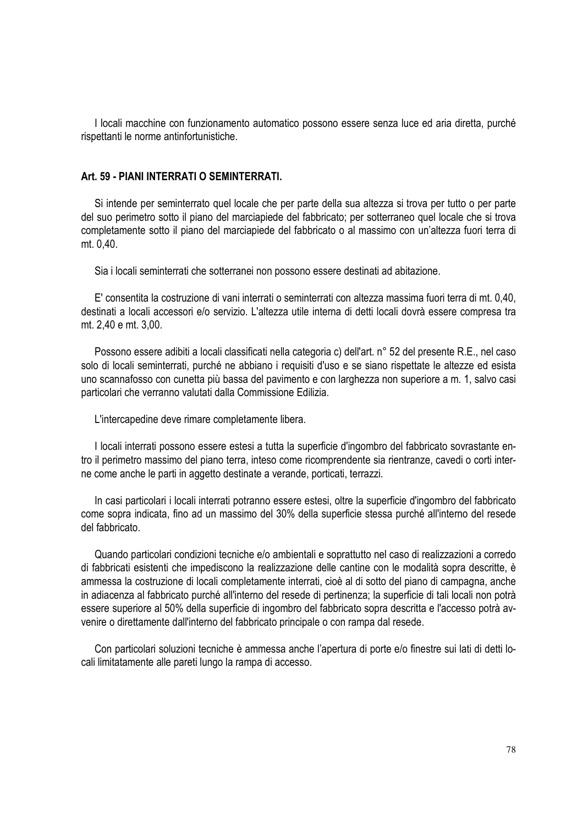I locali macchine con funzionamento automatico possono essere senza luce ed aria diretta, purché rispettanti le norme antinfortunistiche.

## **Art. 59 - PIANI INTERRATI O SEMINTERRATI.**

Si intende per seminterrato quel locale che per parte della sua altezza si trova per tutto o per parte del suo perimetro sotto il piano del marciapiede del fabbricato; per sotterraneo quel locale che si trova completamente sotto il piano del marciapiede del fabbricato o al massimo con un'altezza fuori terra di mt. 0,40.

Sia i locali seminterrati che sotterranei non possono essere destinati ad abitazione.

E' consentita la costruzione di vani interrati o seminterrati con altezza massima fuori terra di mt. 0,40, destinati a locali accessori e/o servizio. L'altezza utile interna di detti locali dovrà essere compresa tra mt. 2,40 e mt. 3,00.

Possono essere adibiti a locali classificati nella categoria c) dell'art. n° 52 del presente R.E., nel caso solo di locali seminterrati, purché ne abbiano i requisiti d'uso e se siano rispettate le altezze ed esista uno scannafosso con cunetta più bassa del pavimento e con larghezza non superiore a m. 1, salvo casi particolari che verranno valutati dalla Commissione Edilizia.

L'intercapedine deve rimare completamente libera.

I locali interrati possono essere estesi a tutta la superficie d'ingombro del fabbricato sovrastante entro il perimetro massimo del piano terra, inteso come ricomprendente sia rientranze, cavedi o corti interne come anche le parti in aggetto destinate a verande, porticati, terrazzi.

In casi particolari i locali interrati potranno essere estesi, oltre la superficie d'ingombro del fabbricato come sopra indicata, fino ad un massimo del 30% della superficie stessa purché all'interno del resede del fabbricato.

Quando particolari condizioni tecniche e/o ambientali e soprattutto nel caso di realizzazioni a corredo di fabbricati esistenti che impediscono la realizzazione delle cantine con le modalità sopra descritte, è ammessa la costruzione di locali completamente interrati, cioè al di sotto del piano di campagna, anche in adiacenza al fabbricato purché all'interno del resede di pertinenza; la superficie di tali locali non potrà essere superiore al 50% della superficie di ingombro del fabbricato sopra descritta e l'accesso potrà avvenire o direttamente dall'interno del fabbricato principale o con rampa dal resede.

Con particolari soluzioni tecniche è ammessa anche l'apertura di porte e/o finestre sui lati di detti locali limitatamente alle pareti lungo la rampa di accesso.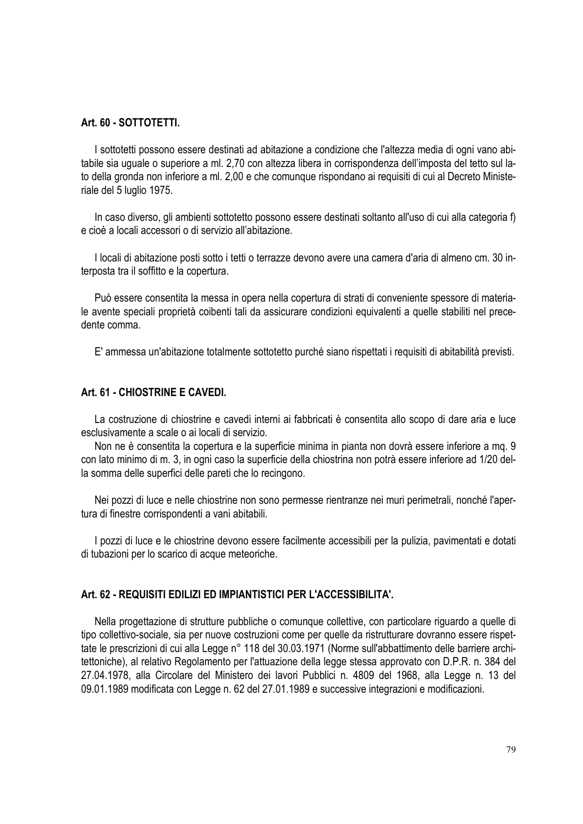#### **Art. 60 - SOTTOTETTI.**

I sottotetti possono essere destinati ad abitazione a condizione che l'altezza media di ogni vano abitabile sia uguale o superiore a ml. 2,70 con altezza libera in corrispondenza dell'imposta del tetto sul lato della gronda non inferiore a ml. 2,00 e che comunque rispondano ai requisiti di cui al Decreto Ministeriale del 5 luglio 1975.

In caso diverso, gli ambienti sottotetto possono essere destinati soltanto all'uso di cui alla categoria f) e cioè a locali accessori o di servizio all'abitazione.

I locali di abitazione posti sotto i tetti o terrazze devono avere una camera d'aria di almeno cm. 30 interposta tra il soffitto e la copertura.

Può essere consentita la messa in opera nella copertura di strati di conveniente spessore di materiale avente speciali proprietà coibenti tali da assicurare condizioni equivalenti a quelle stabiliti nel precedente comma.

E' ammessa un'abitazione totalmente sottotetto purché siano rispettati i requisiti di abitabilità previsti.

## **Art. 61 - CHIOSTRINE E CAVEDI.**

La costruzione di chiostrine e cavedi interni ai fabbricati è consentita allo scopo di dare aria e luce esclusivamente a scale o ai locali di servizio.

Non ne è consentita la copertura e la superficie minima in pianta non dovrà essere inferiore a mq. 9 con lato minimo di m. 3, in ogni caso la superficie della chiostrina non potrà essere inferiore ad 1/20 della somma delle superfici delle pareti che lo recingono.

Nei pozzi di luce e nelle chiostrine non sono permesse rientranze nei muri perimetrali, nonché l'apertura di finestre corrispondenti a vani abitabili.

I pozzi di luce e le chiostrine devono essere facilmente accessibili per la pulizia, pavimentati e dotati di tubazioni per lo scarico di acque meteoriche.

## **Art. 62 - REQUISITI EDILIZI ED IMPIANTISTICI PER L'ACCESSIBILITA'.**

Nella progettazione di strutture pubbliche o comunque collettive, con particolare riguardo a quelle di tipo collettivo-sociale, sia per nuove costruzioni come per quelle da ristrutturare dovranno essere rispettate le prescrizioni di cui alla Legge n° 118 del 30.03.1971 (Norme sull'abbattimento delle barriere architettoniche), al relativo Regolamento per l'attuazione della legge stessa approvato con D.P.R. n. 384 del 27.04.1978, alla Circolare del Ministero dei lavori Pubblici n. 4809 del 1968, alla Legge n. 13 del 09.01.1989 modificata con Legge n. 62 del 27.01.1989 e successive integrazioni e modificazioni.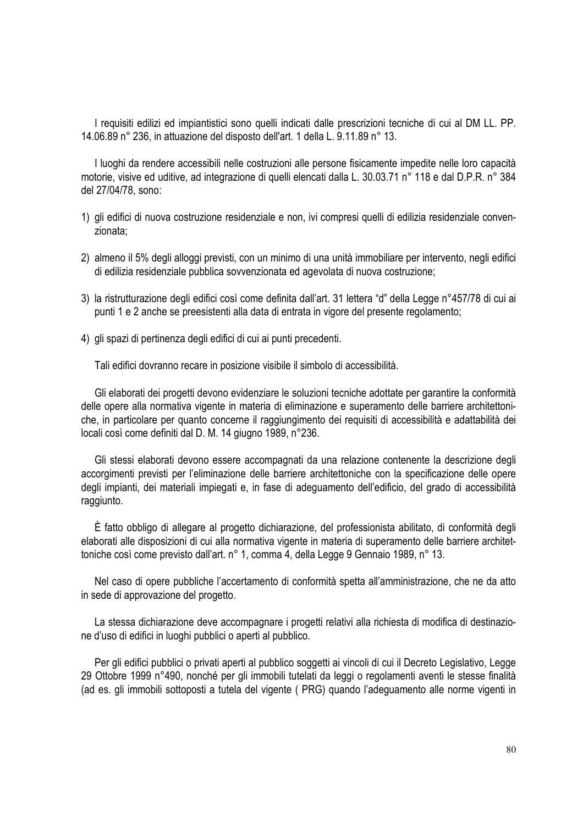I requisiti edilizi ed impiantistici sono quelli indicati dalle prescrizioni tecniche di cui al DM LL. PP. 14.06.89 n° 236, in attuazione del disposto dell'art. 1 della L. 9.11.89 n° 13.

I luoghi da rendere accessibili nelle costruzioni alle persone fisicamente impedite nelle loro capacità motorie, visive ed uditive, ad integrazione di quelli elencati dalla L. 30.03.71 n° 118 e dal D.P.R. n° 384 del 27/04/78, sono:

- 1) gli edifici di nuova costruzione residenziale e non, ivi compresi quelli di edilizia residenziale convenzionata;
- 2) almeno il 5% degli alloggi previsti, con un minimo di una unità immobiliare per intervento, negli edifici di edilizia residenziale pubblica sovvenzionata ed agevolata di nuova costruzione;
- 3) la ristrutturazione degli edifici così come definita dall'art. 31 lettera "d" della Legge n°457/78 di cui ai punti 1 e 2 anche se preesistenti alla data di entrata in vigore del presente regolamento;
- 4) gli spazi di pertinenza degli edifici di cui ai punti precedenti.

Tali edifici dovranno recare in posizione visibile il simbolo di accessibilità.

Gli elaborati dei progetti devono evidenziare le soluzioni tecniche adottate per garantire la conformità delle opere alla normativa vigente in materia di eliminazione e superamento delle barriere architettoniche, in particolare per quanto concerne il raggiungimento dei requisiti di accessibilità e adattabilità dei locali così come definiti dal D. M. 14 giugno 1989, n°236.

Gli stessi elaborati devono essere accompagnati da una relazione contenente la descrizione degli accorgimenti previsti per l'eliminazione delle barriere architettoniche con la specificazione delle opere degli impianti, dei materiali impiegati e, in fase di adeguamento dell'edificio, del grado di accessibilità raggiunto.

È fatto obbligo di allegare al progetto dichiarazione, del professionista abilitato, di conformità degli elaborati alle disposizioni di cui alla normativa vigente in materia di superamento delle barriere architettoniche così come previsto dall'art. n° 1, comma 4, della Legge 9 Gennaio 1989, n° 13.

Nel caso di opere pubbliche l'accertamento di conformità spetta all'amministrazione, che ne da atto in sede di approvazione del progetto.

La stessa dichiarazione deve accompagnare i progetti relativi alla richiesta di modifica di destinazione d'uso di edifici in luoghi pubblici o aperti al pubblico.

Per gli edifici pubblici o privati aperti al pubblico soggetti ai vincoli di cui il Decreto Legislativo, Legge 29 Ottobre 1999 n°490, nonché per gli immobili tutelati da leggi o regolamenti aventi le stesse finalità (ad es. gli immobili sottoposti a tutela del vigente ( PRG) quando l'adeguamento alle norme vigenti in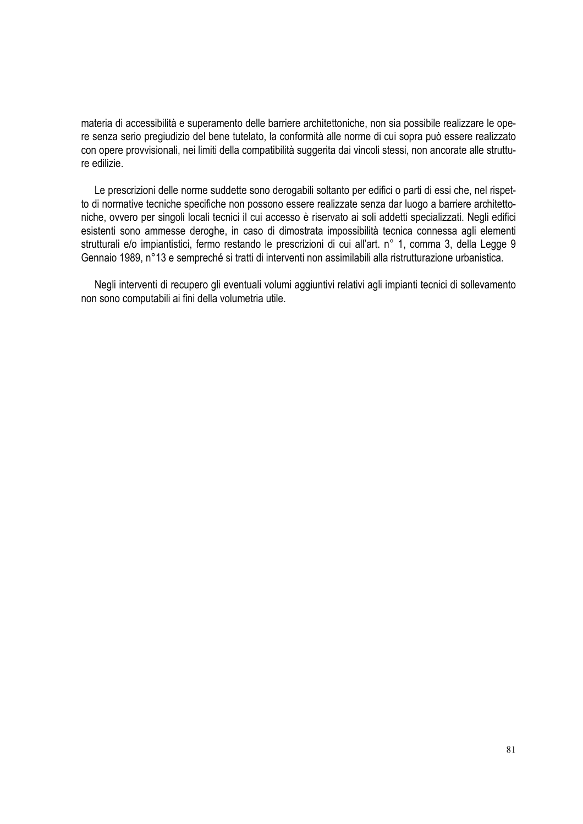materia di accessibilità e superamento delle barriere architettoniche, non sia possibile realizzare le opere senza serio pregiudizio del bene tutelato, la conformità alle norme di cui sopra può essere realizzato con opere provvisionali, nei limiti della compatibilità suggerita dai vincoli stessi, non ancorate alle strutture edilizie.

Le prescrizioni delle norme suddette sono derogabili soltanto per edifici o parti di essi che, nel rispetto di normative tecniche specifiche non possono essere realizzate senza dar luogo a barriere architettoniche, ovvero per singoli locali tecnici il cui accesso è riservato ai soli addetti specializzati. Negli edifici esistenti sono ammesse deroghe, in caso di dimostrata impossibilità tecnica connessa agli elementi strutturali e/o impiantistici, fermo restando le prescrizioni di cui all'art. n° 1, comma 3, della Legge 9 Gennaio 1989, n°13 e sempreché si tratti di interventi non assimilabili alla ristrutturazione urbanistica.

Negli interventi di recupero gli eventuali volumi aggiuntivi relativi agli impianti tecnici di sollevamento non sono computabili ai fini della volumetria utile.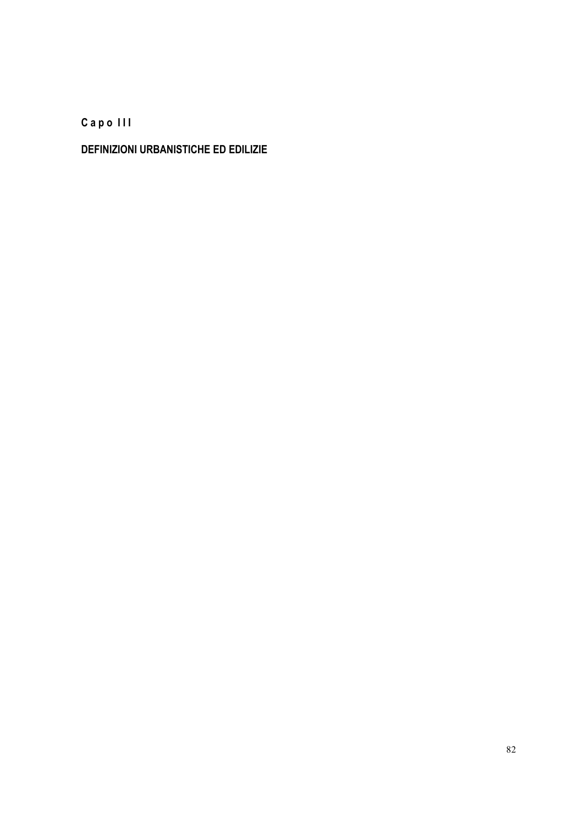**C a p o I I I** 

# **DEFINIZIONI URBANISTICHE ED EDILIZIE**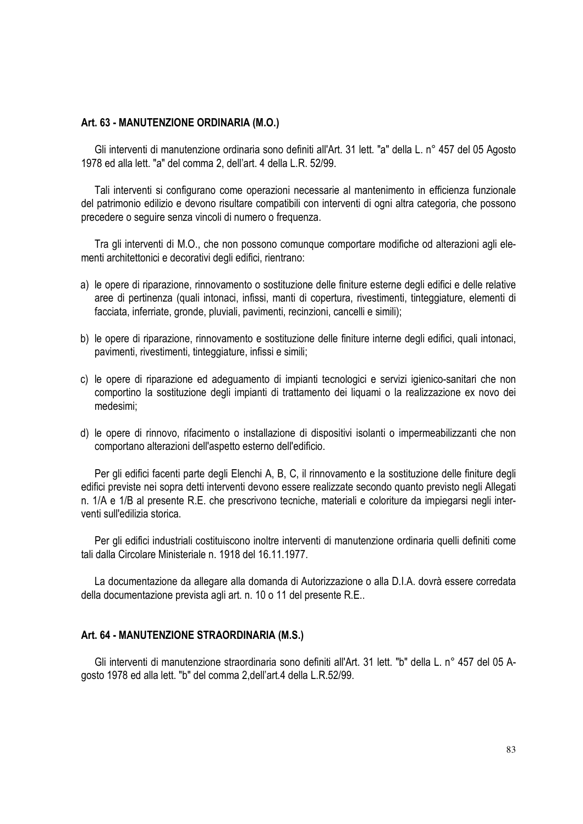#### **Art. 63 - MANUTENZIONE ORDINARIA (M.O.)**

Gli interventi di manutenzione ordinaria sono definiti all'Art. 31 lett. "a" della L. n° 457 del 05 Agosto 1978 ed alla lett. "a" del comma 2, dell'art. 4 della L.R. 52/99.

Tali interventi si configurano come operazioni necessarie al mantenimento in efficienza funzionale del patrimonio edilizio e devono risultare compatibili con interventi di ogni altra categoria, che possono precedere o seguire senza vincoli di numero o frequenza.

Tra gli interventi di M.O., che non possono comunque comportare modifiche od alterazioni agli elementi architettonici e decorativi degli edifici, rientrano:

- a) le opere di riparazione, rinnovamento o sostituzione delle finiture esterne degli edifici e delle relative aree di pertinenza (quali intonaci, infissi, manti di copertura, rivestimenti, tinteggiature, elementi di facciata, inferriate, gronde, pluviali, pavimenti, recinzioni, cancelli e simili);
- b) le opere di riparazione, rinnovamento e sostituzione delle finiture interne degli edifici, quali intonaci, pavimenti, rivestimenti, tinteggiature, infissi e simili;
- c) le opere di riparazione ed adeguamento di impianti tecnologici e servizi igienico-sanitari che non comportino la sostituzione degli impianti di trattamento dei liquami o la realizzazione ex novo dei medesimi;
- d) le opere di rinnovo, rifacimento o installazione di dispositivi isolanti o impermeabilizzanti che non comportano alterazioni dell'aspetto esterno dell'edificio.

Per gli edifici facenti parte degli Elenchi A, B, C, il rinnovamento e la sostituzione delle finiture degli edifici previste nei sopra detti interventi devono essere realizzate secondo quanto previsto negli Allegati n. 1/A e 1/B al presente R.E. che prescrivono tecniche, materiali e coloriture da impiegarsi negli interventi sull'edilizia storica.

Per gli edifici industriali costituiscono inoltre interventi di manutenzione ordinaria quelli definiti come tali dalla Circolare Ministeriale n. 1918 del 16.11.1977.

La documentazione da allegare alla domanda di Autorizzazione o alla D.I.A. dovrà essere corredata della documentazione prevista agli art. n. 10 o 11 del presente R.E..

#### **Art. 64 - MANUTENZIONE STRAORDINARIA (M.S.)**

Gli interventi di manutenzione straordinaria sono definiti all'Art. 31 lett. "b" della L. n° 457 del 05 Agosto 1978 ed alla lett. "b" del comma 2,dell'art.4 della L.R.52/99.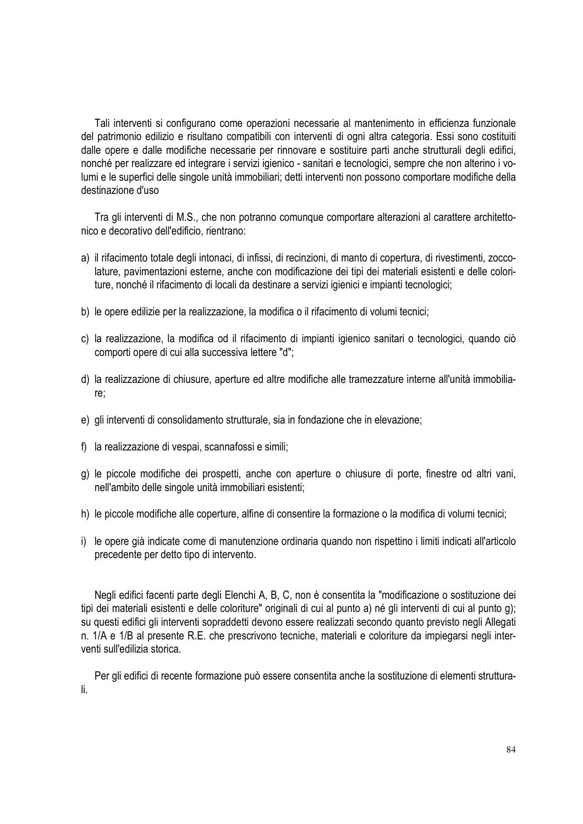Tali interventi si configurano come operazioni necessarie al mantenimento in efficienza funzionale del patrimonio edilizio e risultano compatibili con interventi di ogni altra categoria. Essi sono costituiti dalle opere e dalle modifiche necessarie per rinnovare e sostituire parti anche strutturali degli edifici, nonché per realizzare ed integrare i servizi igienico - sanitari e tecnologici, sempre che non alterino i volumi e le superfici delle singole unità immobiliari; detti interventi non possono comportare modifiche della destinazione d'uso

Tra gli interventi di M.S., che non potranno comunque comportare alterazioni al carattere architettonico e decorativo dell'edificio, rientrano:

- a) il rifacimento totale degli intonaci, di infissi, di recinzioni, di manto di copertura, di rivestimenti, zoccolature, pavimentazioni esterne, anche con modificazione dei tipi dei materiali esistenti e delle coloriture, nonché il rifacimento di locali da destinare a servizi igienici e impianti tecnologici;
- b) le opere edilizie per la realizzazione, la modifica o il rifacimento di volumi tecnici;
- c) la realizzazione, la modifica od il rifacimento di impianti igienico sanitari o tecnologici, quando ciò comporti opere di cui alla successiva lettere "d";
- d) la realizzazione di chiusure, aperture ed altre modifiche alle tramezzature interne all'unità immobiliare;
- e) gli interventi di consolidamento strutturale, sia in fondazione che in elevazione;
- f) la realizzazione di vespai, scannafossi e simili;
- g) le piccole modifiche dei prospetti, anche con aperture o chiusure di porte, finestre od altri vani, nell'ambito delle singole unità immobiliari esistenti;
- h) le piccole modifiche alle coperture, alfine di consentire la formazione o la modifica di volumi tecnici;
- i) le opere già indicate come di manutenzione ordinaria quando non rispettino i limiti indicati all'articolo precedente per detto tipo di intervento.

Negli edifici facenti parte degli Elenchi A, B, C, non è consentita la "modificazione o sostituzione dei tipi dei materiali esistenti e delle coloriture" originali di cui al punto a) né gli interventi di cui al punto g); su questi edifici gli interventi sopraddetti devono essere realizzati secondo quanto previsto negli Allegati n. 1/A e 1/B al presente R.E. che prescrivono tecniche, materiali e coloriture da impiegarsi negli interventi sull'edilizia storica.

Per gli edifici di recente formazione può essere consentita anche la sostituzione di elementi strutturali.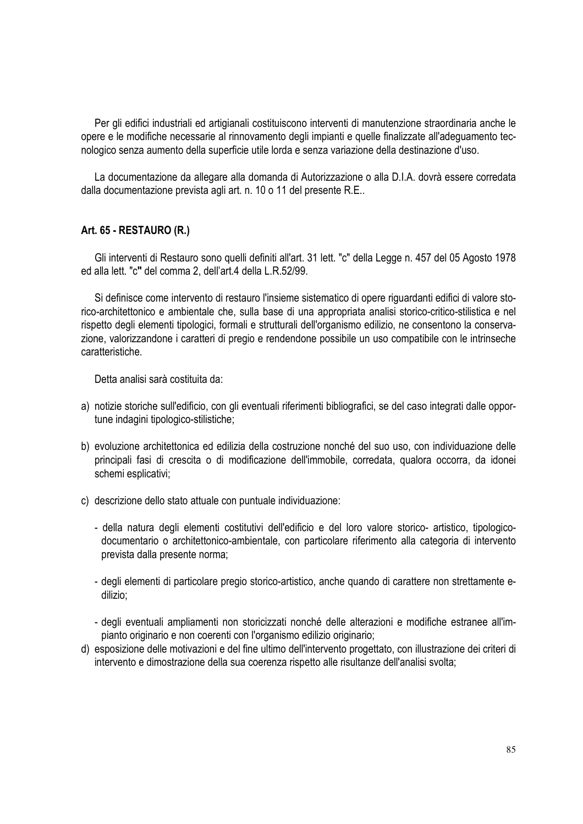Per gli edifici industriali ed artigianali costituiscono interventi di manutenzione straordinaria anche le opere e le modifiche necessarie al rinnovamento degli impianti e quelle finalizzate all'adeguamento tecnologico senza aumento della superficie utile lorda e senza variazione della destinazione d'uso.

La documentazione da allegare alla domanda di Autorizzazione o alla D.I.A. dovrà essere corredata dalla documentazione prevista agli art. n. 10 o 11 del presente R.E..

#### **Art. 65 - RESTAURO (R.)**

Gli interventi di Restauro sono quelli definiti all'art. 31 lett. "c" della Legge n. 457 del 05 Agosto 1978 ed alla lett. "c**"** del comma 2, dell'art.4 della L.R.52/99.

Si definisce come intervento di restauro l'insieme sistematico di opere riguardanti edifici di valore storico-architettonico e ambientale che, sulla base di una appropriata analisi storico-critico-stilistica e nel rispetto degli elementi tipologici, formali e strutturali dell'organismo edilizio, ne consentono la conservazione, valorizzandone i caratteri di pregio e rendendone possibile un uso compatibile con le intrinseche caratteristiche.

Detta analisi sarà costituita da:

- a) notizie storiche sull'edificio, con gli eventuali riferimenti bibliografici, se del caso integrati dalle opportune indagini tipologico-stilistiche;
- b) evoluzione architettonica ed edilizia della costruzione nonché del suo uso, con individuazione delle principali fasi di crescita o di modificazione dell'immobile, corredata, qualora occorra, da idonei schemi esplicativi;
- c) descrizione dello stato attuale con puntuale individuazione:
	- della natura degli elementi costitutivi dell'edificio e del loro valore storico- artistico, tipologicodocumentario o architettonico-ambientale, con particolare riferimento alla categoria di intervento prevista dalla presente norma;
	- degli elementi di particolare pregio storico-artistico, anche quando di carattere non strettamente edilizio;
	- degli eventuali ampliamenti non storicizzati nonché delle alterazioni e modifiche estranee all'impianto originario e non coerenti con l'organismo edilizio originario;
- d) esposizione delle motivazioni e del fine ultimo dell'intervento progettato, con illustrazione dei criteri di intervento e dimostrazione della sua coerenza rispetto alle risultanze dell'analisi svolta;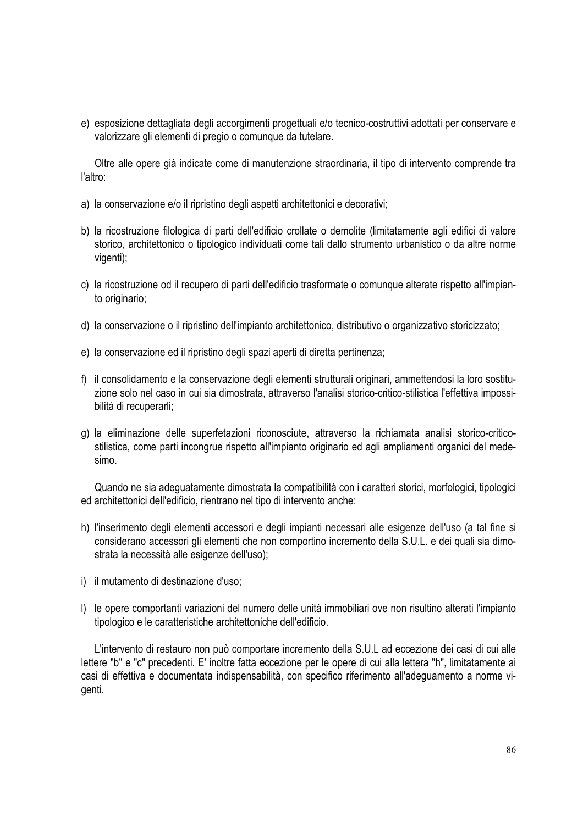e) esposizione dettagliata degli accorgimenti progettuali e/o tecnico-costruttivi adottati per conservare e valorizzare gli elementi di pregio o comunque da tutelare.

Oltre alle opere già indicate come di manutenzione straordinaria, il tipo di intervento comprende tra l'altro:

- a) la conservazione e/o il ripristino degli aspetti architettonici e decorativi;
- b) la ricostruzione filologica di parti dell'edificio crollate o demolite (limitatamente agli edifici di valore storico, architettonico o tipologico individuati come tali dallo strumento urbanistico o da altre norme vigenti);
- c) la ricostruzione od il recupero di parti dell'edificio trasformate o comunque alterate rispetto all'impianto originario;
- d) la conservazione o il ripristino dell'impianto architettonico, distributivo o organizzativo storicizzato;
- e) la conservazione ed il ripristino degli spazi aperti di diretta pertinenza;
- f) il consolidamento e la conservazione degli elementi strutturali originari, ammettendosi la loro sostituzione solo nel caso in cui sia dimostrata, attraverso l'analisi storico-critico-stilistica l'effettiva impossibilità di recuperarli;
- g) la eliminazione delle superfetazioni riconosciute, attraverso la richiamata analisi storico-criticostilistica, come parti incongrue rispetto all'impianto originario ed agli ampliamenti organici del medesimo.

Quando ne sia adeguatamente dimostrata la compatibilità con i caratteri storici, morfologici, tipologici ed architettonici dell'edificio, rientrano nel tipo di intervento anche:

- h) l'inserimento degli elementi accessori e degli impianti necessari alle esigenze dell'uso (a tal fine si considerano accessori gli elementi che non comportino incremento della S.U.L. e dei quali sia dimostrata la necessità alle esigenze dell'uso);
- i) il mutamento di destinazione d'uso;
- l) le opere comportanti variazioni del numero delle unità immobiliari ove non risultino alterati l'impianto tipologico e le caratteristiche architettoniche dell'edificio.

L'intervento di restauro non può comportare incremento della S.U.L ad eccezione dei casi di cui alle lettere "b" e "c" precedenti. E' inoltre fatta eccezione per le opere di cui alla lettera "h", limitatamente ai casi di effettiva e documentata indispensabilità, con specifico riferimento all'adeguamento a norme vigenti.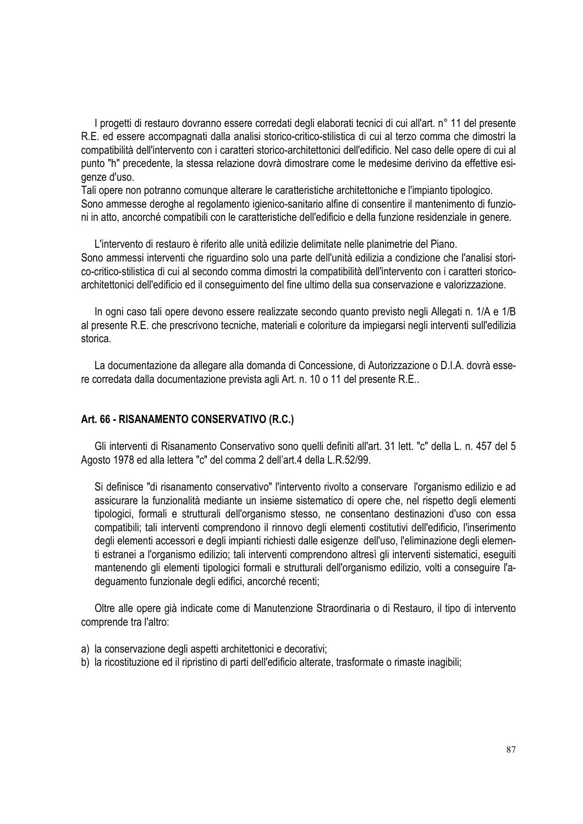I progetti di restauro dovranno essere corredati degli elaborati tecnici di cui all'art. n° 11 del presente R.E. ed essere accompagnati dalla analisi storico-critico-stilistica di cui al terzo comma che dimostri la compatibilità dell'intervento con i caratteri storico-architettonici dell'edificio. Nel caso delle opere di cui al punto "h" precedente, la stessa relazione dovrà dimostrare come le medesime derivino da effettive esigenze d'uso.

Tali opere non potranno comunque alterare le caratteristiche architettoniche e l'impianto tipologico. Sono ammesse deroghe al regolamento igienico-sanitario alfine di consentire il mantenimento di funzioni in atto, ancorché compatibili con le caratteristiche dell'edificio e della funzione residenziale in genere.

L'intervento di restauro è riferito alle unità edilizie delimitate nelle planimetrie del Piano. Sono ammessi interventi che riguardino solo una parte dell'unità edilizia a condizione che l'analisi storico-critico-stilistica di cui al secondo comma dimostri la compatibilità dell'intervento con i caratteri storicoarchitettonici dell'edificio ed il conseguimento del fine ultimo della sua conservazione e valorizzazione.

In ogni caso tali opere devono essere realizzate secondo quanto previsto negli Allegati n. 1/A e 1/B al presente R.E. che prescrivono tecniche, materiali e coloriture da impiegarsi negli interventi sull'edilizia storica.

La documentazione da allegare alla domanda di Concessione, di Autorizzazione o D.I.A. dovrà essere corredata dalla documentazione prevista agli Art. n. 10 o 11 del presente R.E..

#### **Art. 66 - RISANAMENTO CONSERVATIVO (R.C.)**

Gli interventi di Risanamento Conservativo sono quelli definiti all'art. 31 lett. "c" della L. n. 457 del 5 Agosto 1978 ed alla lettera "c" del comma 2 dell'art.4 della L.R.52/99.

Si definisce "di risanamento conservativo" l'intervento rivolto a conservare l'organismo edilizio e ad assicurare la funzionalità mediante un insieme sistematico di opere che, nel rispetto degli elementi tipologici, formali e strutturali dell'organismo stesso, ne consentano destinazioni d'uso con essa compatibili; tali interventi comprendono il rinnovo degli elementi costitutivi dell'edificio, l'inserimento degli elementi accessori e degli impianti richiesti dalle esigenze dell'uso, l'eliminazione degli elementi estranei a l'organismo edilizio; tali interventi comprendono altresì gli interventi sistematici, eseguiti mantenendo gli elementi tipologici formali e strutturali dell'organismo edilizio, volti a conseguire l'adeguamento funzionale degli edifici, ancorché recenti;

Oltre alle opere già indicate come di Manutenzione Straordinaria o di Restauro, il tipo di intervento comprende tra l'altro:

- a) la conservazione degli aspetti architettonici e decorativi;
- b) la ricostituzione ed il ripristino di parti dell'edificio alterate, trasformate o rimaste inagibili;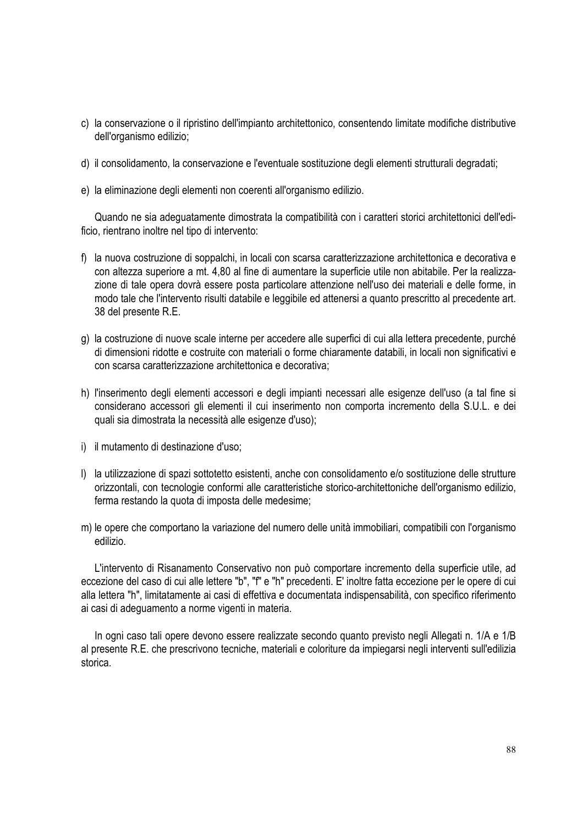- c) la conservazione o il ripristino dell'impianto architettonico, consentendo limitate modifiche distributive dell'organismo edilizio;
- d) il consolidamento, la conservazione e l'eventuale sostituzione degli elementi strutturali degradati;
- e) la eliminazione degli elementi non coerenti all'organismo edilizio.

Quando ne sia adeguatamente dimostrata la compatibilità con i caratteri storici architettonici dell'edificio, rientrano inoltre nel tipo di intervento:

- f) la nuova costruzione di soppalchi, in locali con scarsa caratterizzazione architettonica e decorativa e con altezza superiore a mt. 4,80 al fine di aumentare la superficie utile non abitabile. Per la realizzazione di tale opera dovrà essere posta particolare attenzione nell'uso dei materiali e delle forme, in modo tale che l'intervento risulti databile e leggibile ed attenersi a quanto prescritto al precedente art. 38 del presente R.E.
- g) la costruzione di nuove scale interne per accedere alle superfici di cui alla lettera precedente, purché di dimensioni ridotte e costruite con materiali o forme chiaramente databili, in locali non significativi e con scarsa caratterizzazione architettonica e decorativa;
- h) l'inserimento degli elementi accessori e degli impianti necessari alle esigenze dell'uso (a tal fine si considerano accessori gli elementi il cui inserimento non comporta incremento della S.U.L. e dei quali sia dimostrata la necessità alle esigenze d'uso);
- i) il mutamento di destinazione d'uso;
- l) la utilizzazione di spazi sottotetto esistenti, anche con consolidamento e/o sostituzione delle strutture orizzontali, con tecnologie conformi alle caratteristiche storico-architettoniche dell'organismo edilizio, ferma restando la quota di imposta delle medesime;
- m) le opere che comportano la variazione del numero delle unità immobiliari, compatibili con l'organismo edilizio.

L'intervento di Risanamento Conservativo non può comportare incremento della superficie utile, ad eccezione del caso di cui alle lettere "b", "f" e "h" precedenti. E' inoltre fatta eccezione per le opere di cui alla lettera "h", limitatamente ai casi di effettiva e documentata indispensabilità, con specifico riferimento ai casi di adeguamento a norme vigenti in materia.

In ogni caso tali opere devono essere realizzate secondo quanto previsto negli Allegati n. 1/A e 1/B al presente R.E. che prescrivono tecniche, materiali e coloriture da impiegarsi negli interventi sull'edilizia storica.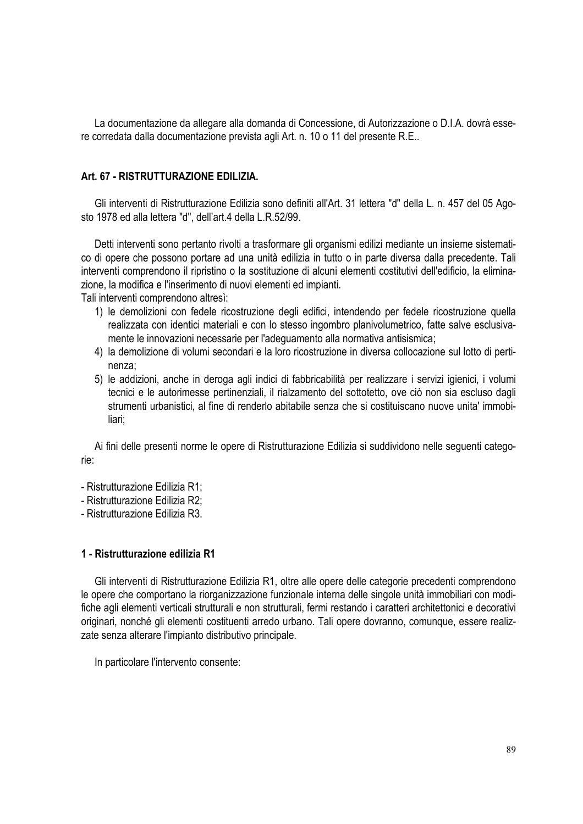La documentazione da allegare alla domanda di Concessione, di Autorizzazione o D.I.A. dovrà essere corredata dalla documentazione prevista agli Art. n. 10 o 11 del presente R.E..

## **Art. 67 - RISTRUTTURAZIONE EDILIZIA.**

Gli interventi di Ristrutturazione Edilizia sono definiti all'Art. 31 lettera "d" della L. n. 457 del 05 Agosto 1978 ed alla lettera "d", dell'art.4 della L.R.52/99.

Detti interventi sono pertanto rivolti a trasformare gli organismi edilizi mediante un insieme sistematico di opere che possono portare ad una unità edilizia in tutto o in parte diversa dalla precedente. Tali interventi comprendono il ripristino o la sostituzione di alcuni elementi costitutivi dell'edificio, la eliminazione, la modifica e l'inserimento di nuovi elementi ed impianti.

Tali interventi comprendono altresì:

- 1) le demolizioni con fedele ricostruzione degli edifici, intendendo per fedele ricostruzione quella realizzata con identici materiali e con lo stesso ingombro planivolumetrico, fatte salve esclusivamente le innovazioni necessarie per l'adeguamento alla normativa antisismica;
- 4) la demolizione di volumi secondari e la loro ricostruzione in diversa collocazione sul lotto di pertinenza;
- 5) le addizioni, anche in deroga agli indici di fabbricabilità per realizzare i servizi igienici, i volumi tecnici e le autorimesse pertinenziali, il rialzamento del sottotetto, ove ciò non sia escluso dagli strumenti urbanistici, al fine di renderlo abitabile senza che si costituiscano nuove unita' immobiliari;

Ai fini delle presenti norme le opere di Ristrutturazione Edilizia si suddividono nelle seguenti categorie:

- Ristrutturazione Edilizia R1;
- Ristrutturazione Edilizia R2;
- Ristrutturazione Edilizia R3.

## **1 - Ristrutturazione edilizia R1**

Gli interventi di Ristrutturazione Edilizia R1, oltre alle opere delle categorie precedenti comprendono le opere che comportano la riorganizzazione funzionale interna delle singole unità immobiliari con modifiche agli elementi verticali strutturali e non strutturali, fermi restando i caratteri architettonici e decorativi originari, nonché gli elementi costituenti arredo urbano. Tali opere dovranno, comunque, essere realizzate senza alterare l'impianto distributivo principale.

In particolare l'intervento consente: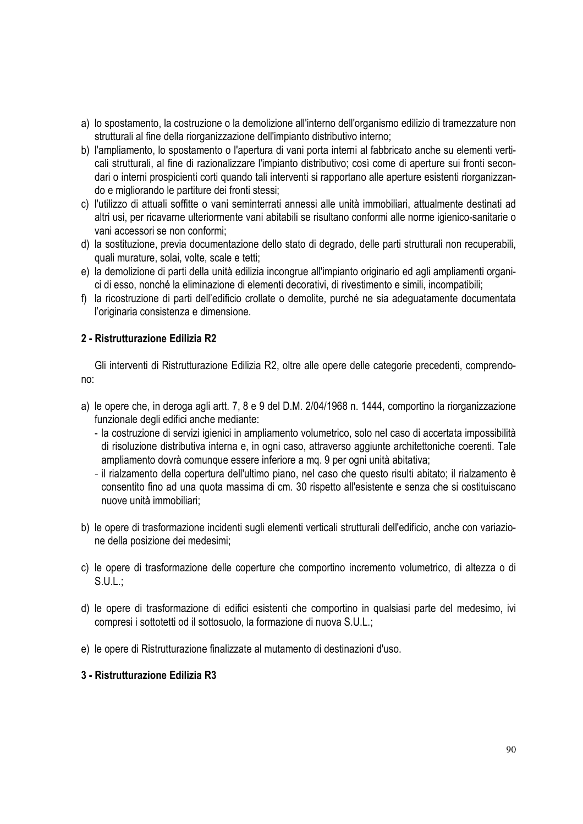- a) lo spostamento, la costruzione o la demolizione all'interno dell'organismo edilizio di tramezzature non strutturali al fine della riorganizzazione dell'impianto distributivo interno;
- b) l'ampliamento, lo spostamento o l'apertura di vani porta interni al fabbricato anche su elementi verticali strutturali, al fine di razionalizzare l'impianto distributivo; così come di aperture sui fronti secondari o interni prospicienti corti quando tali interventi si rapportano alle aperture esistenti riorganizzando e migliorando le partiture dei fronti stessi;
- c) l'utilizzo di attuali soffitte o vani seminterrati annessi alle unità immobiliari, attualmente destinati ad altri usi, per ricavarne ulteriormente vani abitabili se risultano conformi alle norme igienico-sanitarie o vani accessori se non conformi;
- d) la sostituzione, previa documentazione dello stato di degrado, delle parti strutturali non recuperabili, quali murature, solai, volte, scale e tetti;
- e) la demolizione di parti della unità edilizia incongrue all'impianto originario ed agli ampliamenti organici di esso, nonché la eliminazione di elementi decorativi, di rivestimento e simili, incompatibili;
- f) la ricostruzione di parti dell'edificio crollate o demolite, purché ne sia adeguatamente documentata l'originaria consistenza e dimensione.

## **2 - Ristrutturazione Edilizia R2**

Gli interventi di Ristrutturazione Edilizia R2, oltre alle opere delle categorie precedenti, comprendono:

- a) le opere che, in deroga agli artt. 7, 8 e 9 del D.M. 2/04/1968 n. 1444, comportino la riorganizzazione funzionale degli edifici anche mediante:
	- la costruzione di servizi igienici in ampliamento volumetrico, solo nel caso di accertata impossibilità di risoluzione distributiva interna e, in ogni caso, attraverso aggiunte architettoniche coerenti. Tale ampliamento dovrà comunque essere inferiore a mq. 9 per ogni unità abitativa;
	- il rialzamento della copertura dell'ultimo piano, nel caso che questo risulti abitato; il rialzamento è consentito fino ad una quota massima di cm. 30 rispetto all'esistente e senza che si costituiscano nuove unità immobiliari;
- b) le opere di trasformazione incidenti sugli elementi verticali strutturali dell'edificio, anche con variazione della posizione dei medesimi;
- c) le opere di trasformazione delle coperture che comportino incremento volumetrico, di altezza o di S.U.L.;
- d) le opere di trasformazione di edifici esistenti che comportino in qualsiasi parte del medesimo, ivi compresi i sottotetti od il sottosuolo, la formazione di nuova S.U.L.;
- e) le opere di Ristrutturazione finalizzate al mutamento di destinazioni d'uso.

## **3 - Ristrutturazione Edilizia R3**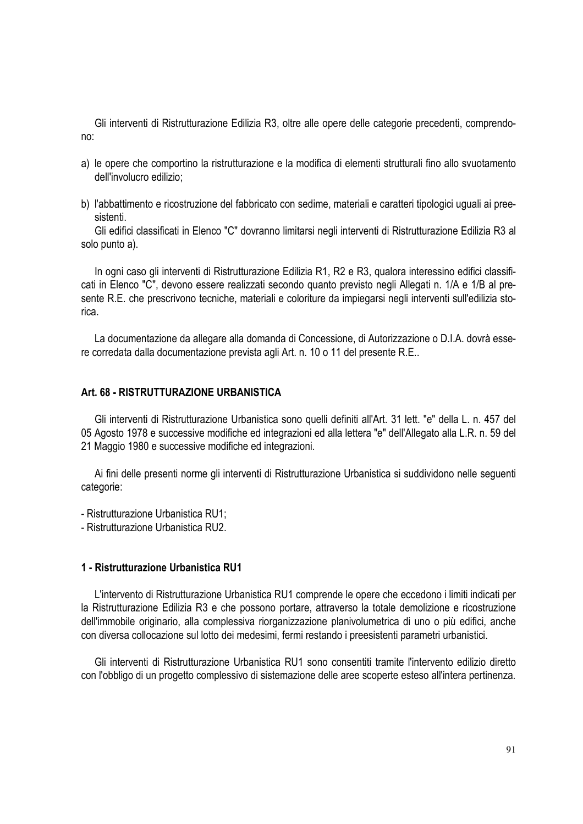Gli interventi di Ristrutturazione Edilizia R3, oltre alle opere delle categorie precedenti, comprendono:

- a) le opere che comportino la ristrutturazione e la modifica di elementi strutturali fino allo svuotamento dell'involucro edilizio;
- b) l'abbattimento e ricostruzione del fabbricato con sedime, materiali e caratteri tipologici uguali ai preesistenti.

Gli edifici classificati in Elenco "C" dovranno limitarsi negli interventi di Ristrutturazione Edilizia R3 al solo punto a).

In ogni caso gli interventi di Ristrutturazione Edilizia R1, R2 e R3, qualora interessino edifici classificati in Elenco "C", devono essere realizzati secondo quanto previsto negli Allegati n. 1/A e 1/B al presente R.E. che prescrivono tecniche, materiali e coloriture da impiegarsi negli interventi sull'edilizia storica.

La documentazione da allegare alla domanda di Concessione, di Autorizzazione o D.I.A. dovrà essere corredata dalla documentazione prevista agli Art. n. 10 o 11 del presente R.E..

#### **Art. 68 - RISTRUTTURAZIONE URBANISTICA**

Gli interventi di Ristrutturazione Urbanistica sono quelli definiti all'Art. 31 lett. "e" della L. n. 457 del 05 Agosto 1978 e successive modifiche ed integrazioni ed alla lettera "e" dell'Allegato alla L.R. n. 59 del 21 Maggio 1980 e successive modifiche ed integrazioni.

Ai fini delle presenti norme gli interventi di Ristrutturazione Urbanistica si suddividono nelle seguenti categorie:

- Ristrutturazione Urbanistica RU1;

- Ristrutturazione Urbanistica RU2.

#### **1 - Ristrutturazione Urbanistica RU1**

L'intervento di Ristrutturazione Urbanistica RU1 comprende le opere che eccedono i limiti indicati per la Ristrutturazione Edilizia R3 e che possono portare, attraverso la totale demolizione e ricostruzione dell'immobile originario, alla complessiva riorganizzazione planivolumetrica di uno o più edifici, anche con diversa collocazione sul lotto dei medesimi, fermi restando i preesistenti parametri urbanistici.

Gli interventi di Ristrutturazione Urbanistica RU1 sono consentiti tramite l'intervento edilizio diretto con l'obbligo di un progetto complessivo di sistemazione delle aree scoperte esteso all'intera pertinenza.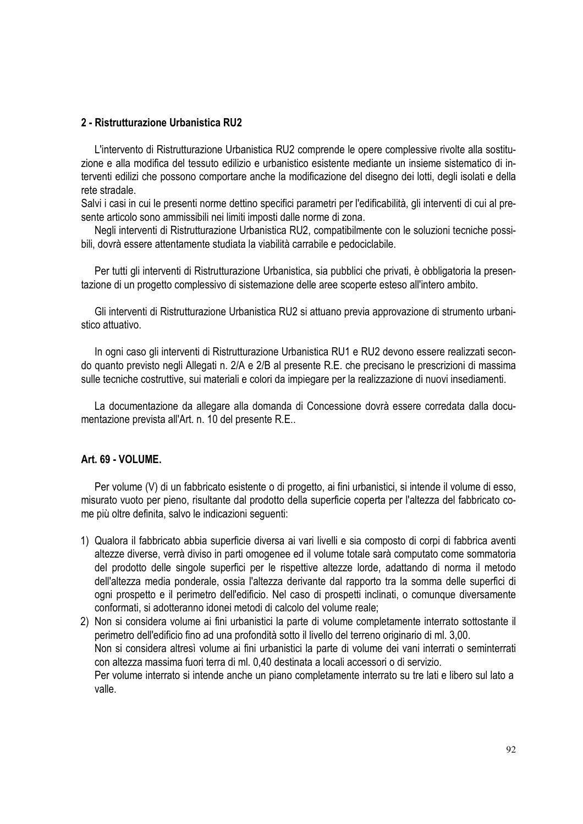#### **2 - Ristrutturazione Urbanistica RU2**

L'intervento di Ristrutturazione Urbanistica RU2 comprende le opere complessive rivolte alla sostituzione e alla modifica del tessuto edilizio e urbanistico esistente mediante un insieme sistematico di interventi edilizi che possono comportare anche la modificazione del disegno dei lotti, degli isolati e della rete stradale.

Salvi i casi in cui le presenti norme dettino specifici parametri per l'edificabilità, gli interventi di cui al presente articolo sono ammissibili nei limiti imposti dalle norme di zona.

Negli interventi di Ristrutturazione Urbanistica RU2, compatibilmente con le soluzioni tecniche possibili, dovrà essere attentamente studiata la viabilità carrabile e pedociclabile.

Per tutti gli interventi di Ristrutturazione Urbanistica, sia pubblici che privati, è obbligatoria la presentazione di un progetto complessivo di sistemazione delle aree scoperte esteso all'intero ambito.

Gli interventi di Ristrutturazione Urbanistica RU2 si attuano previa approvazione di strumento urbanistico attuativo.

In ogni caso gli interventi di Ristrutturazione Urbanistica RU1 e RU2 devono essere realizzati secondo quanto previsto negli Allegati n. 2/A e 2/B al presente R.E. che precisano le prescrizioni di massima sulle tecniche costruttive, sui materiali e colori da impiegare per la realizzazione di nuovi insediamenti.

La documentazione da allegare alla domanda di Concessione dovrà essere corredata dalla documentazione prevista all'Art. n. 10 del presente R.E..

#### **Art. 69 - VOLUME.**

Per volume (V) di un fabbricato esistente o di progetto, ai fini urbanistici, si intende il volume di esso, misurato vuoto per pieno, risultante dal prodotto della superficie coperta per l'altezza del fabbricato come più oltre definita, salvo le indicazioni seguenti:

- 1) Qualora il fabbricato abbia superficie diversa ai vari livelli e sia composto di corpi di fabbrica aventi altezze diverse, verrà diviso in parti omogenee ed il volume totale sarà computato come sommatoria del prodotto delle singole superfici per le rispettive altezze lorde, adattando di norma il metodo dell'altezza media ponderale, ossia l'altezza derivante dal rapporto tra la somma delle superfici di ogni prospetto e il perimetro dell'edificio. Nel caso di prospetti inclinati, o comunque diversamente conformati, si adotteranno idonei metodi di calcolo del volume reale;
- 2) Non si considera volume ai fini urbanistici la parte di volume completamente interrato sottostante il perimetro dell'edificio fino ad una profondità sotto il livello del terreno originario di ml. 3,00. Non si considera altresì volume ai fini urbanistici la parte di volume dei vani interrati o seminterrati con altezza massima fuori terra di ml. 0,40 destinata a locali accessori o di servizio. Per volume interrato si intende anche un piano completamente interrato su tre lati e libero sul lato a valle.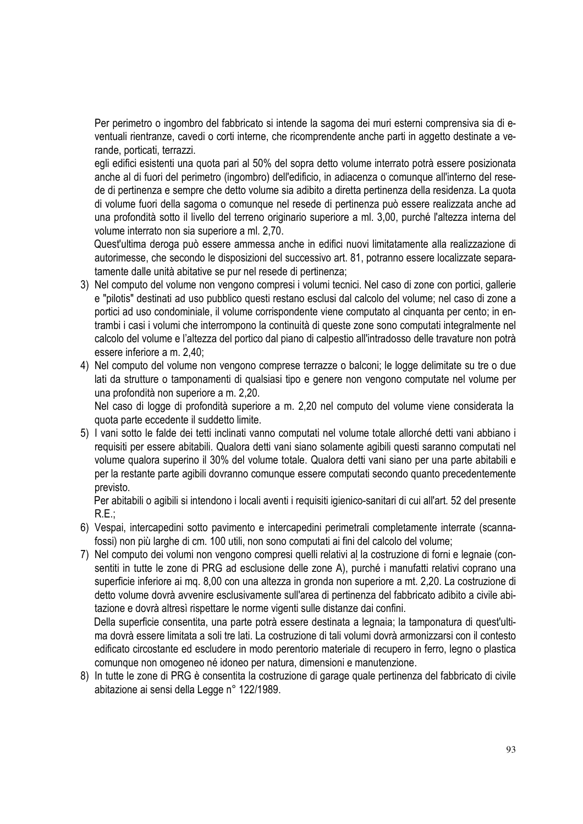Per perimetro o ingombro del fabbricato si intende la sagoma dei muri esterni comprensiva sia di eventuali rientranze, cavedi o corti interne, che ricomprendente anche parti in aggetto destinate a verande, porticati, terrazzi.

 egli edifici esistenti una quota pari al 50% del sopra detto volume interrato potrà essere posizionata anche al di fuori del perimetro (ingombro) dell'edificio, in adiacenza o comunque all'interno del resede di pertinenza e sempre che detto volume sia adibito a diretta pertinenza della residenza. La quota di volume fuori della sagoma o comunque nel resede di pertinenza può essere realizzata anche ad una profondità sotto il livello del terreno originario superiore a ml. 3,00, purché l'altezza interna del volume interrato non sia superiore a ml. 2,70.

Quest'ultima deroga può essere ammessa anche in edifici nuovi limitatamente alla realizzazione di autorimesse, che secondo le disposizioni del successivo art. 81, potranno essere localizzate separatamente dalle unità abitative se pur nel resede di pertinenza;

- 3) Nel computo del volume non vengono compresi i volumi tecnici. Nel caso di zone con portici, gallerie e "pilotis" destinati ad uso pubblico questi restano esclusi dal calcolo del volume; nel caso di zone a portici ad uso condominiale, il volume corrispondente viene computato al cinquanta per cento; in entrambi i casi i volumi che interrompono la continuità di queste zone sono computati integralmente nel calcolo del volume e l'altezza del portico dal piano di calpestio all'intradosso delle travature non potrà essere inferiore a m. 2,40;
- 4) Nel computo del volume non vengono comprese terrazze o balconi; le logge delimitate su tre o due lati da strutture o tamponamenti di qualsiasi tipo e genere non vengono computate nel volume per una profondità non superiore a m. 2,20.

Nel caso di logge di profondità superiore a m. 2,20 nel computo del volume viene considerata la quota parte eccedente il suddetto limite.

5) I vani sotto le falde dei tetti inclinati vanno computati nel volume totale allorché detti vani abbiano i requisiti per essere abitabili. Qualora detti vani siano solamente agibili questi saranno computati nel volume qualora superino il 30% del volume totale. Qualora detti vani siano per una parte abitabili e per la restante parte agibili dovranno comunque essere computati secondo quanto precedentemente previsto.

Per abitabili o agibili si intendono i locali aventi i requisiti igienico-sanitari di cui all'art. 52 del presente  $R.E.:$ 

- 6) Vespai, intercapedini sotto pavimento e intercapedini perimetrali completamente interrate (scannafossi) non più larghe di cm. 100 utili, non sono computati ai fini del calcolo del volume;
- 7) Nel computo dei volumi non vengono compresi quelli relativi al la costruzione di forni e legnaie (consentiti in tutte le zone di PRG ad esclusione delle zone A), purché i manufatti relativi coprano una superficie inferiore ai mq. 8,00 con una altezza in gronda non superiore a mt. 2,20. La costruzione di detto volume dovrà avvenire esclusivamente sull'area di pertinenza del fabbricato adibito a civile abitazione e dovrà altresì rispettare le norme vigenti sulle distanze dai confini.

Della superficie consentita, una parte potrà essere destinata a legnaia; la tamponatura di quest'ultima dovrà essere limitata a soli tre lati. La costruzione di tali volumi dovrà armonizzarsi con il contesto edificato circostante ed escludere in modo perentorio materiale di recupero in ferro, legno o plastica comunque non omogeneo né idoneo per natura, dimensioni e manutenzione.

8) In tutte le zone di PRG è consentita la costruzione di garage quale pertinenza del fabbricato di civile abitazione ai sensi della Legge n° 122/1989.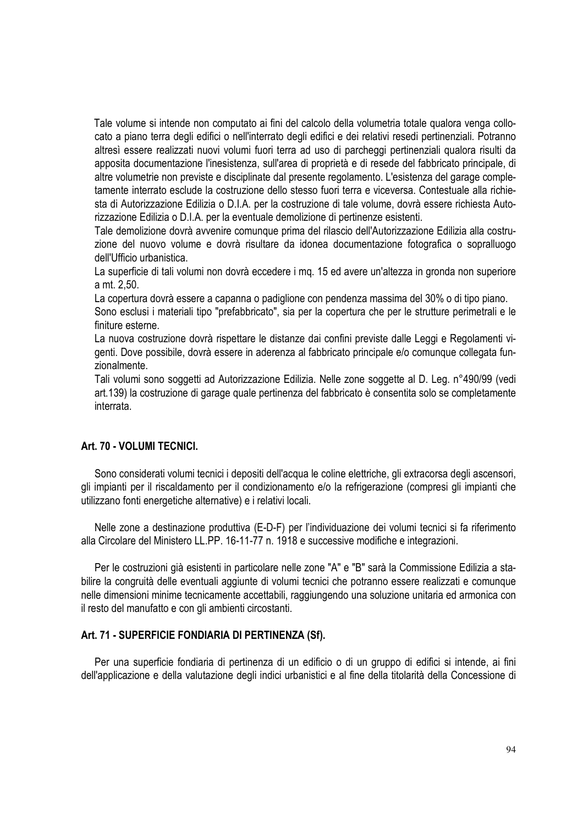Tale volume si intende non computato ai fini del calcolo della volumetria totale qualora venga collocato a piano terra degli edifici o nell'interrato degli edifici e dei relativi resedi pertinenziali. Potranno altresì essere realizzati nuovi volumi fuori terra ad uso di parcheggi pertinenziali qualora risulti da apposita documentazione l'inesistenza, sull'area di proprietà e di resede del fabbricato principale, di altre volumetrie non previste e disciplinate dal presente regolamento. L'esistenza del garage completamente interrato esclude la costruzione dello stesso fuori terra e viceversa. Contestuale alla richiesta di Autorizzazione Edilizia o D.I.A. per la costruzione di tale volume, dovrà essere richiesta Autorizzazione Edilizia o D.I.A. per la eventuale demolizione di pertinenze esistenti.

Tale demolizione dovrà avvenire comunque prima del rilascio dell'Autorizzazione Edilizia alla costruzione del nuovo volume e dovrà risultare da idonea documentazione fotografica o sopralluogo dell'Ufficio urbanistica.

La superficie di tali volumi non dovrà eccedere i mq. 15 ed avere un'altezza in gronda non superiore a mt. 2,50.

La copertura dovrà essere a capanna o padiglione con pendenza massima del 30% o di tipo piano.

Sono esclusi i materiali tipo "prefabbricato", sia per la copertura che per le strutture perimetrali e le finiture esterne.

La nuova costruzione dovrà rispettare le distanze dai confini previste dalle Leggi e Regolamenti vigenti. Dove possibile, dovrà essere in aderenza al fabbricato principale e/o comunque collegata funzionalmente.

Tali volumi sono soggetti ad Autorizzazione Edilizia. Nelle zone soggette al D. Leg. n°490/99 (vedi art.139) la costruzione di garage quale pertinenza del fabbricato è consentita solo se completamente interrata.

# **Art. 70 - VOLUMI TECNICI.**

Sono considerati volumi tecnici i depositi dell'acqua le coline elettriche, gli extracorsa degli ascensori, gli impianti per il riscaldamento per il condizionamento e/o la refrigerazione (compresi gli impianti che utilizzano fonti energetiche alternative) e i relativi locali.

Nelle zone a destinazione produttiva (E-D-F) per l'individuazione dei volumi tecnici si fa riferimento alla Circolare del Ministero LL.PP. 16-11-77 n. 1918 e successive modifiche e integrazioni.

Per le costruzioni già esistenti in particolare nelle zone "A" e "B" sarà la Commissione Edilizia a stabilire la congruità delle eventuali aggiunte di volumi tecnici che potranno essere realizzati e comunque nelle dimensioni minime tecnicamente accettabili, raggiungendo una soluzione unitaria ed armonica con il resto del manufatto e con gli ambienti circostanti.

#### **Art. 71 - SUPERFICIE FONDIARIA DI PERTINENZA (Sf).**

Per una superficie fondiaria di pertinenza di un edificio o di un gruppo di edifici si intende, ai fini dell'applicazione e della valutazione degli indici urbanistici e al fine della titolarità della Concessione di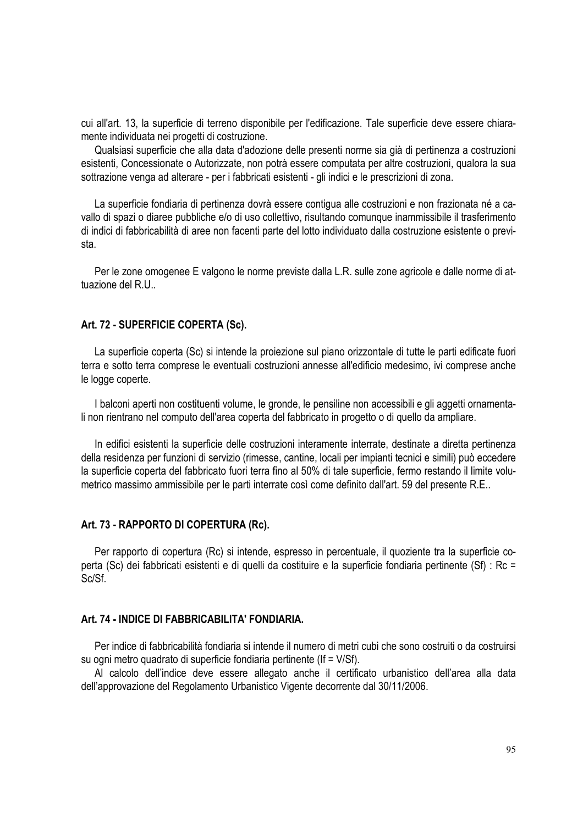cui all'art. 13, la superficie di terreno disponibile per l'edificazione. Tale superficie deve essere chiaramente individuata nei progetti di costruzione.

Qualsiasi superficie che alla data d'adozione delle presenti norme sia già di pertinenza a costruzioni esistenti, Concessionate o Autorizzate, non potrà essere computata per altre costruzioni, qualora la sua sottrazione venga ad alterare - per i fabbricati esistenti - gli indici e le prescrizioni di zona.

La superficie fondiaria di pertinenza dovrà essere contigua alle costruzioni e non frazionata né a cavallo di spazi o diaree pubbliche e/o di uso collettivo, risultando comunque inammissibile il trasferimento di indici di fabbricabilità di aree non facenti parte del lotto individuato dalla costruzione esistente o prevista.

Per le zone omogenee E valgono le norme previste dalla L.R. sulle zone agricole e dalle norme di attuazione del R.U..

#### **Art. 72 - SUPERFICIE COPERTA (Sc).**

La superficie coperta (Sc) si intende la proiezione sul piano orizzontale di tutte le parti edificate fuori terra e sotto terra comprese le eventuali costruzioni annesse all'edificio medesimo, ivi comprese anche le logge coperte.

I balconi aperti non costituenti volume, le gronde, le pensiline non accessibili e gli aggetti ornamentali non rientrano nel computo dell'area coperta del fabbricato in progetto o di quello da ampliare.

In edifici esistenti la superficie delle costruzioni interamente interrate, destinate a diretta pertinenza della residenza per funzioni di servizio (rimesse, cantine, locali per impianti tecnici e simili) può eccedere la superficie coperta del fabbricato fuori terra fino al 50% di tale superficie, fermo restando il limite volumetrico massimo ammissibile per le parti interrate così come definito dall'art. 59 del presente R.E..

#### **Art. 73 - RAPPORTO DI COPERTURA (Rc).**

Per rapporto di copertura (Rc) si intende, espresso in percentuale, il quoziente tra la superficie coperta (Sc) dei fabbricati esistenti e di quelli da costituire e la superficie fondiaria pertinente (Sf) : Rc = Sc/Sf.

## **Art. 74 - INDICE DI FABBRICABILITA' FONDIARIA.**

Per indice di fabbricabilità fondiaria si intende il numero di metri cubi che sono costruiti o da costruirsi su ogni metro quadrato di superficie fondiaria pertinente (If = V/Sf).

Al calcolo dell'indice deve essere allegato anche il certificato urbanistico dell'area alla data dell'approvazione del Regolamento Urbanistico Vigente decorrente dal 30/11/2006.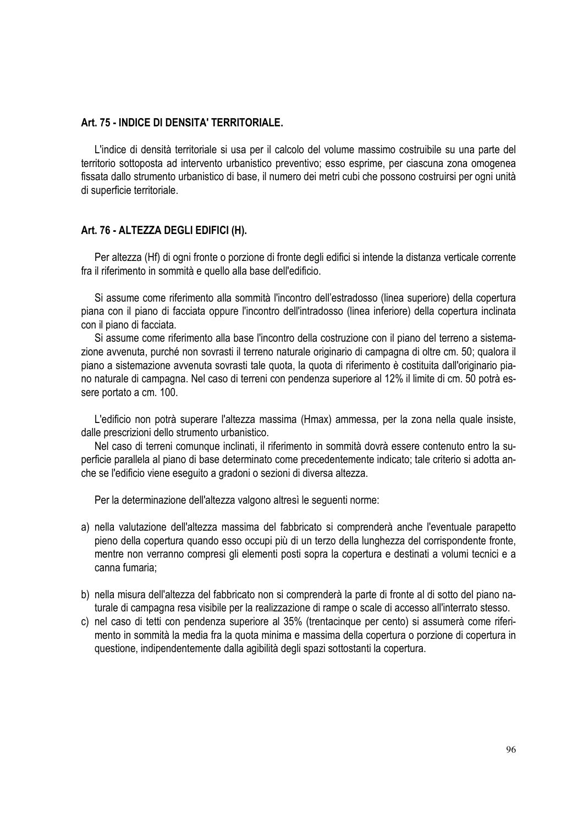#### **Art. 75 - INDICE DI DENSITA' TERRITORIALE.**

L'indice di densità territoriale si usa per il calcolo del volume massimo costruibile su una parte del territorio sottoposta ad intervento urbanistico preventivo; esso esprime, per ciascuna zona omogenea fissata dallo strumento urbanistico di base, il numero dei metri cubi che possono costruirsi per ogni unità di superficie territoriale.

## **Art. 76 - ALTEZZA DEGLI EDIFICI (H).**

Per altezza (Hf) di ogni fronte o porzione di fronte degli edifici si intende la distanza verticale corrente fra il riferimento in sommità e quello alla base dell'edificio.

Si assume come riferimento alla sommità l'incontro dell'estradosso (linea superiore) della copertura piana con il piano di facciata oppure l'incontro dell'intradosso (linea inferiore) della copertura inclinata con il piano di facciata.

Si assume come riferimento alla base l'incontro della costruzione con il piano del terreno a sistemazione avvenuta, purché non sovrasti il terreno naturale originario di campagna di oltre cm. 50; qualora il piano a sistemazione avvenuta sovrasti tale quota, la quota di riferimento è costituita dall'originario piano naturale di campagna. Nel caso di terreni con pendenza superiore al 12% il limite di cm. 50 potrà essere portato a cm. 100.

L'edificio non potrà superare l'altezza massima (Hmax) ammessa, per la zona nella quale insiste, dalle prescrizioni dello strumento urbanistico.

Nel caso di terreni comunque inclinati, il riferimento in sommità dovrà essere contenuto entro la superficie parallela al piano di base determinato come precedentemente indicato; tale criterio si adotta anche se l'edificio viene eseguito a gradoni o sezioni di diversa altezza.

Per la determinazione dell'altezza valgono altresì le seguenti norme:

- a) nella valutazione dell'altezza massima del fabbricato si comprenderà anche l'eventuale parapetto pieno della copertura quando esso occupi più di un terzo della lunghezza del corrispondente fronte, mentre non verranno compresi gli elementi posti sopra la copertura e destinati a volumi tecnici e a canna fumaria;
- b) nella misura dell'altezza del fabbricato non si comprenderà la parte di fronte al di sotto del piano naturale di campagna resa visibile per la realizzazione di rampe o scale di accesso all'interrato stesso.
- c) nel caso di tetti con pendenza superiore al 35% (trentacinque per cento) si assumerà come riferimento in sommità la media fra la quota minima e massima della copertura o porzione di copertura in questione, indipendentemente dalla agibilità degli spazi sottostanti la copertura.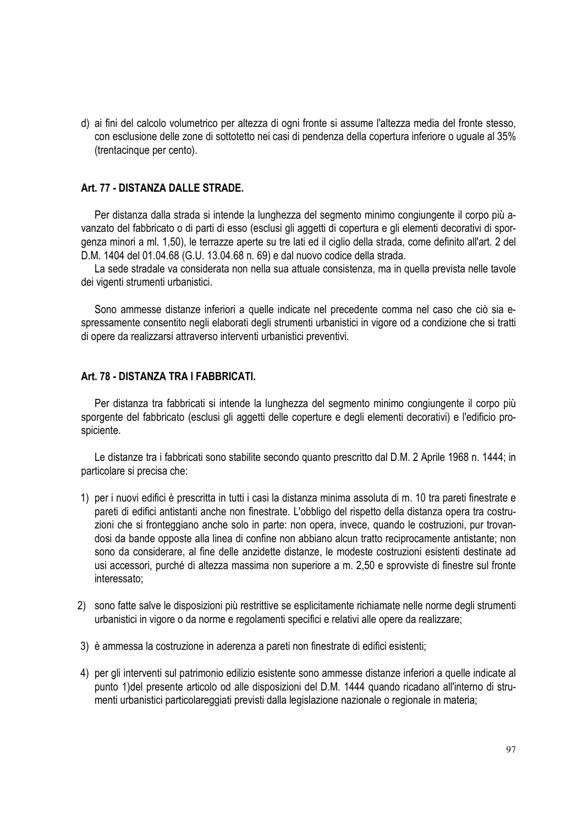d) ai fini del calcolo volumetrico per altezza di ogni fronte si assume l'altezza media del fronte stesso, con esclusione delle zone di sottotetto nei casi di pendenza della copertura inferiore o uguale al 35% (trentacinque per cento).

## **Art. 77 - DISTANZA DALLE STRADE.**

Per distanza dalla strada si intende la lunghezza del segmento minimo congiungente il corpo più avanzato del fabbricato o di parti di esso (esclusi gli aggetti di copertura e gli elementi decorativi di sporgenza minori a ml. 1,50), le terrazze aperte su tre lati ed il ciglio della strada, come definito all'art. 2 del D.M. 1404 del 01.04.68 (G.U. 13.04.68 n. 69) e dal nuovo codice della strada.

La sede stradale va considerata non nella sua attuale consistenza, ma in quella prevista nelle tavole dei vigenti strumenti urbanistici.

Sono ammesse distanze inferiori a quelle indicate nel precedente comma nel caso che ciò sia espressamente consentito negli elaborati degli strumenti urbanistici in vigore od a condizione che si tratti di opere da realizzarsi attraverso interventi urbanistici preventivi.

#### **Art. 78 - DISTANZA TRA I FABBRICATI.**

Per distanza tra fabbricati si intende la lunghezza del segmento minimo congiungente il corpo più sporgente del fabbricato (esclusi gli aggetti delle coperture e degli elementi decorativi) e l'edificio prospiciente.

Le distanze tra i fabbricati sono stabilite secondo quanto prescritto dal D.M. 2 Aprile 1968 n. 1444; in particolare si precisa che:

- 1) per i nuovi edifici è prescritta in tutti i casi la distanza minima assoluta di m. 10 tra pareti finestrate e pareti di edifici antistanti anche non finestrate. L'obbligo del rispetto della distanza opera tra costruzioni che si fronteggiano anche solo in parte: non opera, invece, quando le costruzioni, pur trovandosi da bande opposte alla linea di confine non abbiano alcun tratto reciprocamente antistante; non sono da considerare, al fine delle anzidette distanze, le modeste costruzioni esistenti destinate ad usi accessori, purché di altezza massima non superiore a m. 2,50 e sprovviste di finestre sul fronte interessato;
- 2) sono fatte salve le disposizioni più restrittive se esplicitamente richiamate nelle norme degli strumenti urbanistici in vigore o da norme e regolamenti specifici e relativi alle opere da realizzare;
- 3) è ammessa la costruzione in aderenza a pareti non finestrate di edifici esistenti;
- 4) per gli interventi sul patrimonio edilizio esistente sono ammesse distanze inferiori a quelle indicate al punto 1)del presente articolo od alle disposizioni del D.M. 1444 quando ricadano all'interno di strumenti urbanistici particolareggiati previsti dalla legislazione nazionale o regionale in materia;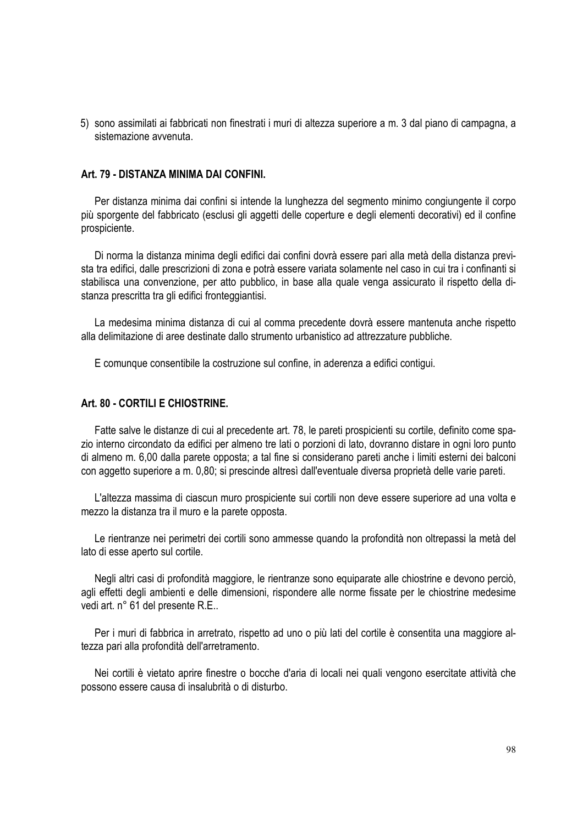5) sono assimilati ai fabbricati non finestrati i muri di altezza superiore a m. 3 dal piano di campagna, a sistemazione avvenuta.

#### **Art. 79 - DISTANZA MINIMA DAI CONFINI.**

Per distanza minima dai confini si intende la lunghezza del segmento minimo congiungente il corpo più sporgente del fabbricato (esclusi gli aggetti delle coperture e degli elementi decorativi) ed il confine prospiciente.

Di norma la distanza minima degli edifici dai confini dovrà essere pari alla metà della distanza prevista tra edifici, dalle prescrizioni di zona e potrà essere variata solamente nel caso in cui tra i confinanti si stabilisca una convenzione, per atto pubblico, in base alla quale venga assicurato il rispetto della distanza prescritta tra gli edifici fronteggiantisi.

La medesima minima distanza di cui al comma precedente dovrà essere mantenuta anche rispetto alla delimitazione di aree destinate dallo strumento urbanistico ad attrezzature pubbliche.

E comunque consentibile la costruzione sul confine, in aderenza a edifici contigui.

## **Art. 80 - CORTILI E CHIOSTRINE.**

Fatte salve le distanze di cui al precedente art. 78, le pareti prospicienti su cortile, definito come spazio interno circondato da edifici per almeno tre lati o porzioni di lato, dovranno distare in ogni loro punto di almeno m. 6,00 dalla parete opposta; a tal fine si considerano pareti anche i limiti esterni dei balconi con aggetto superiore a m. 0,80; si prescinde altresì dall'eventuale diversa proprietà delle varie pareti.

L'altezza massima di ciascun muro prospiciente sui cortili non deve essere superiore ad una volta e mezzo la distanza tra il muro e la parete opposta.

Le rientranze nei perimetri dei cortili sono ammesse quando la profondità non oltrepassi la metà del lato di esse aperto sul cortile.

Negli altri casi di profondità maggiore, le rientranze sono equiparate alle chiostrine e devono perciò, agli effetti degli ambienti e delle dimensioni, rispondere alle norme fissate per le chiostrine medesime vedi art. n° 61 del presente R.E..

Per i muri di fabbrica in arretrato, rispetto ad uno o più lati del cortile è consentita una maggiore altezza pari alla profondità dell'arretramento.

Nei cortili è vietato aprire finestre o bocche d'aria di locali nei quali vengono esercitate attività che possono essere causa di insalubrità o di disturbo.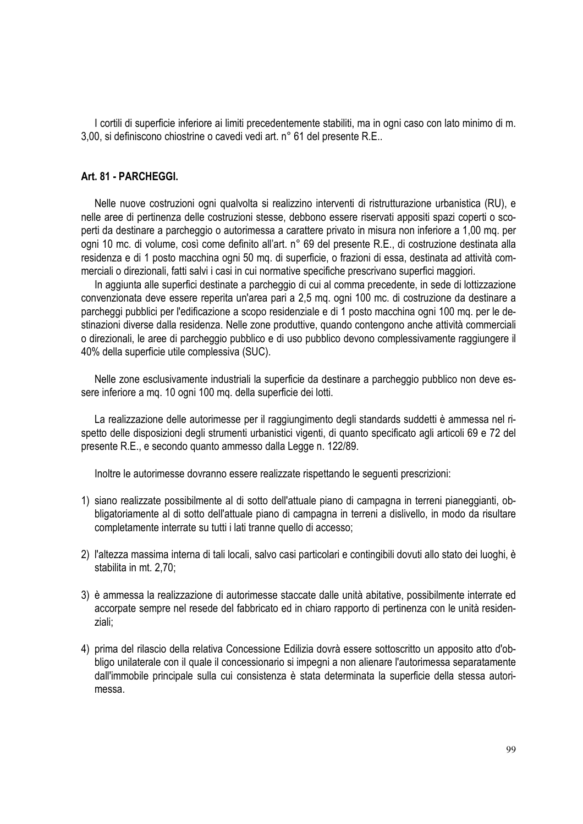I cortili di superficie inferiore ai limiti precedentemente stabiliti, ma in ogni caso con lato minimo di m. 3,00, si definiscono chiostrine o cavedi vedi art. n° 61 del presente R.E..

## **Art. 81 - PARCHEGGI.**

Nelle nuove costruzioni ogni qualvolta si realizzino interventi di ristrutturazione urbanistica (RU), e nelle aree di pertinenza delle costruzioni stesse, debbono essere riservati appositi spazi coperti o scoperti da destinare a parcheggio o autorimessa a carattere privato in misura non inferiore a 1,00 mq. per ogni 10 mc. di volume, così come definito all'art. n° 69 del presente R.E., di costruzione destinata alla residenza e di 1 posto macchina ogni 50 mq. di superficie, o frazioni di essa, destinata ad attività commerciali o direzionali, fatti salvi i casi in cui normative specifiche prescrivano superfici maggiori.

In aggiunta alle superfici destinate a parcheggio di cui al comma precedente, in sede di lottizzazione convenzionata deve essere reperita un'area pari a 2,5 mq. ogni 100 mc. di costruzione da destinare a parcheggi pubblici per l'edificazione a scopo residenziale e di 1 posto macchina ogni 100 mq. per le destinazioni diverse dalla residenza. Nelle zone produttive, quando contengono anche attività commerciali o direzionali, le aree di parcheggio pubblico e di uso pubblico devono complessivamente raggiungere il 40% della superficie utile complessiva (SUC).

Nelle zone esclusivamente industriali la superficie da destinare a parcheggio pubblico non deve essere inferiore a mg. 10 ogni 100 mg. della superficie dei lotti.

La realizzazione delle autorimesse per il raggiungimento degli standards suddetti è ammessa nel rispetto delle disposizioni degli strumenti urbanistici vigenti, di quanto specificato agli articoli 69 e 72 del presente R.E., e secondo quanto ammesso dalla Legge n. 122/89.

Inoltre le autorimesse dovranno essere realizzate rispettando le seguenti prescrizioni:

- 1) siano realizzate possibilmente al di sotto dell'attuale piano di campagna in terreni pianeggianti, obbligatoriamente al di sotto dell'attuale piano di campagna in terreni a dislivello, in modo da risultare completamente interrate su tutti i lati tranne quello di accesso;
- 2) l'altezza massima interna di tali locali, salvo casi particolari e contingibili dovuti allo stato dei luoghi, è stabilita in mt. 2,70;
- 3) è ammessa la realizzazione di autorimesse staccate dalle unità abitative, possibilmente interrate ed accorpate sempre nel resede del fabbricato ed in chiaro rapporto di pertinenza con le unità residenziali;
- 4) prima del rilascio della relativa Concessione Edilizia dovrà essere sottoscritto un apposito atto d'obbligo unilaterale con il quale il concessionario si impegni a non alienare l'autorimessa separatamente dall'immobile principale sulla cui consistenza è stata determinata la superficie della stessa autorimessa.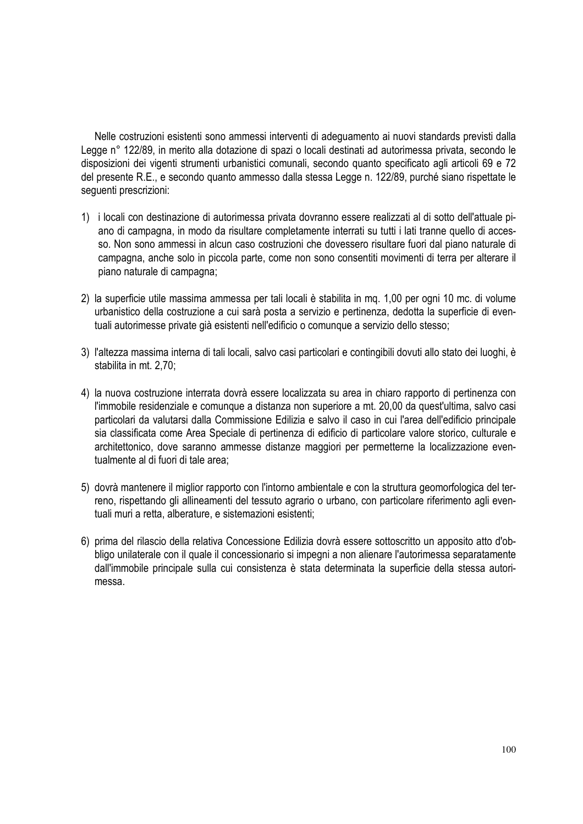Nelle costruzioni esistenti sono ammessi interventi di adeguamento ai nuovi standards previsti dalla Legge n° 122/89, in merito alla dotazione di spazi o locali destinati ad autorimessa privata, secondo le disposizioni dei vigenti strumenti urbanistici comunali, secondo quanto specificato agli articoli 69 e 72 del presente R.E., e secondo quanto ammesso dalla stessa Legge n. 122/89, purché siano rispettate le seguenti prescrizioni:

- 1) i locali con destinazione di autorimessa privata dovranno essere realizzati al di sotto dell'attuale piano di campagna, in modo da risultare completamente interrati su tutti i lati tranne quello di accesso. Non sono ammessi in alcun caso costruzioni che dovessero risultare fuori dal piano naturale di campagna, anche solo in piccola parte, come non sono consentiti movimenti di terra per alterare il piano naturale di campagna;
- 2) la superficie utile massima ammessa per tali locali è stabilita in mq. 1,00 per ogni 10 mc. di volume urbanistico della costruzione a cui sarà posta a servizio e pertinenza, dedotta la superficie di eventuali autorimesse private già esistenti nell'edificio o comunque a servizio dello stesso;
- 3) l'altezza massima interna di tali locali, salvo casi particolari e contingibili dovuti allo stato dei luoghi, è stabilita in mt. 2,70;
- 4) la nuova costruzione interrata dovrà essere localizzata su area in chiaro rapporto di pertinenza con l'immobile residenziale e comunque a distanza non superiore a mt. 20,00 da quest'ultima, salvo casi particolari da valutarsi dalla Commissione Edilizia e salvo il caso in cui l'area dell'edificio principale sia classificata come Area Speciale di pertinenza di edificio di particolare valore storico, culturale e architettonico, dove saranno ammesse distanze maggiori per permetterne la localizzazione eventualmente al di fuori di tale area;
- 5) dovrà mantenere il miglior rapporto con l'intorno ambientale e con la struttura geomorfologica del terreno, rispettando gli allineamenti del tessuto agrario o urbano, con particolare riferimento agli eventuali muri a retta, alberature, e sistemazioni esistenti;
- 6) prima del rilascio della relativa Concessione Edilizia dovrà essere sottoscritto un apposito atto d'obbligo unilaterale con il quale il concessionario si impegni a non alienare l'autorimessa separatamente dall'immobile principale sulla cui consistenza è stata determinata la superficie della stessa autorimessa.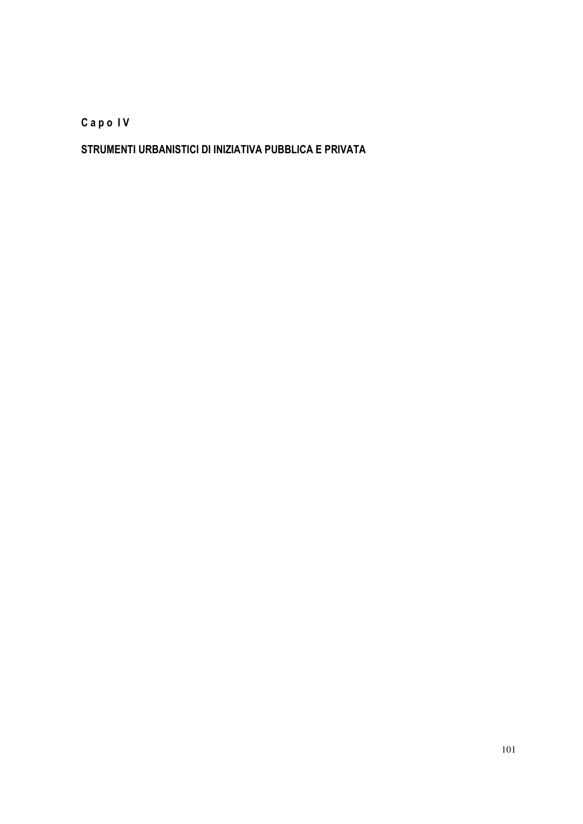**C a p o I V** 

# **STRUMENTI URBANISTICI DI INIZIATIVA PUBBLICA E PRIVATA**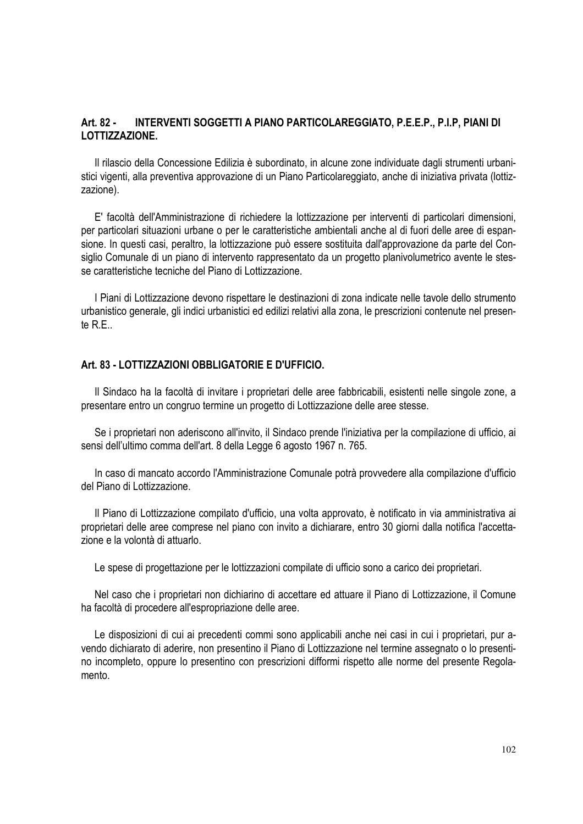# **Art. 82 - INTERVENTI SOGGETTI A PIANO PARTICOLAREGGIATO, P.E.E.P., P.I.P, PIANI DI LOTTIZZAZIONE.**

Il rilascio della Concessione Edilizia è subordinato, in alcune zone individuate dagli strumenti urbanistici vigenti, alla preventiva approvazione di un Piano Particolareggiato, anche di iniziativa privata (lottizzazione).

E' facoltà dell'Amministrazione di richiedere la lottizzazione per interventi di particolari dimensioni, per particolari situazioni urbane o per le caratteristiche ambientali anche al di fuori delle aree di espansione. In questi casi, peraltro, la lottizzazione può essere sostituita dall'approvazione da parte del Consiglio Comunale di un piano di intervento rappresentato da un progetto planivolumetrico avente le stesse caratteristiche tecniche del Piano di Lottizzazione.

I Piani di Lottizzazione devono rispettare le destinazioni di zona indicate nelle tavole dello strumento urbanistico generale, gli indici urbanistici ed edilizi relativi alla zona, le prescrizioni contenute nel presente  $R<sub>F</sub>$ 

#### **Art. 83 - LOTTIZZAZIONI OBBLIGATORIE E D'UFFICIO.**

Il Sindaco ha la facoltà di invitare i proprietari delle aree fabbricabili, esistenti nelle singole zone, a presentare entro un congruo termine un progetto di Lottizzazione delle aree stesse.

Se i proprietari non aderiscono all'invito, il Sindaco prende l'iniziativa per la compilazione di ufficio, ai sensi dell'ultimo comma dell'art. 8 della Legge 6 agosto 1967 n. 765.

In caso di mancato accordo l'Amministrazione Comunale potrà provvedere alla compilazione d'ufficio del Piano di Lottizzazione.

Il Piano di Lottizzazione compilato d'ufficio, una volta approvato, è notificato in via amministrativa ai proprietari delle aree comprese nel piano con invito a dichiarare, entro 30 giorni dalla notifica l'accettazione e la volontà di attuarlo.

Le spese di progettazione per le lottizzazioni compilate di ufficio sono a carico dei proprietari.

Nel caso che i proprietari non dichiarino di accettare ed attuare il Piano di Lottizzazione, il Comune ha facoltà di procedere all'espropriazione delle aree.

Le disposizioni di cui ai precedenti commi sono applicabili anche nei casi in cui i proprietari, pur avendo dichiarato di aderire, non presentino il Piano di Lottizzazione nel termine assegnato o lo presentino incompleto, oppure lo presentino con prescrizioni difformi rispetto alle norme del presente Regolamento.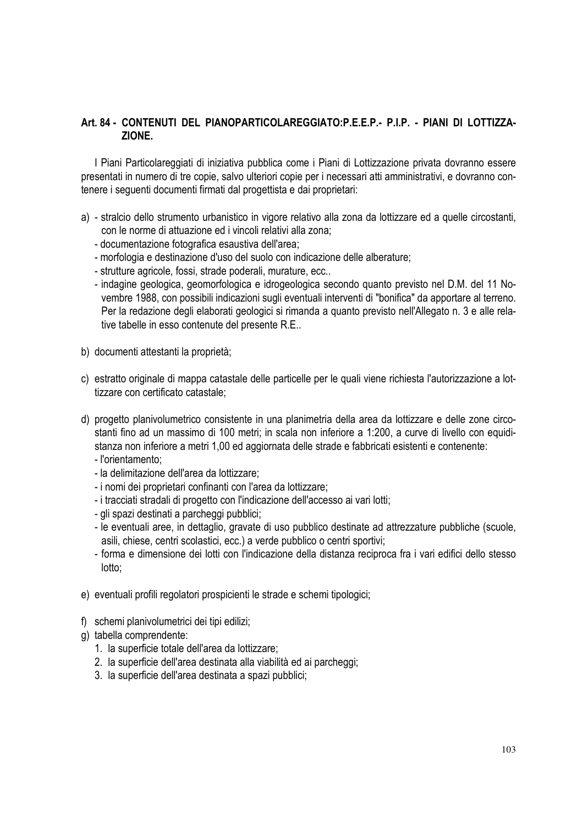# **Art. 84 - CONTENUTI DEL PIANOPARTICOLAREGGIATO:P.E.E.P.- P.I.P. - PIANI DI LOTTIZZA-ZIONE.**

I Piani Particolareggiati di iniziativa pubblica come i Piani di Lottizzazione privata dovranno essere presentati in numero di tre copie, salvo ulteriori copie per i necessari atti amministrativi, e dovranno contenere i seguenti documenti firmati dal progettista e dai proprietari:

- a) stralcio dello strumento urbanistico in vigore relativo alla zona da lottizzare ed a quelle circostanti, con le norme di attuazione ed i vincoli relativi alla zona;
	- documentazione fotografica esaustiva dell'area;
	- morfologia e destinazione d'uso del suolo con indicazione delle alberature;
	- strutture agricole, fossi, strade poderali, murature, ecc..
	- indagine geologica, geomorfologica e idrogeologica secondo quanto previsto nel D.M. del 11 Novembre 1988, con possibili indicazioni sugli eventuali interventi di "bonifica" da apportare al terreno. Per la redazione degli elaborati geologici si rimanda a quanto previsto nell'Allegato n. 3 e alle relative tabelle in esso contenute del presente R.E..
- b) documenti attestanti la proprietà;
- c) estratto originale di mappa catastale delle particelle per le quali viene richiesta l'autorizzazione a lottizzare con certificato catastale;
- d) progetto planivolumetrico consistente in una planimetria della area da lottizzare e delle zone circostanti fino ad un massimo di 100 metri; in scala non inferiore a 1:200, a curve di livello con equidistanza non inferiore a metri 1,00 ed aggiornata delle strade e fabbricati esistenti e contenente:
	- l'orientamento;
	- la delimitazione dell'area da lottizzare;
	- i nomi dei proprietari confinanti con l'area da lottizzare;
	- i tracciati stradali di progetto con l'indicazione dell'accesso ai vari lotti;
	- gli spazi destinati a parcheggi pubblici;
	- le eventuali aree, in dettaglio, gravate di uso pubblico destinate ad attrezzature pubbliche (scuole, asili, chiese, centri scolastici, ecc.) a verde pubblico o centri sportivi;
	- forma e dimensione dei lotti con l'indicazione della distanza reciproca fra i vari edifici dello stesso lotto;
- e) eventuali profili regolatori prospicienti le strade e schemi tipologici;
- f) schemi planivolumetrici dei tipi edilizi;
- g) tabella comprendente:
	- 1. la superficie totale dell'area da lottizzare;
	- 2. la superficie dell'area destinata alla viabilità ed ai parcheggi;
	- 3. la superficie dell'area destinata a spazi pubblici;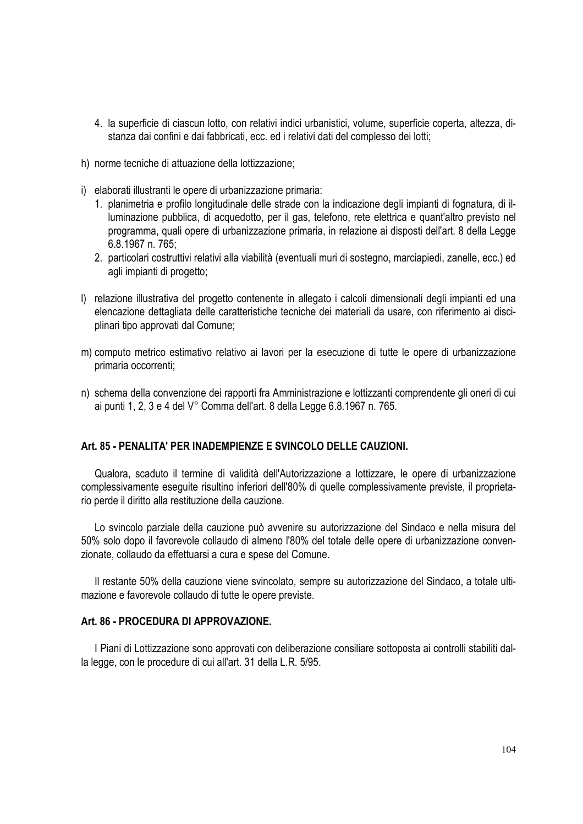- 4. la superficie di ciascun lotto, con relativi indici urbanistici, volume, superficie coperta, altezza, distanza dai confini e dai fabbricati, ecc. ed i relativi dati del complesso dei lotti;
- h) norme tecniche di attuazione della lottizzazione;
- i) elaborati illustranti le opere di urbanizzazione primaria:
	- 1. planimetria e profilo longitudinale delle strade con la indicazione degli impianti di fognatura, di illuminazione pubblica, di acquedotto, per il gas, telefono, rete elettrica e quant'altro previsto nel programma, quali opere di urbanizzazione primaria, in relazione ai disposti dell'art. 8 della Legge 6.8.1967 n. 765;
	- 2. particolari costruttivi relativi alla viabilità (eventuali muri di sostegno, marciapiedi, zanelle, ecc.) ed agli impianti di progetto;
- l) relazione illustrativa del progetto contenente in allegato i calcoli dimensionali degli impianti ed una elencazione dettagliata delle caratteristiche tecniche dei materiali da usare, con riferimento ai disciplinari tipo approvati dal Comune;
- m) computo metrico estimativo relativo ai lavori per la esecuzione di tutte le opere di urbanizzazione primaria occorrenti;
- n) schema della convenzione dei rapporti fra Amministrazione e lottizzanti comprendente gli oneri di cui ai punti 1, 2, 3 e 4 del V° Comma dell'art. 8 della Legge 6.8.1967 n. 765.

## **Art. 85 - PENALITA' PER INADEMPIENZE E SVINCOLO DELLE CAUZIONI.**

Qualora, scaduto il termine di validità dell'Autorizzazione a lottizzare, le opere di urbanizzazione complessivamente eseguite risultino inferiori dell'80% di quelle complessivamente previste, il proprietario perde il diritto alla restituzione della cauzione.

Lo svincolo parziale della cauzione può avvenire su autorizzazione del Sindaco e nella misura del 50% solo dopo il favorevole collaudo di almeno l'80% del totale delle opere di urbanizzazione convenzionate, collaudo da effettuarsi a cura e spese del Comune.

Il restante 50% della cauzione viene svincolato, sempre su autorizzazione del Sindaco, a totale ultimazione e favorevole collaudo di tutte le opere previste.

### **Art. 86 - PROCEDURA DI APPROVAZIONE.**

I Piani di Lottizzazione sono approvati con deliberazione consiliare sottoposta ai controlli stabiliti dalla legge, con le procedure di cui all'art. 31 della L.R. 5/95.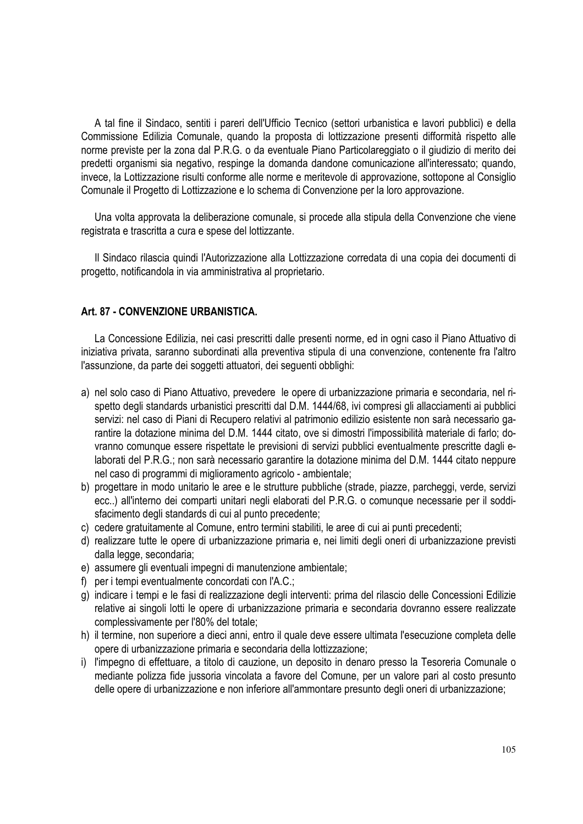A tal fine il Sindaco, sentiti i pareri dell'Ufficio Tecnico (settori urbanistica e lavori pubblici) e della Commissione Edilizia Comunale, quando la proposta di lottizzazione presenti difformità rispetto alle norme previste per la zona dal P.R.G. o da eventuale Piano Particolareggiato o il giudizio di merito dei predetti organismi sia negativo, respinge la domanda dandone comunicazione all'interessato; quando, invece, la Lottizzazione risulti conforme alle norme e meritevole di approvazione, sottopone al Consiglio Comunale il Progetto di Lottizzazione e lo schema di Convenzione per la loro approvazione.

Una volta approvata la deliberazione comunale, si procede alla stipula della Convenzione che viene registrata e trascritta a cura e spese del lottizzante.

Il Sindaco rilascia quindi l'Autorizzazione alla Lottizzazione corredata di una copia dei documenti di progetto, notificandola in via amministrativa al proprietario.

### **Art. 87 - CONVENZIONE URBANISTICA.**

La Concessione Edilizia, nei casi prescritti dalle presenti norme, ed in ogni caso il Piano Attuativo di iniziativa privata, saranno subordinati alla preventiva stipula di una convenzione, contenente fra l'altro l'assunzione, da parte dei soggetti attuatori, dei seguenti obblighi:

- a) nel solo caso di Piano Attuativo, prevedere le opere di urbanizzazione primaria e secondaria, nel rispetto degli standards urbanistici prescritti dal D.M. 1444/68, ivi compresi gli allacciamenti ai pubblici servizi: nel caso di Piani di Recupero relativi al patrimonio edilizio esistente non sarà necessario garantire la dotazione minima del D.M. 1444 citato, ove si dimostri l'impossibilità materiale di farlo; dovranno comunque essere rispettate le previsioni di servizi pubblici eventualmente prescritte dagli elaborati del P.R.G.; non sarà necessario garantire la dotazione minima del D.M. 1444 citato neppure nel caso di programmi di miglioramento agricolo - ambientale;
- b) progettare in modo unitario le aree e le strutture pubbliche (strade, piazze, parcheggi, verde, servizi ecc..) all'interno dei comparti unitari negli elaborati del P.R.G. o comunque necessarie per il soddisfacimento degli standards di cui al punto precedente;
- c) cedere gratuitamente al Comune, entro termini stabiliti, le aree di cui ai punti precedenti;
- d) realizzare tutte le opere di urbanizzazione primaria e, nei limiti degli oneri di urbanizzazione previsti dalla legge, secondaria;
- e) assumere gli eventuali impegni di manutenzione ambientale;
- f) per i tempi eventualmente concordati con l'A.C.;
- g) indicare i tempi e le fasi di realizzazione degli interventi: prima del rilascio delle Concessioni Edilizie relative ai singoli lotti le opere di urbanizzazione primaria e secondaria dovranno essere realizzate complessivamente per l'80% del totale;
- h) il termine, non superiore a dieci anni, entro il quale deve essere ultimata l'esecuzione completa delle opere di urbanizzazione primaria e secondaria della lottizzazione;
- i) l'impegno di effettuare, a titolo di cauzione, un deposito in denaro presso la Tesoreria Comunale o mediante polizza fide jussoria vincolata a favore del Comune, per un valore pari al costo presunto delle opere di urbanizzazione e non inferiore all'ammontare presunto degli oneri di urbanizzazione;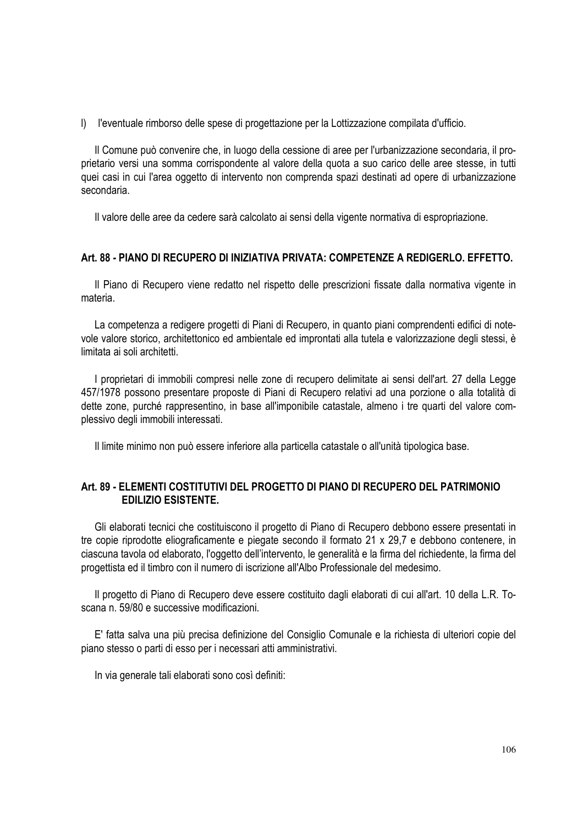l) l'eventuale rimborso delle spese di progettazione per la Lottizzazione compilata d'ufficio.

Il Comune può convenire che, in luogo della cessione di aree per l'urbanizzazione secondaria, il proprietario versi una somma corrispondente al valore della quota a suo carico delle aree stesse, in tutti quei casi in cui l'area oggetto di intervento non comprenda spazi destinati ad opere di urbanizzazione secondaria.

Il valore delle aree da cedere sarà calcolato ai sensi della vigente normativa di espropriazione.

## **Art. 88 - PIANO DI RECUPERO DI INIZIATIVA PRIVATA: COMPETENZE A REDIGERLO. EFFETTO.**

Il Piano di Recupero viene redatto nel rispetto delle prescrizioni fissate dalla normativa vigente in materia.

La competenza a redigere progetti di Piani di Recupero, in quanto piani comprendenti edifici di notevole valore storico, architettonico ed ambientale ed improntati alla tutela e valorizzazione degli stessi, è limitata ai soli architetti.

I proprietari di immobili compresi nelle zone di recupero delimitate ai sensi dell'art. 27 della Legge 457/1978 possono presentare proposte di Piani di Recupero relativi ad una porzione o alla totalità di dette zone, purché rappresentino, in base all'imponibile catastale, almeno i tre quarti del valore complessivo degli immobili interessati.

Il limite minimo non può essere inferiore alla particella catastale o all'unità tipologica base.

# **Art. 89 - ELEMENTI COSTITUTIVI DEL PROGETTO DI PIANO DI RECUPERO DEL PATRIMONIO EDILIZIO ESISTENTE.**

Gli elaborati tecnici che costituiscono il progetto di Piano di Recupero debbono essere presentati in tre copie riprodotte eliograficamente e piegate secondo il formato 21 x 29,7 e debbono contenere, in ciascuna tavola od elaborato, l'oggetto dell'intervento, le generalità e la firma del richiedente, la firma del progettista ed il timbro con il numero di iscrizione all'Albo Professionale del medesimo.

Il progetto di Piano di Recupero deve essere costituito dagli elaborati di cui all'art. 10 della L.R. Toscana n. 59/80 e successive modificazioni.

E' fatta salva una più precisa definizione del Consiglio Comunale e la richiesta di ulteriori copie del piano stesso o parti di esso per i necessari atti amministrativi.

In via generale tali elaborati sono così definiti: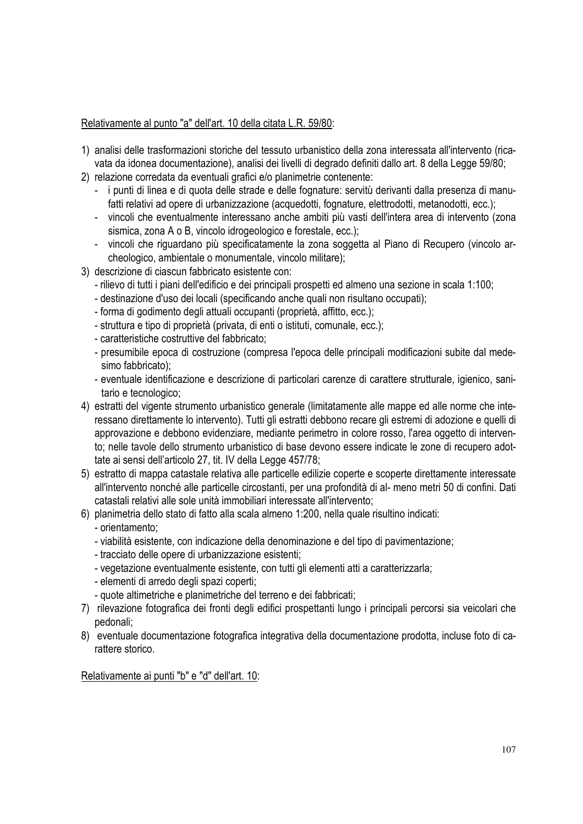# Relativamente al punto "a" dell'art. 10 della citata L.R. 59/80:

- 1) analisi delle trasformazioni storiche del tessuto urbanistico della zona interessata all'intervento (ricavata da idonea documentazione), analisi dei livelli di degrado definiti dallo art. 8 della Legge 59/80;
- 2) relazione corredata da eventuali grafici e/o planimetrie contenente:
	- i punti di linea e di quota delle strade e delle fognature: servitù derivanti dalla presenza di manufatti relativi ad opere di urbanizzazione (acquedotti, fognature, elettrodotti, metanodotti, ecc.);
	- vincoli che eventualmente interessano anche ambiti più vasti dell'intera area di intervento (zona sismica, zona A o B, vincolo idrogeologico e forestale, ecc.);
	- vincoli che riguardano più specificatamente la zona soggetta al Piano di Recupero (vincolo archeologico, ambientale o monumentale, vincolo militare);
- 3) descrizione di ciascun fabbricato esistente con:
	- rilievo di tutti i piani dell'edificio e dei principali prospetti ed almeno una sezione in scala 1:100;
	- destinazione d'uso dei locali (specificando anche quali non risultano occupati);
	- forma di godimento degli attuali occupanti (proprietà, affitto, ecc.);
	- struttura e tipo di proprietà (privata, di enti o istituti, comunale, ecc.);
	- caratteristiche costruttive del fabbricato;
	- presumibile epoca di costruzione (compresa l'epoca delle principali modificazioni subite dal medesimo fabbricato);
	- eventuale identificazione e descrizione di particolari carenze di carattere strutturale, igienico, sanitario e tecnologico;
- 4) estratti del vigente strumento urbanistico generale (limitatamente alle mappe ed alle norme che interessano direttamente lo intervento). Tutti gli estratti debbono recare gli estremi di adozione e quelli di approvazione e debbono evidenziare, mediante perimetro in colore rosso, l'area oggetto di intervento; nelle tavole dello strumento urbanistico di base devono essere indicate le zone di recupero adottate ai sensi dell'articolo 27, tit. IV della Legge 457/78;
- 5) estratto di mappa catastale relativa alle particelle edilizie coperte e scoperte direttamente interessate all'intervento nonché alle particelle circostanti, per una profondità di al- meno metri 50 di confini. Dati catastali relativi alle sole unità immobiliari interessate all'intervento;
- 6) planimetria dello stato di fatto alla scala almeno 1:200, nella quale risultino indicati:
	- orientamento;
	- viabilità esistente, con indicazione della denominazione e del tipo di pavimentazione;
	- tracciato delle opere di urbanizzazione esistenti;
	- vegetazione eventualmente esistente, con tutti gli elementi atti a caratterizzarla;
	- elementi di arredo degli spazi coperti;
	- quote altimetriche e planimetriche del terreno e dei fabbricati;
- 7) rilevazione fotografica dei fronti degli edifici prospettanti lungo i principali percorsi sia veicolari che pedonali;
- 8) eventuale documentazione fotografica integrativa della documentazione prodotta, incluse foto di carattere storico.

Relativamente ai punti "b" e "d" dell'art. 10: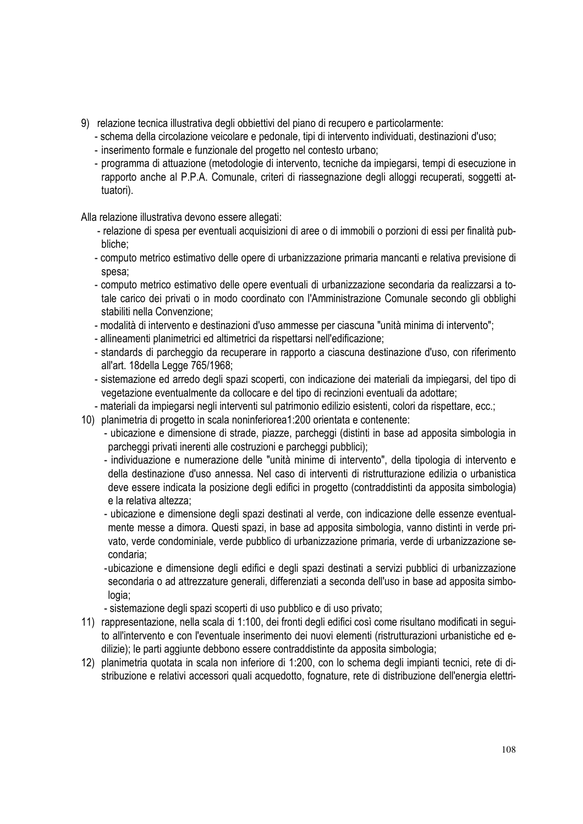- 9) relazione tecnica illustrativa degli obbiettivi del piano di recupero e particolarmente:
	- schema della circolazione veicolare e pedonale, tipi di intervento individuati, destinazioni d'uso;
	- inserimento formale e funzionale del progetto nel contesto urbano;
	- programma di attuazione (metodologie di intervento, tecniche da impiegarsi, tempi di esecuzione in rapporto anche al P.P.A. Comunale, criteri di riassegnazione degli alloggi recuperati, soggetti attuatori).

Alla relazione illustrativa devono essere allegati:

- relazione di spesa per eventuali acquisizioni di aree o di immobili o porzioni di essi per finalità pubbliche;
- computo metrico estimativo delle opere di urbanizzazione primaria mancanti e relativa previsione di spesa;
- computo metrico estimativo delle opere eventuali di urbanizzazione secondaria da realizzarsi a totale carico dei privati o in modo coordinato con l'Amministrazione Comunale secondo gli obblighi stabiliti nella Convenzione;
- modalità di intervento e destinazioni d'uso ammesse per ciascuna "unità minima di intervento";
- allineamenti planimetrici ed altimetrici da rispettarsi nell'edificazione;
- standards di parcheggio da recuperare in rapporto a ciascuna destinazione d'uso, con riferimento all'art. 18della Legge 765/1968;
- sistemazione ed arredo degli spazi scoperti, con indicazione dei materiali da impiegarsi, del tipo di vegetazione eventualmente da collocare e del tipo di recinzioni eventuali da adottare;
- materiali da impiegarsi negli interventi sul patrimonio edilizio esistenti, colori da rispettare, ecc.;
- 10) planimetria di progetto in scala noninferiorea1:200 orientata e contenente:
	- ubicazione e dimensione di strade, piazze, parcheggi (distinti in base ad apposita simbologia in parcheggi privati inerenti alle costruzioni e parcheggi pubblici);
	- individuazione e numerazione delle "unità minime di intervento", della tipologia di intervento e della destinazione d'uso annessa. Nel caso di interventi di ristrutturazione edilizia o urbanistica deve essere indicata la posizione degli edifici in progetto (contraddistinti da apposita simbologia) e la relativa altezza;
	- ubicazione e dimensione degli spazi destinati al verde, con indicazione delle essenze eventualmente messe a dimora. Questi spazi, in base ad apposita simbologia, vanno distinti in verde privato, verde condominiale, verde pubblico di urbanizzazione primaria, verde di urbanizzazione secondaria;
	- ubicazione e dimensione degli edifici e degli spazi destinati a servizi pubblici di urbanizzazione secondaria o ad attrezzature generali, differenziati a seconda dell'uso in base ad apposita simbologia;
	- sistemazione degli spazi scoperti di uso pubblico e di uso privato;
- 11) rappresentazione, nella scala di 1:100, dei fronti degli edifici così come risultano modificati in seguito all'intervento e con l'eventuale inserimento dei nuovi elementi (ristrutturazioni urbanistiche ed edilizie); le parti aggiunte debbono essere contraddistinte da apposita simbologia;
- 12) planimetria quotata in scala non inferiore di 1:200, con lo schema degli impianti tecnici, rete di distribuzione e relativi accessori quali acquedotto, fognature, rete di distribuzione dell'energia elettri-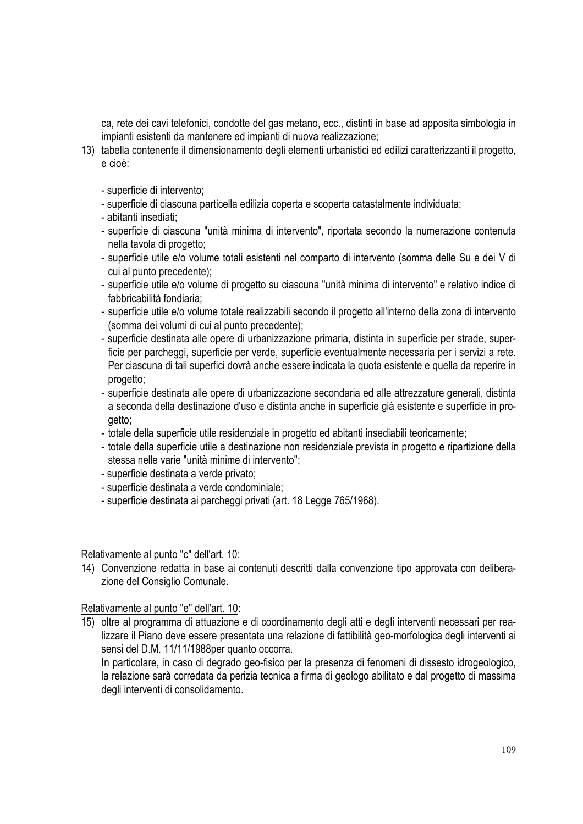ca, rete dei cavi telefonici, condotte del gas metano, ecc., distinti in base ad apposita simbologia in impianti esistenti da mantenere ed impianti di nuova realizzazione;

- 13) tabella contenente il dimensionamento degli elementi urbanistici ed edilizi caratterizzanti il progetto, e cioè:
	- superficie di intervento;
	- superficie di ciascuna particella edilizia coperta e scoperta catastalmente individuata;
	- abitanti insediati;
	- superficie di ciascuna "unità minima di intervento", riportata secondo la numerazione contenuta nella tavola di progetto;
	- superficie utile e/o volume totali esistenti nel comparto di intervento (somma delle Su e dei V di cui al punto precedente);
	- superficie utile e/o volume di progetto su ciascuna "unità minima di intervento" e relativo indice di fabbricabilità fondiaria;
	- superficie utile e/o volume totale realizzabili secondo il progetto all'interno della zona di intervento (somma dei volumi di cui al punto precedente);
	- superficie destinata alle opere di urbanizzazione primaria, distinta in superficie per strade, superficie per parcheggi, superficie per verde, superficie eventualmente necessaria per i servizi a rete. Per ciascuna di tali superfici dovrà anche essere indicata la quota esistente e quella da reperire in progetto;
	- superficie destinata alle opere di urbanizzazione secondaria ed alle attrezzature generali, distinta a seconda della destinazione d'uso e distinta anche in superficie già esistente e superficie in progetto;
	- totale della superficie utile residenziale in progetto ed abitanti insediabili teoricamente;
	- totale della superficie utile a destinazione non residenziale prevista in progetto e ripartizione della stessa nelle varie "unità minime di intervento";
	- superficie destinata a verde privato;
	- superficie destinata a verde condominiale;
	- superficie destinata ai parcheggi privati (art. 18 Legge 765/1968).

### Relativamente al punto "c" dell'art. 10:

14) Convenzione redatta in base ai contenuti descritti dalla convenzione tipo approvata con deliberazione del Consiglio Comunale.

### Relativamente al punto "e" dell'art. 10:

15) oltre al programma di attuazione e di coordinamento degli atti e degli interventi necessari per realizzare il Piano deve essere presentata una relazione di fattibilità geo-morfologica degli interventi ai sensi del D.M. 11/11/1988per quanto occorra.

In particolare, in caso di degrado geo-fisico per la presenza di fenomeni di dissesto idrogeologico, la relazione sarà corredata da perizia tecnica a firma di geologo abilitato e dal progetto di massima degli interventi di consolidamento.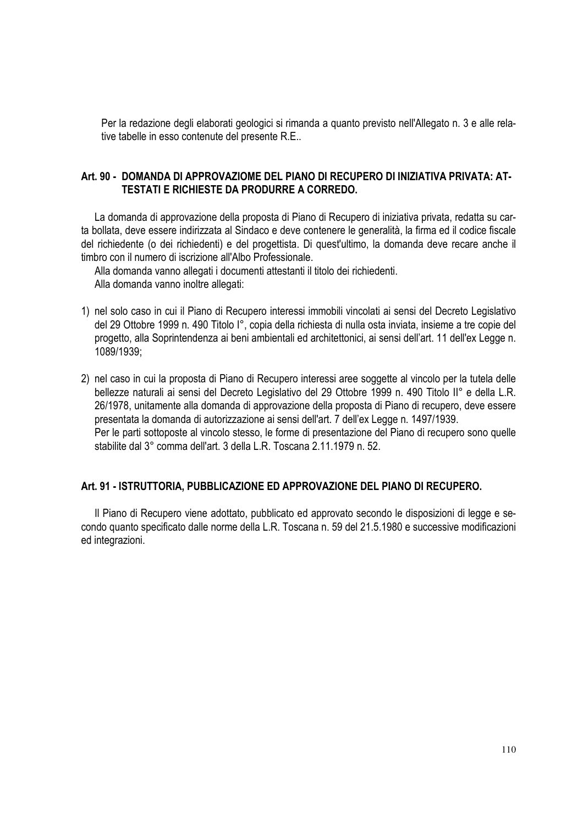Per la redazione degli elaborati geologici si rimanda a quanto previsto nell'Allegato n. 3 e alle relative tabelle in esso contenute del presente R.E..

# **Art. 90 - DOMANDA DI APPROVAZIOME DEL PIANO DI RECUPERO DI INIZIATIVA PRIVATA: AT-TESTATI E RICHIESTE DA PRODURRE A CORREDO.**

La domanda di approvazione della proposta di Piano di Recupero di iniziativa privata, redatta su carta bollata, deve essere indirizzata al Sindaco e deve contenere le generalità, la firma ed il codice fiscale del richiedente (o dei richiedenti) e del progettista. Di quest'ultimo, la domanda deve recare anche il timbro con il numero di iscrizione all'Albo Professionale.

Alla domanda vanno allegati i documenti attestanti il titolo dei richiedenti. Alla domanda vanno inoltre allegati:

- 1) nel solo caso in cui il Piano di Recupero interessi immobili vincolati ai sensi del Decreto Legislativo del 29 Ottobre 1999 n. 490 Titolo I°, copia della richiesta di nulla osta inviata, insieme a tre copie del progetto, alla Soprintendenza ai beni ambientali ed architettonici, ai sensi dell'art. 11 dell'ex Legge n. 1089/1939;
- 2) nel caso in cui la proposta di Piano di Recupero interessi aree soggette al vincolo per la tutela delle bellezze naturali ai sensi del Decreto Legislativo del 29 Ottobre 1999 n. 490 Titolo II° e della L.R. 26/1978, unitamente alla domanda di approvazione della proposta di Piano di recupero, deve essere presentata la domanda di autorizzazione ai sensi dell'art. 7 dell'ex Legge n. 1497/1939. Per le parti sottoposte al vincolo stesso, le forme di presentazione del Piano di recupero sono quelle stabilite dal 3° comma dell'art. 3 della L.R. Toscana 2.11.1979 n. 52.

### **Art. 91 - ISTRUTTORIA, PUBBLICAZIONE ED APPROVAZIONE DEL PIANO DI RECUPERO.**

Il Piano di Recupero viene adottato, pubblicato ed approvato secondo le disposizioni di legge e secondo quanto specificato dalle norme della L.R. Toscana n. 59 del 21.5.1980 e successive modificazioni ed integrazioni.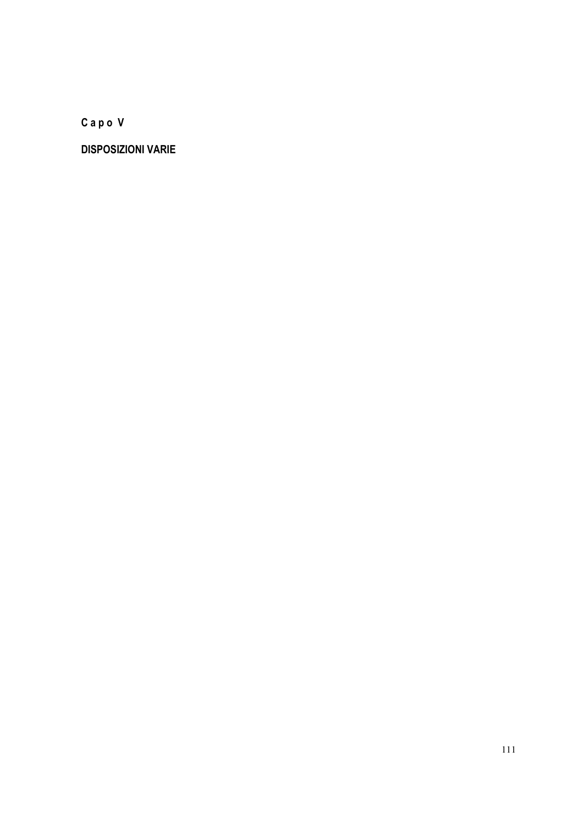**C a p o V** 

**DISPOSIZIONI VARIE**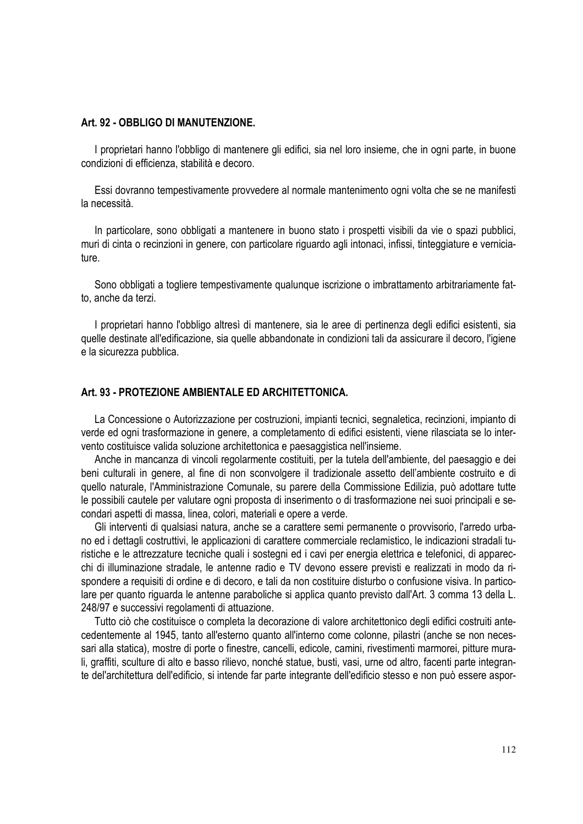#### **Art. 92 - OBBLIGO DI MANUTENZIONE.**

I proprietari hanno l'obbligo di mantenere gli edifici, sia nel loro insieme, che in ogni parte, in buone condizioni di efficienza, stabilità e decoro.

Essi dovranno tempestivamente provvedere al normale mantenimento ogni volta che se ne manifesti la necessità.

In particolare, sono obbligati a mantenere in buono stato i prospetti visibili da vie o spazi pubblici, muri di cinta o recinzioni in genere, con particolare riguardo agli intonaci, infissi, tinteggiature e verniciature.

Sono obbligati a togliere tempestivamente qualunque iscrizione o imbrattamento arbitrariamente fatto, anche da terzi.

I proprietari hanno l'obbligo altresì di mantenere, sia le aree di pertinenza degli edifici esistenti, sia quelle destinate all'edificazione, sia quelle abbandonate in condizioni tali da assicurare il decoro, l'igiene e la sicurezza pubblica.

### **Art. 93 - PROTEZIONE AMBIENTALE ED ARCHITETTONICA.**

La Concessione o Autorizzazione per costruzioni, impianti tecnici, segnaletica, recinzioni, impianto di verde ed ogni trasformazione in genere, a completamento di edifici esistenti, viene rilasciata se lo intervento costituisce valida soluzione architettonica e paesaggistica nell'insieme.

Anche in mancanza di vincoli regolarmente costituiti, per la tutela dell'ambiente, del paesaggio e dei beni culturali in genere, al fine di non sconvolgere il tradizionale assetto dell'ambiente costruito e di quello naturale, l'Amministrazione Comunale, su parere della Commissione Edilizia, può adottare tutte le possibili cautele per valutare ogni proposta di inserimento o di trasformazione nei suoi principali e secondari aspetti di massa, linea, colori, materiali e opere a verde.

Gli interventi di qualsiasi natura, anche se a carattere semi permanente o provvisorio, l'arredo urbano ed i dettagli costruttivi, le applicazioni di carattere commerciale reclamistico, le indicazioni stradali turistiche e le attrezzature tecniche quali i sostegni ed i cavi per energia elettrica e telefonici, di apparecchi di illuminazione stradale, le antenne radio e TV devono essere previsti e realizzati in modo da rispondere a requisiti di ordine e di decoro, e tali da non costituire disturbo o confusione visiva. In particolare per quanto riguarda le antenne paraboliche si applica quanto previsto dall'Art. 3 comma 13 della L. 248/97 e successivi regolamenti di attuazione.

Tutto ciò che costituisce o completa la decorazione di valore architettonico degli edifici costruiti antecedentemente al 1945, tanto all'esterno quanto all'interno come colonne, pilastri (anche se non necessari alla statica), mostre di porte o finestre, cancelli, edicole, camini, rivestimenti marmorei, pitture murali, graffiti, sculture di alto e basso rilievo, nonché statue, busti, vasi, urne od altro, facenti parte integrante del'architettura dell'edificio, si intende far parte integrante dell'edificio stesso e non può essere aspor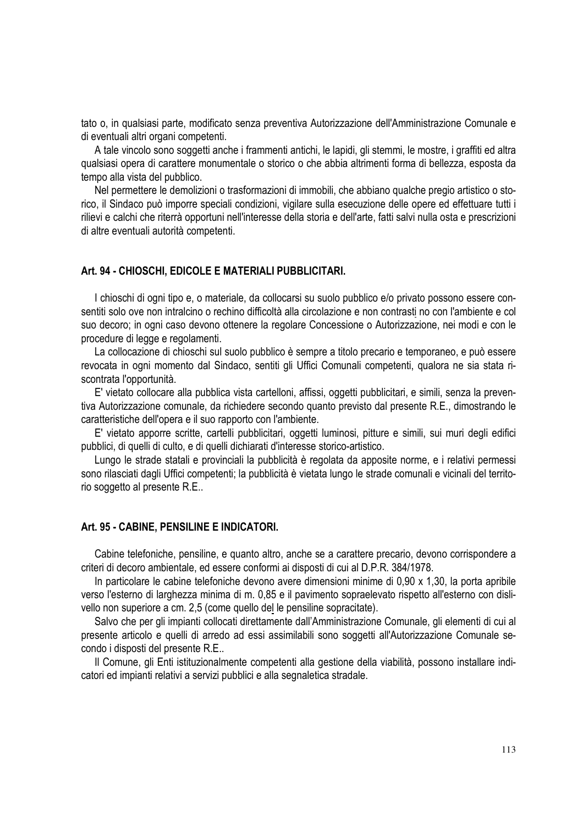tato o, in qualsiasi parte, modificato senza preventiva Autorizzazione dell'Amministrazione Comunale e di eventuali altri organi competenti.

A tale vincolo sono soggetti anche i frammenti antichi, le lapidi, gli stemmi, le mostre, i graffiti ed altra qualsiasi opera di carattere monumentale o storico o che abbia altrimenti forma di bellezza, esposta da tempo alla vista del pubblico.

Nel permettere le demolizioni o trasformazioni di immobili, che abbiano qualche pregio artistico o storico, il Sindaco può imporre speciali condizioni, vigilare sulla esecuzione delle opere ed effettuare tutti i rilievi e calchi che riterrà opportuni nell'interesse della storia e dell'arte, fatti salvi nulla osta e prescrizioni di altre eventuali autorità competenti.

#### **Art. 94 - CHIOSCHI, EDICOLE E MATERIALI PUBBLICITARI.**

I chioschi di ogni tipo e, o materiale, da collocarsi su suolo pubblico e/o privato possono essere consentiti solo ove non intralcino o rechino difficoltà alla circolazione e non contrasti no con l'ambiente e col suo decoro; in ogni caso devono ottenere la regolare Concessione o Autorizzazione, nei modi e con le procedure di legge e regolamenti.

La collocazione di chioschi sul suolo pubblico è sempre a titolo precario e temporaneo, e può essere revocata in ogni momento dal Sindaco, sentiti gli Uffici Comunali competenti, qualora ne sia stata riscontrata l'opportunità.

E' vietato collocare alla pubblica vista cartelloni, affissi, oggetti pubblicitari, e simili, senza la preventiva Autorizzazione comunale, da richiedere secondo quanto previsto dal presente R.E., dimostrando le caratteristiche dell'opera e il suo rapporto con l'ambiente.

E' vietato apporre scritte, cartelli pubblicitari, oggetti luminosi, pitture e simili, sui muri degli edifici pubblici, di quelli di culto, e di quelli dichiarati d'interesse storico-artistico.

Lungo le strade statali e provinciali la pubblicità è regolata da apposite norme, e i relativi permessi sono rilasciati dagli Uffici competenti; la pubblicità è vietata lungo le strade comunali e vicinali del territorio soggetto al presente R.E..

#### **Art. 95 - CABINE, PENSILINE E INDICATORI.**

Cabine telefoniche, pensiline, e quanto altro, anche se a carattere precario, devono corrispondere a criteri di decoro ambientale, ed essere conformi ai disposti di cui al D.P.R. 384/1978.

In particolare le cabine telefoniche devono avere dimensioni minime di 0,90 x 1,30, la porta apribile verso l'esterno di larghezza minima di m. 0,85 e il pavimento sopraelevato rispetto all'esterno con dislivello non superiore a cm. 2,5 (come quello del le pensiline sopracitate).

Salvo che per gli impianti collocati direttamente dall'Amministrazione Comunale, gli elementi di cui al presente articolo e quelli di arredo ad essi assimilabili sono soggetti all'Autorizzazione Comunale secondo i disposti del presente R.E..

Il Comune, gli Enti istituzionalmente competenti alla gestione della viabilità, possono installare indicatori ed impianti relativi a servizi pubblici e alla segnaletica stradale.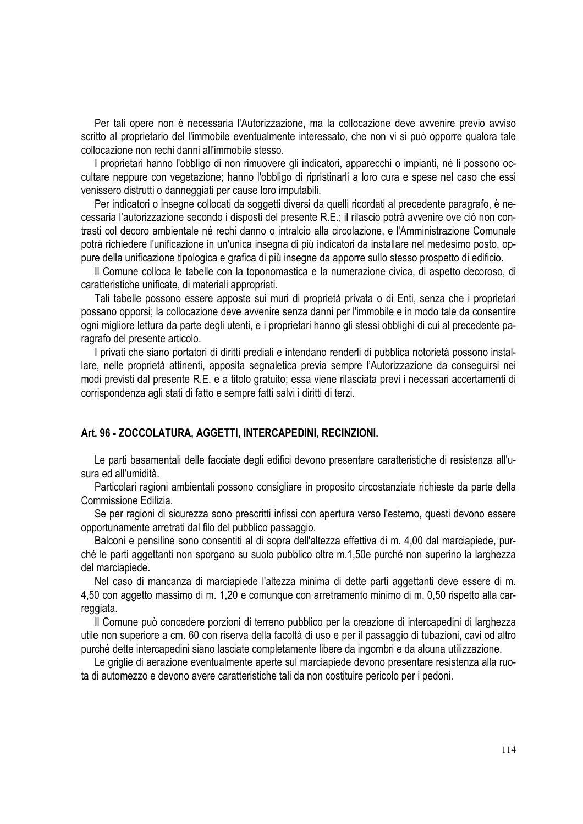Per tali opere non è necessaria l'Autorizzazione, ma la collocazione deve avvenire previo avviso scritto al proprietario del l'immobile eventualmente interessato, che non vi si può opporre qualora tale collocazione non rechi danni all'immobile stesso.

I proprietari hanno l'obbligo di non rimuovere gli indicatori, apparecchi o impianti, né li possono occultare neppure con vegetazione; hanno l'obbligo di ripristinarli a loro cura e spese nel caso che essi venissero distrutti o danneggiati per cause loro imputabili.

Per indicatori o insegne collocati da soggetti diversi da quelli ricordati al precedente paragrafo, è necessaria l'autorizzazione secondo i disposti del presente R.E.; il rilascio potrà avvenire ove ciò non contrasti col decoro ambientale né rechi danno o intralcio alla circolazione, e l'Amministrazione Comunale potrà richiedere l'unificazione in un'unica insegna di più indicatori da installare nel medesimo posto, oppure della unificazione tipologica e grafica di più insegne da apporre sullo stesso prospetto di edificio.

Il Comune colloca le tabelle con la toponomastica e la numerazione civica, di aspetto decoroso, di caratteristiche unificate, di materiali appropriati.

Tali tabelle possono essere apposte sui muri di proprietà privata o di Enti, senza che i proprietari possano opporsi; la collocazione deve avvenire senza danni per l'immobile e in modo tale da consentire ogni migliore lettura da parte degli utenti, e i proprietari hanno gli stessi obblighi di cui al precedente paragrafo del presente articolo.

I privati che siano portatori di diritti prediali e intendano renderli di pubblica notorietà possono installare, nelle proprietà attinenti, apposita segnaletica previa sempre l'Autorizzazione da conseguirsi nei modi previsti dal presente R.E. e a titolo gratuito; essa viene rilasciata previ i necessari accertamenti di corrispondenza agli stati di fatto e sempre fatti salvi i diritti di terzi.

#### **Art. 96 - ZOCCOLATURA, AGGETTI, INTERCAPEDINI, RECINZIONI.**

Le parti basamentali delle facciate degli edifici devono presentare caratteristiche di resistenza all'usura ed all'umidità.

Particolari ragioni ambientali possono consigliare in proposito circostanziate richieste da parte della Commissione Edilizia.

Se per ragioni di sicurezza sono prescritti infissi con apertura verso l'esterno, questi devono essere opportunamente arretrati dal filo del pubblico passaggio.

Balconi e pensiline sono consentiti al di sopra dell'altezza effettiva di m. 4,00 dal marciapiede, purché le parti aggettanti non sporgano su suolo pubblico oltre m.1,50e purché non superino la larghezza del marciapiede.

Nel caso di mancanza di marciapiede l'altezza minima di dette parti aggettanti deve essere di m. 4,50 con aggetto massimo di m. 1,20 e comunque con arretramento minimo di m. 0,50 rispetto alla carreggiata.

Il Comune può concedere porzioni di terreno pubblico per la creazione di intercapedini di larghezza utile non superiore a cm. 60 con riserva della facoltà di uso e per il passaggio di tubazioni, cavi od altro purché dette intercapedini siano lasciate completamente libere da ingombri e da alcuna utilizzazione.

Le griglie di aerazione eventualmente aperte sul marciapiede devono presentare resistenza alla ruota di automezzo e devono avere caratteristiche tali da non costituire pericolo per i pedoni.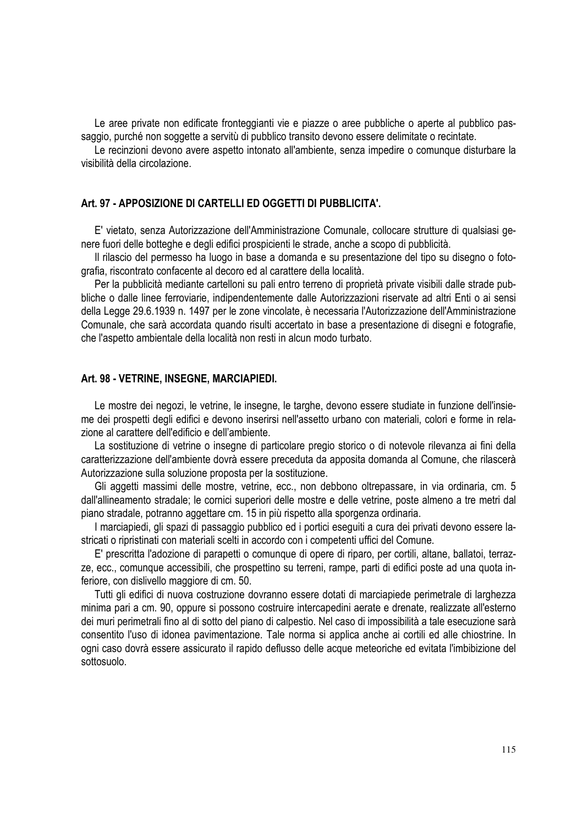Le aree private non edificate fronteggianti vie e piazze o aree pubbliche o aperte al pubblico passaggio, purché non soggette a servitù di pubblico transito devono essere delimitate o recintate.

Le recinzioni devono avere aspetto intonato all'ambiente, senza impedire o comunque disturbare la visibilità della circolazione.

### **Art. 97 - APPOSIZIONE DI CARTELLI ED OGGETTI DI PUBBLICITA'.**

E' vietato, senza Autorizzazione dell'Amministrazione Comunale, collocare strutture di qualsiasi genere fuori delle botteghe e degli edifici prospicienti le strade, anche a scopo di pubblicità.

Il rilascio del permesso ha luogo in base a domanda e su presentazione del tipo su disegno o fotografia, riscontrato confacente al decoro ed al carattere della località.

Per la pubblicità mediante cartelloni su pali entro terreno di proprietà private visibili dalle strade pubbliche o dalle linee ferroviarie, indipendentemente dalle Autorizzazioni riservate ad altri Enti o ai sensi della Legge 29.6.1939 n. 1497 per le zone vincolate, è necessaria l'Autorizzazione dell'Amministrazione Comunale, che sarà accordata quando risulti accertato in base a presentazione di disegni e fotografie, che l'aspetto ambientale della località non resti in alcun modo turbato.

#### **Art. 98 - VETRINE, INSEGNE, MARCIAPIEDI.**

Le mostre dei negozi, le vetrine, le insegne, le targhe, devono essere studiate in funzione dell'insieme dei prospetti degli edifici e devono inserirsi nell'assetto urbano con materiali, colori e forme in relazione al carattere dell'edificio e dell'ambiente.

La sostituzione di vetrine o insegne di particolare pregio storico o di notevole rilevanza ai fini della caratterizzazione dell'ambiente dovrà essere preceduta da apposita domanda al Comune, che rilascerà Autorizzazione sulla soluzione proposta per la sostituzione.

Gli aggetti massimi delle mostre, vetrine, ecc., non debbono oltrepassare, in via ordinaria, cm. 5 dall'allineamento stradale; le cornici superiori delle mostre e delle vetrine, poste almeno a tre metri dal piano stradale, potranno aggettare cm. 15 in più rispetto alla sporgenza ordinaria.

I marciapiedi, gli spazi di passaggio pubblico ed i portici eseguiti a cura dei privati devono essere lastricati o ripristinati con materiali scelti in accordo con i competenti uffici del Comune.

E' prescritta l'adozione di parapetti o comunque di opere di riparo, per cortili, altane, ballatoi, terrazze, ecc., comunque accessibili, che prospettino su terreni, rampe, parti di edifici poste ad una quota inferiore, con dislivello maggiore di cm. 50.

Tutti gli edifici di nuova costruzione dovranno essere dotati di marciapiede perimetrale di larghezza minima pari a cm. 90, oppure si possono costruire intercapedini aerate e drenate, realizzate all'esterno dei muri perimetrali fino al di sotto del piano di calpestio. Nel caso di impossibilità a tale esecuzione sarà consentito l'uso di idonea pavimentazione. Tale norma si applica anche ai cortili ed alle chiostrine. In ogni caso dovrà essere assicurato il rapido deflusso delle acque meteoriche ed evitata l'imbibizione del sottosuolo.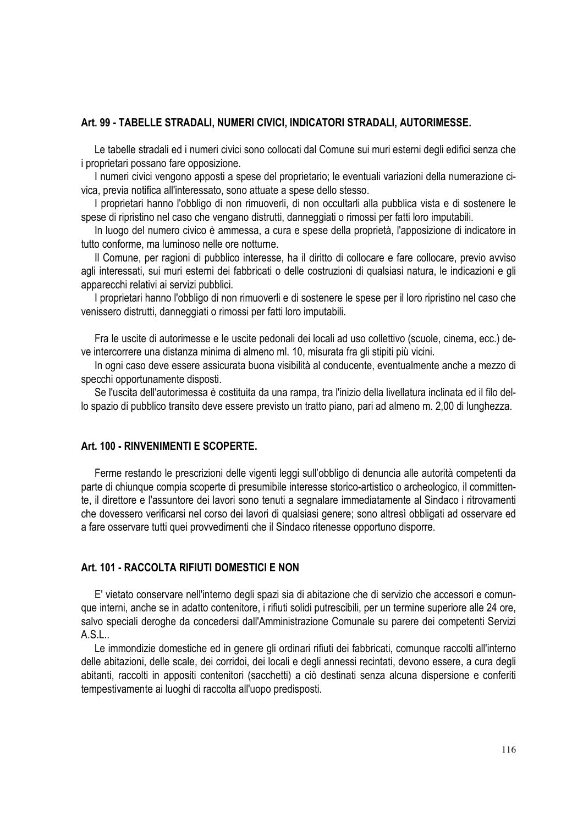### **Art. 99 - TABELLE STRADALI, NUMERI CIVICI, INDICATORI STRADALI, AUTORIMESSE.**

Le tabelle stradali ed i numeri civici sono collocati dal Comune sui muri esterni degli edifici senza che i proprietari possano fare opposizione.

I numeri civici vengono apposti a spese del proprietario; le eventuali variazioni della numerazione civica, previa notifica all'interessato, sono attuate a spese dello stesso.

I proprietari hanno l'obbligo di non rimuoverli, di non occultarli alla pubblica vista e di sostenere le spese di ripristino nel caso che vengano distrutti, danneggiati o rimossi per fatti loro imputabili.

In luogo del numero civico è ammessa, a cura e spese della proprietà, l'apposizione di indicatore in tutto conforme, ma luminoso nelle ore notturne.

Il Comune, per ragioni di pubblico interesse, ha il diritto di collocare e fare collocare, previo avviso agli interessati, sui muri esterni dei fabbricati o delle costruzioni di qualsiasi natura, le indicazioni e gli apparecchi relativi ai servizi pubblici.

I proprietari hanno l'obbligo di non rimuoverli e di sostenere le spese per il loro ripristino nel caso che venissero distrutti, danneggiati o rimossi per fatti loro imputabili.

Fra le uscite di autorimesse e le uscite pedonali dei locali ad uso collettivo (scuole, cinema, ecc.) deve intercorrere una distanza minima di almeno ml. 10, misurata fra gli stipiti più vicini.

In ogni caso deve essere assicurata buona visibilità al conducente, eventualmente anche a mezzo di specchi opportunamente disposti.

Se l'uscita dell'autorimessa è costituita da una rampa, tra l'inizio della livellatura inclinata ed il filo dello spazio di pubblico transito deve essere previsto un tratto piano, pari ad almeno m. 2,00 di lunghezza.

## **Art. 100 - RINVENIMENTI E SCOPERTE.**

Ferme restando le prescrizioni delle vigenti leggi sull'obbligo di denuncia alle autorità competenti da parte di chiunque compia scoperte di presumibile interesse storico-artistico o archeologico, il committente, il direttore e l'assuntore dei lavori sono tenuti a segnalare immediatamente al Sindaco i ritrovamenti che dovessero verificarsi nel corso dei lavori di qualsiasi genere; sono altresì obbligati ad osservare ed a fare osservare tutti quei provvedimenti che il Sindaco ritenesse opportuno disporre.

### **Art. 101 - RACCOLTA RIFIUTI DOMESTICI E NON**

E' vietato conservare nell'interno degli spazi sia di abitazione che di servizio che accessori e comunque interni, anche se in adatto contenitore, i rifiuti solidi putrescibili, per un termine superiore alle 24 ore, salvo speciali deroghe da concedersi dall'Amministrazione Comunale su parere dei competenti Servizi A.S.L..

Le immondizie domestiche ed in genere gli ordinari rifiuti dei fabbricati, comunque raccolti all'interno delle abitazioni, delle scale, dei corridoi, dei locali e degli annessi recintati, devono essere, a cura degli abitanti, raccolti in appositi contenitori (sacchetti) a ciò destinati senza alcuna dispersione e conferiti tempestivamente ai luoghi di raccolta all'uopo predisposti.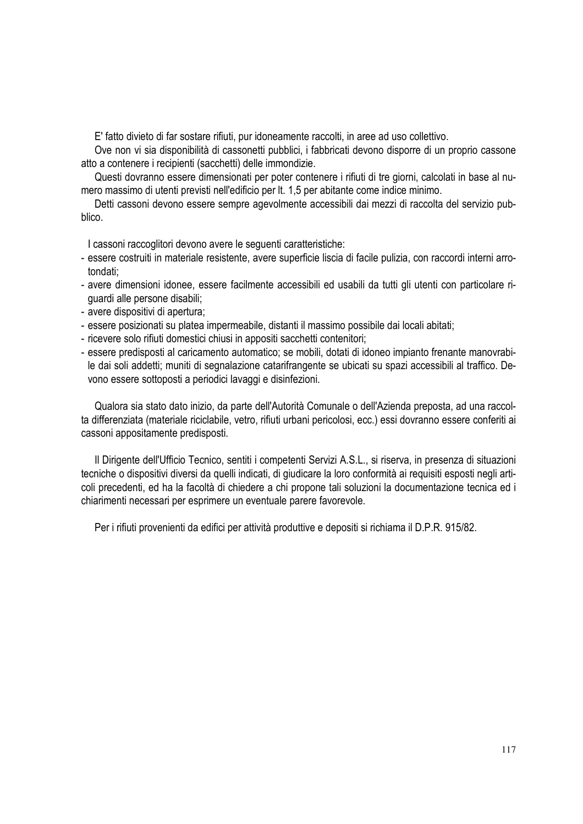E' fatto divieto di far sostare rifiuti, pur idoneamente raccolti, in aree ad uso collettivo.

Ove non vi sia disponibilità di cassonetti pubblici, i fabbricati devono disporre di un proprio cassone atto a contenere i recipienti (sacchetti) delle immondizie.

Questi dovranno essere dimensionati per poter contenere i rifiuti di tre giorni, calcolati in base al numero massimo di utenti previsti nell'edificio per lt. 1,5 per abitante come indice minimo.

Detti cassoni devono essere sempre agevolmente accessibili dai mezzi di raccolta del servizio pubblico.

I cassoni raccoglitori devono avere le seguenti caratteristiche:

- essere costruiti in materiale resistente, avere superficie liscia di facile pulizia, con raccordi interni arrotondati;
- avere dimensioni idonee, essere facilmente accessibili ed usabili da tutti gli utenti con particolare riguardi alle persone disabili;
- avere dispositivi di apertura;
- essere posizionati su platea impermeabile, distanti il massimo possibile dai locali abitati;
- ricevere solo rifiuti domestici chiusi in appositi sacchetti contenitori;
- essere predisposti al caricamento automatico; se mobili, dotati di idoneo impianto frenante manovrabile dai soli addetti; muniti di segnalazione catarifrangente se ubicati su spazi accessibili al traffico. Devono essere sottoposti a periodici lavaggi e disinfezioni.

Qualora sia stato dato inizio, da parte dell'Autorità Comunale o dell'Azienda preposta, ad una raccolta differenziata (materiale riciclabile, vetro, rifiuti urbani pericolosi, ecc.) essi dovranno essere conferiti ai cassoni appositamente predisposti.

Il Dirigente dell'Ufficio Tecnico, sentiti i competenti Servizi A.S.L., si riserva, in presenza di situazioni tecniche o dispositivi diversi da quelli indicati, di giudicare la loro conformità ai requisiti esposti negli articoli precedenti, ed ha la facoltà di chiedere a chi propone tali soluzioni la documentazione tecnica ed i chiarimenti necessari per esprimere un eventuale parere favorevole.

Per i rifiuti provenienti da edifici per attività produttive e depositi si richiama il D.P.R. 915/82.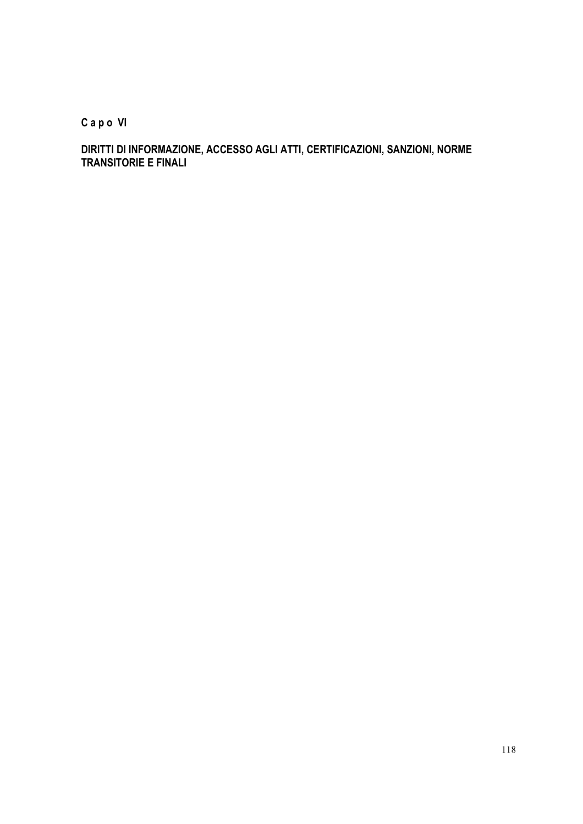**C a p o VI** 

**DIRITTI DI INFORMAZIONE, ACCESSO AGLI ATTI, CERTIFICAZIONI, SANZIONI, NORME TRANSITORIE E FINALI**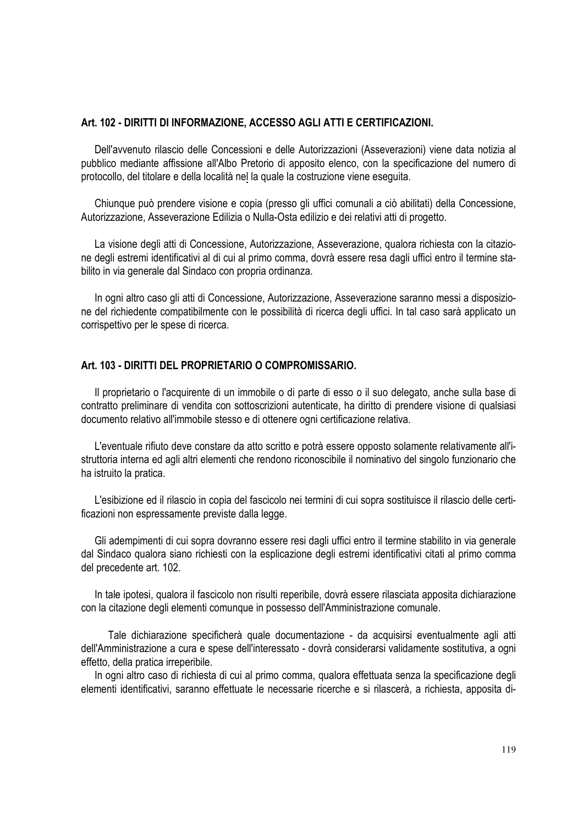### **Art. 102 - DIRITTI DI INFORMAZIONE, ACCESSO AGLI ATTI E CERTIFICAZIONI.**

Dell'avvenuto rilascio delle Concessioni e delle Autorizzazioni (Asseverazioni) viene data notizia al pubblico mediante affissione all'Albo Pretorio di apposito elenco, con la specificazione del numero di protocollo, del titolare e della località nel la quale la costruzione viene eseguita.

Chiunque può prendere visione e copia (presso gli uffici comunali a ciò abilitati) della Concessione, Autorizzazione, Asseverazione Edilizia o Nulla-Osta edilizio e dei relativi atti di progetto.

La visione degli atti di Concessione, Autorizzazione, Asseverazione, qualora richiesta con la citazione degli estremi identificativi al di cui al primo comma, dovrà essere resa dagli uffici entro il termine stabilito in via generale dal Sindaco con propria ordinanza.

In ogni altro caso gli atti di Concessione, Autorizzazione, Asseverazione saranno messi a disposizione del richiedente compatibilmente con le possibilità di ricerca degli uffici. In tal caso sarà applicato un corrispettivo per le spese di ricerca.

### **Art. 103 - DIRITTI DEL PROPRIETARIO O COMPROMISSARIO.**

Il proprietario o l'acquirente di un immobile o di parte di esso o il suo delegato, anche sulla base di contratto preliminare di vendita con sottoscrizioni autenticate, ha diritto di prendere visione di qualsiasi documento relativo all'immobile stesso e di ottenere ogni certificazione relativa.

L'eventuale rifiuto deve constare da atto scritto e potrà essere opposto solamente relativamente all'istruttoria interna ed agli altri elementi che rendono riconoscibile il nominativo del singolo funzionario che ha istruito la pratica.

L'esibizione ed il rilascio in copia del fascicolo nei termini di cui sopra sostituisce il rilascio delle certificazioni non espressamente previste dalla legge.

Gli adempimenti di cui sopra dovranno essere resi dagli uffici entro il termine stabilito in via generale dal Sindaco qualora siano richiesti con la esplicazione degli estremi identificativi citati al primo comma del precedente art. 102.

In tale ipotesi, qualora il fascicolo non risulti reperibile, dovrà essere rilasciata apposita dichiarazione con la citazione degli elementi comunque in possesso dell'Amministrazione comunale.

Tale dichiarazione specificherà quale documentazione - da acquisirsi eventualmente agli atti dell'Amministrazione a cura e spese dell'interessato - dovrà considerarsi validamente sostitutiva, a ogni effetto, della pratica irreperibile.

In ogni altro caso di richiesta di cui al primo comma, qualora effettuata senza la specificazione degli elementi identificativi, saranno effettuate le necessarie ricerche e si rilascerà, a richiesta, apposita di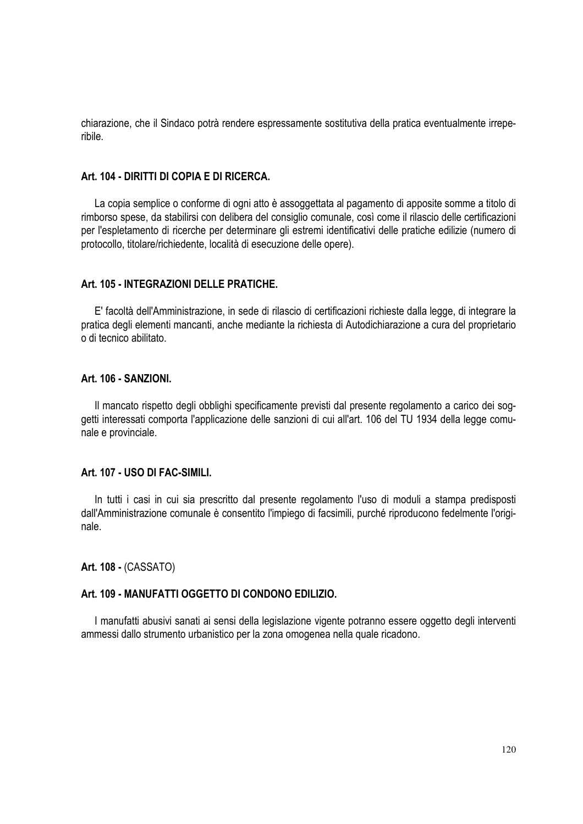chiarazione, che il Sindaco potrà rendere espressamente sostitutiva della pratica eventualmente irreperibile.

### **Art. 104 - DIRITTI DI COPIA E DI RICERCA.**

La copia semplice o conforme di ogni atto è assoggettata al pagamento di apposite somme a titolo di rimborso spese, da stabilirsi con delibera del consiglio comunale, così come il rilascio delle certificazioni per l'espletamento di ricerche per determinare gli estremi identificativi delle pratiche edilizie (numero di protocollo, titolare/richiedente, località di esecuzione delle opere).

### **Art. 105 - INTEGRAZIONI DELLE PRATICHE.**

E' facoltà dell'Amministrazione, in sede di rilascio di certificazioni richieste dalla legge, di integrare la pratica degli elementi mancanti, anche mediante la richiesta di Autodichiarazione a cura del proprietario o di tecnico abilitato.

#### **Art. 106 - SANZIONI.**

Il mancato rispetto degli obblighi specificamente previsti dal presente regolamento a carico dei soggetti interessati comporta l'applicazione delle sanzioni di cui all'art. 106 del TU 1934 della legge comunale e provinciale.

#### **Art. 107 - USO DI FAC-SIMILI.**

In tutti i casi in cui sia prescritto dal presente regolamento l'uso di moduli a stampa predisposti dall'Amministrazione comunale è consentito l'impiego di facsimili, purché riproducono fedelmente l'originale.

**Art. 108 -** (CASSATO)

### **Art. 109 - MANUFATTI OGGETTO DI CONDONO EDILIZIO.**

I manufatti abusivi sanati ai sensi della legislazione vigente potranno essere oggetto degli interventi ammessi dallo strumento urbanistico per la zona omogenea nella quale ricadono.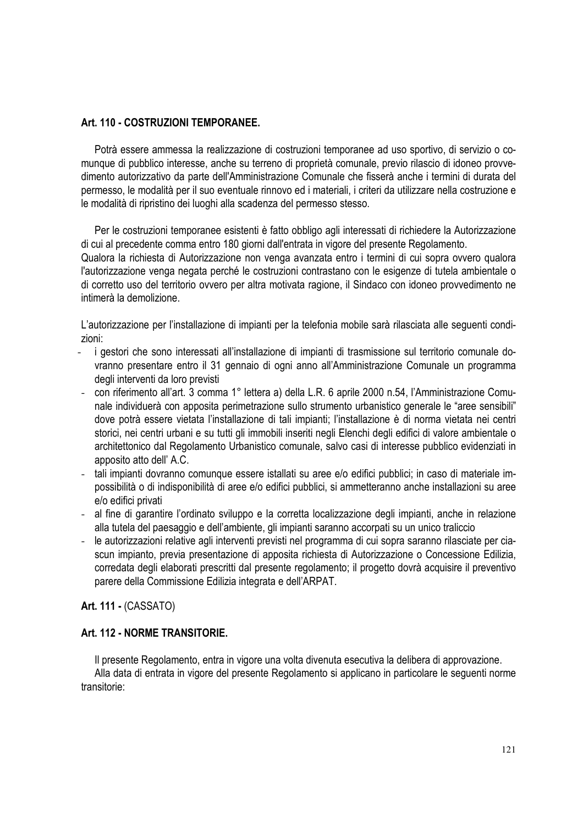# **Art. 110 - COSTRUZIONI TEMPORANEE.**

Potrà essere ammessa la realizzazione di costruzioni temporanee ad uso sportivo, di servizio o comunque di pubblico interesse, anche su terreno di proprietà comunale, previo rilascio di idoneo provvedimento autorizzativo da parte dell'Amministrazione Comunale che fisserà anche i termini di durata del permesso, le modalità per il suo eventuale rinnovo ed i materiali, i criteri da utilizzare nella costruzione e le modalità di ripristino dei luoghi alla scadenza del permesso stesso.

Per le costruzioni temporanee esistenti è fatto obbligo agli interessati di richiedere la Autorizzazione di cui al precedente comma entro 180 giorni dall'entrata in vigore del presente Regolamento.

Qualora la richiesta di Autorizzazione non venga avanzata entro i termini di cui sopra ovvero qualora l'autorizzazione venga negata perché le costruzioni contrastano con le esigenze di tutela ambientale o di corretto uso del territorio ovvero per altra motivata ragione, il Sindaco con idoneo provvedimento ne intimerà la demolizione.

L'autorizzazione per l'installazione di impianti per la telefonia mobile sarà rilasciata alle seguenti condizioni:

- i gestori che sono interessati all'installazione di impianti di trasmissione sul territorio comunale dovranno presentare entro il 31 gennaio di ogni anno all'Amministrazione Comunale un programma degli interventi da loro previsti
- con riferimento all'art. 3 comma 1° lettera a) della L.R. 6 aprile 2000 n.54, l'Amministrazione Comunale individuerà con apposita perimetrazione sullo strumento urbanistico generale le "aree sensibili" dove potrà essere vietata l'installazione di tali impianti; l'installazione è di norma vietata nei centri storici, nei centri urbani e su tutti gli immobili inseriti negli Elenchi degli edifici di valore ambientale o architettonico dal Regolamento Urbanistico comunale, salvo casi di interesse pubblico evidenziati in apposito atto dell' A.C.
- tali impianti dovranno comunque essere istallati su aree e/o edifici pubblici; in caso di materiale impossibilità o di indisponibilità di aree e/o edifici pubblici, si ammetteranno anche installazioni su aree e/o edifici privati
- al fine di garantire l'ordinato sviluppo e la corretta localizzazione degli impianti, anche in relazione alla tutela del paesaggio e dell'ambiente, gli impianti saranno accorpati su un unico traliccio
- le autorizzazioni relative agli interventi previsti nel programma di cui sopra saranno rilasciate per ciascun impianto, previa presentazione di apposita richiesta di Autorizzazione o Concessione Edilizia, corredata degli elaborati prescritti dal presente regolamento; il progetto dovrà acquisire il preventivo parere della Commissione Edilizia integrata e dell'ARPAT.

**Art. 111 -** (CASSATO)

# **Art. 112 - NORME TRANSITORIE.**

Il presente Regolamento, entra in vigore una volta divenuta esecutiva la delibera di approvazione.

Alla data di entrata in vigore del presente Regolamento si applicano in particolare le seguenti norme transitorie: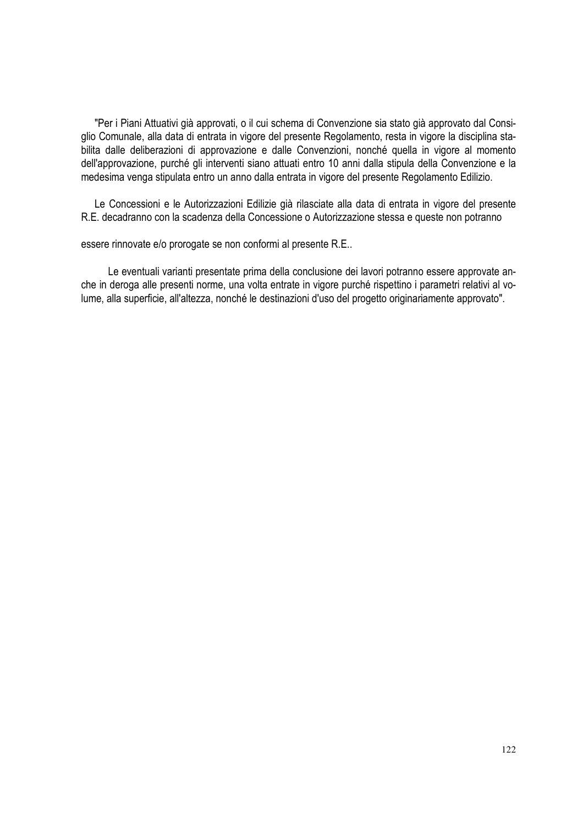"Per i Piani Attuativi già approvati, o il cui schema di Convenzione sia stato già approvato dal Consiglio Comunale, alla data di entrata in vigore del presente Regolamento, resta in vigore la disciplina stabilita dalle deliberazioni di approvazione e dalle Convenzioni, nonché quella in vigore al momento dell'approvazione, purché gli interventi siano attuati entro 10 anni dalla stipula della Convenzione e la medesima venga stipulata entro un anno dalla entrata in vigore del presente Regolamento Edilizio.

Le Concessioni e le Autorizzazioni Edilizie già rilasciate alla data di entrata in vigore del presente R.E. decadranno con la scadenza della Concessione o Autorizzazione stessa e queste non potranno

essere rinnovate e/o prorogate se non conformi al presente R.E..

Le eventuali varianti presentate prima della conclusione dei lavori potranno essere approvate anche in deroga alle presenti norme, una volta entrate in vigore purché rispettino i parametri relativi al volume, alla superficie, all'altezza, nonché le destinazioni d'uso del progetto originariamente approvato".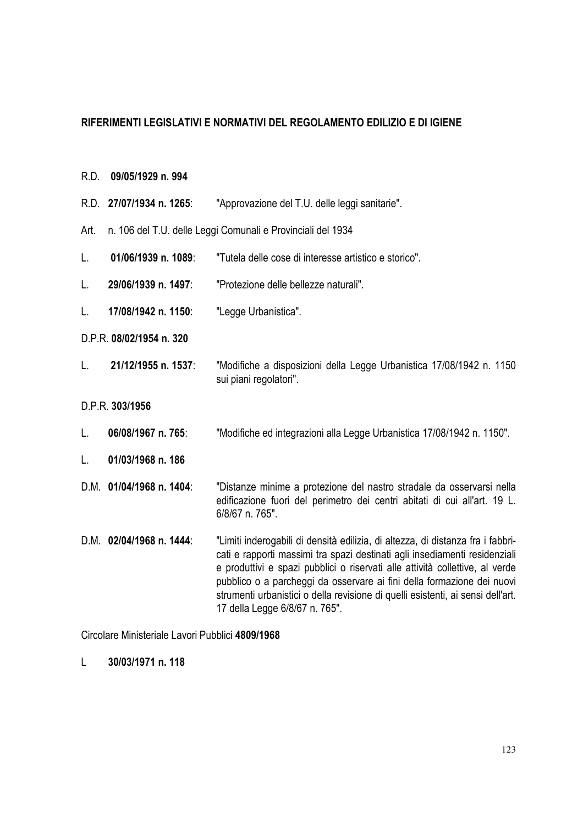# **RIFERIMENTI LEGISLATIVI E NORMATIVI DEL REGOLAMENTO EDILIZIO E DI IGIENE**

- R.D. **09/05/1929 n. 994**
- R.D. **27/07/1934 n. 1265**: "Approvazione del T.U. delle leggi sanitarie". Art. n. 106 del T.U. delle Leggi Comunali e Provinciali del 1934 L. **01/06/1939 n. 1089**: "Tutela delle cose di interesse artistico e storico". L. **29/06/1939 n. 1497**: "Protezione delle bellezze naturali". L. **17/08/1942 n. 1150**: "Legge Urbanistica". D.P.R. **08/02/1954 n. 320** L. **21/12/1955 n. 1537**: "Modifiche a disposizioni della Legge Urbanistica 17/08/1942 n. 1150 sui piani regolatori". D.P.R. **303/1956** L. **06/08/1967 n. 765**: "Modifiche ed integrazioni alla Legge Urbanistica 17/08/1942 n. 1150". L. **01/03/1968 n. 186** D.M. **01/04/1968 n. 1404**: "Distanze minime a protezione del nastro stradale da osservarsi nella edificazione fuori del perimetro dei centri abitati di cui all'art. 19 L. 6/8/67 n. 765". D.M. **02/04/1968 n. 1444**: "Limiti inderogabili di densità edilizia, di altezza, di distanza fra i fabbricati e rapporti massimi tra spazi destinati agli insediamenti residenziali e produttivi e spazi pubblici o riservati alle attività collettive, al verde pubblico o a parcheggi da osservare ai fini della formazione dei nuovi strumenti urbanistici o della revisione di quelli esistenti, ai sensi dell'art.

17 della Legge 6/8/67 n. 765".

Circolare Ministeriale Lavori Pubblici **4809/1968**

L **30/03/1971 n. 118**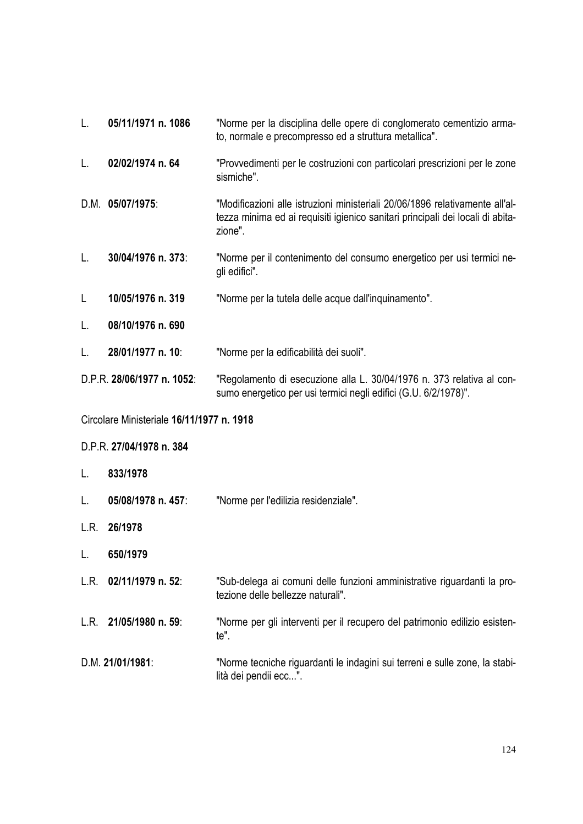| L.                                        | 05/11/1971 n. 1086 | "Norme per la disciplina delle opere di conglomerato cementizio arma-<br>to, normale e precompresso ed a struttura metallica".                                            |  |  |
|-------------------------------------------|--------------------|---------------------------------------------------------------------------------------------------------------------------------------------------------------------------|--|--|
| L.                                        | 02/02/1974 n. 64   | "Provvedimenti per le costruzioni con particolari prescrizioni per le zone<br>sismiche".                                                                                  |  |  |
|                                           | D.M. 05/07/1975:   | "Modificazioni alle istruzioni ministeriali 20/06/1896 relativamente all'al-<br>tezza minima ed ai requisiti igienico sanitari principali dei locali di abita-<br>zione". |  |  |
| L.                                        | 30/04/1976 n. 373: | "Norme per il contenimento del consumo energetico per usi termici ne-<br>gli edifici".                                                                                    |  |  |
| $\mathsf{L}$                              | 10/05/1976 n. 319  | "Norme per la tutela delle acque dall'inquinamento".                                                                                                                      |  |  |
| L.                                        | 08/10/1976 n. 690  |                                                                                                                                                                           |  |  |
| L.                                        | 28/01/1977 n. 10:  | "Norme per la edificabilità dei suoli".                                                                                                                                   |  |  |
| D.P.R. 28/06/1977 n. 1052:                |                    | "Regolamento di esecuzione alla L. 30/04/1976 n. 373 relativa al con-<br>sumo energetico per usi termici negli edifici (G.U. 6/2/1978)".                                  |  |  |
| Circolare Ministeriale 16/11/1977 n. 1918 |                    |                                                                                                                                                                           |  |  |
| D.P.R. 27/04/1978 n. 384                  |                    |                                                                                                                                                                           |  |  |

- L. **833/1978**
- L. **05/08/1978 n. 457**: "Norme per l'edilizia residenziale".
- L.R. **26/1978**
- L. **650/1979**
- L.R. **02/11/1979 n. 52**: "Sub-delega ai comuni delle funzioni amministrative riguardanti la protezione delle bellezze naturali".
- L.R. **21/05/1980 n. 59**: "Norme per gli interventi per il recupero del patrimonio edilizio esistente".
- D.M. **21/01/1981**: "Norme tecniche riguardanti le indagini sui terreni e sulle zone, la stabilità dei pendii ecc...".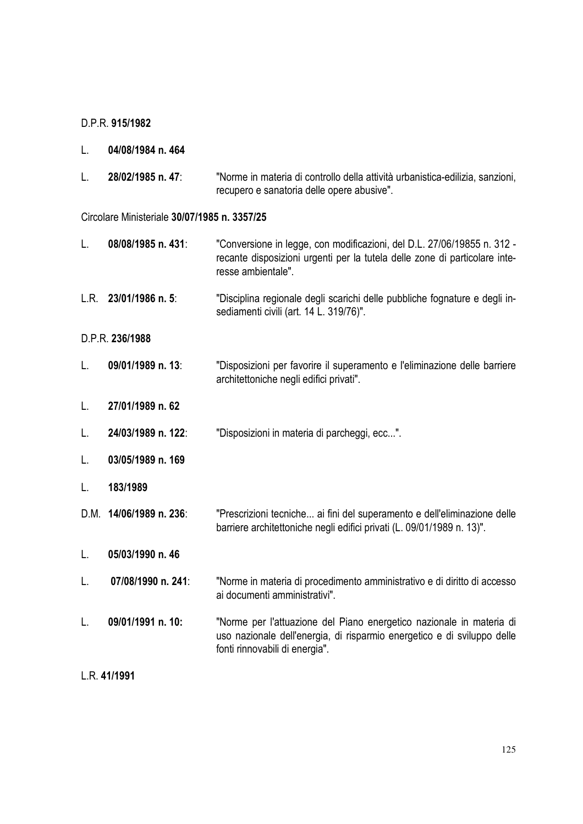## D.P.R. **915/1982**

| L. | 04/08/1984 n. 464 |  |  |
|----|-------------------|--|--|
|----|-------------------|--|--|

L. **28/02/1985 n. 47**: "Norme in materia di controllo della attività urbanistica-edilizia, sanzioni, recupero e sanatoria delle opere abusive".

### Circolare Ministeriale **30/07/1985 n. 3357/25**

| L.              | 08/08/1985 n. 431:      | "Conversione in legge, con modificazioni, del D.L. 27/06/19855 n. 312 -<br>recante disposizioni urgenti per la tutela delle zone di particolare inte-<br>resse ambientale".       |  |  |
|-----------------|-------------------------|-----------------------------------------------------------------------------------------------------------------------------------------------------------------------------------|--|--|
|                 | L.R. $23/01/1986$ n. 5: | "Disciplina regionale degli scarichi delle pubbliche fognature e degli in-<br>sediamenti civili (art. 14 L. 319/76)".                                                             |  |  |
| D.P.R. 236/1988 |                         |                                                                                                                                                                                   |  |  |
| L.              | 09/01/1989 n. 13:       | "Disposizioni per favorire il superamento e l'eliminazione delle barriere<br>architettoniche negli edifici privati".                                                              |  |  |
| L.              | 27/01/1989 n. 62        |                                                                                                                                                                                   |  |  |
| L.              | 24/03/1989 n. 122:      | "Disposizioni in materia di parcheggi, ecc".                                                                                                                                      |  |  |
| L.              | 03/05/1989 n. 169       |                                                                                                                                                                                   |  |  |
| L.              | 183/1989                |                                                                                                                                                                                   |  |  |
|                 | D.M. 14/06/1989 n. 236: | "Prescrizioni tecniche ai fini del superamento e dell'eliminazione delle<br>barriere architettoniche negli edifici privati (L. 09/01/1989 n. 13)".                                |  |  |
| L.              | 05/03/1990 n. 46        |                                                                                                                                                                                   |  |  |
| L.              | 07/08/1990 n. 241:      | "Norme in materia di procedimento amministrativo e di diritto di accesso<br>ai documenti amministrativi".                                                                         |  |  |
| L.              | 09/01/1991 n. 10:       | "Norme per l'attuazione del Piano energetico nazionale in materia di<br>uso nazionale dell'energia, di risparmio energetico e di sviluppo delle<br>fonti rinnovabili di energia". |  |  |
| L.R. 41/1991    |                         |                                                                                                                                                                                   |  |  |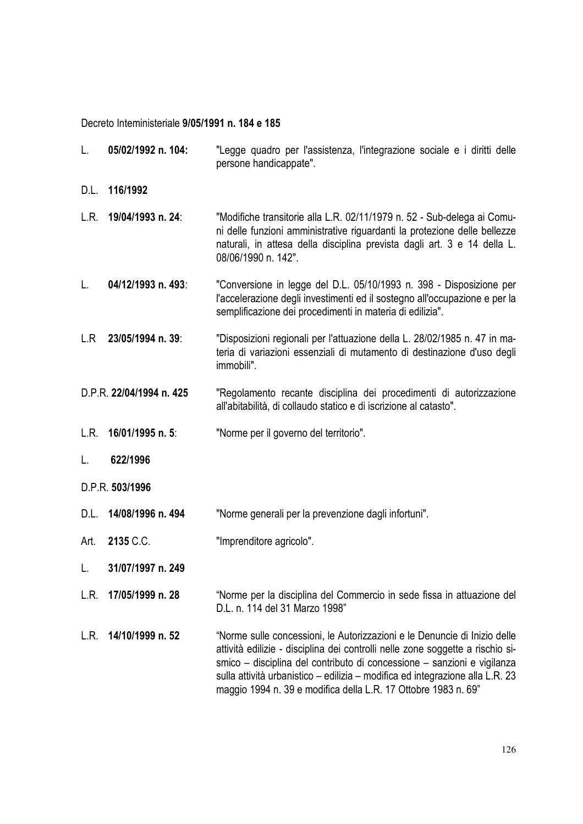Decreto Inteministeriale **9/05/1991 n. 184 e 185**

| L.              | 05/02/1992 n. 104:       | "Legge quadro per l'assistenza, l'integrazione sociale e i diritti delle<br>persone handicappate".                                                                                                                                                                                                                                                                                        |  |  |
|-----------------|--------------------------|-------------------------------------------------------------------------------------------------------------------------------------------------------------------------------------------------------------------------------------------------------------------------------------------------------------------------------------------------------------------------------------------|--|--|
| D.L.            | 116/1992                 |                                                                                                                                                                                                                                                                                                                                                                                           |  |  |
| L.R.            | 19/04/1993 n. 24:        | "Modifiche transitorie alla L.R. 02/11/1979 n. 52 - Sub-delega ai Comu-<br>ni delle funzioni amministrative riguardanti la protezione delle bellezze<br>naturali, in attesa della disciplina prevista dagli art. 3 e 14 della L.<br>08/06/1990 n. 142".                                                                                                                                   |  |  |
| L.              | 04/12/1993 n. 493:       | "Conversione in legge del D.L. 05/10/1993 n. 398 - Disposizione per<br>l'accelerazione degli investimenti ed il sostegno all'occupazione e per la<br>semplificazione dei procedimenti in materia di edilizia".                                                                                                                                                                            |  |  |
| L.R             | 23/05/1994 n. 39:        | "Disposizioni regionali per l'attuazione della L. 28/02/1985 n. 47 in ma-<br>teria di variazioni essenziali di mutamento di destinazione d'uso degli<br>immobili".                                                                                                                                                                                                                        |  |  |
|                 | D.P.R. 22/04/1994 n. 425 | "Regolamento recante disciplina dei procedimenti di autorizzazione<br>all'abitabilità, di collaudo statico e di iscrizione al catasto".                                                                                                                                                                                                                                                   |  |  |
| L.R.            | 16/01/1995 n. 5:         | "Norme per il governo del territorio".                                                                                                                                                                                                                                                                                                                                                    |  |  |
| L.              | 622/1996                 |                                                                                                                                                                                                                                                                                                                                                                                           |  |  |
| D.P.R. 503/1996 |                          |                                                                                                                                                                                                                                                                                                                                                                                           |  |  |
| D.L.            | 14/08/1996 n. 494        | "Norme generali per la prevenzione dagli infortuni".                                                                                                                                                                                                                                                                                                                                      |  |  |
| Art.            | 2135 C.C.                | "Imprenditore agricolo".                                                                                                                                                                                                                                                                                                                                                                  |  |  |
| L.              | 31/07/1997 n. 249        |                                                                                                                                                                                                                                                                                                                                                                                           |  |  |
| L.R.            | 17/05/1999 n. 28         | "Norme per la disciplina del Commercio in sede fissa in attuazione del<br>D.L. n. 114 del 31 Marzo 1998"                                                                                                                                                                                                                                                                                  |  |  |
| L.R.            | 14/10/1999 n. 52         | "Norme sulle concessioni, le Autorizzazioni e le Denuncie di Inizio delle<br>attività edilizie - disciplina dei controlli nelle zone soggette a rischio si-<br>smico – disciplina del contributo di concessione – sanzioni e vigilanza<br>sulla attività urbanistico – edilizia – modifica ed integrazione alla L.R. 23<br>maggio 1994 n. 39 e modifica della L.R. 17 Ottobre 1983 n. 69" |  |  |